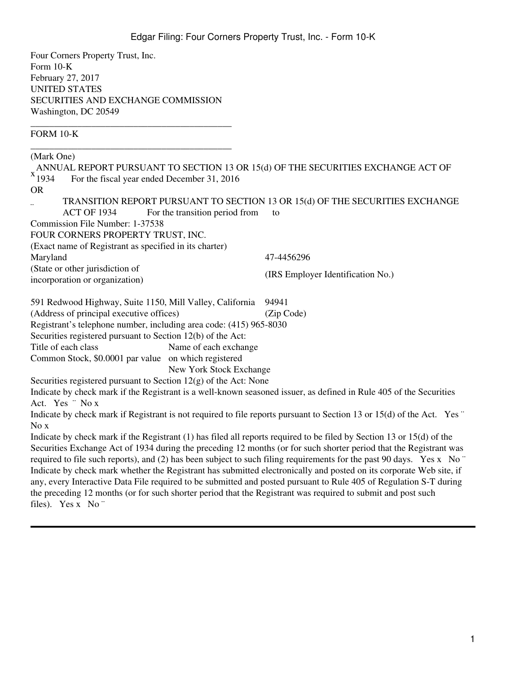Four Corners Property Trust, Inc. Form 10-K February 27, 2017 UNITED STATES SECURITIES AND EXCHANGE COMMISSION Washington, DC 20549

\_\_\_\_\_\_\_\_\_\_\_\_\_\_\_\_\_\_\_\_\_\_\_\_\_\_\_\_\_\_\_\_\_\_\_\_\_\_\_\_\_\_\_

FORM 10-K

\_\_\_\_\_\_\_\_\_\_\_\_\_\_\_\_\_\_\_\_\_\_\_\_\_\_\_\_\_\_\_\_\_\_\_\_\_\_\_\_\_\_\_ (Mark One)  $x_{1934}^{\prime}$ ANNUAL REPORT PURSUANT TO SECTION 13 OR 15(d) OF THE SECURITIES EXCHANGE ACT OF For the fiscal year ended December 31, 2016 OR ¨ TRANSITION REPORT PURSUANT TO SECTION 13 OR 15(d) OF THE SECURITIES EXCHANGE ACT OF 1934 For the transition period from to Commission File Number: 1-37538 FOUR CORNERS PROPERTY TRUST, INC. (Exact name of Registrant as specified in its charter) Maryland 47-4456296 (State or other jurisdiction of incorporation or organization) (IRS Employer Identification No.) 591 Redwood Highway, Suite 1150, Mill Valley, California 94941 (Address of principal executive offices) (Zip Code) Registrant's telephone number, including area code: (415) 965-8030 Securities registered pursuant to Section 12(b) of the Act: Title of each class Name of each exchange Common Stock, \$0.0001 par value on which registered New York Stock Exchange Securities registered pursuant to Section  $12(g)$  of the Act: None Indicate by check mark if the Registrant is a well-known seasoned issuer, as defined in Rule 405 of the Securities Act. Yes ¨ No x Indicate by check mark if Registrant is not required to file reports pursuant to Section 13 or 15(d) of the Act. Yes ¨ No x Indicate by check mark if the Registrant (1) has filed all reports required to be filed by Section 13 or 15(d) of the Securities Exchange Act of 1934 during the preceding 12 months (or for such shorter period that the Registrant was required to file such reports), and (2) has been subject to such filing requirements for the past 90 days. Yes x No  $\degree$ Indicate by check mark whether the Registrant has submitted electronically and posted on its corporate Web site, if any, every Interactive Data File required to be submitted and posted pursuant to Rule 405 of Regulation S-T during the preceding 12 months (or for such shorter period that the Registrant was required to submit and post such

files). Yes x No "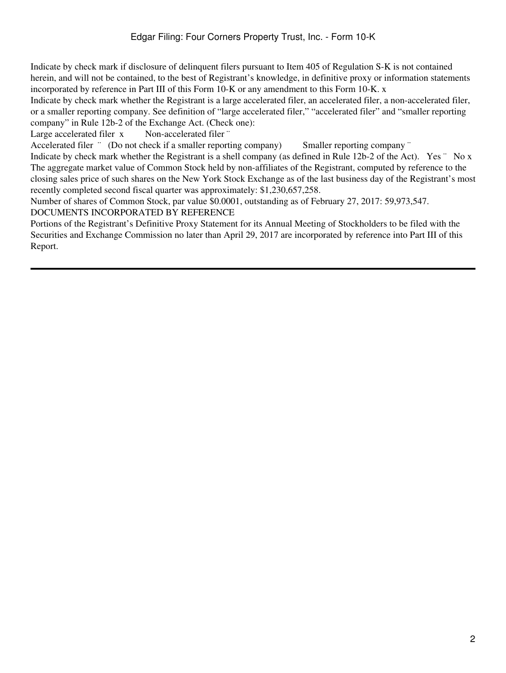Indicate by check mark if disclosure of delinquent filers pursuant to Item 405 of Regulation S-K is not contained herein, and will not be contained, to the best of Registrant's knowledge, in definitive proxy or information statements incorporated by reference in Part III of this Form 10-K or any amendment to this Form 10-K. x

Indicate by check mark whether the Registrant is a large accelerated filer, an accelerated filer, a non-accelerated filer, or a smaller reporting company. See definition of "large accelerated filer," "accelerated filer" and "smaller reporting company" in Rule 12b-2 of the Exchange Act. (Check one):

Large accelerated filer x Non-accelerated filer "

Accelerated filer  $\degree$  (Do not check if a smaller reporting company) Smaller reporting company  $\degree$ 

Indicate by check mark whether the Registrant is a shell company (as defined in Rule 12b-2 of the Act). Yes  $\degree$  No x The aggregate market value of Common Stock held by non-affiliates of the Registrant, computed by reference to the closing sales price of such shares on the New York Stock Exchange as of the last business day of the Registrant's most recently completed second fiscal quarter was approximately: \$1,230,657,258.

Number of shares of Common Stock, par value \$0.0001, outstanding as of February 27, 2017: 59,973,547.

DOCUMENTS INCORPORATED BY REFERENCE

Portions of the Registrant's Definitive Proxy Statement for its Annual Meeting of Stockholders to be filed with the Securities and Exchange Commission no later than April 29, 2017 are incorporated by reference into Part III of this Report.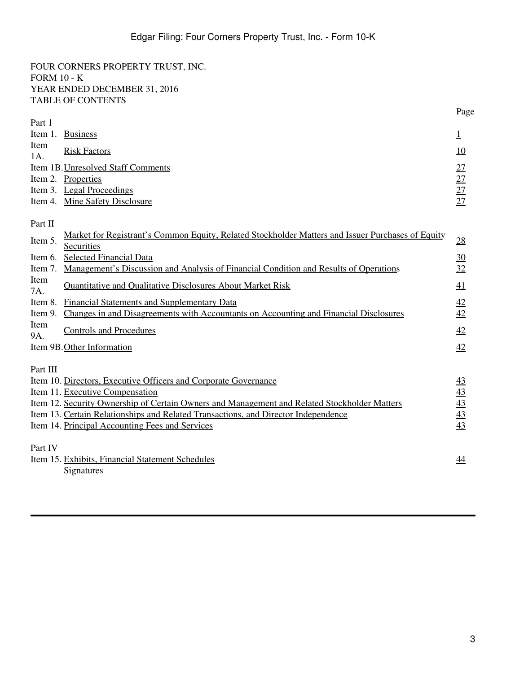FOUR CORNERS PROPERTY TRUST, INC. FORM 10 - K YEAR ENDED DECEMBER 31, 2016 TABLE OF CONTENTS

|                    |                                                                                                                 | Page            |
|--------------------|-----------------------------------------------------------------------------------------------------------------|-----------------|
| Part 1             |                                                                                                                 |                 |
| Item 1.            | <b>Business</b>                                                                                                 | 1               |
| Item<br>1A.        | <b>Risk Factors</b>                                                                                             | 10              |
|                    | Item 1B. Unresolved Staff Comments                                                                              | 27              |
|                    | Item 2. Properties                                                                                              | $\frac{27}{27}$ |
|                    | Item 3. Legal Proceedings                                                                                       |                 |
|                    | Item 4. Mine Safety Disclosure                                                                                  |                 |
| Part II            |                                                                                                                 |                 |
| Item 5.            | Market for Registrant's Common Equity, Related Stockholder Matters and Issuer Purchases of Equity<br>Securities | 28              |
| Item 6.            | <b>Selected Financial Data</b>                                                                                  | 30              |
| Item 7.            | <u>Management's Discussion and Analysis of Financial Condition and Results of Operations</u>                    | 32              |
| Item<br>7A.        | <b>Quantitative and Qualitative Disclosures About Market Risk</b>                                               | 41              |
| Item 8.            | <b>Financial Statements and Supplementary Data</b>                                                              | 42              |
| Item 9.            | Changes in and Disagreements with Accountants on Accounting and Financial Disclosures                           | 42              |
| Item<br><b>9A.</b> | <b>Controls and Procedures</b>                                                                                  | 42              |
|                    | Item 9B. Other Information                                                                                      | 42              |
| Part III           |                                                                                                                 |                 |
|                    | Item 10. Directors, Executive Officers and Corporate Governance                                                 | 43              |
|                    | Item 11. Executive Compensation                                                                                 | $\overline{43}$ |
|                    | Item 12. Security Ownership of Certain Owners and Management and Related Stockholder Matters                    | $\frac{43}{5}$  |
|                    | Item 13. Certain Relationships and Related Transactions, and Director Independence                              | 43              |
|                    | Item 14. Principal Accounting Fees and Services                                                                 | 43              |
| Part IV            |                                                                                                                 |                 |
|                    | Item 15. Exhibits, Financial Statement Schedules<br>Signatures                                                  | 44              |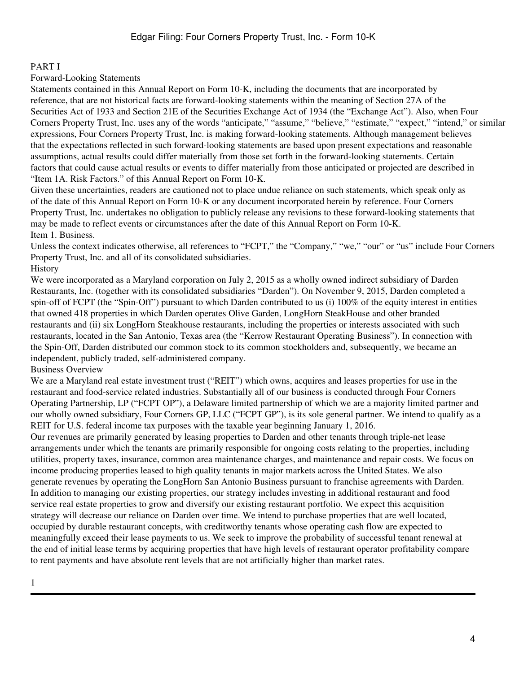# <span id="page-3-0"></span>PART I

Forward-Looking Statements

Statements contained in this Annual Report on Form 10-K, including the documents that are incorporated by reference, that are not historical facts are forward-looking statements within the meaning of Section 27A of the Securities Act of 1933 and Section 21E of the Securities Exchange Act of 1934 (the "Exchange Act"). Also, when Four Corners Property Trust, Inc. uses any of the words "anticipate," "assume," "believe," "estimate," "expect," "intend," or similar expressions, Four Corners Property Trust, Inc. is making forward-looking statements. Although management believes that the expectations reflected in such forward-looking statements are based upon present expectations and reasonable assumptions, actual results could differ materially from those set forth in the forward-looking statements. Certain factors that could cause actual results or events to differ materially from those anticipated or projected are described in "Item 1A. Risk Factors." of this Annual Report on Form 10-K.

Given these uncertainties, readers are cautioned not to place undue reliance on such statements, which speak only as of the date of this Annual Report on Form 10-K or any document incorporated herein by reference. Four Corners Property Trust, Inc. undertakes no obligation to publicly release any revisions to these forward-looking statements that may be made to reflect events or circumstances after the date of this Annual Report on Form 10-K. Item 1. Business.

Unless the context indicates otherwise, all references to "FCPT," the "Company," "we," "our" or "us" include Four Corners Property Trust, Inc. and all of its consolidated subsidiaries. History

We were incorporated as a Maryland corporation on July 2, 2015 as a wholly owned indirect subsidiary of Darden Restaurants, Inc. (together with its consolidated subsidiaries "Darden"). On November 9, 2015, Darden completed a spin-off of FCPT (the "Spin-Off") pursuant to which Darden contributed to us (i) 100% of the equity interest in entities that owned 418 properties in which Darden operates Olive Garden, LongHorn SteakHouse and other branded restaurants and (ii) six LongHorn Steakhouse restaurants, including the properties or interests associated with such restaurants, located in the San Antonio, Texas area (the "Kerrow Restaurant Operating Business"). In connection with the Spin-Off, Darden distributed our common stock to its common stockholders and, subsequently, we became an independent, publicly traded, self-administered company.

#### Business Overview

We are a Maryland real estate investment trust ("REIT") which owns, acquires and leases properties for use in the restaurant and food-service related industries. Substantially all of our business is conducted through Four Corners Operating Partnership, LP ("FCPT OP"), a Delaware limited partnership of which we are a majority limited partner and our wholly owned subsidiary, Four Corners GP, LLC ("FCPT GP"), is its sole general partner. We intend to qualify as a REIT for U.S. federal income tax purposes with the taxable year beginning January 1, 2016.

Our revenues are primarily generated by leasing properties to Darden and other tenants through triple-net lease arrangements under which the tenants are primarily responsible for ongoing costs relating to the properties, including utilities, property taxes, insurance, common area maintenance charges, and maintenance and repair costs. We focus on income producing properties leased to high quality tenants in major markets across the United States. We also generate revenues by operating the LongHorn San Antonio Business pursuant to franchise agreements with Darden. In addition to managing our existing properties, our strategy includes investing in additional restaurant and food service real estate properties to grow and diversify our existing restaurant portfolio. We expect this acquisition strategy will decrease our reliance on Darden over time. We intend to purchase properties that are well located, occupied by durable restaurant concepts, with creditworthy tenants whose operating cash flow are expected to meaningfully exceed their lease payments to us. We seek to improve the probability of successful tenant renewal at the end of initial lease terms by acquiring properties that have high levels of restaurant operator profitability compare to rent payments and have absolute rent levels that are not artificially higher than market rates.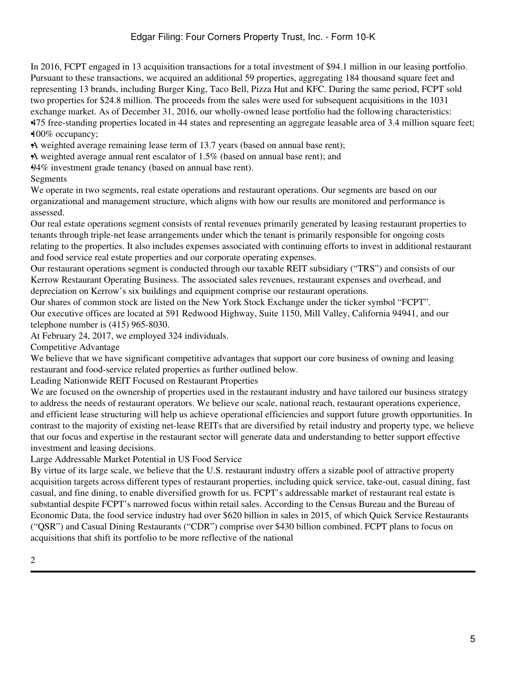In 2016, FCPT engaged in 13 acquisition transactions for a total investment of \$94.1 million in our leasing portfolio. Pursuant to these transactions, we acquired an additional 59 properties, aggregating 184 thousand square feet and representing 13 brands, including Burger King, Taco Bell, Pizza Hut and KFC. During the same period, FCPT sold two properties for \$24.8 million. The proceeds from the sales were used for subsequent acquisitions in the 1031 exchange market. As of December 31, 2016, our wholly-owned lease portfolio had the following characteristics: •475 free-standing properties located in 44 states and representing an aggregate leasable area of 3.4 million square feet; •100% occupancy;

•A weighted average remaining lease term of 13.7 years (based on annual base rent);

•A weighted average annual rent escalator of 1.5% (based on annual base rent); and

•94% investment grade tenancy (based on annual base rent).

Segments

We operate in two segments, real estate operations and restaurant operations. Our segments are based on our organizational and management structure, which aligns with how our results are monitored and performance is assessed.

Our real estate operations segment consists of rental revenues primarily generated by leasing restaurant properties to tenants through triple-net lease arrangements under which the tenant is primarily responsible for ongoing costs relating to the properties. It also includes expenses associated with continuing efforts to invest in additional restaurant and food service real estate properties and our corporate operating expenses.

Our restaurant operations segment is conducted through our taxable REIT subsidiary ("TRS") and consists of our Kerrow Restaurant Operating Business. The associated sales revenues, restaurant expenses and overhead, and depreciation on Kerrow's six buildings and equipment comprise our restaurant operations.

Our shares of common stock are listed on the New York Stock Exchange under the ticker symbol "FCPT". Our executive offices are located at 591 Redwood Highway, Suite 1150, Mill Valley, California 94941, and our telephone number is (415) 965-8030.

At February 24, 2017, we employed 324 individuals.

Competitive Advantage

We believe that we have significant competitive advantages that support our core business of owning and leasing restaurant and food-service related properties as further outlined below.

Leading Nationwide REIT Focused on Restaurant Properties

We are focused on the ownership of properties used in the restaurant industry and have tailored our business strategy to address the needs of restaurant operators. We believe our scale, national reach, restaurant operations experience, and efficient lease structuring will help us achieve operational efficiencies and support future growth opportunities. In contrast to the majority of existing net-lease REITs that are diversified by retail industry and property type, we believe that our focus and expertise in the restaurant sector will generate data and understanding to better support effective investment and leasing decisions.

Large Addressable Market Potential in US Food Service

By virtue of its large scale, we believe that the U.S. restaurant industry offers a sizable pool of attractive property acquisition targets across different types of restaurant properties, including quick service, take-out, casual dining, fast casual, and fine dining, to enable diversified growth for us. FCPT's addressable market of restaurant real estate is substantial despite FCPT's narrowed focus within retail sales. According to the Census Bureau and the Bureau of Economic Data, the food service industry had over \$620 billion in sales in 2015, of which Quick Service Restaurants ("QSR") and Casual Dining Restaurants ("CDR") comprise over \$430 billion combined. FCPT plans to focus on acquisitions that shift its portfolio to be more reflective of the national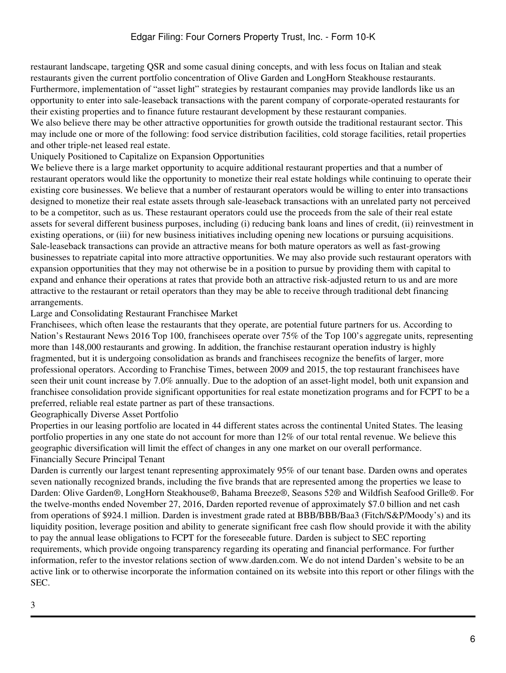restaurant landscape, targeting QSR and some casual dining concepts, and with less focus on Italian and steak restaurants given the current portfolio concentration of Olive Garden and LongHorn Steakhouse restaurants. Furthermore, implementation of "asset light" strategies by restaurant companies may provide landlords like us an opportunity to enter into sale-leaseback transactions with the parent company of corporate-operated restaurants for their existing properties and to finance future restaurant development by these restaurant companies.

We also believe there may be other attractive opportunities for growth outside the traditional restaurant sector. This may include one or more of the following: food service distribution facilities, cold storage facilities, retail properties and other triple-net leased real estate.

Uniquely Positioned to Capitalize on Expansion Opportunities

We believe there is a large market opportunity to acquire additional restaurant properties and that a number of restaurant operators would like the opportunity to monetize their real estate holdings while continuing to operate their existing core businesses. We believe that a number of restaurant operators would be willing to enter into transactions designed to monetize their real estate assets through sale-leaseback transactions with an unrelated party not perceived to be a competitor, such as us. These restaurant operators could use the proceeds from the sale of their real estate assets for several different business purposes, including (i) reducing bank loans and lines of credit, (ii) reinvestment in existing operations, or (iii) for new business initiatives including opening new locations or pursuing acquisitions. Sale-leaseback transactions can provide an attractive means for both mature operators as well as fast-growing businesses to repatriate capital into more attractive opportunities. We may also provide such restaurant operators with expansion opportunities that they may not otherwise be in a position to pursue by providing them with capital to expand and enhance their operations at rates that provide both an attractive risk-adjusted return to us and are more attractive to the restaurant or retail operators than they may be able to receive through traditional debt financing arrangements.

# Large and Consolidating Restaurant Franchisee Market

Franchisees, which often lease the restaurants that they operate, are potential future partners for us. According to Nation's Restaurant News 2016 Top 100, franchisees operate over 75% of the Top 100's aggregate units, representing more than 148,000 restaurants and growing. In addition, the franchise restaurant operation industry is highly fragmented, but it is undergoing consolidation as brands and franchisees recognize the benefits of larger, more professional operators. According to Franchise Times, between 2009 and 2015, the top restaurant franchisees have seen their unit count increase by 7.0% annually. Due to the adoption of an asset-light model, both unit expansion and franchisee consolidation provide significant opportunities for real estate monetization programs and for FCPT to be a preferred, reliable real estate partner as part of these transactions.

Geographically Diverse Asset Portfolio

Properties in our leasing portfolio are located in 44 different states across the continental United States. The leasing portfolio properties in any one state do not account for more than 12% of our total rental revenue. We believe this geographic diversification will limit the effect of changes in any one market on our overall performance. Financially Secure Principal Tenant

Darden is currently our largest tenant representing approximately 95% of our tenant base. Darden owns and operates seven nationally recognized brands, including the five brands that are represented among the properties we lease to Darden: Olive Garden®, LongHorn Steakhouse®, Bahama Breeze®, Seasons 52® and Wildfish Seafood Grille®. For the twelve-months ended November 27, 2016, Darden reported revenue of approximately \$7.0 billion and net cash from operations of \$924.1 million. Darden is investment grade rated at BBB/BBB/Baa3 (Fitch/S&P/Moody's) and its liquidity position, leverage position and ability to generate significant free cash flow should provide it with the ability to pay the annual lease obligations to FCPT for the foreseeable future. Darden is subject to SEC reporting requirements, which provide ongoing transparency regarding its operating and financial performance. For further information, refer to the investor relations section of www.darden.com. We do not intend Darden's website to be an active link or to otherwise incorporate the information contained on its website into this report or other filings with the SEC.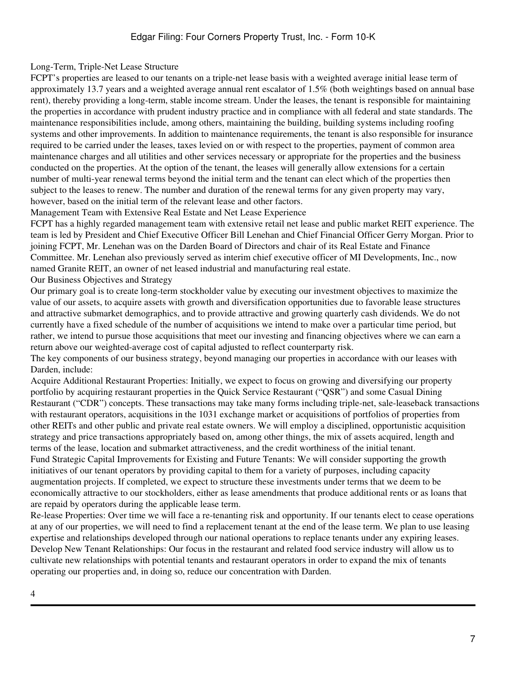# Long-Term, Triple-Net Lease Structure

FCPT's properties are leased to our tenants on a triple-net lease basis with a weighted average initial lease term of approximately 13.7 years and a weighted average annual rent escalator of 1.5% (both weightings based on annual base rent), thereby providing a long-term, stable income stream. Under the leases, the tenant is responsible for maintaining the properties in accordance with prudent industry practice and in compliance with all federal and state standards. The maintenance responsibilities include, among others, maintaining the building, building systems including roofing systems and other improvements. In addition to maintenance requirements, the tenant is also responsible for insurance required to be carried under the leases, taxes levied on or with respect to the properties, payment of common area maintenance charges and all utilities and other services necessary or appropriate for the properties and the business conducted on the properties. At the option of the tenant, the leases will generally allow extensions for a certain number of multi-year renewal terms beyond the initial term and the tenant can elect which of the properties then subject to the leases to renew. The number and duration of the renewal terms for any given property may vary, however, based on the initial term of the relevant lease and other factors.

Management Team with Extensive Real Estate and Net Lease Experience

FCPT has a highly regarded management team with extensive retail net lease and public market REIT experience. The team is led by President and Chief Executive Officer Bill Lenehan and Chief Financial Officer Gerry Morgan. Prior to joining FCPT, Mr. Lenehan was on the Darden Board of Directors and chair of its Real Estate and Finance Committee. Mr. Lenehan also previously served as interim chief executive officer of MI Developments, Inc., now named Granite REIT, an owner of net leased industrial and manufacturing real estate. Our Business Objectives and Strategy

Our primary goal is to create long-term stockholder value by executing our investment objectives to maximize the value of our assets, to acquire assets with growth and diversification opportunities due to favorable lease structures and attractive submarket demographics, and to provide attractive and growing quarterly cash dividends. We do not currently have a fixed schedule of the number of acquisitions we intend to make over a particular time period, but rather, we intend to pursue those acquisitions that meet our investing and financing objectives where we can earn a return above our weighted-average cost of capital adjusted to reflect counterparty risk.

The key components of our business strategy, beyond managing our properties in accordance with our leases with Darden, include:

Acquire Additional Restaurant Properties: Initially, we expect to focus on growing and diversifying our property portfolio by acquiring restaurant properties in the Quick Service Restaurant ("QSR") and some Casual Dining Restaurant ("CDR") concepts. These transactions may take many forms including triple-net, sale-leaseback transactions with restaurant operators, acquisitions in the 1031 exchange market or acquisitions of portfolios of properties from other REITs and other public and private real estate owners. We will employ a disciplined, opportunistic acquisition strategy and price transactions appropriately based on, among other things, the mix of assets acquired, length and terms of the lease, location and submarket attractiveness, and the credit worthiness of the initial tenant. Fund Strategic Capital Improvements for Existing and Future Tenants: We will consider supporting the growth initiatives of our tenant operators by providing capital to them for a variety of purposes, including capacity augmentation projects. If completed, we expect to structure these investments under terms that we deem to be economically attractive to our stockholders, either as lease amendments that produce additional rents or as loans that are repaid by operators during the applicable lease term.

Re-lease Properties: Over time we will face a re-tenanting risk and opportunity. If our tenants elect to cease operations at any of our properties, we will need to find a replacement tenant at the end of the lease term. We plan to use leasing expertise and relationships developed through our national operations to replace tenants under any expiring leases. Develop New Tenant Relationships: Our focus in the restaurant and related food service industry will allow us to cultivate new relationships with potential tenants and restaurant operators in order to expand the mix of tenants operating our properties and, in doing so, reduce our concentration with Darden.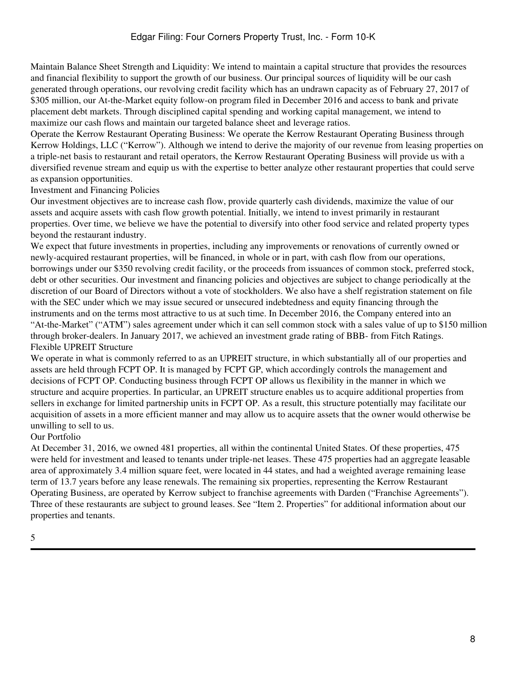Maintain Balance Sheet Strength and Liquidity: We intend to maintain a capital structure that provides the resources and financial flexibility to support the growth of our business. Our principal sources of liquidity will be our cash generated through operations, our revolving credit facility which has an undrawn capacity as of February 27, 2017 of \$305 million, our At-the-Market equity follow-on program filed in December 2016 and access to bank and private placement debt markets. Through disciplined capital spending and working capital management, we intend to maximize our cash flows and maintain our targeted balance sheet and leverage ratios.

Operate the Kerrow Restaurant Operating Business: We operate the Kerrow Restaurant Operating Business through Kerrow Holdings, LLC ("Kerrow"). Although we intend to derive the majority of our revenue from leasing properties on a triple-net basis to restaurant and retail operators, the Kerrow Restaurant Operating Business will provide us with a diversified revenue stream and equip us with the expertise to better analyze other restaurant properties that could serve as expansion opportunities.

Investment and Financing Policies

Our investment objectives are to increase cash flow, provide quarterly cash dividends, maximize the value of our assets and acquire assets with cash flow growth potential. Initially, we intend to invest primarily in restaurant properties. Over time, we believe we have the potential to diversify into other food service and related property types beyond the restaurant industry.

We expect that future investments in properties, including any improvements or renovations of currently owned or newly-acquired restaurant properties, will be financed, in whole or in part, with cash flow from our operations, borrowings under our \$350 revolving credit facility, or the proceeds from issuances of common stock, preferred stock, debt or other securities. Our investment and financing policies and objectives are subject to change periodically at the discretion of our Board of Directors without a vote of stockholders. We also have a shelf registration statement on file with the SEC under which we may issue secured or unsecured indebtedness and equity financing through the instruments and on the terms most attractive to us at such time. In December 2016, the Company entered into an "At-the-Market" ("ATM") sales agreement under which it can sell common stock with a sales value of up to \$150 million through broker-dealers. In January 2017, we achieved an investment grade rating of BBB- from Fitch Ratings. Flexible UPREIT Structure

We operate in what is commonly referred to as an UPREIT structure, in which substantially all of our properties and assets are held through FCPT OP. It is managed by FCPT GP, which accordingly controls the management and decisions of FCPT OP. Conducting business through FCPT OP allows us flexibility in the manner in which we structure and acquire properties. In particular, an UPREIT structure enables us to acquire additional properties from sellers in exchange for limited partnership units in FCPT OP. As a result, this structure potentially may facilitate our acquisition of assets in a more efficient manner and may allow us to acquire assets that the owner would otherwise be unwilling to sell to us.

#### Our Portfolio

At December 31, 2016, we owned 481 properties, all within the continental United States. Of these properties, 475 were held for investment and leased to tenants under triple-net leases. These 475 properties had an aggregate leasable area of approximately 3.4 million square feet, were located in 44 states, and had a weighted average remaining lease term of 13.7 years before any lease renewals. The remaining six properties, representing the Kerrow Restaurant Operating Business, are operated by Kerrow subject to franchise agreements with Darden ("Franchise Agreements"). Three of these restaurants are subject to ground leases. See "Item 2. Properties" for additional information about our properties and tenants.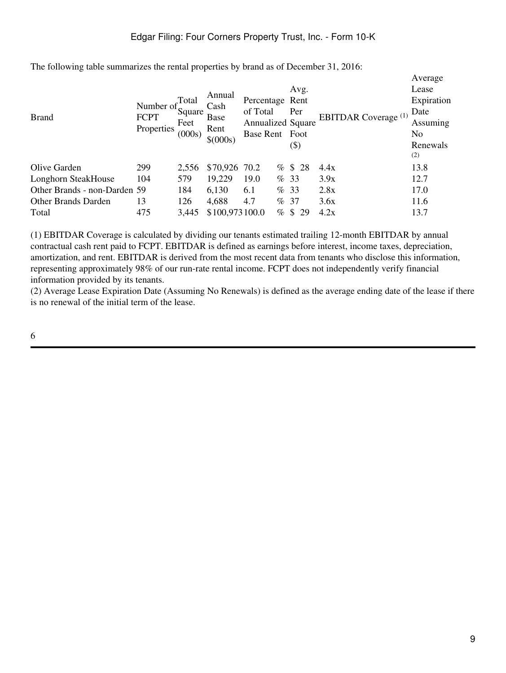| <b>Brand</b>                 | Number of<br><b>FCPT</b><br>Properties | Total<br>Square<br>Feet<br>(000s) | Annual<br>Cash<br><b>Base</b><br>Rent<br>\$ (000s) | Percentage Rent<br>of Total<br><b>Annualized Square</b><br>Base Rent Foot |      | Avg.<br>Per<br>$(\boldsymbol{\$})$ |    | <b>EBITDAR</b> Coverage (1) | Average<br>Lease<br>Expiration<br>Date<br>Assuming<br>No.<br>Renewals<br>(2) |
|------------------------------|----------------------------------------|-----------------------------------|----------------------------------------------------|---------------------------------------------------------------------------|------|------------------------------------|----|-----------------------------|------------------------------------------------------------------------------|
| Olive Garden                 | 299                                    | 2,556                             | \$70,926 70.2                                      |                                                                           |      | % \$28                             |    | 4.4x                        | 13.8                                                                         |
| Longhorn SteakHouse          | 104                                    | 579                               | 19,229                                             | 19.0                                                                      |      | %33                                |    | 3.9x                        | 12.7                                                                         |
| Other Brands - non-Darden 59 |                                        | 184                               | 6,130                                              | 6.1                                                                       |      | %33                                |    | 2.8x                        | 17.0                                                                         |
| <b>Other Brands Darden</b>   | 13                                     | 126                               | 4,688                                              | 4.7                                                                       |      | %37                                |    | 3.6x                        | 11.6                                                                         |
| Total                        | 475                                    | 3,445                             | \$100,973100.0                                     |                                                                           | $\%$ | $\mathbb{S}$                       | 29 | 4.2x                        | 13.7                                                                         |

The following table summarizes the rental properties by brand as of December 31, 2016:

(1) EBITDAR Coverage is calculated by dividing our tenants estimated trailing 12-month EBITDAR by annual contractual cash rent paid to FCPT. EBITDAR is defined as earnings before interest, income taxes, depreciation, amortization, and rent. EBITDAR is derived from the most recent data from tenants who disclose this information, representing approximately 98% of our run-rate rental income. FCPT does not independently verify financial information provided by its tenants.

(2) Average Lease Expiration Date (Assuming No Renewals) is defined as the average ending date of the lease if there is no renewal of the initial term of the lease.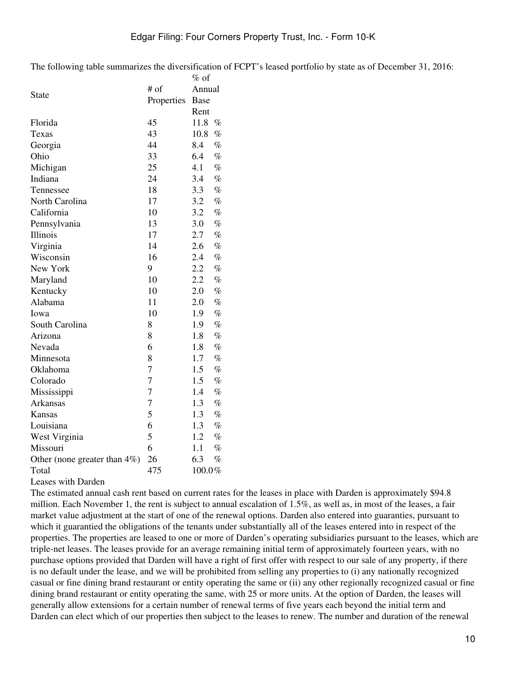The following table summarizes the diversification of FCPT's leased portfolio by state as of December 31, 2016:

|                                  |                | $%$ of |      |  |
|----------------------------------|----------------|--------|------|--|
| <b>State</b>                     | # of           | Annual |      |  |
|                                  | Properties     | Base   |      |  |
|                                  |                | Rent   |      |  |
| Florida                          | 45             | 11.8   | $\%$ |  |
| Texas                            | 43             | 10.8   | $\%$ |  |
| Georgia                          | 44             | 8.4    | $\%$ |  |
| Ohio                             | 33             | 6.4    | $\%$ |  |
| Michigan                         | 25             | 4.1    | $\%$ |  |
| Indiana                          | 24             | 3.4    | $\%$ |  |
| Tennessee                        | 18             | 3.3    | $\%$ |  |
| North Carolina                   | 17             | 3.2    | $\%$ |  |
| California                       | 10             | 3.2    | $\%$ |  |
| Pennsylvania                     | 13             | 3.0    | $\%$ |  |
| Illinois                         | 17             | 2.7    | $\%$ |  |
| Virginia                         | 14             | 2.6    | $\%$ |  |
| Wisconsin                        | 16             | 2.4    | $\%$ |  |
| New York                         | 9              | 2.2    | $\%$ |  |
| Maryland                         | 10             | 2.2    | $\%$ |  |
| Kentucky                         | 10             | 2.0    | $\%$ |  |
| Alabama                          | 11             | 2.0    | $\%$ |  |
| Iowa                             | 10             | 1.9    | $\%$ |  |
| South Carolina                   | 8              | 1.9    | $\%$ |  |
| Arizona                          | 8              | 1.8    | $\%$ |  |
| Nevada                           | 6              | 1.8    | $\%$ |  |
| Minnesota                        | 8              | 1.7    | $\%$ |  |
| Oklahoma                         | 7              | 1.5    | $\%$ |  |
| Colorado                         | $\overline{7}$ | 1.5    | $\%$ |  |
| Mississippi                      | $\overline{7}$ | 1.4    | $\%$ |  |
| Arkansas                         | $\overline{7}$ | 1.3    | $\%$ |  |
| Kansas                           | 5              | 1.3    | $\%$ |  |
| Louisiana                        | 6              | 1.3    | $\%$ |  |
| West Virginia                    | 5              | 1.2    | $\%$ |  |
| Missouri                         | 6              | 1.1    | $\%$ |  |
| Other (none greater than $4\%$ ) | 26             | 6.3    | $\%$ |  |
| Total                            | 475            | 100.0% |      |  |

Leases with Darden

The estimated annual cash rent based on current rates for the leases in place with Darden is approximately \$94.8 million. Each November 1, the rent is subject to annual escalation of 1.5%, as well as, in most of the leases, a fair market value adjustment at the start of one of the renewal options. Darden also entered into guaranties, pursuant to which it guarantied the obligations of the tenants under substantially all of the leases entered into in respect of the properties. The properties are leased to one or more of Darden's operating subsidiaries pursuant to the leases, which are triple-net leases. The leases provide for an average remaining initial term of approximately fourteen years, with no purchase options provided that Darden will have a right of first offer with respect to our sale of any property, if there is no default under the lease, and we will be prohibited from selling any properties to (i) any nationally recognized casual or fine dining brand restaurant or entity operating the same or (ii) any other regionally recognized casual or fine dining brand restaurant or entity operating the same, with 25 or more units. At the option of Darden, the leases will generally allow extensions for a certain number of renewal terms of five years each beyond the initial term and Darden can elect which of our properties then subject to the leases to renew. The number and duration of the renewal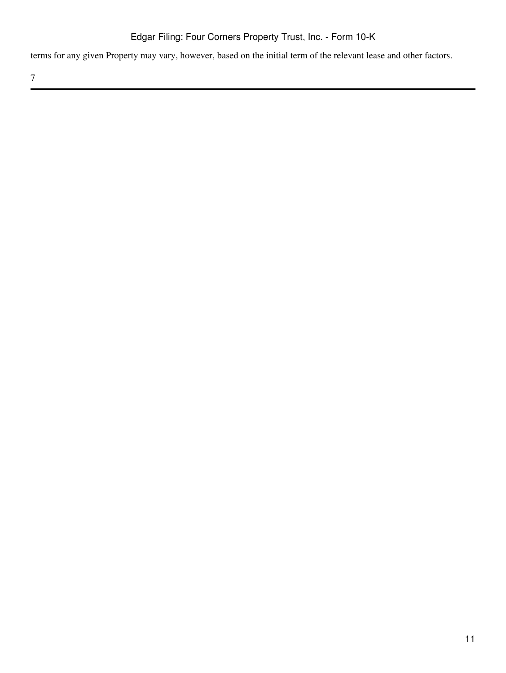terms for any given Property may vary, however, based on the initial term of the relevant lease and other factors.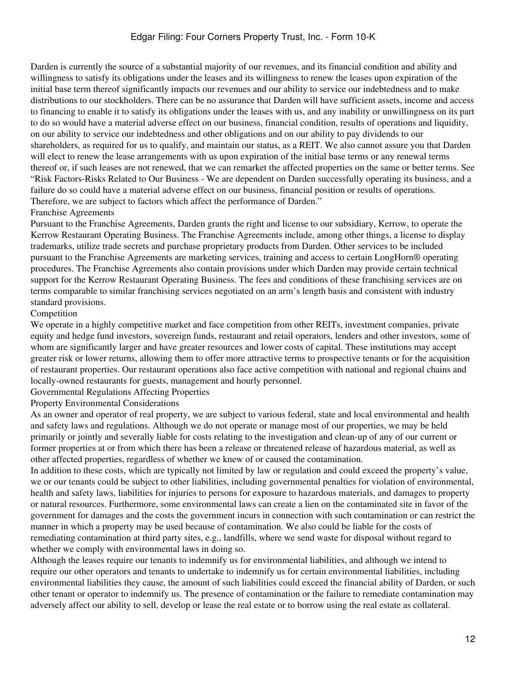Darden is currently the source of a substantial majority of our revenues, and its financial condition and ability and willingness to satisfy its obligations under the leases and its willingness to renew the leases upon expiration of the initial base term thereof significantly impacts our revenues and our ability to service our indebtedness and to make distributions to our stockholders. There can be no assurance that Darden will have sufficient assets, income and access to financing to enable it to satisfy its obligations under the leases with us, and any inability or unwillingness on its part to do so would have a material adverse effect on our business, financial condition, results of operations and liquidity, on our ability to service our indebtedness and other obligations and on our ability to pay dividends to our shareholders, as required for us to qualify, and maintain our status, as a REIT. We also cannot assure you that Darden will elect to renew the lease arrangements with us upon expiration of the initial base terms or any renewal terms thereof or, if such leases are not renewed, that we can remarket the affected properties on the same or better terms. See "Risk Factors-Risks Related to Our Business - We are dependent on Darden successfully operating its business, and a failure do so could have a material adverse effect on our business, financial position or results of operations. Therefore, we are subject to factors which affect the performance of Darden."

#### Franchise Agreements

Pursuant to the Franchise Agreements, Darden grants the right and license to our subsidiary, Kerrow, to operate the Kerrow Restaurant Operating Business. The Franchise Agreements include, among other things, a license to display trademarks, utilize trade secrets and purchase proprietary products from Darden. Other services to be included pursuant to the Franchise Agreements are marketing services, training and access to certain LongHorn® operating procedures. The Franchise Agreements also contain provisions under which Darden may provide certain technical support for the Kerrow Restaurant Operating Business. The fees and conditions of these franchising services are on terms comparable to similar franchising services negotiated on an arm's length basis and consistent with industry standard provisions.

#### Competition

We operate in a highly competitive market and face competition from other REITs, investment companies, private equity and hedge fund investors, sovereign funds, restaurant and retail operators, lenders and other investors, some of whom are significantly larger and have greater resources and lower costs of capital. These institutions may accept greater risk or lower returns, allowing them to offer more attractive terms to prospective tenants or for the acquisition of restaurant properties. Our restaurant operations also face active competition with national and regional chains and locally-owned restaurants for guests, management and hourly personnel.

Governmental Regulations Affecting Properties

Property Environmental Considerations

As an owner and operator of real property, we are subject to various federal, state and local environmental and health and safety laws and regulations. Although we do not operate or manage most of our properties, we may be held primarily or jointly and severally liable for costs relating to the investigation and clean-up of any of our current or former properties at or from which there has been a release or threatened release of hazardous material, as well as other affected properties, regardless of whether we knew of or caused the contamination.

In addition to these costs, which are typically not limited by law or regulation and could exceed the property's value, we or our tenants could be subject to other liabilities, including governmental penalties for violation of environmental, health and safety laws, liabilities for injuries to persons for exposure to hazardous materials, and damages to property or natural resources. Furthermore, some environmental laws can create a lien on the contaminated site in favor of the government for damages and the costs the government incurs in connection with such contamination or can restrict the manner in which a property may be used because of contamination. We also could be liable for the costs of remediating contamination at third party sites, e.g., landfills, where we send waste for disposal without regard to whether we comply with environmental laws in doing so.

Although the leases require our tenants to indemnify us for environmental liabilities, and although we intend to require our other operators and tenants to undertake to indemnify us for certain environmental liabilities, including environmental liabilities they cause, the amount of such liabilities could exceed the financial ability of Darden, or such other tenant or operator to indemnify us. The presence of contamination or the failure to remediate contamination may adversely affect our ability to sell, develop or lease the real estate or to borrow using the real estate as collateral.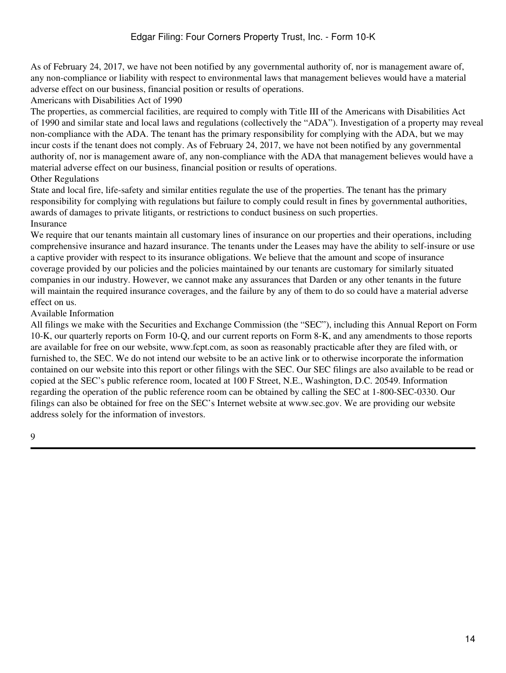As of February 24, 2017, we have not been notified by any governmental authority of, nor is management aware of, any non-compliance or liability with respect to environmental laws that management believes would have a material adverse effect on our business, financial position or results of operations.

Americans with Disabilities Act of 1990

The properties, as commercial facilities, are required to comply with Title III of the Americans with Disabilities Act of 1990 and similar state and local laws and regulations (collectively the "ADA"). Investigation of a property may reveal non-compliance with the ADA. The tenant has the primary responsibility for complying with the ADA, but we may incur costs if the tenant does not comply. As of February 24, 2017, we have not been notified by any governmental authority of, nor is management aware of, any non-compliance with the ADA that management believes would have a material adverse effect on our business, financial position or results of operations.

## Other Regulations

State and local fire, life-safety and similar entities regulate the use of the properties. The tenant has the primary responsibility for complying with regulations but failure to comply could result in fines by governmental authorities, awards of damages to private litigants, or restrictions to conduct business on such properties. Insurance

We require that our tenants maintain all customary lines of insurance on our properties and their operations, including comprehensive insurance and hazard insurance. The tenants under the Leases may have the ability to self-insure or use a captive provider with respect to its insurance obligations. We believe that the amount and scope of insurance coverage provided by our policies and the policies maintained by our tenants are customary for similarly situated companies in our industry. However, we cannot make any assurances that Darden or any other tenants in the future will maintain the required insurance coverages, and the failure by any of them to do so could have a material adverse effect on us.

## Available Information

All filings we make with the Securities and Exchange Commission (the "SEC"), including this Annual Report on Form 10-K, our quarterly reports on Form 10-Q, and our current reports on Form 8-K, and any amendments to those reports are available for free on our website, www.fcpt.com, as soon as reasonably practicable after they are filed with, or furnished to, the SEC. We do not intend our website to be an active link or to otherwise incorporate the information contained on our website into this report or other filings with the SEC. Our SEC filings are also available to be read or copied at the SEC's public reference room, located at 100 F Street, N.E., Washington, D.C. 20549. Information regarding the operation of the public reference room can be obtained by calling the SEC at 1-800-SEC-0330. Our filings can also be obtained for free on the SEC's Internet website at www.sec.gov. We are providing our website address solely for the information of investors.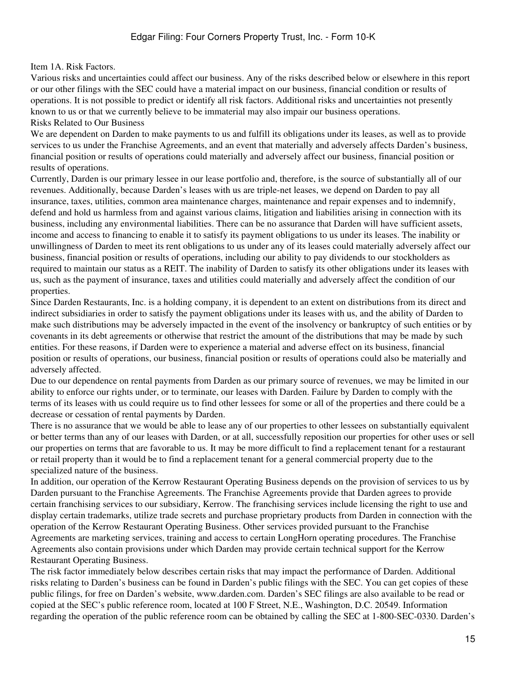#### <span id="page-14-0"></span>Item 1A. Risk Factors.

Various risks and uncertainties could affect our business. Any of the risks described below or elsewhere in this report or our other filings with the SEC could have a material impact on our business, financial condition or results of operations. It is not possible to predict or identify all risk factors. Additional risks and uncertainties not presently known to us or that we currently believe to be immaterial may also impair our business operations. Risks Related to Our Business

We are dependent on Darden to make payments to us and fulfill its obligations under its leases, as well as to provide services to us under the Franchise Agreements, and an event that materially and adversely affects Darden's business, financial position or results of operations could materially and adversely affect our business, financial position or results of operations.

Currently, Darden is our primary lessee in our lease portfolio and, therefore, is the source of substantially all of our revenues. Additionally, because Darden's leases with us are triple-net leases, we depend on Darden to pay all insurance, taxes, utilities, common area maintenance charges, maintenance and repair expenses and to indemnify, defend and hold us harmless from and against various claims, litigation and liabilities arising in connection with its business, including any environmental liabilities. There can be no assurance that Darden will have sufficient assets, income and access to financing to enable it to satisfy its payment obligations to us under its leases. The inability or unwillingness of Darden to meet its rent obligations to us under any of its leases could materially adversely affect our business, financial position or results of operations, including our ability to pay dividends to our stockholders as required to maintain our status as a REIT. The inability of Darden to satisfy its other obligations under its leases with us, such as the payment of insurance, taxes and utilities could materially and adversely affect the condition of our properties.

Since Darden Restaurants, Inc. is a holding company, it is dependent to an extent on distributions from its direct and indirect subsidiaries in order to satisfy the payment obligations under its leases with us, and the ability of Darden to make such distributions may be adversely impacted in the event of the insolvency or bankruptcy of such entities or by covenants in its debt agreements or otherwise that restrict the amount of the distributions that may be made by such entities. For these reasons, if Darden were to experience a material and adverse effect on its business, financial position or results of operations, our business, financial position or results of operations could also be materially and adversely affected.

Due to our dependence on rental payments from Darden as our primary source of revenues, we may be limited in our ability to enforce our rights under, or to terminate, our leases with Darden. Failure by Darden to comply with the terms of its leases with us could require us to find other lessees for some or all of the properties and there could be a decrease or cessation of rental payments by Darden.

There is no assurance that we would be able to lease any of our properties to other lessees on substantially equivalent or better terms than any of our leases with Darden, or at all, successfully reposition our properties for other uses or sell our properties on terms that are favorable to us. It may be more difficult to find a replacement tenant for a restaurant or retail property than it would be to find a replacement tenant for a general commercial property due to the specialized nature of the business.

In addition, our operation of the Kerrow Restaurant Operating Business depends on the provision of services to us by Darden pursuant to the Franchise Agreements. The Franchise Agreements provide that Darden agrees to provide certain franchising services to our subsidiary, Kerrow. The franchising services include licensing the right to use and display certain trademarks, utilize trade secrets and purchase proprietary products from Darden in connection with the operation of the Kerrow Restaurant Operating Business. Other services provided pursuant to the Franchise Agreements are marketing services, training and access to certain LongHorn operating procedures. The Franchise Agreements also contain provisions under which Darden may provide certain technical support for the Kerrow Restaurant Operating Business.

The risk factor immediately below describes certain risks that may impact the performance of Darden. Additional risks relating to Darden's business can be found in Darden's public filings with the SEC. You can get copies of these public filings, for free on Darden's website, www.darden.com. Darden's SEC filings are also available to be read or copied at the SEC's public reference room, located at 100 F Street, N.E., Washington, D.C. 20549. Information regarding the operation of the public reference room can be obtained by calling the SEC at 1-800-SEC-0330. Darden's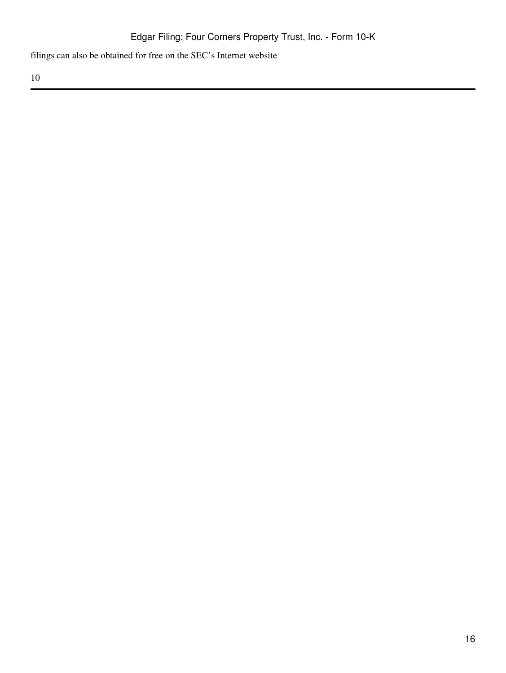filings can also be obtained for free on the SEC's Internet website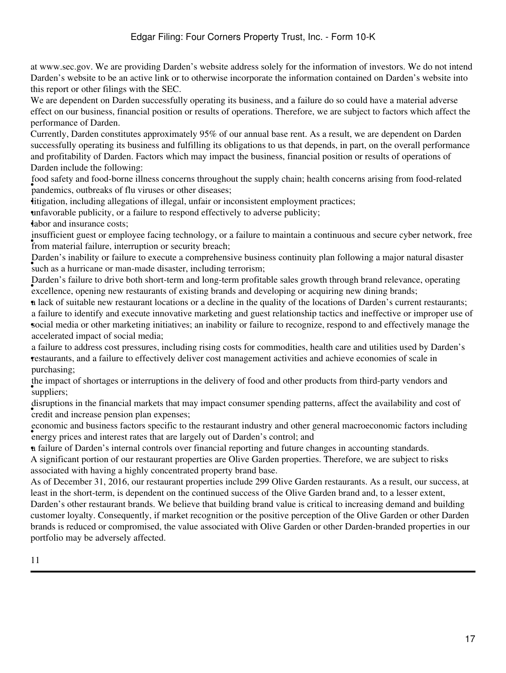at www.sec.gov. We are providing Darden's website address solely for the information of investors. We do not intend Darden's website to be an active link or to otherwise incorporate the information contained on Darden's website into this report or other filings with the SEC.

We are dependent on Darden successfully operating its business, and a failure do so could have a material adverse effect on our business, financial position or results of operations. Therefore, we are subject to factors which affect the performance of Darden.

Currently, Darden constitutes approximately 95% of our annual base rent. As a result, we are dependent on Darden successfully operating its business and fulfilling its obligations to us that depends, in part, on the overall performance and profitability of Darden. Factors which may impact the business, financial position or results of operations of Darden include the following:

pandemics, outbreaks of flu viruses or other diseases; food safety and food-borne illness concerns throughout the supply chain; health concerns arising from food-related

•litigation, including allegations of illegal, unfair or inconsistent employment practices;

•unfavorable publicity, or a failure to respond effectively to adverse publicity;

•labor and insurance costs;

**FRIGHTER FRIGHTER FRIGHTER** from material failure, interruption or security breach; insufficient guest or employee facing technology, or a failure to maintain a continuous and secure cyber network, free

• such as a hurricane or man-made disaster, including terrorism; Darden's inability or failure to execute a comprehensive business continuity plan following a major natural disaster

• excellence, opening new restaurants of existing brands and developing or acquiring new dining brands; Darden's failure to drive both short-term and long-term profitable sales growth through brand relevance, operating

•a lack of suitable new restaurant locations or a decline in the quality of the locations of Darden's current restaurants; • social media or other marketing initiatives; an inability or failure to recognize, respond to and effectively manage the a failure to identify and execute innovative marketing and guest relationship tactics and ineffective or improper use of accelerated impact of social media;

• restaurants, and a failure to effectively deliver cost management activities and achieve economies of scale in a failure to address cost pressures, including rising costs for commodities, health care and utilities used by Darden's purchasing;

• suppliers; the impact of shortages or interruptions in the delivery of food and other products from third-party vendors and

ensignous in the rindictal markets that in disruptions in the financial markets that may impact consumer spending patterns, affect the availability and cost of

• energy prices and interest rates that are largely out of Darden's control; and economic and business factors specific to the restaurant industry and other general macroeconomic factors including

•a failure of Darden's internal controls over financial reporting and future changes in accounting standards.

A significant portion of our restaurant properties are Olive Garden properties. Therefore, we are subject to risks associated with having a highly concentrated property brand base.

As of December 31, 2016, our restaurant properties include 299 Olive Garden restaurants. As a result, our success, at least in the short-term, is dependent on the continued success of the Olive Garden brand and, to a lesser extent,

Darden's other restaurant brands. We believe that building brand value is critical to increasing demand and building customer loyalty. Consequently, if market recognition or the positive perception of the Olive Garden or other Darden brands is reduced or compromised, the value associated with Olive Garden or other Darden-branded properties in our portfolio may be adversely affected.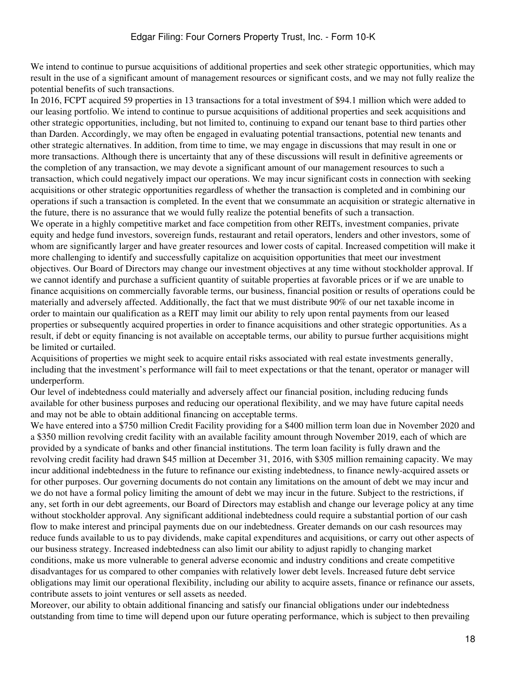We intend to continue to pursue acquisitions of additional properties and seek other strategic opportunities, which may result in the use of a significant amount of management resources or significant costs, and we may not fully realize the potential benefits of such transactions.

In 2016, FCPT acquired 59 properties in 13 transactions for a total investment of \$94.1 million which were added to our leasing portfolio. We intend to continue to pursue acquisitions of additional properties and seek acquisitions and other strategic opportunities, including, but not limited to, continuing to expand our tenant base to third parties other than Darden. Accordingly, we may often be engaged in evaluating potential transactions, potential new tenants and other strategic alternatives. In addition, from time to time, we may engage in discussions that may result in one or more transactions. Although there is uncertainty that any of these discussions will result in definitive agreements or the completion of any transaction, we may devote a significant amount of our management resources to such a transaction, which could negatively impact our operations. We may incur significant costs in connection with seeking acquisitions or other strategic opportunities regardless of whether the transaction is completed and in combining our operations if such a transaction is completed. In the event that we consummate an acquisition or strategic alternative in the future, there is no assurance that we would fully realize the potential benefits of such a transaction.

We operate in a highly competitive market and face competition from other REITs, investment companies, private equity and hedge fund investors, sovereign funds, restaurant and retail operators, lenders and other investors, some of whom are significantly larger and have greater resources and lower costs of capital. Increased competition will make it more challenging to identify and successfully capitalize on acquisition opportunities that meet our investment objectives. Our Board of Directors may change our investment objectives at any time without stockholder approval. If we cannot identify and purchase a sufficient quantity of suitable properties at favorable prices or if we are unable to finance acquisitions on commercially favorable terms, our business, financial position or results of operations could be materially and adversely affected. Additionally, the fact that we must distribute 90% of our net taxable income in order to maintain our qualification as a REIT may limit our ability to rely upon rental payments from our leased properties or subsequently acquired properties in order to finance acquisitions and other strategic opportunities. As a result, if debt or equity financing is not available on acceptable terms, our ability to pursue further acquisitions might be limited or curtailed.

Acquisitions of properties we might seek to acquire entail risks associated with real estate investments generally, including that the investment's performance will fail to meet expectations or that the tenant, operator or manager will underperform.

Our level of indebtedness could materially and adversely affect our financial position, including reducing funds available for other business purposes and reducing our operational flexibility, and we may have future capital needs and may not be able to obtain additional financing on acceptable terms.

We have entered into a \$750 million Credit Facility providing for a \$400 million term loan due in November 2020 and a \$350 million revolving credit facility with an available facility amount through November 2019, each of which are provided by a syndicate of banks and other financial institutions. The term loan facility is fully drawn and the revolving credit facility had drawn \$45 million at December 31, 2016, with \$305 million remaining capacity. We may incur additional indebtedness in the future to refinance our existing indebtedness, to finance newly-acquired assets or for other purposes. Our governing documents do not contain any limitations on the amount of debt we may incur and we do not have a formal policy limiting the amount of debt we may incur in the future. Subject to the restrictions, if any, set forth in our debt agreements, our Board of Directors may establish and change our leverage policy at any time without stockholder approval. Any significant additional indebtedness could require a substantial portion of our cash flow to make interest and principal payments due on our indebtedness. Greater demands on our cash resources may reduce funds available to us to pay dividends, make capital expenditures and acquisitions, or carry out other aspects of our business strategy. Increased indebtedness can also limit our ability to adjust rapidly to changing market conditions, make us more vulnerable to general adverse economic and industry conditions and create competitive disadvantages for us compared to other companies with relatively lower debt levels. Increased future debt service obligations may limit our operational flexibility, including our ability to acquire assets, finance or refinance our assets, contribute assets to joint ventures or sell assets as needed.

Moreover, our ability to obtain additional financing and satisfy our financial obligations under our indebtedness outstanding from time to time will depend upon our future operating performance, which is subject to then prevailing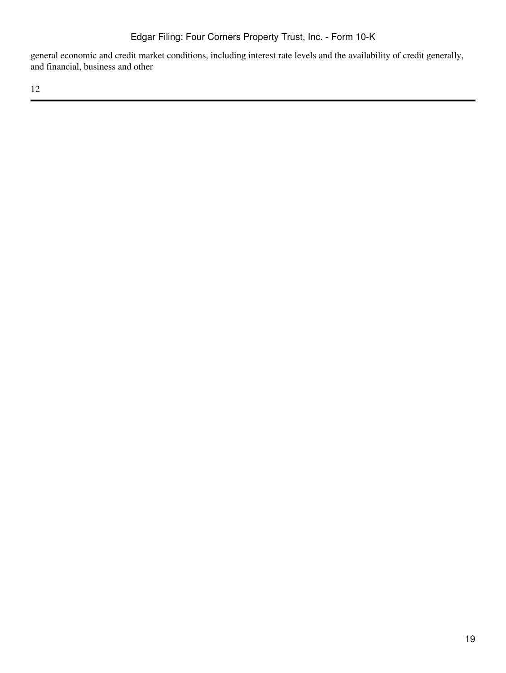general economic and credit market conditions, including interest rate levels and the availability of credit generally, and financial, business and other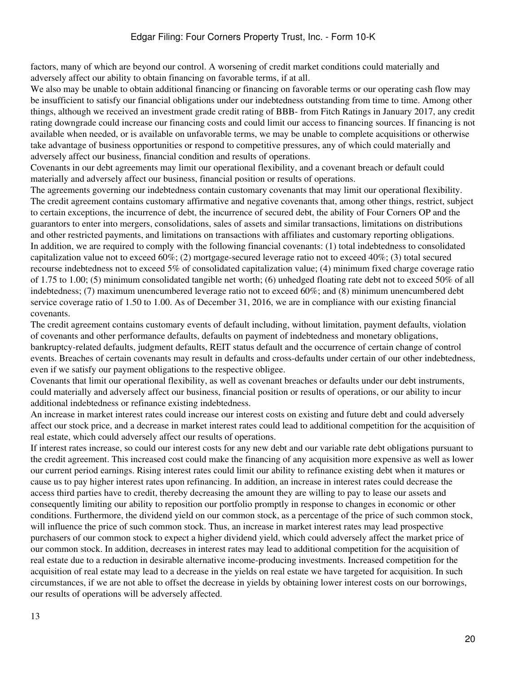factors, many of which are beyond our control. A worsening of credit market conditions could materially and adversely affect our ability to obtain financing on favorable terms, if at all.

We also may be unable to obtain additional financing or financing on favorable terms or our operating cash flow may be insufficient to satisfy our financial obligations under our indebtedness outstanding from time to time. Among other things, although we received an investment grade credit rating of BBB- from Fitch Ratings in January 2017, any credit rating downgrade could increase our financing costs and could limit our access to financing sources. If financing is not available when needed, or is available on unfavorable terms, we may be unable to complete acquisitions or otherwise take advantage of business opportunities or respond to competitive pressures, any of which could materially and adversely affect our business, financial condition and results of operations.

Covenants in our debt agreements may limit our operational flexibility, and a covenant breach or default could materially and adversely affect our business, financial position or results of operations.

The agreements governing our indebtedness contain customary covenants that may limit our operational flexibility. The credit agreement contains customary affirmative and negative covenants that, among other things, restrict, subject to certain exceptions, the incurrence of debt, the incurrence of secured debt, the ability of Four Corners OP and the guarantors to enter into mergers, consolidations, sales of assets and similar transactions, limitations on distributions and other restricted payments, and limitations on transactions with affiliates and customary reporting obligations. In addition, we are required to comply with the following financial covenants: (1) total indebtedness to consolidated capitalization value not to exceed 60%; (2) mortgage-secured leverage ratio not to exceed 40%; (3) total secured recourse indebtedness not to exceed 5% of consolidated capitalization value; (4) minimum fixed charge coverage ratio of 1.75 to 1.00; (5) minimum consolidated tangible net worth; (6) unhedged floating rate debt not to exceed 50% of all indebtedness; (7) maximum unencumbered leverage ratio not to exceed 60%; and (8) minimum unencumbered debt service coverage ratio of 1.50 to 1.00. As of December 31, 2016, we are in compliance with our existing financial covenants.

The credit agreement contains customary events of default including, without limitation, payment defaults, violation of covenants and other performance defaults, defaults on payment of indebtedness and monetary obligations, bankruptcy-related defaults, judgment defaults, REIT status default and the occurrence of certain change of control events. Breaches of certain covenants may result in defaults and cross-defaults under certain of our other indebtedness, even if we satisfy our payment obligations to the respective obligee.

Covenants that limit our operational flexibility, as well as covenant breaches or defaults under our debt instruments, could materially and adversely affect our business, financial position or results of operations, or our ability to incur additional indebtedness or refinance existing indebtedness.

An increase in market interest rates could increase our interest costs on existing and future debt and could adversely affect our stock price, and a decrease in market interest rates could lead to additional competition for the acquisition of real estate, which could adversely affect our results of operations.

If interest rates increase, so could our interest costs for any new debt and our variable rate debt obligations pursuant to the credit agreement. This increased cost could make the financing of any acquisition more expensive as well as lower our current period earnings. Rising interest rates could limit our ability to refinance existing debt when it matures or cause us to pay higher interest rates upon refinancing. In addition, an increase in interest rates could decrease the access third parties have to credit, thereby decreasing the amount they are willing to pay to lease our assets and consequently limiting our ability to reposition our portfolio promptly in response to changes in economic or other conditions. Furthermore, the dividend yield on our common stock, as a percentage of the price of such common stock, will influence the price of such common stock. Thus, an increase in market interest rates may lead prospective purchasers of our common stock to expect a higher dividend yield, which could adversely affect the market price of our common stock. In addition, decreases in interest rates may lead to additional competition for the acquisition of real estate due to a reduction in desirable alternative income-producing investments. Increased competition for the acquisition of real estate may lead to a decrease in the yields on real estate we have targeted for acquisition. In such circumstances, if we are not able to offset the decrease in yields by obtaining lower interest costs on our borrowings, our results of operations will be adversely affected.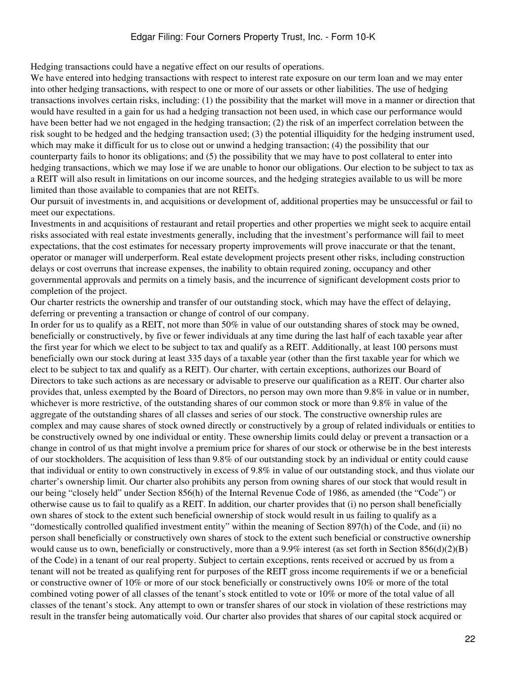Hedging transactions could have a negative effect on our results of operations.

We have entered into hedging transactions with respect to interest rate exposure on our term loan and we may enter into other hedging transactions, with respect to one or more of our assets or other liabilities. The use of hedging transactions involves certain risks, including: (1) the possibility that the market will move in a manner or direction that would have resulted in a gain for us had a hedging transaction not been used, in which case our performance would have been better had we not engaged in the hedging transaction; (2) the risk of an imperfect correlation between the risk sought to be hedged and the hedging transaction used; (3) the potential illiquidity for the hedging instrument used, which may make it difficult for us to close out or unwind a hedging transaction; (4) the possibility that our counterparty fails to honor its obligations; and (5) the possibility that we may have to post collateral to enter into hedging transactions, which we may lose if we are unable to honor our obligations. Our election to be subject to tax as a REIT will also result in limitations on our income sources, and the hedging strategies available to us will be more limited than those available to companies that are not REITs.

Our pursuit of investments in, and acquisitions or development of, additional properties may be unsuccessful or fail to meet our expectations.

Investments in and acquisitions of restaurant and retail properties and other properties we might seek to acquire entail risks associated with real estate investments generally, including that the investment's performance will fail to meet expectations, that the cost estimates for necessary property improvements will prove inaccurate or that the tenant, operator or manager will underperform. Real estate development projects present other risks, including construction delays or cost overruns that increase expenses, the inability to obtain required zoning, occupancy and other governmental approvals and permits on a timely basis, and the incurrence of significant development costs prior to completion of the project.

Our charter restricts the ownership and transfer of our outstanding stock, which may have the effect of delaying, deferring or preventing a transaction or change of control of our company.

In order for us to qualify as a REIT, not more than 50% in value of our outstanding shares of stock may be owned, beneficially or constructively, by five or fewer individuals at any time during the last half of each taxable year after the first year for which we elect to be subject to tax and qualify as a REIT. Additionally, at least 100 persons must beneficially own our stock during at least 335 days of a taxable year (other than the first taxable year for which we elect to be subject to tax and qualify as a REIT). Our charter, with certain exceptions, authorizes our Board of Directors to take such actions as are necessary or advisable to preserve our qualification as a REIT. Our charter also provides that, unless exempted by the Board of Directors, no person may own more than 9.8% in value or in number, whichever is more restrictive, of the outstanding shares of our common stock or more than 9.8% in value of the aggregate of the outstanding shares of all classes and series of our stock. The constructive ownership rules are complex and may cause shares of stock owned directly or constructively by a group of related individuals or entities to be constructively owned by one individual or entity. These ownership limits could delay or prevent a transaction or a change in control of us that might involve a premium price for shares of our stock or otherwise be in the best interests of our stockholders. The acquisition of less than 9.8% of our outstanding stock by an individual or entity could cause that individual or entity to own constructively in excess of 9.8% in value of our outstanding stock, and thus violate our charter's ownership limit. Our charter also prohibits any person from owning shares of our stock that would result in our being "closely held" under Section 856(h) of the Internal Revenue Code of 1986, as amended (the "Code") or otherwise cause us to fail to qualify as a REIT. In addition, our charter provides that (i) no person shall beneficially own shares of stock to the extent such beneficial ownership of stock would result in us failing to qualify as a "domestically controlled qualified investment entity" within the meaning of Section 897(h) of the Code, and (ii) no person shall beneficially or constructively own shares of stock to the extent such beneficial or constructive ownership would cause us to own, beneficially or constructively, more than a  $9.9\%$  interest (as set forth in Section 856(d)(2)(B) of the Code) in a tenant of our real property. Subject to certain exceptions, rents received or accrued by us from a tenant will not be treated as qualifying rent for purposes of the REIT gross income requirements if we or a beneficial or constructive owner of 10% or more of our stock beneficially or constructively owns 10% or more of the total combined voting power of all classes of the tenant's stock entitled to vote or 10% or more of the total value of all classes of the tenant's stock. Any attempt to own or transfer shares of our stock in violation of these restrictions may result in the transfer being automatically void. Our charter also provides that shares of our capital stock acquired or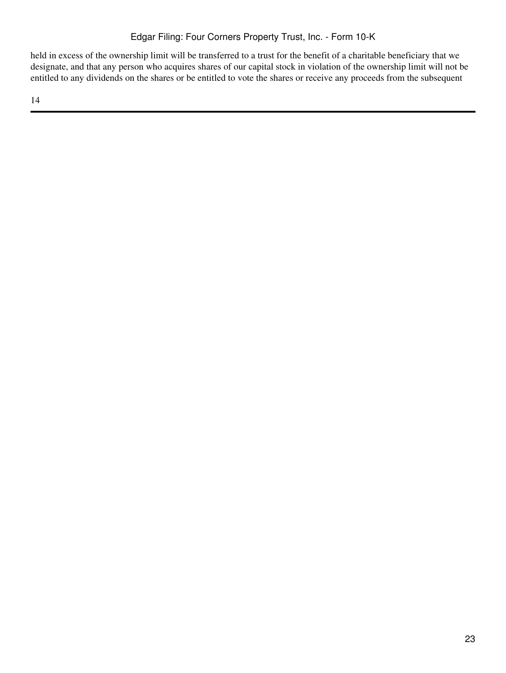held in excess of the ownership limit will be transferred to a trust for the benefit of a charitable beneficiary that we designate, and that any person who acquires shares of our capital stock in violation of the ownership limit will not be entitled to any dividends on the shares or be entitled to vote the shares or receive any proceeds from the subsequent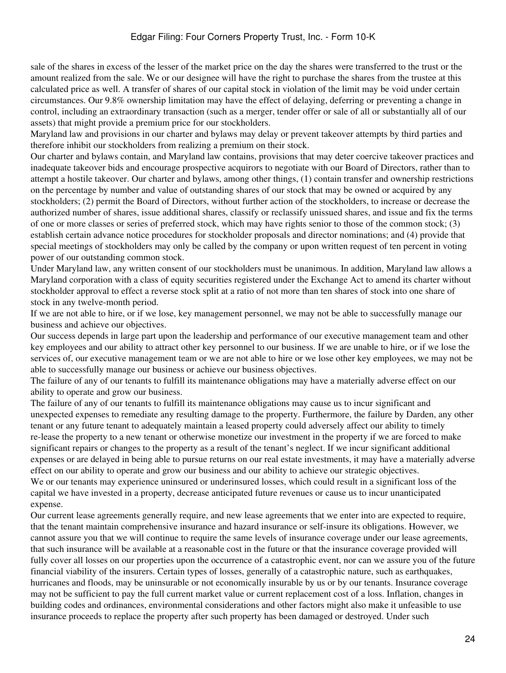sale of the shares in excess of the lesser of the market price on the day the shares were transferred to the trust or the amount realized from the sale. We or our designee will have the right to purchase the shares from the trustee at this calculated price as well. A transfer of shares of our capital stock in violation of the limit may be void under certain circumstances. Our 9.8% ownership limitation may have the effect of delaying, deferring or preventing a change in control, including an extraordinary transaction (such as a merger, tender offer or sale of all or substantially all of our assets) that might provide a premium price for our stockholders.

Maryland law and provisions in our charter and bylaws may delay or prevent takeover attempts by third parties and therefore inhibit our stockholders from realizing a premium on their stock.

Our charter and bylaws contain, and Maryland law contains, provisions that may deter coercive takeover practices and inadequate takeover bids and encourage prospective acquirors to negotiate with our Board of Directors, rather than to attempt a hostile takeover. Our charter and bylaws, among other things, (1) contain transfer and ownership restrictions on the percentage by number and value of outstanding shares of our stock that may be owned or acquired by any stockholders; (2) permit the Board of Directors, without further action of the stockholders, to increase or decrease the authorized number of shares, issue additional shares, classify or reclassify unissued shares, and issue and fix the terms of one or more classes or series of preferred stock, which may have rights senior to those of the common stock; (3) establish certain advance notice procedures for stockholder proposals and director nominations; and (4) provide that special meetings of stockholders may only be called by the company or upon written request of ten percent in voting power of our outstanding common stock.

Under Maryland law, any written consent of our stockholders must be unanimous. In addition, Maryland law allows a Maryland corporation with a class of equity securities registered under the Exchange Act to amend its charter without stockholder approval to effect a reverse stock split at a ratio of not more than ten shares of stock into one share of stock in any twelve-month period.

If we are not able to hire, or if we lose, key management personnel, we may not be able to successfully manage our business and achieve our objectives.

Our success depends in large part upon the leadership and performance of our executive management team and other key employees and our ability to attract other key personnel to our business. If we are unable to hire, or if we lose the services of, our executive management team or we are not able to hire or we lose other key employees, we may not be able to successfully manage our business or achieve our business objectives.

The failure of any of our tenants to fulfill its maintenance obligations may have a materially adverse effect on our ability to operate and grow our business.

The failure of any of our tenants to fulfill its maintenance obligations may cause us to incur significant and unexpected expenses to remediate any resulting damage to the property. Furthermore, the failure by Darden, any other tenant or any future tenant to adequately maintain a leased property could adversely affect our ability to timely re-lease the property to a new tenant or otherwise monetize our investment in the property if we are forced to make significant repairs or changes to the property as a result of the tenant's neglect. If we incur significant additional expenses or are delayed in being able to pursue returns on our real estate investments, it may have a materially adverse effect on our ability to operate and grow our business and our ability to achieve our strategic objectives.

We or our tenants may experience uninsured or underinsured losses, which could result in a significant loss of the capital we have invested in a property, decrease anticipated future revenues or cause us to incur unanticipated expense.

Our current lease agreements generally require, and new lease agreements that we enter into are expected to require, that the tenant maintain comprehensive insurance and hazard insurance or self-insure its obligations. However, we cannot assure you that we will continue to require the same levels of insurance coverage under our lease agreements, that such insurance will be available at a reasonable cost in the future or that the insurance coverage provided will fully cover all losses on our properties upon the occurrence of a catastrophic event, nor can we assure you of the future financial viability of the insurers. Certain types of losses, generally of a catastrophic nature, such as earthquakes, hurricanes and floods, may be uninsurable or not economically insurable by us or by our tenants. Insurance coverage may not be sufficient to pay the full current market value or current replacement cost of a loss. Inflation, changes in building codes and ordinances, environmental considerations and other factors might also make it unfeasible to use insurance proceeds to replace the property after such property has been damaged or destroyed. Under such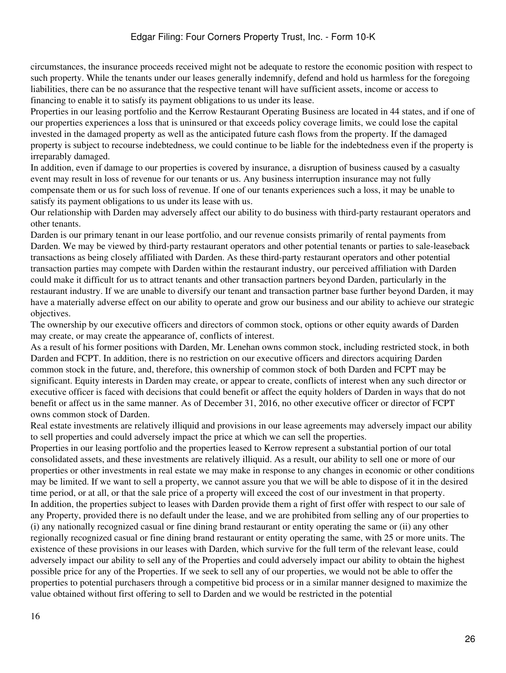circumstances, the insurance proceeds received might not be adequate to restore the economic position with respect to such property. While the tenants under our leases generally indemnify, defend and hold us harmless for the foregoing liabilities, there can be no assurance that the respective tenant will have sufficient assets, income or access to financing to enable it to satisfy its payment obligations to us under its lease.

Properties in our leasing portfolio and the Kerrow Restaurant Operating Business are located in 44 states, and if one of our properties experiences a loss that is uninsured or that exceeds policy coverage limits, we could lose the capital invested in the damaged property as well as the anticipated future cash flows from the property. If the damaged property is subject to recourse indebtedness, we could continue to be liable for the indebtedness even if the property is irreparably damaged.

In addition, even if damage to our properties is covered by insurance, a disruption of business caused by a casualty event may result in loss of revenue for our tenants or us. Any business interruption insurance may not fully compensate them or us for such loss of revenue. If one of our tenants experiences such a loss, it may be unable to satisfy its payment obligations to us under its lease with us.

Our relationship with Darden may adversely affect our ability to do business with third-party restaurant operators and other tenants.

Darden is our primary tenant in our lease portfolio, and our revenue consists primarily of rental payments from Darden. We may be viewed by third-party restaurant operators and other potential tenants or parties to sale-leaseback transactions as being closely affiliated with Darden. As these third-party restaurant operators and other potential transaction parties may compete with Darden within the restaurant industry, our perceived affiliation with Darden could make it difficult for us to attract tenants and other transaction partners beyond Darden, particularly in the restaurant industry. If we are unable to diversify our tenant and transaction partner base further beyond Darden, it may have a materially adverse effect on our ability to operate and grow our business and our ability to achieve our strategic objectives.

The ownership by our executive officers and directors of common stock, options or other equity awards of Darden may create, or may create the appearance of, conflicts of interest.

As a result of his former positions with Darden, Mr. Lenehan owns common stock, including restricted stock, in both Darden and FCPT. In addition, there is no restriction on our executive officers and directors acquiring Darden common stock in the future, and, therefore, this ownership of common stock of both Darden and FCPT may be significant. Equity interests in Darden may create, or appear to create, conflicts of interest when any such director or executive officer is faced with decisions that could benefit or affect the equity holders of Darden in ways that do not benefit or affect us in the same manner. As of December 31, 2016, no other executive officer or director of FCPT owns common stock of Darden.

Real estate investments are relatively illiquid and provisions in our lease agreements may adversely impact our ability to sell properties and could adversely impact the price at which we can sell the properties.

Properties in our leasing portfolio and the properties leased to Kerrow represent a substantial portion of our total consolidated assets, and these investments are relatively illiquid. As a result, our ability to sell one or more of our properties or other investments in real estate we may make in response to any changes in economic or other conditions may be limited. If we want to sell a property, we cannot assure you that we will be able to dispose of it in the desired time period, or at all, or that the sale price of a property will exceed the cost of our investment in that property. In addition, the properties subject to leases with Darden provide them a right of first offer with respect to our sale of any Property, provided there is no default under the lease, and we are prohibited from selling any of our properties to (i) any nationally recognized casual or fine dining brand restaurant or entity operating the same or (ii) any other regionally recognized casual or fine dining brand restaurant or entity operating the same, with 25 or more units. The existence of these provisions in our leases with Darden, which survive for the full term of the relevant lease, could adversely impact our ability to sell any of the Properties and could adversely impact our ability to obtain the highest possible price for any of the Properties. If we seek to sell any of our properties, we would not be able to offer the properties to potential purchasers through a competitive bid process or in a similar manner designed to maximize the value obtained without first offering to sell to Darden and we would be restricted in the potential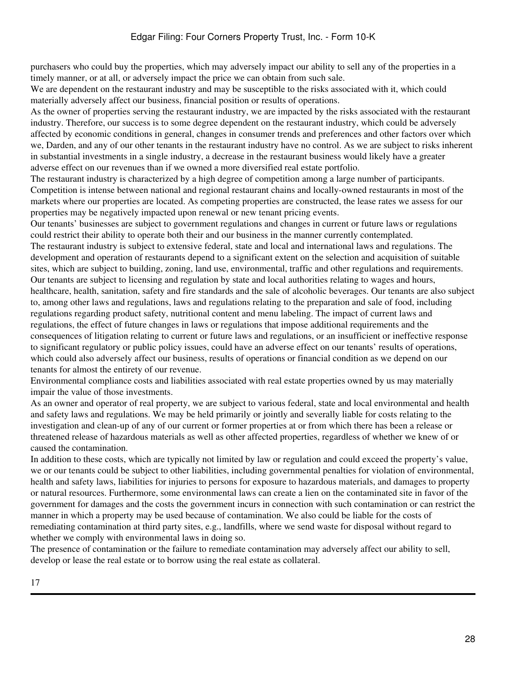purchasers who could buy the properties, which may adversely impact our ability to sell any of the properties in a timely manner, or at all, or adversely impact the price we can obtain from such sale.

We are dependent on the restaurant industry and may be susceptible to the risks associated with it, which could materially adversely affect our business, financial position or results of operations.

As the owner of properties serving the restaurant industry, we are impacted by the risks associated with the restaurant industry. Therefore, our success is to some degree dependent on the restaurant industry, which could be adversely affected by economic conditions in general, changes in consumer trends and preferences and other factors over which we, Darden, and any of our other tenants in the restaurant industry have no control. As we are subject to risks inherent in substantial investments in a single industry, a decrease in the restaurant business would likely have a greater adverse effect on our revenues than if we owned a more diversified real estate portfolio.

The restaurant industry is characterized by a high degree of competition among a large number of participants. Competition is intense between national and regional restaurant chains and locally-owned restaurants in most of the markets where our properties are located. As competing properties are constructed, the lease rates we assess for our properties may be negatively impacted upon renewal or new tenant pricing events.

Our tenants' businesses are subject to government regulations and changes in current or future laws or regulations could restrict their ability to operate both their and our business in the manner currently contemplated. The restaurant industry is subject to extensive federal, state and local and international laws and regulations. The development and operation of restaurants depend to a significant extent on the selection and acquisition of suitable sites, which are subject to building, zoning, land use, environmental, traffic and other regulations and requirements. Our tenants are subject to licensing and regulation by state and local authorities relating to wages and hours, healthcare, health, sanitation, safety and fire standards and the sale of alcoholic beverages. Our tenants are also subject to, among other laws and regulations, laws and regulations relating to the preparation and sale of food, including regulations regarding product safety, nutritional content and menu labeling. The impact of current laws and regulations, the effect of future changes in laws or regulations that impose additional requirements and the consequences of litigation relating to current or future laws and regulations, or an insufficient or ineffective response to significant regulatory or public policy issues, could have an adverse effect on our tenants' results of operations, which could also adversely affect our business, results of operations or financial condition as we depend on our tenants for almost the entirety of our revenue.

Environmental compliance costs and liabilities associated with real estate properties owned by us may materially impair the value of those investments.

As an owner and operator of real property, we are subject to various federal, state and local environmental and health and safety laws and regulations. We may be held primarily or jointly and severally liable for costs relating to the investigation and clean-up of any of our current or former properties at or from which there has been a release or threatened release of hazardous materials as well as other affected properties, regardless of whether we knew of or caused the contamination.

In addition to these costs, which are typically not limited by law or regulation and could exceed the property's value, we or our tenants could be subject to other liabilities, including governmental penalties for violation of environmental, health and safety laws, liabilities for injuries to persons for exposure to hazardous materials, and damages to property or natural resources. Furthermore, some environmental laws can create a lien on the contaminated site in favor of the government for damages and the costs the government incurs in connection with such contamination or can restrict the manner in which a property may be used because of contamination. We also could be liable for the costs of remediating contamination at third party sites, e.g., landfills, where we send waste for disposal without regard to whether we comply with environmental laws in doing so.

The presence of contamination or the failure to remediate contamination may adversely affect our ability to sell, develop or lease the real estate or to borrow using the real estate as collateral.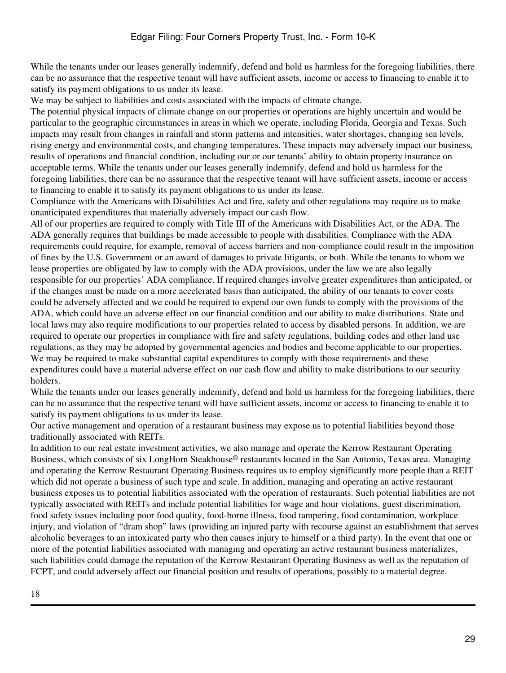While the tenants under our leases generally indemnify, defend and hold us harmless for the foregoing liabilities, there can be no assurance that the respective tenant will have sufficient assets, income or access to financing to enable it to satisfy its payment obligations to us under its lease.

We may be subject to liabilities and costs associated with the impacts of climate change.

The potential physical impacts of climate change on our properties or operations are highly uncertain and would be particular to the geographic circumstances in areas in which we operate, including Florida, Georgia and Texas. Such impacts may result from changes in rainfall and storm patterns and intensities, water shortages, changing sea levels, rising energy and environmental costs, and changing temperatures. These impacts may adversely impact our business, results of operations and financial condition, including our or our tenants' ability to obtain property insurance on acceptable terms. While the tenants under our leases generally indemnify, defend and hold us harmless for the foregoing liabilities, there can be no assurance that the respective tenant will have sufficient assets, income or access to financing to enable it to satisfy its payment obligations to us under its lease.

Compliance with the Americans with Disabilities Act and fire, safety and other regulations may require us to make unanticipated expenditures that materially adversely impact our cash flow.

All of our properties are required to comply with Title III of the Americans with Disabilities Act, or the ADA. The ADA generally requires that buildings be made accessible to people with disabilities. Compliance with the ADA requirements could require, for example, removal of access barriers and non-compliance could result in the imposition of fines by the U.S. Government or an award of damages to private litigants, or both. While the tenants to whom we lease properties are obligated by law to comply with the ADA provisions, under the law we are also legally responsible for our properties' ADA compliance. If required changes involve greater expenditures than anticipated, or if the changes must be made on a more accelerated basis than anticipated, the ability of our tenants to cover costs could be adversely affected and we could be required to expend our own funds to comply with the provisions of the ADA, which could have an adverse effect on our financial condition and our ability to make distributions. State and local laws may also require modifications to our properties related to access by disabled persons. In addition, we are required to operate our properties in compliance with fire and safety regulations, building codes and other land use regulations, as they may be adopted by governmental agencies and bodies and become applicable to our properties. We may be required to make substantial capital expenditures to comply with those requirements and these expenditures could have a material adverse effect on our cash flow and ability to make distributions to our security holders.

While the tenants under our leases generally indemnify, defend and hold us harmless for the foregoing liabilities, there can be no assurance that the respective tenant will have sufficient assets, income or access to financing to enable it to satisfy its payment obligations to us under its lease.

Our active management and operation of a restaurant business may expose us to potential liabilities beyond those traditionally associated with REITs.

In addition to our real estate investment activities, we also manage and operate the Kerrow Restaurant Operating Business, which consists of six LongHorn Steakhouse® restaurants located in the San Antonio, Texas area. Managing and operating the Kerrow Restaurant Operating Business requires us to employ significantly more people than a REIT which did not operate a business of such type and scale. In addition, managing and operating an active restaurant business exposes us to potential liabilities associated with the operation of restaurants. Such potential liabilities are not typically associated with REITs and include potential liabilities for wage and hour violations, guest discrimination, food safety issues including poor food quality, food-borne illness, food tampering, food contamination, workplace injury, and violation of "dram shop" laws (providing an injured party with recourse against an establishment that serves alcoholic beverages to an intoxicated party who then causes injury to himself or a third party). In the event that one or more of the potential liabilities associated with managing and operating an active restaurant business materializes, such liabilities could damage the reputation of the Kerrow Restaurant Operating Business as well as the reputation of FCPT, and could adversely affect our financial position and results of operations, possibly to a material degree.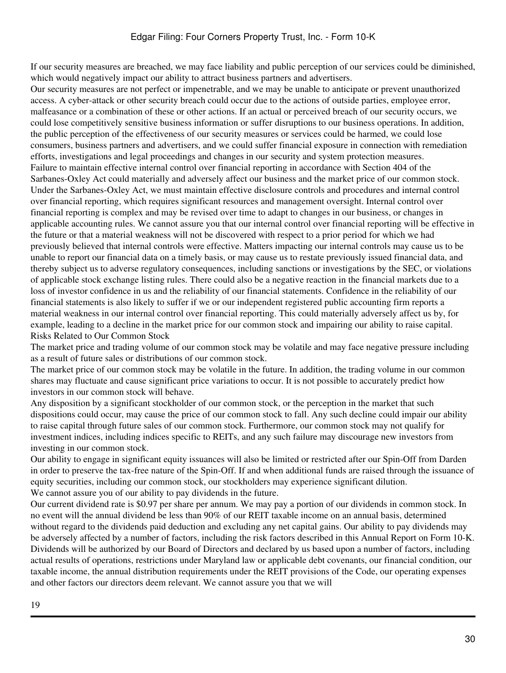If our security measures are breached, we may face liability and public perception of our services could be diminished, which would negatively impact our ability to attract business partners and advertisers.

Our security measures are not perfect or impenetrable, and we may be unable to anticipate or prevent unauthorized access. A cyber-attack or other security breach could occur due to the actions of outside parties, employee error, malfeasance or a combination of these or other actions. If an actual or perceived breach of our security occurs, we could lose competitively sensitive business information or suffer disruptions to our business operations. In addition, the public perception of the effectiveness of our security measures or services could be harmed, we could lose consumers, business partners and advertisers, and we could suffer financial exposure in connection with remediation efforts, investigations and legal proceedings and changes in our security and system protection measures. Failure to maintain effective internal control over financial reporting in accordance with Section 404 of the Sarbanes-Oxley Act could materially and adversely affect our business and the market price of our common stock. Under the Sarbanes-Oxley Act, we must maintain effective disclosure controls and procedures and internal control over financial reporting, which requires significant resources and management oversight. Internal control over financial reporting is complex and may be revised over time to adapt to changes in our business, or changes in applicable accounting rules. We cannot assure you that our internal control over financial reporting will be effective in the future or that a material weakness will not be discovered with respect to a prior period for which we had previously believed that internal controls were effective. Matters impacting our internal controls may cause us to be unable to report our financial data on a timely basis, or may cause us to restate previously issued financial data, and thereby subject us to adverse regulatory consequences, including sanctions or investigations by the SEC, or violations of applicable stock exchange listing rules. There could also be a negative reaction in the financial markets due to a loss of investor confidence in us and the reliability of our financial statements. Confidence in the reliability of our financial statements is also likely to suffer if we or our independent registered public accounting firm reports a material weakness in our internal control over financial reporting. This could materially adversely affect us by, for example, leading to a decline in the market price for our common stock and impairing our ability to raise capital. Risks Related to Our Common Stock

The market price and trading volume of our common stock may be volatile and may face negative pressure including as a result of future sales or distributions of our common stock.

The market price of our common stock may be volatile in the future. In addition, the trading volume in our common shares may fluctuate and cause significant price variations to occur. It is not possible to accurately predict how investors in our common stock will behave.

Any disposition by a significant stockholder of our common stock, or the perception in the market that such dispositions could occur, may cause the price of our common stock to fall. Any such decline could impair our ability to raise capital through future sales of our common stock. Furthermore, our common stock may not qualify for investment indices, including indices specific to REITs, and any such failure may discourage new investors from investing in our common stock.

Our ability to engage in significant equity issuances will also be limited or restricted after our Spin-Off from Darden in order to preserve the tax-free nature of the Spin-Off. If and when additional funds are raised through the issuance of equity securities, including our common stock, our stockholders may experience significant dilution. We cannot assure you of our ability to pay dividends in the future.

Our current dividend rate is \$0.97 per share per annum. We may pay a portion of our dividends in common stock. In no event will the annual dividend be less than 90% of our REIT taxable income on an annual basis, determined without regard to the dividends paid deduction and excluding any net capital gains. Our ability to pay dividends may be adversely affected by a number of factors, including the risk factors described in this Annual Report on Form 10-K. Dividends will be authorized by our Board of Directors and declared by us based upon a number of factors, including actual results of operations, restrictions under Maryland law or applicable debt covenants, our financial condition, our taxable income, the annual distribution requirements under the REIT provisions of the Code, our operating expenses and other factors our directors deem relevant. We cannot assure you that we will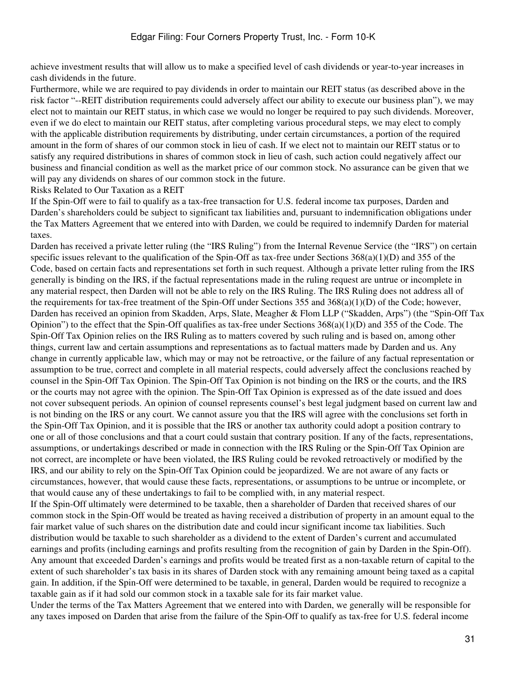achieve investment results that will allow us to make a specified level of cash dividends or year-to-year increases in cash dividends in the future.

Furthermore, while we are required to pay dividends in order to maintain our REIT status (as described above in the risk factor "--REIT distribution requirements could adversely affect our ability to execute our business plan"), we may elect not to maintain our REIT status, in which case we would no longer be required to pay such dividends. Moreover, even if we do elect to maintain our REIT status, after completing various procedural steps, we may elect to comply with the applicable distribution requirements by distributing, under certain circumstances, a portion of the required amount in the form of shares of our common stock in lieu of cash. If we elect not to maintain our REIT status or to satisfy any required distributions in shares of common stock in lieu of cash, such action could negatively affect our business and financial condition as well as the market price of our common stock. No assurance can be given that we will pay any dividends on shares of our common stock in the future.

Risks Related to Our Taxation as a REIT

If the Spin-Off were to fail to qualify as a tax-free transaction for U.S. federal income tax purposes, Darden and Darden's shareholders could be subject to significant tax liabilities and, pursuant to indemnification obligations under the Tax Matters Agreement that we entered into with Darden, we could be required to indemnify Darden for material taxes.

Darden has received a private letter ruling (the "IRS Ruling") from the Internal Revenue Service (the "IRS") on certain specific issues relevant to the qualification of the Spin-Off as tax-free under Sections 368(a)(1)(D) and 355 of the Code, based on certain facts and representations set forth in such request. Although a private letter ruling from the IRS generally is binding on the IRS, if the factual representations made in the ruling request are untrue or incomplete in any material respect, then Darden will not be able to rely on the IRS Ruling. The IRS Ruling does not address all of the requirements for tax-free treatment of the Spin-Off under Sections 355 and  $368(a)(1)(D)$  of the Code; however, Darden has received an opinion from Skadden, Arps, Slate, Meagher & Flom LLP ("Skadden, Arps") (the "Spin-Off Tax Opinion") to the effect that the Spin-Off qualifies as tax-free under Sections  $368(a)(1)(D)$  and  $355$  of the Code. The Spin-Off Tax Opinion relies on the IRS Ruling as to matters covered by such ruling and is based on, among other things, current law and certain assumptions and representations as to factual matters made by Darden and us. Any change in currently applicable law, which may or may not be retroactive, or the failure of any factual representation or assumption to be true, correct and complete in all material respects, could adversely affect the conclusions reached by counsel in the Spin-Off Tax Opinion. The Spin-Off Tax Opinion is not binding on the IRS or the courts, and the IRS or the courts may not agree with the opinion. The Spin-Off Tax Opinion is expressed as of the date issued and does not cover subsequent periods. An opinion of counsel represents counsel's best legal judgment based on current law and is not binding on the IRS or any court. We cannot assure you that the IRS will agree with the conclusions set forth in the Spin-Off Tax Opinion, and it is possible that the IRS or another tax authority could adopt a position contrary to one or all of those conclusions and that a court could sustain that contrary position. If any of the facts, representations, assumptions, or undertakings described or made in connection with the IRS Ruling or the Spin-Off Tax Opinion are not correct, are incomplete or have been violated, the IRS Ruling could be revoked retroactively or modified by the IRS, and our ability to rely on the Spin-Off Tax Opinion could be jeopardized. We are not aware of any facts or circumstances, however, that would cause these facts, representations, or assumptions to be untrue or incomplete, or that would cause any of these undertakings to fail to be complied with, in any material respect.

If the Spin-Off ultimately were determined to be taxable, then a shareholder of Darden that received shares of our common stock in the Spin-Off would be treated as having received a distribution of property in an amount equal to the fair market value of such shares on the distribution date and could incur significant income tax liabilities. Such distribution would be taxable to such shareholder as a dividend to the extent of Darden's current and accumulated earnings and profits (including earnings and profits resulting from the recognition of gain by Darden in the Spin-Off). Any amount that exceeded Darden's earnings and profits would be treated first as a non-taxable return of capital to the extent of such shareholder's tax basis in its shares of Darden stock with any remaining amount being taxed as a capital gain. In addition, if the Spin-Off were determined to be taxable, in general, Darden would be required to recognize a taxable gain as if it had sold our common stock in a taxable sale for its fair market value.

Under the terms of the Tax Matters Agreement that we entered into with Darden, we generally will be responsible for any taxes imposed on Darden that arise from the failure of the Spin-Off to qualify as tax-free for U.S. federal income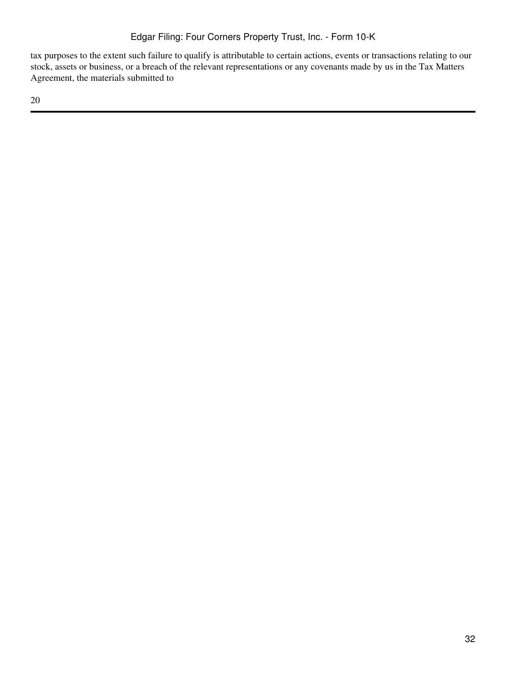tax purposes to the extent such failure to qualify is attributable to certain actions, events or transactions relating to our stock, assets or business, or a breach of the relevant representations or any covenants made by us in the Tax Matters Agreement, the materials submitted to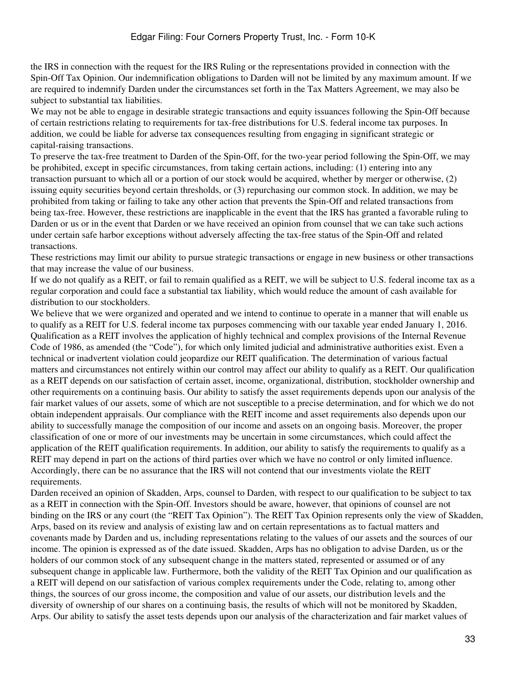the IRS in connection with the request for the IRS Ruling or the representations provided in connection with the Spin-Off Tax Opinion. Our indemnification obligations to Darden will not be limited by any maximum amount. If we are required to indemnify Darden under the circumstances set forth in the Tax Matters Agreement, we may also be subject to substantial tax liabilities.

We may not be able to engage in desirable strategic transactions and equity issuances following the Spin-Off because of certain restrictions relating to requirements for tax-free distributions for U.S. federal income tax purposes. In addition, we could be liable for adverse tax consequences resulting from engaging in significant strategic or capital-raising transactions.

To preserve the tax-free treatment to Darden of the Spin-Off, for the two-year period following the Spin-Off, we may be prohibited, except in specific circumstances, from taking certain actions, including: (1) entering into any transaction pursuant to which all or a portion of our stock would be acquired, whether by merger or otherwise, (2) issuing equity securities beyond certain thresholds, or (3) repurchasing our common stock. In addition, we may be prohibited from taking or failing to take any other action that prevents the Spin-Off and related transactions from being tax-free. However, these restrictions are inapplicable in the event that the IRS has granted a favorable ruling to Darden or us or in the event that Darden or we have received an opinion from counsel that we can take such actions under certain safe harbor exceptions without adversely affecting the tax-free status of the Spin-Off and related transactions.

These restrictions may limit our ability to pursue strategic transactions or engage in new business or other transactions that may increase the value of our business.

If we do not qualify as a REIT, or fail to remain qualified as a REIT, we will be subject to U.S. federal income tax as a regular corporation and could face a substantial tax liability, which would reduce the amount of cash available for distribution to our stockholders.

We believe that we were organized and operated and we intend to continue to operate in a manner that will enable us to qualify as a REIT for U.S. federal income tax purposes commencing with our taxable year ended January 1, 2016. Qualification as a REIT involves the application of highly technical and complex provisions of the Internal Revenue Code of 1986, as amended (the "Code"), for which only limited judicial and administrative authorities exist. Even a technical or inadvertent violation could jeopardize our REIT qualification. The determination of various factual matters and circumstances not entirely within our control may affect our ability to qualify as a REIT. Our qualification as a REIT depends on our satisfaction of certain asset, income, organizational, distribution, stockholder ownership and other requirements on a continuing basis. Our ability to satisfy the asset requirements depends upon our analysis of the fair market values of our assets, some of which are not susceptible to a precise determination, and for which we do not obtain independent appraisals. Our compliance with the REIT income and asset requirements also depends upon our ability to successfully manage the composition of our income and assets on an ongoing basis. Moreover, the proper classification of one or more of our investments may be uncertain in some circumstances, which could affect the application of the REIT qualification requirements. In addition, our ability to satisfy the requirements to qualify as a REIT may depend in part on the actions of third parties over which we have no control or only limited influence. Accordingly, there can be no assurance that the IRS will not contend that our investments violate the REIT requirements.

Darden received an opinion of Skadden, Arps, counsel to Darden, with respect to our qualification to be subject to tax as a REIT in connection with the Spin-Off. Investors should be aware, however, that opinions of counsel are not binding on the IRS or any court (the "REIT Tax Opinion"). The REIT Tax Opinion represents only the view of Skadden, Arps, based on its review and analysis of existing law and on certain representations as to factual matters and covenants made by Darden and us, including representations relating to the values of our assets and the sources of our income. The opinion is expressed as of the date issued. Skadden, Arps has no obligation to advise Darden, us or the holders of our common stock of any subsequent change in the matters stated, represented or assumed or of any subsequent change in applicable law. Furthermore, both the validity of the REIT Tax Opinion and our qualification as a REIT will depend on our satisfaction of various complex requirements under the Code, relating to, among other things, the sources of our gross income, the composition and value of our assets, our distribution levels and the diversity of ownership of our shares on a continuing basis, the results of which will not be monitored by Skadden, Arps. Our ability to satisfy the asset tests depends upon our analysis of the characterization and fair market values of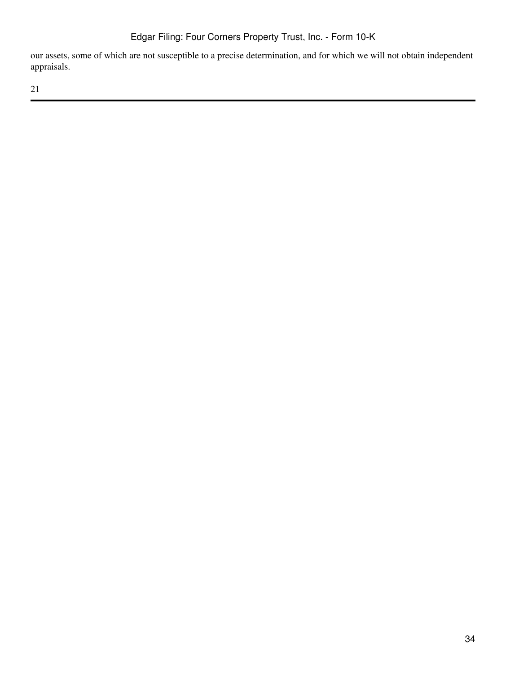our assets, some of which are not susceptible to a precise determination, and for which we will not obtain independent appraisals.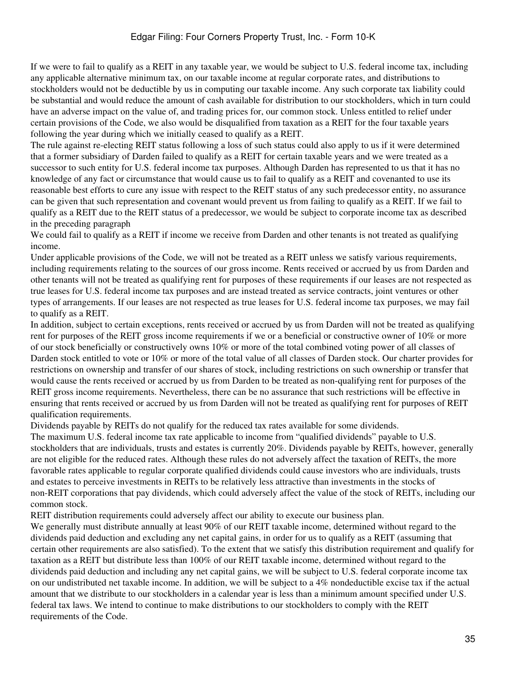If we were to fail to qualify as a REIT in any taxable year, we would be subject to U.S. federal income tax, including any applicable alternative minimum tax, on our taxable income at regular corporate rates, and distributions to stockholders would not be deductible by us in computing our taxable income. Any such corporate tax liability could be substantial and would reduce the amount of cash available for distribution to our stockholders, which in turn could have an adverse impact on the value of, and trading prices for, our common stock. Unless entitled to relief under certain provisions of the Code, we also would be disqualified from taxation as a REIT for the four taxable years following the year during which we initially ceased to qualify as a REIT.

The rule against re-electing REIT status following a loss of such status could also apply to us if it were determined that a former subsidiary of Darden failed to qualify as a REIT for certain taxable years and we were treated as a successor to such entity for U.S. federal income tax purposes. Although Darden has represented to us that it has no knowledge of any fact or circumstance that would cause us to fail to qualify as a REIT and covenanted to use its reasonable best efforts to cure any issue with respect to the REIT status of any such predecessor entity, no assurance can be given that such representation and covenant would prevent us from failing to qualify as a REIT. If we fail to qualify as a REIT due to the REIT status of a predecessor, we would be subject to corporate income tax as described in the preceding paragraph

We could fail to qualify as a REIT if income we receive from Darden and other tenants is not treated as qualifying income.

Under applicable provisions of the Code, we will not be treated as a REIT unless we satisfy various requirements, including requirements relating to the sources of our gross income. Rents received or accrued by us from Darden and other tenants will not be treated as qualifying rent for purposes of these requirements if our leases are not respected as true leases for U.S. federal income tax purposes and are instead treated as service contracts, joint ventures or other types of arrangements. If our leases are not respected as true leases for U.S. federal income tax purposes, we may fail to qualify as a REIT.

In addition, subject to certain exceptions, rents received or accrued by us from Darden will not be treated as qualifying rent for purposes of the REIT gross income requirements if we or a beneficial or constructive owner of 10% or more of our stock beneficially or constructively owns 10% or more of the total combined voting power of all classes of Darden stock entitled to vote or 10% or more of the total value of all classes of Darden stock. Our charter provides for restrictions on ownership and transfer of our shares of stock, including restrictions on such ownership or transfer that would cause the rents received or accrued by us from Darden to be treated as non-qualifying rent for purposes of the REIT gross income requirements. Nevertheless, there can be no assurance that such restrictions will be effective in ensuring that rents received or accrued by us from Darden will not be treated as qualifying rent for purposes of REIT qualification requirements.

Dividends payable by REITs do not qualify for the reduced tax rates available for some dividends.

The maximum U.S. federal income tax rate applicable to income from "qualified dividends" payable to U.S. stockholders that are individuals, trusts and estates is currently 20%. Dividends payable by REITs, however, generally are not eligible for the reduced rates. Although these rules do not adversely affect the taxation of REITs, the more favorable rates applicable to regular corporate qualified dividends could cause investors who are individuals, trusts and estates to perceive investments in REITs to be relatively less attractive than investments in the stocks of non-REIT corporations that pay dividends, which could adversely affect the value of the stock of REITs, including our common stock.

REIT distribution requirements could adversely affect our ability to execute our business plan.

We generally must distribute annually at least 90% of our REIT taxable income, determined without regard to the dividends paid deduction and excluding any net capital gains, in order for us to qualify as a REIT (assuming that certain other requirements are also satisfied). To the extent that we satisfy this distribution requirement and qualify for taxation as a REIT but distribute less than 100% of our REIT taxable income, determined without regard to the dividends paid deduction and including any net capital gains, we will be subject to U.S. federal corporate income tax on our undistributed net taxable income. In addition, we will be subject to a 4% nondeductible excise tax if the actual amount that we distribute to our stockholders in a calendar year is less than a minimum amount specified under U.S. federal tax laws. We intend to continue to make distributions to our stockholders to comply with the REIT requirements of the Code.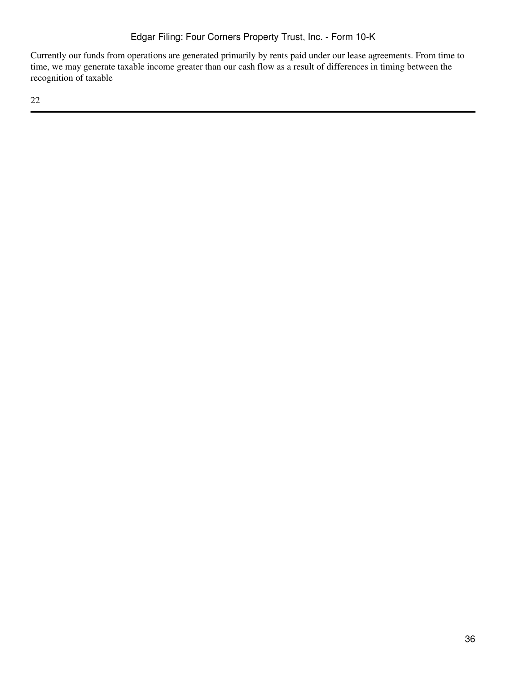Currently our funds from operations are generated primarily by rents paid under our lease agreements. From time to time, we may generate taxable income greater than our cash flow as a result of differences in timing between the recognition of taxable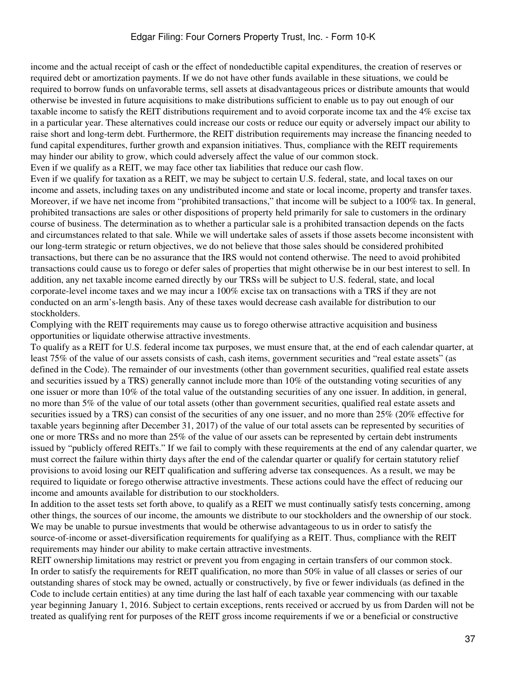income and the actual receipt of cash or the effect of nondeductible capital expenditures, the creation of reserves or required debt or amortization payments. If we do not have other funds available in these situations, we could be required to borrow funds on unfavorable terms, sell assets at disadvantageous prices or distribute amounts that would otherwise be invested in future acquisitions to make distributions sufficient to enable us to pay out enough of our taxable income to satisfy the REIT distributions requirement and to avoid corporate income tax and the 4% excise tax in a particular year. These alternatives could increase our costs or reduce our equity or adversely impact our ability to raise short and long-term debt. Furthermore, the REIT distribution requirements may increase the financing needed to fund capital expenditures, further growth and expansion initiatives. Thus, compliance with the REIT requirements may hinder our ability to grow, which could adversely affect the value of our common stock. Even if we qualify as a REIT, we may face other tax liabilities that reduce our cash flow.

Even if we qualify for taxation as a REIT, we may be subject to certain U.S. federal, state, and local taxes on our income and assets, including taxes on any undistributed income and state or local income, property and transfer taxes. Moreover, if we have net income from "prohibited transactions," that income will be subject to a 100% tax. In general, prohibited transactions are sales or other dispositions of property held primarily for sale to customers in the ordinary course of business. The determination as to whether a particular sale is a prohibited transaction depends on the facts and circumstances related to that sale. While we will undertake sales of assets if those assets become inconsistent with our long-term strategic or return objectives, we do not believe that those sales should be considered prohibited transactions, but there can be no assurance that the IRS would not contend otherwise. The need to avoid prohibited transactions could cause us to forego or defer sales of properties that might otherwise be in our best interest to sell. In addition, any net taxable income earned directly by our TRSs will be subject to U.S. federal, state, and local corporate-level income taxes and we may incur a 100% excise tax on transactions with a TRS if they are not conducted on an arm's-length basis. Any of these taxes would decrease cash available for distribution to our stockholders.

Complying with the REIT requirements may cause us to forego otherwise attractive acquisition and business opportunities or liquidate otherwise attractive investments.

To qualify as a REIT for U.S. federal income tax purposes, we must ensure that, at the end of each calendar quarter, at least 75% of the value of our assets consists of cash, cash items, government securities and "real estate assets" (as defined in the Code). The remainder of our investments (other than government securities, qualified real estate assets and securities issued by a TRS) generally cannot include more than 10% of the outstanding voting securities of any one issuer or more than 10% of the total value of the outstanding securities of any one issuer. In addition, in general, no more than 5% of the value of our total assets (other than government securities, qualified real estate assets and securities issued by a TRS) can consist of the securities of any one issuer, and no more than 25% (20% effective for taxable years beginning after December 31, 2017) of the value of our total assets can be represented by securities of one or more TRSs and no more than 25% of the value of our assets can be represented by certain debt instruments issued by "publicly offered REITs." If we fail to comply with these requirements at the end of any calendar quarter, we must correct the failure within thirty days after the end of the calendar quarter or qualify for certain statutory relief provisions to avoid losing our REIT qualification and suffering adverse tax consequences. As a result, we may be required to liquidate or forego otherwise attractive investments. These actions could have the effect of reducing our income and amounts available for distribution to our stockholders.

In addition to the asset tests set forth above, to qualify as a REIT we must continually satisfy tests concerning, among other things, the sources of our income, the amounts we distribute to our stockholders and the ownership of our stock. We may be unable to pursue investments that would be otherwise advantageous to us in order to satisfy the source-of-income or asset-diversification requirements for qualifying as a REIT. Thus, compliance with the REIT requirements may hinder our ability to make certain attractive investments.

REIT ownership limitations may restrict or prevent you from engaging in certain transfers of our common stock. In order to satisfy the requirements for REIT qualification, no more than 50% in value of all classes or series of our outstanding shares of stock may be owned, actually or constructively, by five or fewer individuals (as defined in the Code to include certain entities) at any time during the last half of each taxable year commencing with our taxable year beginning January 1, 2016. Subject to certain exceptions, rents received or accrued by us from Darden will not be treated as qualifying rent for purposes of the REIT gross income requirements if we or a beneficial or constructive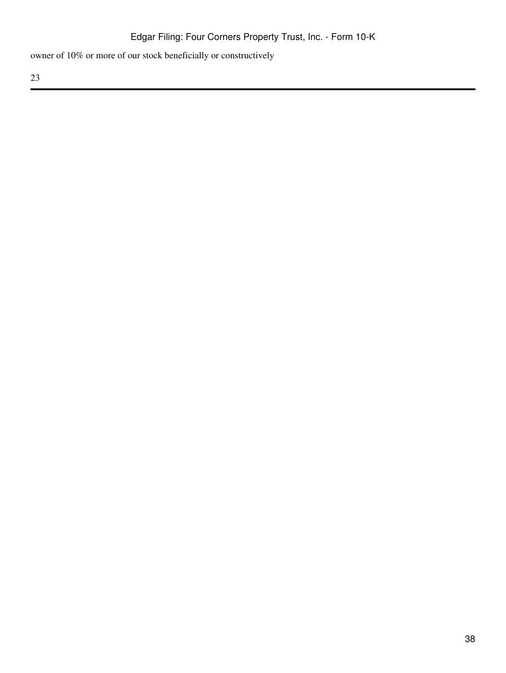owner of 10% or more of our stock beneficially or constructively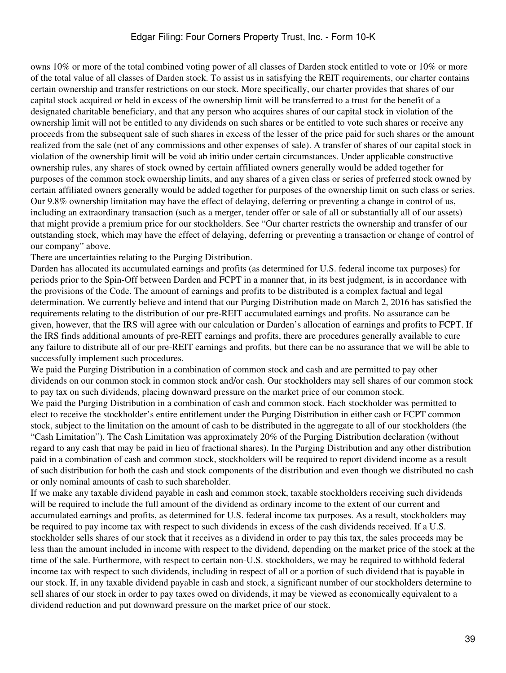## Edgar Filing: Four Corners Property Trust, Inc. - Form 10-K

owns 10% or more of the total combined voting power of all classes of Darden stock entitled to vote or 10% or more of the total value of all classes of Darden stock. To assist us in satisfying the REIT requirements, our charter contains certain ownership and transfer restrictions on our stock. More specifically, our charter provides that shares of our capital stock acquired or held in excess of the ownership limit will be transferred to a trust for the benefit of a designated charitable beneficiary, and that any person who acquires shares of our capital stock in violation of the ownership limit will not be entitled to any dividends on such shares or be entitled to vote such shares or receive any proceeds from the subsequent sale of such shares in excess of the lesser of the price paid for such shares or the amount realized from the sale (net of any commissions and other expenses of sale). A transfer of shares of our capital stock in violation of the ownership limit will be void ab initio under certain circumstances. Under applicable constructive ownership rules, any shares of stock owned by certain affiliated owners generally would be added together for purposes of the common stock ownership limits, and any shares of a given class or series of preferred stock owned by certain affiliated owners generally would be added together for purposes of the ownership limit on such class or series. Our 9.8% ownership limitation may have the effect of delaying, deferring or preventing a change in control of us, including an extraordinary transaction (such as a merger, tender offer or sale of all or substantially all of our assets) that might provide a premium price for our stockholders. See "Our charter restricts the ownership and transfer of our outstanding stock, which may have the effect of delaying, deferring or preventing a transaction or change of control of our company" above.

There are uncertainties relating to the Purging Distribution.

Darden has allocated its accumulated earnings and profits (as determined for U.S. federal income tax purposes) for periods prior to the Spin-Off between Darden and FCPT in a manner that, in its best judgment, is in accordance with the provisions of the Code. The amount of earnings and profits to be distributed is a complex factual and legal determination. We currently believe and intend that our Purging Distribution made on March 2, 2016 has satisfied the requirements relating to the distribution of our pre-REIT accumulated earnings and profits. No assurance can be given, however, that the IRS will agree with our calculation or Darden's allocation of earnings and profits to FCPT. If the IRS finds additional amounts of pre-REIT earnings and profits, there are procedures generally available to cure any failure to distribute all of our pre-REIT earnings and profits, but there can be no assurance that we will be able to successfully implement such procedures.

We paid the Purging Distribution in a combination of common stock and cash and are permitted to pay other dividends on our common stock in common stock and/or cash. Our stockholders may sell shares of our common stock to pay tax on such dividends, placing downward pressure on the market price of our common stock.

We paid the Purging Distribution in a combination of cash and common stock. Each stockholder was permitted to elect to receive the stockholder's entire entitlement under the Purging Distribution in either cash or FCPT common stock, subject to the limitation on the amount of cash to be distributed in the aggregate to all of our stockholders (the "Cash Limitation"). The Cash Limitation was approximately 20% of the Purging Distribution declaration (without regard to any cash that may be paid in lieu of fractional shares). In the Purging Distribution and any other distribution paid in a combination of cash and common stock, stockholders will be required to report dividend income as a result of such distribution for both the cash and stock components of the distribution and even though we distributed no cash or only nominal amounts of cash to such shareholder.

If we make any taxable dividend payable in cash and common stock, taxable stockholders receiving such dividends will be required to include the full amount of the dividend as ordinary income to the extent of our current and accumulated earnings and profits, as determined for U.S. federal income tax purposes. As a result, stockholders may be required to pay income tax with respect to such dividends in excess of the cash dividends received. If a U.S. stockholder sells shares of our stock that it receives as a dividend in order to pay this tax, the sales proceeds may be less than the amount included in income with respect to the dividend, depending on the market price of the stock at the time of the sale. Furthermore, with respect to certain non-U.S. stockholders, we may be required to withhold federal income tax with respect to such dividends, including in respect of all or a portion of such dividend that is payable in our stock. If, in any taxable dividend payable in cash and stock, a significant number of our stockholders determine to sell shares of our stock in order to pay taxes owed on dividends, it may be viewed as economically equivalent to a dividend reduction and put downward pressure on the market price of our stock.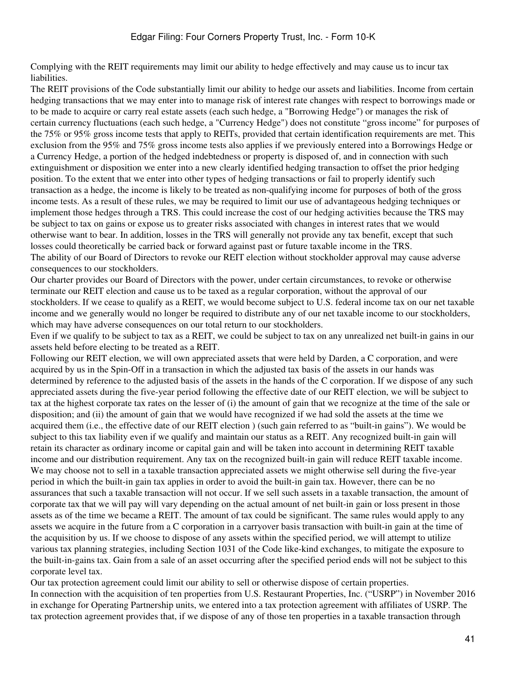Complying with the REIT requirements may limit our ability to hedge effectively and may cause us to incur tax liabilities.

The REIT provisions of the Code substantially limit our ability to hedge our assets and liabilities. Income from certain hedging transactions that we may enter into to manage risk of interest rate changes with respect to borrowings made or to be made to acquire or carry real estate assets (each such hedge, a "Borrowing Hedge") or manages the risk of certain currency fluctuations (each such hedge, a "Currency Hedge") does not constitute "gross income" for purposes of the 75% or 95% gross income tests that apply to REITs, provided that certain identification requirements are met. This exclusion from the 95% and 75% gross income tests also applies if we previously entered into a Borrowings Hedge or a Currency Hedge, a portion of the hedged indebtedness or property is disposed of, and in connection with such extinguishment or disposition we enter into a new clearly identified hedging transaction to offset the prior hedging position. To the extent that we enter into other types of hedging transactions or fail to properly identify such transaction as a hedge, the income is likely to be treated as non-qualifying income for purposes of both of the gross income tests. As a result of these rules, we may be required to limit our use of advantageous hedging techniques or implement those hedges through a TRS. This could increase the cost of our hedging activities because the TRS may be subject to tax on gains or expose us to greater risks associated with changes in interest rates that we would otherwise want to bear. In addition, losses in the TRS will generally not provide any tax benefit, except that such losses could theoretically be carried back or forward against past or future taxable income in the TRS. The ability of our Board of Directors to revoke our REIT election without stockholder approval may cause adverse consequences to our stockholders.

Our charter provides our Board of Directors with the power, under certain circumstances, to revoke or otherwise terminate our REIT election and cause us to be taxed as a regular corporation, without the approval of our stockholders. If we cease to qualify as a REIT, we would become subject to U.S. federal income tax on our net taxable income and we generally would no longer be required to distribute any of our net taxable income to our stockholders, which may have adverse consequences on our total return to our stockholders.

Even if we qualify to be subject to tax as a REIT, we could be subject to tax on any unrealized net built-in gains in our assets held before electing to be treated as a REIT.

Following our REIT election, we will own appreciated assets that were held by Darden, a C corporation, and were acquired by us in the Spin-Off in a transaction in which the adjusted tax basis of the assets in our hands was determined by reference to the adjusted basis of the assets in the hands of the C corporation. If we dispose of any such appreciated assets during the five-year period following the effective date of our REIT election, we will be subject to tax at the highest corporate tax rates on the lesser of (i) the amount of gain that we recognize at the time of the sale or disposition; and (ii) the amount of gain that we would have recognized if we had sold the assets at the time we acquired them (i.e., the effective date of our REIT election ) (such gain referred to as "built-in gains"). We would be subject to this tax liability even if we qualify and maintain our status as a REIT. Any recognized built-in gain will retain its character as ordinary income or capital gain and will be taken into account in determining REIT taxable income and our distribution requirement. Any tax on the recognized built-in gain will reduce REIT taxable income. We may choose not to sell in a taxable transaction appreciated assets we might otherwise sell during the five-year period in which the built-in gain tax applies in order to avoid the built-in gain tax. However, there can be no assurances that such a taxable transaction will not occur. If we sell such assets in a taxable transaction, the amount of corporate tax that we will pay will vary depending on the actual amount of net built-in gain or loss present in those assets as of the time we became a REIT. The amount of tax could be significant. The same rules would apply to any assets we acquire in the future from a C corporation in a carryover basis transaction with built-in gain at the time of the acquisition by us. If we choose to dispose of any assets within the specified period, we will attempt to utilize various tax planning strategies, including Section 1031 of the Code like-kind exchanges, to mitigate the exposure to the built-in-gains tax. Gain from a sale of an asset occurring after the specified period ends will not be subject to this corporate level tax.

Our tax protection agreement could limit our ability to sell or otherwise dispose of certain properties. In connection with the acquisition of ten properties from U.S. Restaurant Properties, Inc. ("USRP") in November 2016 in exchange for Operating Partnership units, we entered into a tax protection agreement with affiliates of USRP. The tax protection agreement provides that, if we dispose of any of those ten properties in a taxable transaction through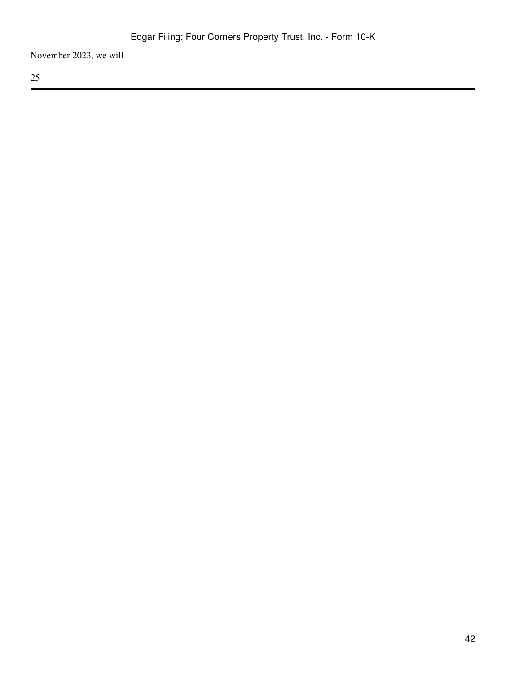November 2023, we will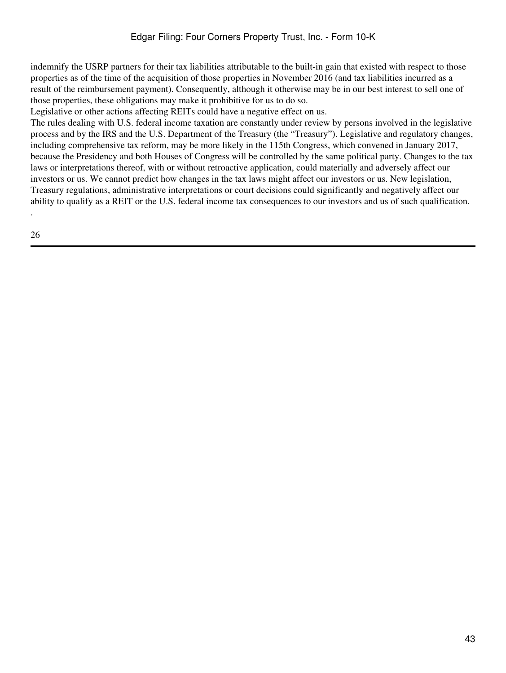indemnify the USRP partners for their tax liabilities attributable to the built-in gain that existed with respect to those properties as of the time of the acquisition of those properties in November 2016 (and tax liabilities incurred as a result of the reimbursement payment). Consequently, although it otherwise may be in our best interest to sell one of those properties, these obligations may make it prohibitive for us to do so.

Legislative or other actions affecting REITs could have a negative effect on us.

The rules dealing with U.S. federal income taxation are constantly under review by persons involved in the legislative process and by the IRS and the U.S. Department of the Treasury (the "Treasury"). Legislative and regulatory changes, including comprehensive tax reform, may be more likely in the 115th Congress, which convened in January 2017, because the Presidency and both Houses of Congress will be controlled by the same political party. Changes to the tax laws or interpretations thereof, with or without retroactive application, could materially and adversely affect our investors or us. We cannot predict how changes in the tax laws might affect our investors or us. New legislation, Treasury regulations, administrative interpretations or court decisions could significantly and negatively affect our ability to qualify as a REIT or the U.S. federal income tax consequences to our investors and us of such qualification. .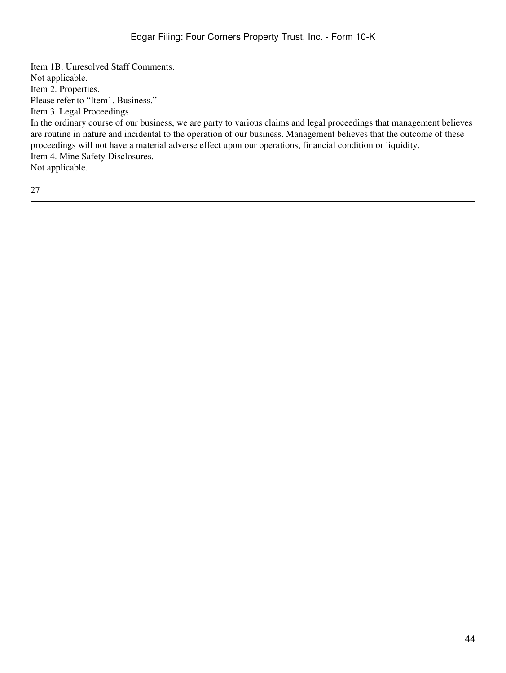Item 1B. Unresolved Staff Comments. Not applicable. Item 2. Properties. Please refer to "Item1. Business." Item 3. Legal Proceedings. In the ordinary course of our business, we are party to various claims and legal proceedings that management believes are routine in nature and incidental to the operation of our business. Management believes that the outcome of these proceedings will not have a material adverse effect upon our operations, financial condition or liquidity. Item 4. Mine Safety Disclosures. Not applicable.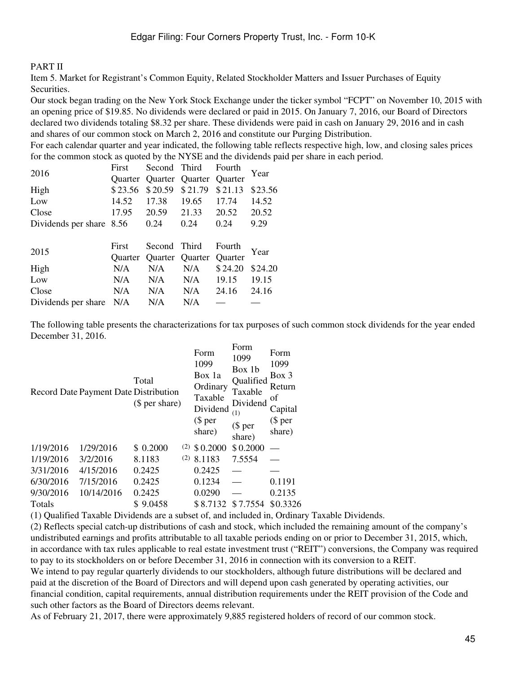#### PART II

Item 5. Market for Registrant's Common Equity, Related Stockholder Matters and Issuer Purchases of Equity Securities.

Our stock began trading on the New York Stock Exchange under the ticker symbol "FCPT" on November 10, 2015 with an opening price of \$19.85. No dividends were declared or paid in 2015. On January 7, 2016, our Board of Directors declared two dividends totaling \$8.32 per share. These dividends were paid in cash on January 29, 2016 and in cash and shares of our common stock on March 2, 2016 and constitute our Purging Distribution.

For each calendar quarter and year indicated, the following table reflects respective high, low, and closing sales prices for the common stock as quoted by the NYSE and the dividends paid per share in each period.

| 2016                     | First          | Second  | Third           | Fourth         | Year    |
|--------------------------|----------------|---------|-----------------|----------------|---------|
|                          | <b>Ouarter</b> |         | Quarter Quarter | <b>Ouarter</b> |         |
| High                     | \$23.56        | \$20.59 | \$21.79         | \$21.13        | \$23.56 |
| Low                      | 14.52          | 17.38   | 19.65           | 17.74          | 14.52   |
| Close                    | 17.95          | 20.59   | 21.33           | 20.52          | 20.52   |
| Dividends per share 8.56 |                | 0.24    | 0.24            | 0.24           | 9.29    |
|                          |                |         |                 |                |         |
|                          |                |         |                 |                |         |
|                          | First          | Second  | Third           | Fourth         |         |
| 2015                     | <b>Ouarter</b> |         | Quarter Quarter | Quarter        | Year    |
| High                     | N/A            | N/A     | N/A             | \$24.20        | \$24.20 |
| Low                      | N/A            | N/A     | N/A             | 19.15          | 19.15   |
| Close                    | N/A            | N/A     | N/A             | 24.16          | 24.16   |

The following table presents the characterizations for tax purposes of such common stock dividends for the year ended December 31, 2016.

|               | Record Date Payment Date Distribution | Total<br>(\$ per share) |     | Form<br>1099<br>Box 1a<br>Ordinary<br>Taxable<br>Dividend<br>$$$ per<br>share) | Form<br>1099<br>Box 1b<br>Qualified<br>Taxable<br>Dividend<br>(1)<br>$$$ per<br>share) | Form<br>1099<br>$Box$ 3<br>Return<br>οf<br>Capital<br>$$$ per<br>share) |
|---------------|---------------------------------------|-------------------------|-----|--------------------------------------------------------------------------------|----------------------------------------------------------------------------------------|-------------------------------------------------------------------------|
| 1/19/2016     | 1/29/2016                             | \$0.2000                | (2) | \$0.2000                                                                       | \$0.2000                                                                               |                                                                         |
| 1/19/2016     | 3/2/2016                              | 8.1183                  | (2) | 8.1183                                                                         | 7.5554                                                                                 |                                                                         |
| 3/31/2016     | 4/15/2016                             | 0.2425                  |     | 0.2425                                                                         |                                                                                        |                                                                         |
| 6/30/2016     | 7/15/2016                             | 0.2425                  |     | 0.1234                                                                         |                                                                                        | 0.1191                                                                  |
| 9/30/2016     | 10/14/2016                            | 0.2425                  |     | 0.0290                                                                         |                                                                                        | 0.2135                                                                  |
| <b>Totals</b> |                                       | \$9.0458                |     | \$8.7132                                                                       | \$7.7554                                                                               | \$0.3326                                                                |
|               |                                       |                         |     |                                                                                |                                                                                        |                                                                         |

(1) Qualified Taxable Dividends are a subset of, and included in, Ordinary Taxable Dividends.

(2) Reflects special catch-up distributions of cash and stock, which included the remaining amount of the company's undistributed earnings and profits attributable to all taxable periods ending on or prior to December 31, 2015, which, in accordance with tax rules applicable to real estate investment trust ("REIT") conversions, the Company was required to pay to its stockholders on or before December 31, 2016 in connection with its conversion to a REIT. We intend to pay regular quarterly dividends to our stockholders, although future distributions will be declared and paid at the discretion of the Board of Directors and will depend upon cash generated by operating activities, our financial condition, capital requirements, annual distribution requirements under the REIT provision of the Code and such other factors as the Board of Directors deems relevant.

As of February 21, 2017, there were approximately 9,885 registered holders of record of our common stock.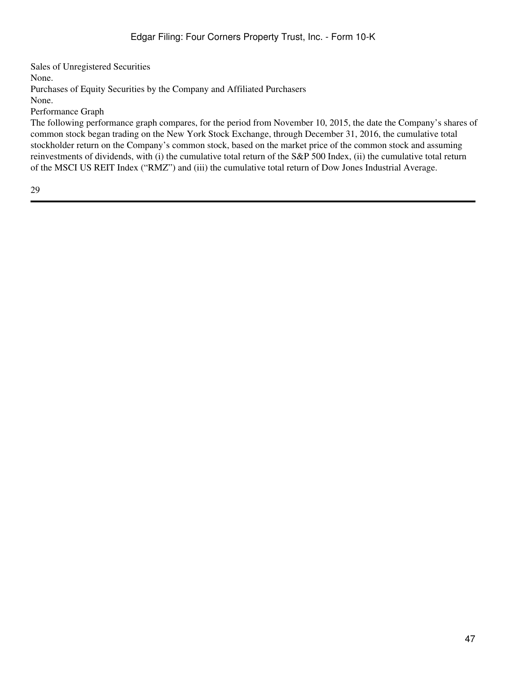Sales of Unregistered Securities None. Purchases of Equity Securities by the Company and Affiliated Purchasers None.

Performance Graph

The following performance graph compares, for the period from November 10, 2015, the date the Company's shares of common stock began trading on the New York Stock Exchange, through December 31, 2016, the cumulative total stockholder return on the Company's common stock, based on the market price of the common stock and assuming reinvestments of dividends, with (i) the cumulative total return of the S&P 500 Index, (ii) the cumulative total return of the MSCI US REIT Index ("RMZ") and (iii) the cumulative total return of Dow Jones Industrial Average.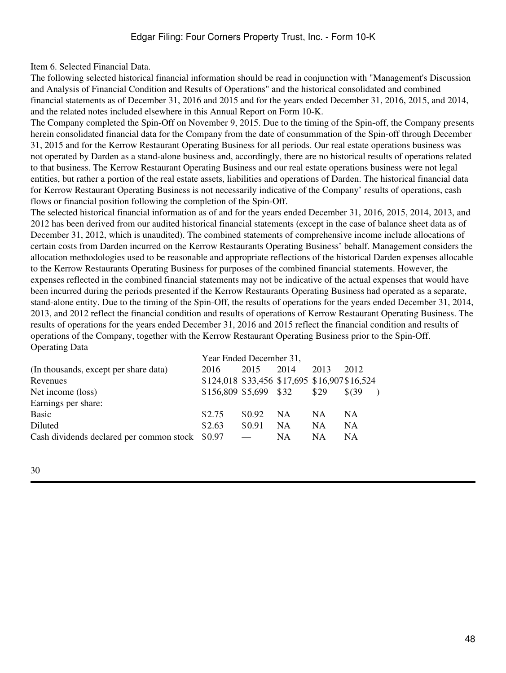Item 6. Selected Financial Data.

The following selected historical financial information should be read in conjunction with "Management's Discussion and Analysis of Financial Condition and Results of Operations" and the historical consolidated and combined financial statements as of December 31, 2016 and 2015 and for the years ended December 31, 2016, 2015, and 2014, and the related notes included elsewhere in this Annual Report on Form 10-K.

The Company completed the Spin-Off on November 9, 2015. Due to the timing of the Spin-off, the Company presents herein consolidated financial data for the Company from the date of consummation of the Spin-off through December 31, 2015 and for the Kerrow Restaurant Operating Business for all periods. Our real estate operations business was not operated by Darden as a stand-alone business and, accordingly, there are no historical results of operations related to that business. The Kerrow Restaurant Operating Business and our real estate operations business were not legal entities, but rather a portion of the real estate assets, liabilities and operations of Darden. The historical financial data for Kerrow Restaurant Operating Business is not necessarily indicative of the Company' results of operations, cash flows or financial position following the completion of the Spin-Off.

The selected historical financial information as of and for the years ended December 31, 2016, 2015, 2014, 2013, and 2012 has been derived from our audited historical financial statements (except in the case of balance sheet data as of December 31, 2012, which is unaudited). The combined statements of comprehensive income include allocations of certain costs from Darden incurred on the Kerrow Restaurants Operating Business' behalf. Management considers the allocation methodologies used to be reasonable and appropriate reflections of the historical Darden expenses allocable to the Kerrow Restaurants Operating Business for purposes of the combined financial statements. However, the expenses reflected in the combined financial statements may not be indicative of the actual expenses that would have been incurred during the periods presented if the Kerrow Restaurants Operating Business had operated as a separate, stand-alone entity. Due to the timing of the Spin-Off, the results of operations for the years ended December 31, 2014, 2013, and 2012 reflect the financial condition and results of operations of Kerrow Restaurant Operating Business. The results of operations for the years ended December 31, 2016 and 2015 reflect the financial condition and results of operations of the Company, together with the Kerrow Restaurant Operating Business prior to the Spin-Off. Operating Data

|                                                 | Year Ended December 31,                       |        |           |           |           |  |  |
|-------------------------------------------------|-----------------------------------------------|--------|-----------|-----------|-----------|--|--|
| (In thousands, except per share data)           | 2016                                          | 2015   | 2014      | 2013      | 2012      |  |  |
| Revenues                                        | \$124,018 \$33,456 \$17,695 \$16,907 \$16,524 |        |           |           |           |  |  |
| Net income (loss)                               | \$156,809 \$5,699 \$32                        |        |           | \$29      | \$639     |  |  |
| Earnings per share:                             |                                               |        |           |           |           |  |  |
| <b>Basic</b>                                    | \$2.75                                        | \$0.92 | <b>NA</b> | <b>NA</b> | <b>NA</b> |  |  |
| Diluted                                         | \$2.63                                        | \$0.91 | <b>NA</b> | <b>NA</b> | <b>NA</b> |  |  |
| Cash dividends declared per common stock \$0.97 |                                               |        | <b>NA</b> | NA        | <b>NA</b> |  |  |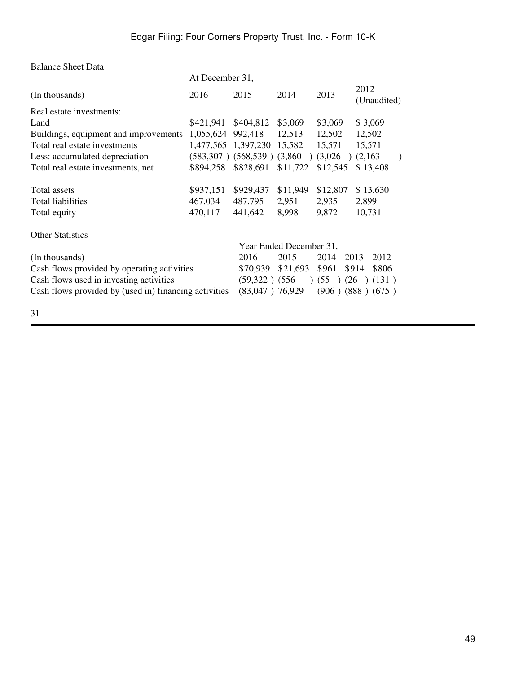| <b>Balance Sheet Data</b>                             |                   |                                   |                         |                               |                         |
|-------------------------------------------------------|-------------------|-----------------------------------|-------------------------|-------------------------------|-------------------------|
|                                                       | At December 31,   |                                   |                         |                               |                         |
| (In thousands)                                        | 2016              | 2015                              | 2014                    | 2013                          | 2012<br>(Unaudited)     |
| Real estate investments:                              |                   |                                   |                         |                               |                         |
| Land                                                  | \$421,941         | \$404,812                         | \$3,069                 | \$3,069                       | \$3,069                 |
| Buildings, equipment and improvements                 | 1,055,624 992,418 |                                   | 12,513                  | 12,502                        | 12,502                  |
| Total real estate investments                         |                   | 1,477,565 1,397,230               | 15,582                  | 15,571                        | 15,571                  |
| Less: accumulated depreciation                        |                   | $(583,307)$ $(568,539)$ $(3,860)$ |                         | (3,026)                       | (2,163)<br>$\lambda$    |
| Total real estate investments, net                    | \$894,258         | \$828,691                         | \$11,722                | \$12,545                      | \$13,408                |
| Total assets                                          | \$937,151         | \$929,437                         | \$11,949                | \$12,807                      | \$13,630                |
| <b>Total liabilities</b>                              | 467,034           | 487,795                           | 2,951                   | 2,935                         | 2,899                   |
| Total equity                                          | 470,117           | 441,642                           | 8,998                   | 9,872                         | 10,731                  |
| <b>Other Statistics</b>                               |                   |                                   |                         |                               |                         |
|                                                       |                   |                                   | Year Ended December 31, |                               |                         |
| (In thousands)                                        |                   | 2016                              | 2015                    | 2014                          | 2013<br>2012            |
| Cash flows provided by operating activities           |                   | \$70,939                          | \$21,693                | \$961                         | \$914<br>\$806          |
| Cash flows used in investing activities               |                   | $(59,322)$ $(556)$                |                         | (55)<br>(26)<br>$\rightarrow$ | (131)                   |
| Cash flows provided by (used in) financing activities |                   | $(83,047)$ 76,929                 |                         |                               | $(906)$ $(888)$ $(675)$ |
|                                                       |                   |                                   |                         |                               |                         |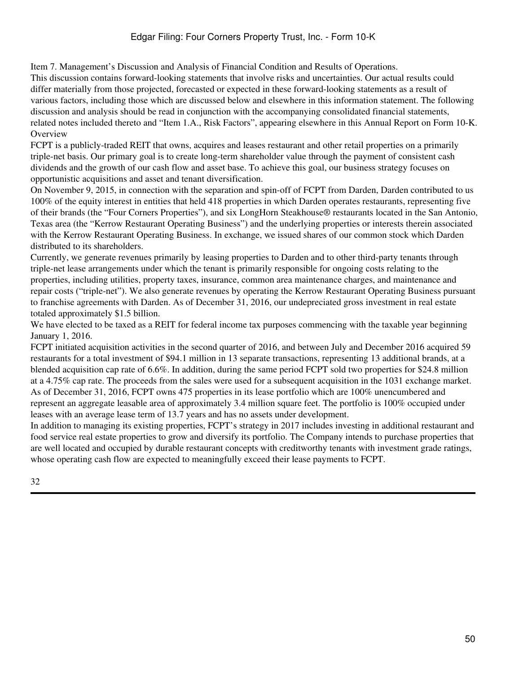# Edgar Filing: Four Corners Property Trust, Inc. - Form 10-K

Item 7. Management's Discussion and Analysis of Financial Condition and Results of Operations.

This discussion contains forward-looking statements that involve risks and uncertainties. Our actual results could differ materially from those projected, forecasted or expected in these forward-looking statements as a result of various factors, including those which are discussed below and elsewhere in this information statement. The following discussion and analysis should be read in conjunction with the accompanying consolidated financial statements, related notes included thereto and "Item 1.A., Risk Factors", appearing elsewhere in this Annual Report on Form 10-K. **Overview** 

FCPT is a publicly-traded REIT that owns, acquires and leases restaurant and other retail properties on a primarily triple-net basis. Our primary goal is to create long-term shareholder value through the payment of consistent cash dividends and the growth of our cash flow and asset base. To achieve this goal, our business strategy focuses on opportunistic acquisitions and asset and tenant diversification.

On November 9, 2015, in connection with the separation and spin-off of FCPT from Darden, Darden contributed to us 100% of the equity interest in entities that held 418 properties in which Darden operates restaurants, representing five of their brands (the "Four Corners Properties"), and six LongHorn Steakhouse® restaurants located in the San Antonio, Texas area (the "Kerrow Restaurant Operating Business") and the underlying properties or interests therein associated with the Kerrow Restaurant Operating Business. In exchange, we issued shares of our common stock which Darden distributed to its shareholders.

Currently, we generate revenues primarily by leasing properties to Darden and to other third-party tenants through triple-net lease arrangements under which the tenant is primarily responsible for ongoing costs relating to the properties, including utilities, property taxes, insurance, common area maintenance charges, and maintenance and repair costs ("triple-net"). We also generate revenues by operating the Kerrow Restaurant Operating Business pursuant to franchise agreements with Darden. As of December 31, 2016, our undepreciated gross investment in real estate totaled approximately \$1.5 billion.

We have elected to be taxed as a REIT for federal income tax purposes commencing with the taxable year beginning January 1, 2016.

FCPT initiated acquisition activities in the second quarter of 2016, and between July and December 2016 acquired 59 restaurants for a total investment of \$94.1 million in 13 separate transactions, representing 13 additional brands, at a blended acquisition cap rate of 6.6%. In addition, during the same period FCPT sold two properties for \$24.8 million at a 4.75% cap rate. The proceeds from the sales were used for a subsequent acquisition in the 1031 exchange market. As of December 31, 2016, FCPT owns 475 properties in its lease portfolio which are 100% unencumbered and represent an aggregate leasable area of approximately 3.4 million square feet. The portfolio is 100% occupied under leases with an average lease term of 13.7 years and has no assets under development.

In addition to managing its existing properties, FCPT's strategy in 2017 includes investing in additional restaurant and food service real estate properties to grow and diversify its portfolio. The Company intends to purchase properties that are well located and occupied by durable restaurant concepts with creditworthy tenants with investment grade ratings, whose operating cash flow are expected to meaningfully exceed their lease payments to FCPT.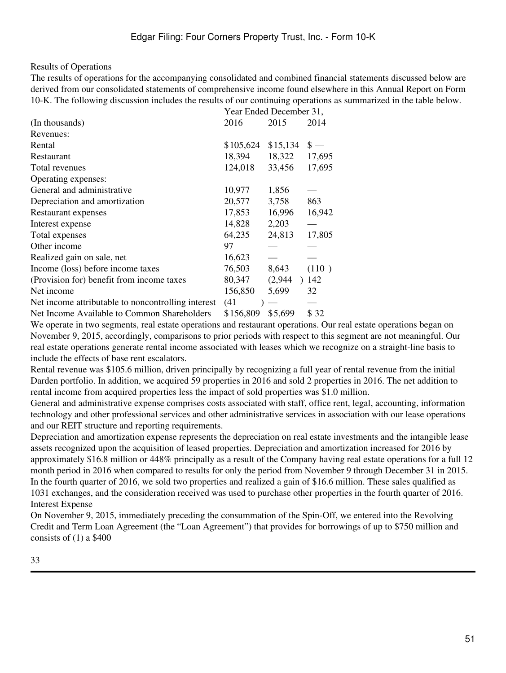#### Results of Operations

The results of operations for the accompanying consolidated and combined financial statements discussed below are derived from our consolidated statements of comprehensive income found elsewhere in this Annual Report on Form 10-K. The following discussion includes the results of our continuing operations as summarized in the table below.

|                                                    | Year Ended December 31, |          |        |  |  |  |
|----------------------------------------------------|-------------------------|----------|--------|--|--|--|
| (In thousands)                                     | 2016                    | 2015     | 2014   |  |  |  |
| Revenues:                                          |                         |          |        |  |  |  |
| Rental                                             | \$105,624               | \$15,134 | $s -$  |  |  |  |
| Restaurant                                         | 18,394                  | 18,322   | 17,695 |  |  |  |
| Total revenues                                     | 124,018                 | 33,456   | 17,695 |  |  |  |
| Operating expenses:                                |                         |          |        |  |  |  |
| General and administrative                         | 10,977                  | 1,856    |        |  |  |  |
| Depreciation and amortization                      | 20,577                  | 3,758    | 863    |  |  |  |
| Restaurant expenses                                | 17,853                  | 16,996   | 16,942 |  |  |  |
| Interest expense                                   | 14,828                  | 2,203    |        |  |  |  |
| Total expenses                                     | 64,235                  | 24,813   | 17,805 |  |  |  |
| Other income                                       | 97                      |          |        |  |  |  |
| Realized gain on sale, net                         | 16,623                  |          |        |  |  |  |
| Income (loss) before income taxes                  | 76,503                  | 8,643    | (110)  |  |  |  |
| (Provision for) benefit from income taxes          | 80,347                  | (2,944)  | 142    |  |  |  |
| Net income                                         | 156,850                 | 5,699    | 32     |  |  |  |
| Net income attributable to noncontrolling interest | (41)                    |          |        |  |  |  |
| Net Income Available to Common Shareholders        | \$156,809               | \$5,699  | \$ 32  |  |  |  |

We operate in two segments, real estate operations and restaurant operations. Our real estate operations began on November 9, 2015, accordingly, comparisons to prior periods with respect to this segment are not meaningful. Our real estate operations generate rental income associated with leases which we recognize on a straight-line basis to include the effects of base rent escalators.

Rental revenue was \$105.6 million, driven principally by recognizing a full year of rental revenue from the initial Darden portfolio. In addition, we acquired 59 properties in 2016 and sold 2 properties in 2016. The net addition to rental income from acquired properties less the impact of sold properties was \$1.0 million.

General and administrative expense comprises costs associated with staff, office rent, legal, accounting, information technology and other professional services and other administrative services in association with our lease operations and our REIT structure and reporting requirements.

Depreciation and amortization expense represents the depreciation on real estate investments and the intangible lease assets recognized upon the acquisition of leased properties. Depreciation and amortization increased for 2016 by approximately \$16.8 million or 448% principally as a result of the Company having real estate operations for a full 12 month period in 2016 when compared to results for only the period from November 9 through December 31 in 2015. In the fourth quarter of 2016, we sold two properties and realized a gain of \$16.6 million. These sales qualified as 1031 exchanges, and the consideration received was used to purchase other properties in the fourth quarter of 2016. Interest Expense

On November 9, 2015, immediately preceding the consummation of the Spin-Off, we entered into the Revolving Credit and Term Loan Agreement (the "Loan Agreement") that provides for borrowings of up to \$750 million and consists of (1) a \$400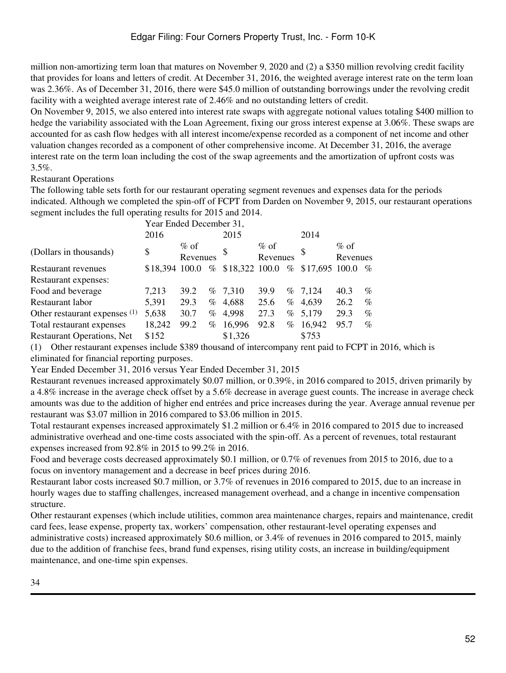million non-amortizing term loan that matures on November 9, 2020 and (2) a \$350 million revolving credit facility that provides for loans and letters of credit. At December 31, 2016, the weighted average interest rate on the term loan was 2.36%. As of December 31, 2016, there were \$45.0 million of outstanding borrowings under the revolving credit facility with a weighted average interest rate of 2.46% and no outstanding letters of credit.

On November 9, 2015, we also entered into interest rate swaps with aggregate notional values totaling \$400 million to hedge the variability associated with the Loan Agreement, fixing our gross interest expense at 3.06%. These swaps are accounted for as cash flow hedges with all interest income/expense recorded as a component of net income and other valuation changes recorded as a component of other comprehensive income. At December 31, 2016, the average interest rate on the term loan including the cost of the swap agreements and the amortization of upfront costs was 3.5%.

### Restaurant Operations

The following table sets forth for our restaurant operating segment revenues and expenses data for the periods indicated. Although we completed the spin-off of FCPT from Darden on November 9, 2015, our restaurant operations segment includes the full operating results for 2015 and 2014.

| Year Ended December 31, |         |                |          |                     |                |          |                     |                |
|-------------------------|---------|----------------|----------|---------------------|----------------|----------|---------------------|----------------|
| 2016                    |         |                | 2015     |                     |                | 2014     |                     |                |
| \$                      | $\%$ of |                | \$       | $\%$ of             |                | \$       | $\%$ of<br>Revenues |                |
|                         |         | %              |          |                     | $\%$           |          |                     | $\%$           |
|                         |         |                |          |                     |                |          |                     |                |
| 7,213                   | 39.2    |                |          | 39.9                |                |          | 40.3                | $\%$           |
| 5,391                   | 29.3    | %              |          | 25.6                | %              | 4,639    | 26.2                | $\%$           |
| 5,638                   | 30.7    | $\%$           | 4,998    | 27.3                | %              |          | 29.3                | $\%$           |
| 18,242                  | 99.2    | %              | 16,996   | 92.8                | %              | 16,942   | 95.7                | $\%$           |
| \$152                   |         |                | \$1,326  |                     |                | \$753    |                     |                |
|                         |         | \$18,394 100.0 | Revenues | $\%$ 7,310<br>4,688 | \$18,322 100.0 | Revenues | $\%$ 7,124<br>5,179 | \$17,695 100.0 |

(1) Other restaurant expenses include \$389 thousand of intercompany rent paid to FCPT in 2016, which is eliminated for financial reporting purposes.

Year Ended December 31, 2016 versus Year Ended December 31, 2015

Restaurant revenues increased approximately \$0.07 million, or 0.39%, in 2016 compared to 2015, driven primarily by a 4.8% increase in the average check offset by a 5.6% decrease in average guest counts. The increase in average check amounts was due to the addition of higher end entrées and price increases during the year. Average annual revenue per restaurant was \$3.07 million in 2016 compared to \$3.06 million in 2015.

Total restaurant expenses increased approximately \$1.2 million or 6.4% in 2016 compared to 2015 due to increased administrative overhead and one-time costs associated with the spin-off. As a percent of revenues, total restaurant expenses increased from 92.8% in 2015 to 99.2% in 2016.

Food and beverage costs decreased approximately \$0.1 million, or 0.7% of revenues from 2015 to 2016, due to a focus on inventory management and a decrease in beef prices during 2016.

Restaurant labor costs increased \$0.7 million, or 3.7% of revenues in 2016 compared to 2015, due to an increase in hourly wages due to staffing challenges, increased management overhead, and a change in incentive compensation structure.

Other restaurant expenses (which include utilities, common area maintenance charges, repairs and maintenance, credit card fees, lease expense, property tax, workers' compensation, other restaurant-level operating expenses and administrative costs) increased approximately \$0.6 million, or 3.4% of revenues in 2016 compared to 2015, mainly due to the addition of franchise fees, brand fund expenses, rising utility costs, an increase in building/equipment maintenance, and one-time spin expenses.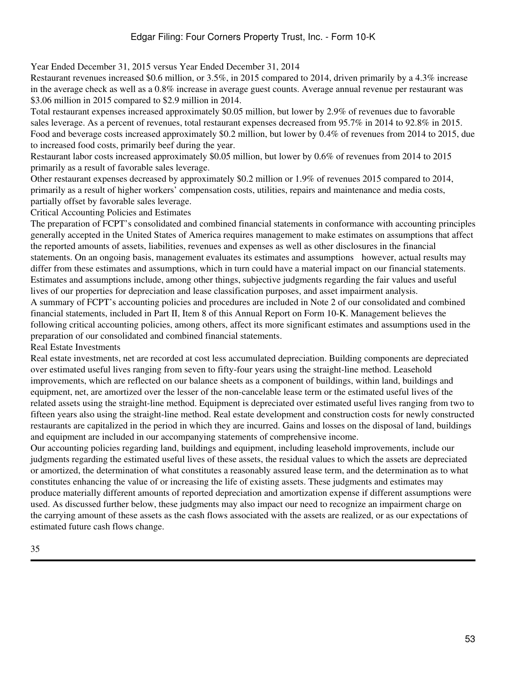Year Ended December 31, 2015 versus Year Ended December 31, 2014

Restaurant revenues increased \$0.6 million, or 3.5%, in 2015 compared to 2014, driven primarily by a 4.3% increase in the average check as well as a 0.8% increase in average guest counts. Average annual revenue per restaurant was \$3.06 million in 2015 compared to \$2.9 million in 2014.

Total restaurant expenses increased approximately \$0.05 million, but lower by 2.9% of revenues due to favorable sales leverage. As a percent of revenues, total restaurant expenses decreased from 95.7% in 2014 to 92.8% in 2015. Food and beverage costs increased approximately \$0.2 million, but lower by 0.4% of revenues from 2014 to 2015, due to increased food costs, primarily beef during the year.

Restaurant labor costs increased approximately \$0.05 million, but lower by 0.6% of revenues from 2014 to 2015 primarily as a result of favorable sales leverage.

Other restaurant expenses decreased by approximately \$0.2 million or 1.9% of revenues 2015 compared to 2014, primarily as a result of higher workers' compensation costs, utilities, repairs and maintenance and media costs, partially offset by favorable sales leverage.

Critical Accounting Policies and Estimates

The preparation of FCPT's consolidated and combined financial statements in conformance with accounting principles generally accepted in the United States of America requires management to make estimates on assumptions that affect the reported amounts of assets, liabilities, revenues and expenses as well as other disclosures in the financial statements. On an ongoing basis, management evaluates its estimates and assumptions however, actual results may differ from these estimates and assumptions, which in turn could have a material impact on our financial statements. Estimates and assumptions include, among other things, subjective judgments regarding the fair values and useful lives of our properties for depreciation and lease classification purposes, and asset impairment analysis. A summary of FCPT's accounting policies and procedures are included in Note 2 of our consolidated and combined financial statements, included in Part II, Item 8 of this Annual Report on Form 10-K. Management believes the following critical accounting policies, among others, affect its more significant estimates and assumptions used in the preparation of our consolidated and combined financial statements.

Real Estate Investments

Real estate investments, net are recorded at cost less accumulated depreciation. Building components are depreciated over estimated useful lives ranging from seven to fifty-four years using the straight-line method. Leasehold improvements, which are reflected on our balance sheets as a component of buildings, within land, buildings and equipment, net, are amortized over the lesser of the non-cancelable lease term or the estimated useful lives of the related assets using the straight-line method. Equipment is depreciated over estimated useful lives ranging from two to fifteen years also using the straight-line method. Real estate development and construction costs for newly constructed restaurants are capitalized in the period in which they are incurred. Gains and losses on the disposal of land, buildings and equipment are included in our accompanying statements of comprehensive income.

Our accounting policies regarding land, buildings and equipment, including leasehold improvements, include our judgments regarding the estimated useful lives of these assets, the residual values to which the assets are depreciated or amortized, the determination of what constitutes a reasonably assured lease term, and the determination as to what constitutes enhancing the value of or increasing the life of existing assets. These judgments and estimates may produce materially different amounts of reported depreciation and amortization expense if different assumptions were used. As discussed further below, these judgments may also impact our need to recognize an impairment charge on the carrying amount of these assets as the cash flows associated with the assets are realized, or as our expectations of estimated future cash flows change.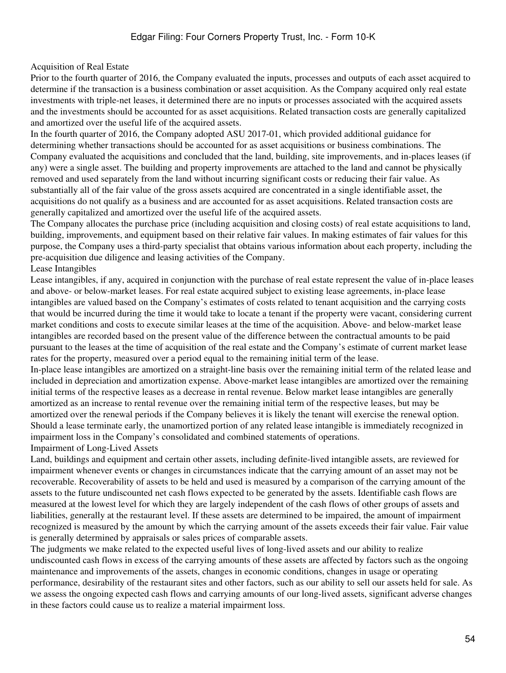#### Acquisition of Real Estate

Prior to the fourth quarter of 2016, the Company evaluated the inputs, processes and outputs of each asset acquired to determine if the transaction is a business combination or asset acquisition. As the Company acquired only real estate investments with triple-net leases, it determined there are no inputs or processes associated with the acquired assets and the investments should be accounted for as asset acquisitions. Related transaction costs are generally capitalized and amortized over the useful life of the acquired assets.

In the fourth quarter of 2016, the Company adopted ASU 2017-01, which provided additional guidance for determining whether transactions should be accounted for as asset acquisitions or business combinations. The Company evaluated the acquisitions and concluded that the land, building, site improvements, and in-places leases (if any) were a single asset. The building and property improvements are attached to the land and cannot be physically removed and used separately from the land without incurring significant costs or reducing their fair value. As substantially all of the fair value of the gross assets acquired are concentrated in a single identifiable asset, the acquisitions do not qualify as a business and are accounted for as asset acquisitions. Related transaction costs are generally capitalized and amortized over the useful life of the acquired assets.

The Company allocates the purchase price (including acquisition and closing costs) of real estate acquisitions to land, building, improvements, and equipment based on their relative fair values. In making estimates of fair values for this purpose, the Company uses a third-party specialist that obtains various information about each property, including the pre-acquisition due diligence and leasing activities of the Company.

#### Lease Intangibles

Lease intangibles, if any, acquired in conjunction with the purchase of real estate represent the value of in-place leases and above- or below-market leases. For real estate acquired subject to existing lease agreements, in-place lease intangibles are valued based on the Company's estimates of costs related to tenant acquisition and the carrying costs that would be incurred during the time it would take to locate a tenant if the property were vacant, considering current market conditions and costs to execute similar leases at the time of the acquisition. Above- and below-market lease intangibles are recorded based on the present value of the difference between the contractual amounts to be paid pursuant to the leases at the time of acquisition of the real estate and the Company's estimate of current market lease rates for the property, measured over a period equal to the remaining initial term of the lease.

In-place lease intangibles are amortized on a straight-line basis over the remaining initial term of the related lease and included in depreciation and amortization expense. Above-market lease intangibles are amortized over the remaining initial terms of the respective leases as a decrease in rental revenue. Below market lease intangibles are generally amortized as an increase to rental revenue over the remaining initial term of the respective leases, but may be amortized over the renewal periods if the Company believes it is likely the tenant will exercise the renewal option. Should a lease terminate early, the unamortized portion of any related lease intangible is immediately recognized in impairment loss in the Company's consolidated and combined statements of operations. Impairment of Long-Lived Assets

Land, buildings and equipment and certain other assets, including definite-lived intangible assets, are reviewed for impairment whenever events or changes in circumstances indicate that the carrying amount of an asset may not be recoverable. Recoverability of assets to be held and used is measured by a comparison of the carrying amount of the assets to the future undiscounted net cash flows expected to be generated by the assets. Identifiable cash flows are measured at the lowest level for which they are largely independent of the cash flows of other groups of assets and liabilities, generally at the restaurant level. If these assets are determined to be impaired, the amount of impairment recognized is measured by the amount by which the carrying amount of the assets exceeds their fair value. Fair value is generally determined by appraisals or sales prices of comparable assets.

The judgments we make related to the expected useful lives of long-lived assets and our ability to realize undiscounted cash flows in excess of the carrying amounts of these assets are affected by factors such as the ongoing maintenance and improvements of the assets, changes in economic conditions, changes in usage or operating performance, desirability of the restaurant sites and other factors, such as our ability to sell our assets held for sale. As we assess the ongoing expected cash flows and carrying amounts of our long-lived assets, significant adverse changes in these factors could cause us to realize a material impairment loss.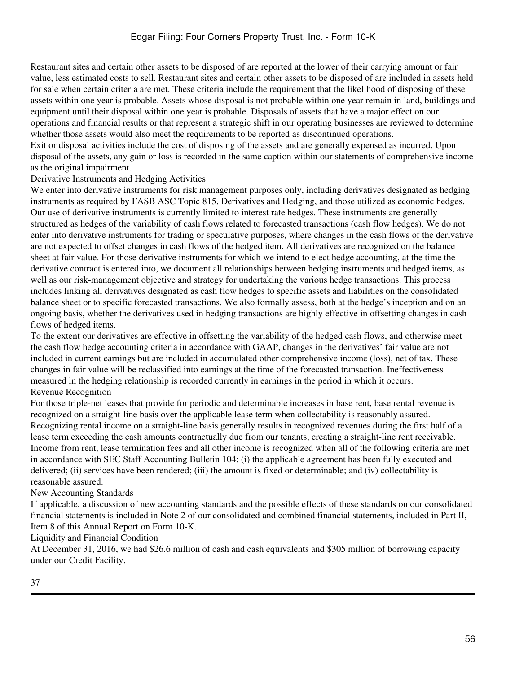Restaurant sites and certain other assets to be disposed of are reported at the lower of their carrying amount or fair value, less estimated costs to sell. Restaurant sites and certain other assets to be disposed of are included in assets held for sale when certain criteria are met. These criteria include the requirement that the likelihood of disposing of these assets within one year is probable. Assets whose disposal is not probable within one year remain in land, buildings and equipment until their disposal within one year is probable. Disposals of assets that have a major effect on our operations and financial results or that represent a strategic shift in our operating businesses are reviewed to determine whether those assets would also meet the requirements to be reported as discontinued operations.

Exit or disposal activities include the cost of disposing of the assets and are generally expensed as incurred. Upon disposal of the assets, any gain or loss is recorded in the same caption within our statements of comprehensive income as the original impairment.

### Derivative Instruments and Hedging Activities

We enter into derivative instruments for risk management purposes only, including derivatives designated as hedging instruments as required by FASB ASC Topic 815, Derivatives and Hedging, and those utilized as economic hedges. Our use of derivative instruments is currently limited to interest rate hedges. These instruments are generally structured as hedges of the variability of cash flows related to forecasted transactions (cash flow hedges). We do not enter into derivative instruments for trading or speculative purposes, where changes in the cash flows of the derivative are not expected to offset changes in cash flows of the hedged item. All derivatives are recognized on the balance sheet at fair value. For those derivative instruments for which we intend to elect hedge accounting, at the time the derivative contract is entered into, we document all relationships between hedging instruments and hedged items, as well as our risk-management objective and strategy for undertaking the various hedge transactions. This process includes linking all derivatives designated as cash flow hedges to specific assets and liabilities on the consolidated balance sheet or to specific forecasted transactions. We also formally assess, both at the hedge's inception and on an ongoing basis, whether the derivatives used in hedging transactions are highly effective in offsetting changes in cash flows of hedged items.

To the extent our derivatives are effective in offsetting the variability of the hedged cash flows, and otherwise meet the cash flow hedge accounting criteria in accordance with GAAP, changes in the derivatives' fair value are not included in current earnings but are included in accumulated other comprehensive income (loss), net of tax. These changes in fair value will be reclassified into earnings at the time of the forecasted transaction. Ineffectiveness measured in the hedging relationship is recorded currently in earnings in the period in which it occurs. Revenue Recognition

For those triple-net leases that provide for periodic and determinable increases in base rent, base rental revenue is recognized on a straight-line basis over the applicable lease term when collectability is reasonably assured. Recognizing rental income on a straight-line basis generally results in recognized revenues during the first half of a lease term exceeding the cash amounts contractually due from our tenants, creating a straight-line rent receivable. Income from rent, lease termination fees and all other income is recognized when all of the following criteria are met in accordance with SEC Staff Accounting Bulletin 104: (i) the applicable agreement has been fully executed and delivered; (ii) services have been rendered; (iii) the amount is fixed or determinable; and (iv) collectability is reasonable assured.

## New Accounting Standards

If applicable, a discussion of new accounting standards and the possible effects of these standards on our consolidated financial statements is included in Note 2 of our consolidated and combined financial statements, included in Part II, Item 8 of this Annual Report on Form 10-K.

Liquidity and Financial Condition

At December 31, 2016, we had \$26.6 million of cash and cash equivalents and \$305 million of borrowing capacity under our Credit Facility.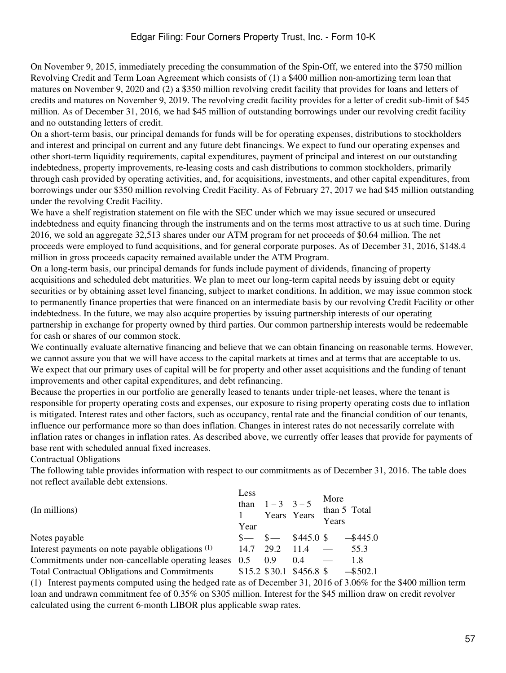On November 9, 2015, immediately preceding the consummation of the Spin-Off, we entered into the \$750 million Revolving Credit and Term Loan Agreement which consists of (1) a \$400 million non-amortizing term loan that matures on November 9, 2020 and (2) a \$350 million revolving credit facility that provides for loans and letters of credits and matures on November 9, 2019. The revolving credit facility provides for a letter of credit sub-limit of \$45 million. As of December 31, 2016, we had \$45 million of outstanding borrowings under our revolving credit facility and no outstanding letters of credit.

On a short-term basis, our principal demands for funds will be for operating expenses, distributions to stockholders and interest and principal on current and any future debt financings. We expect to fund our operating expenses and other short-term liquidity requirements, capital expenditures, payment of principal and interest on our outstanding indebtedness, property improvements, re-leasing costs and cash distributions to common stockholders, primarily through cash provided by operating activities, and, for acquisitions, investments, and other capital expenditures, from borrowings under our \$350 million revolving Credit Facility. As of February 27, 2017 we had \$45 million outstanding under the revolving Credit Facility.

We have a shelf registration statement on file with the SEC under which we may issue secured or unsecured indebtedness and equity financing through the instruments and on the terms most attractive to us at such time. During 2016, we sold an aggregate 32,513 shares under our ATM program for net proceeds of \$0.64 million. The net proceeds were employed to fund acquisitions, and for general corporate purposes. As of December 31, 2016, \$148.4 million in gross proceeds capacity remained available under the ATM Program.

On a long-term basis, our principal demands for funds include payment of dividends, financing of property acquisitions and scheduled debt maturities. We plan to meet our long-term capital needs by issuing debt or equity securities or by obtaining asset level financing, subject to market conditions. In addition, we may issue common stock to permanently finance properties that were financed on an intermediate basis by our revolving Credit Facility or other indebtedness. In the future, we may also acquire properties by issuing partnership interests of our operating partnership in exchange for property owned by third parties. Our common partnership interests would be redeemable for cash or shares of our common stock.

We continually evaluate alternative financing and believe that we can obtain financing on reasonable terms. However, we cannot assure you that we will have access to the capital markets at times and at terms that are acceptable to us. We expect that our primary uses of capital will be for property and other asset acquisitions and the funding of tenant improvements and other capital expenditures, and debt refinancing.

Because the properties in our portfolio are generally leased to tenants under triple-net leases, where the tenant is responsible for property operating costs and expenses, our exposure to rising property operating costs due to inflation is mitigated. Interest rates and other factors, such as occupancy, rental rate and the financial condition of our tenants, influence our performance more so than does inflation. Changes in interest rates do not necessarily correlate with inflation rates or changes in inflation rates. As described above, we currently offer leases that provide for payments of base rent with scheduled annual fixed increases.

### Contractual Obligations

The following table provides information with respect to our commitments as of December 31, 2016. The table does not reflect available debt extensions.

| (In millions)                                        | Less<br>than<br>Year | $1 - 3$ $3 - 5$ | Years Years               | More<br>Years | than 5 Total                                                                                                                |
|------------------------------------------------------|----------------------|-----------------|---------------------------|---------------|-----------------------------------------------------------------------------------------------------------------------------|
| Notes payable                                        |                      |                 |                           |               | $\frac{$}{-}\$ $\frac{$}{-}\$ $\frac{$445.0 \text{ }$\frac{6}{100} \text{}}$ $\frac{$445.0 \text{ }$\frac{6}{100} \text{}}$ |
| Interest payments on note payable obligations (1)    |                      | 14.7 29.2 11.4  |                           |               | 55.3                                                                                                                        |
| Commitments under non-cancellable operating leases   | 0.5                  | 0.9             | 0.4                       |               | 1.8                                                                                                                         |
| <b>Total Contractual Obligations and Commitments</b> |                      |                 | $$15.2$ \$30.1 \$456.8 \$ |               | $-$ \$502.1                                                                                                                 |

(1) Interest payments computed using the hedged rate as of December 31, 2016 of 3.06% for the \$400 million term loan and undrawn commitment fee of 0.35% on \$305 million. Interest for the \$45 million draw on credit revolver calculated using the current 6-month LIBOR plus applicable swap rates.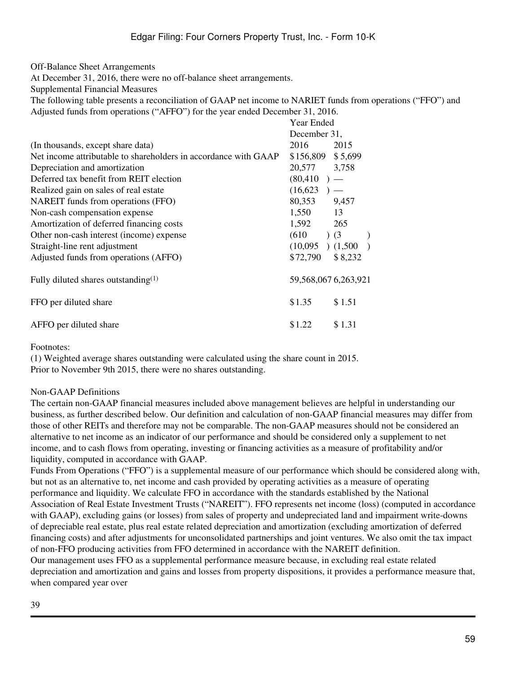Off-Balance Sheet Arrangements

At December 31, 2016, there were no off-balance sheet arrangements.

Supplemental Financial Measures

The following table presents a reconciliation of GAAP net income to NARIET funds from operations ("FFO") and Adjusted funds from operations ("AFFO") for the year ended December 31, 2016. Year Ended

|                                                                 | T var Eliuvu                          |  |  |  |  |
|-----------------------------------------------------------------|---------------------------------------|--|--|--|--|
|                                                                 | December 31,                          |  |  |  |  |
| (In thousands, except share data)                               | 2016<br>2015                          |  |  |  |  |
| Net income attributable to shareholders in accordance with GAAP | \$156,809 \$5,699                     |  |  |  |  |
| Depreciation and amortization                                   | 20,577<br>3,758                       |  |  |  |  |
| Deferred tax benefit from REIT election                         | $(80, 410)$ –                         |  |  |  |  |
| Realized gain on sales of real estate                           | (16, 623)<br>$\overline{\phantom{0}}$ |  |  |  |  |
| NAREIT funds from operations (FFO)                              | 80,353<br>9,457                       |  |  |  |  |
| Non-cash compensation expense                                   | 1,550<br>13                           |  |  |  |  |
| Amortization of deferred financing costs                        | 1,592<br>265                          |  |  |  |  |
| Other non-cash interest (income) expense                        | (610)<br>$\left(3\right)$             |  |  |  |  |
| Straight-line rent adjustment                                   | $(10,095)$ $(1,500)$                  |  |  |  |  |
| Adjusted funds from operations (AFFO)                           | \$72,790<br>\$8,232                   |  |  |  |  |
| Fully diluted shares outstanding $(1)$                          | 59,568,067 6,263,921                  |  |  |  |  |
| FFO per diluted share                                           | \$1.35<br>\$1.51                      |  |  |  |  |
| AFFO per diluted share                                          | \$1.22<br>\$1.31                      |  |  |  |  |

Footnotes:

(1) Weighted average shares outstanding were calculated using the share count in 2015. Prior to November 9th 2015, there were no shares outstanding.

### Non-GAAP Definitions

The certain non-GAAP financial measures included above management believes are helpful in understanding our business, as further described below. Our definition and calculation of non-GAAP financial measures may differ from those of other REITs and therefore may not be comparable. The non-GAAP measures should not be considered an alternative to net income as an indicator of our performance and should be considered only a supplement to net income, and to cash flows from operating, investing or financing activities as a measure of profitability and/or liquidity, computed in accordance with GAAP.

Funds From Operations ("FFO") is a supplemental measure of our performance which should be considered along with, but not as an alternative to, net income and cash provided by operating activities as a measure of operating performance and liquidity. We calculate FFO in accordance with the standards established by the National Association of Real Estate Investment Trusts ("NAREIT"). FFO represents net income (loss) (computed in accordance with GAAP), excluding gains (or losses) from sales of property and undepreciated land and impairment write-downs of depreciable real estate, plus real estate related depreciation and amortization (excluding amortization of deferred financing costs) and after adjustments for unconsolidated partnerships and joint ventures. We also omit the tax impact of non-FFO producing activities from FFO determined in accordance with the NAREIT definition. Our management uses FFO as a supplemental performance measure because, in excluding real estate related

depreciation and amortization and gains and losses from property dispositions, it provides a performance measure that, when compared year over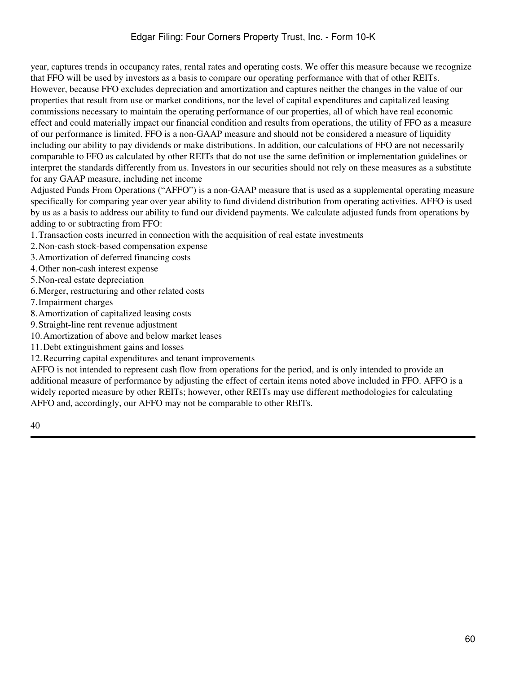year, captures trends in occupancy rates, rental rates and operating costs. We offer this measure because we recognize that FFO will be used by investors as a basis to compare our operating performance with that of other REITs. However, because FFO excludes depreciation and amortization and captures neither the changes in the value of our properties that result from use or market conditions, nor the level of capital expenditures and capitalized leasing commissions necessary to maintain the operating performance of our properties, all of which have real economic effect and could materially impact our financial condition and results from operations, the utility of FFO as a measure of our performance is limited. FFO is a non-GAAP measure and should not be considered a measure of liquidity including our ability to pay dividends or make distributions. In addition, our calculations of FFO are not necessarily comparable to FFO as calculated by other REITs that do not use the same definition or implementation guidelines or interpret the standards differently from us. Investors in our securities should not rely on these measures as a substitute for any GAAP measure, including net income

Adjusted Funds From Operations ("AFFO") is a non-GAAP measure that is used as a supplemental operating measure specifically for comparing year over year ability to fund dividend distribution from operating activities. AFFO is used by us as a basis to address our ability to fund our dividend payments. We calculate adjusted funds from operations by adding to or subtracting from FFO:

1.Transaction costs incurred in connection with the acquisition of real estate investments

2.Non-cash stock-based compensation expense

3.Amortization of deferred financing costs

4.Other non-cash interest expense

5.Non-real estate depreciation

6.Merger, restructuring and other related costs

7.Impairment charges

8.Amortization of capitalized leasing costs

9.Straight-line rent revenue adjustment

10.Amortization of above and below market leases

11.Debt extinguishment gains and losses

12.Recurring capital expenditures and tenant improvements

AFFO is not intended to represent cash flow from operations for the period, and is only intended to provide an additional measure of performance by adjusting the effect of certain items noted above included in FFO. AFFO is a widely reported measure by other REITs; however, other REITs may use different methodologies for calculating AFFO and, accordingly, our AFFO may not be comparable to other REITs.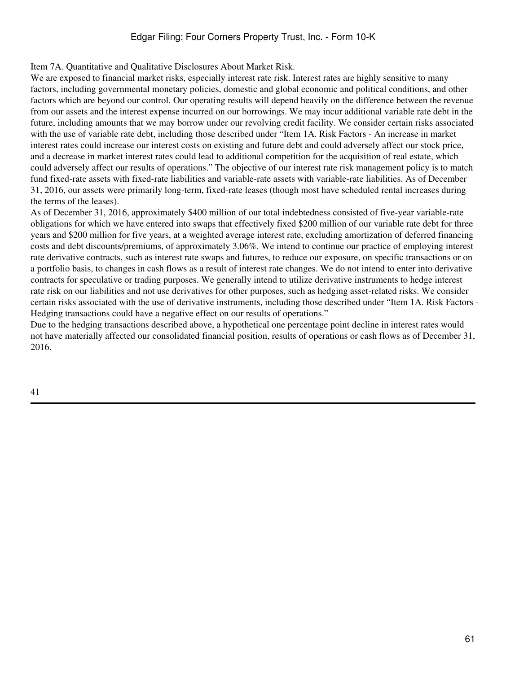## Edgar Filing: Four Corners Property Trust, Inc. - Form 10-K

Item 7A. Quantitative and Qualitative Disclosures About Market Risk.

We are exposed to financial market risks, especially interest rate risk. Interest rates are highly sensitive to many factors, including governmental monetary policies, domestic and global economic and political conditions, and other factors which are beyond our control. Our operating results will depend heavily on the difference between the revenue from our assets and the interest expense incurred on our borrowings. We may incur additional variable rate debt in the future, including amounts that we may borrow under our revolving credit facility. We consider certain risks associated with the use of variable rate debt, including those described under "Item 1A. Risk Factors - An increase in market interest rates could increase our interest costs on existing and future debt and could adversely affect our stock price, and a decrease in market interest rates could lead to additional competition for the acquisition of real estate, which could adversely affect our results of operations." The objective of our interest rate risk management policy is to match fund fixed-rate assets with fixed-rate liabilities and variable-rate assets with variable-rate liabilities. As of December 31, 2016, our assets were primarily long-term, fixed-rate leases (though most have scheduled rental increases during the terms of the leases).

As of December 31, 2016, approximately \$400 million of our total indebtedness consisted of five-year variable-rate obligations for which we have entered into swaps that effectively fixed \$200 million of our variable rate debt for three years and \$200 million for five years, at a weighted average interest rate, excluding amortization of deferred financing costs and debt discounts/premiums, of approximately 3.06%. We intend to continue our practice of employing interest rate derivative contracts, such as interest rate swaps and futures, to reduce our exposure, on specific transactions or on a portfolio basis, to changes in cash flows as a result of interest rate changes. We do not intend to enter into derivative contracts for speculative or trading purposes. We generally intend to utilize derivative instruments to hedge interest rate risk on our liabilities and not use derivatives for other purposes, such as hedging asset-related risks. We consider certain risks associated with the use of derivative instruments, including those described under "Item 1A. Risk Factors - Hedging transactions could have a negative effect on our results of operations."

Due to the hedging transactions described above, a hypothetical one percentage point decline in interest rates would not have materially affected our consolidated financial position, results of operations or cash flows as of December 31, 2016.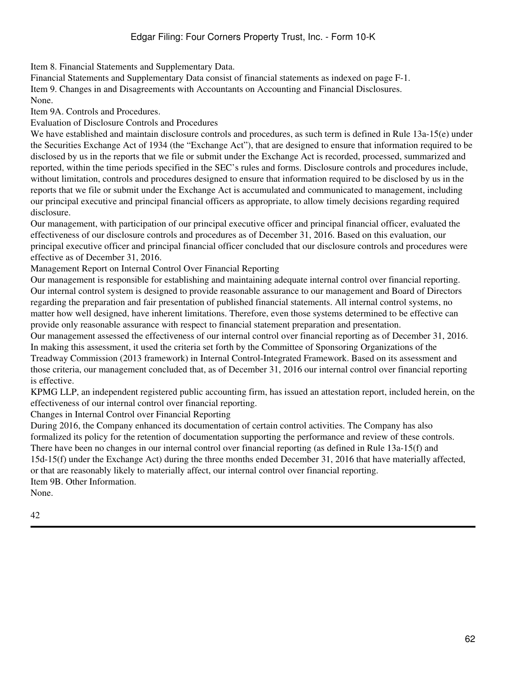Item 8. Financial Statements and Supplementary Data.

Financial Statements and Supplementary Data consist of financial statements as indexed on page F-1. Item 9. Changes in and Disagreements with Accountants on Accounting and Financial Disclosures. None.

Item 9A. Controls and Procedures.

Evaluation of Disclosure Controls and Procedures

We have established and maintain disclosure controls and procedures, as such term is defined in Rule 13a-15(e) under the Securities Exchange Act of 1934 (the "Exchange Act"), that are designed to ensure that information required to be disclosed by us in the reports that we file or submit under the Exchange Act is recorded, processed, summarized and reported, within the time periods specified in the SEC's rules and forms. Disclosure controls and procedures include, without limitation, controls and procedures designed to ensure that information required to be disclosed by us in the reports that we file or submit under the Exchange Act is accumulated and communicated to management, including our principal executive and principal financial officers as appropriate, to allow timely decisions regarding required disclosure.

Our management, with participation of our principal executive officer and principal financial officer, evaluated the effectiveness of our disclosure controls and procedures as of December 31, 2016. Based on this evaluation, our principal executive officer and principal financial officer concluded that our disclosure controls and procedures were effective as of December 31, 2016.

Management Report on Internal Control Over Financial Reporting

Our management is responsible for establishing and maintaining adequate internal control over financial reporting. Our internal control system is designed to provide reasonable assurance to our management and Board of Directors regarding the preparation and fair presentation of published financial statements. All internal control systems, no matter how well designed, have inherent limitations. Therefore, even those systems determined to be effective can provide only reasonable assurance with respect to financial statement preparation and presentation.

Our management assessed the effectiveness of our internal control over financial reporting as of December 31, 2016. In making this assessment, it used the criteria set forth by the Committee of Sponsoring Organizations of the Treadway Commission (2013 framework) in Internal Control-Integrated Framework. Based on its assessment and those criteria, our management concluded that, as of December 31, 2016 our internal control over financial reporting is effective.

KPMG LLP, an independent registered public accounting firm, has issued an attestation report, included herein, on the effectiveness of our internal control over financial reporting.

Changes in Internal Control over Financial Reporting

During 2016, the Company enhanced its documentation of certain control activities. The Company has also formalized its policy for the retention of documentation supporting the performance and review of these controls. There have been no changes in our internal control over financial reporting (as defined in Rule 13a-15(f) and 15d-15(f) under the Exchange Act) during the three months ended December 31, 2016 that have materially affected, or that are reasonably likely to materially affect, our internal control over financial reporting. Item 9B. Other Information.

None.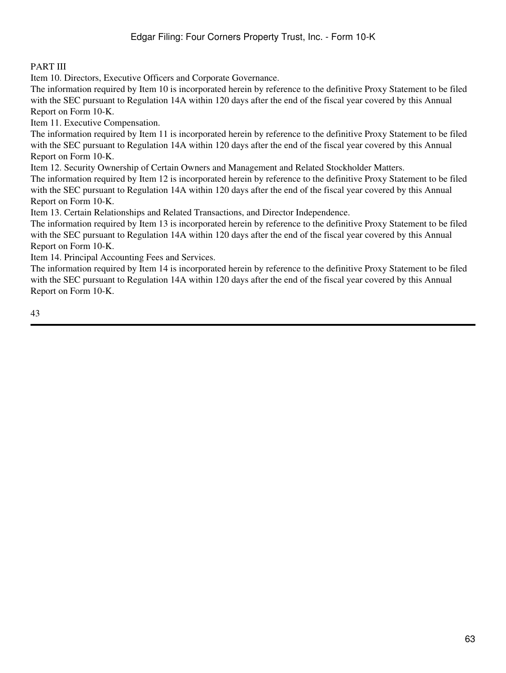# PART III

Item 10. Directors, Executive Officers and Corporate Governance.

The information required by Item 10 is incorporated herein by reference to the definitive Proxy Statement to be filed with the SEC pursuant to Regulation 14A within 120 days after the end of the fiscal year covered by this Annual Report on Form 10-K.

Item 11. Executive Compensation.

The information required by Item 11 is incorporated herein by reference to the definitive Proxy Statement to be filed with the SEC pursuant to Regulation 14A within 120 days after the end of the fiscal year covered by this Annual Report on Form 10-K.

Item 12. Security Ownership of Certain Owners and Management and Related Stockholder Matters.

The information required by Item 12 is incorporated herein by reference to the definitive Proxy Statement to be filed with the SEC pursuant to Regulation 14A within 120 days after the end of the fiscal year covered by this Annual Report on Form 10-K.

Item 13. Certain Relationships and Related Transactions, and Director Independence.

The information required by Item 13 is incorporated herein by reference to the definitive Proxy Statement to be filed with the SEC pursuant to Regulation 14A within 120 days after the end of the fiscal year covered by this Annual Report on Form 10-K.

Item 14. Principal Accounting Fees and Services.

The information required by Item 14 is incorporated herein by reference to the definitive Proxy Statement to be filed with the SEC pursuant to Regulation 14A within 120 days after the end of the fiscal year covered by this Annual Report on Form 10-K.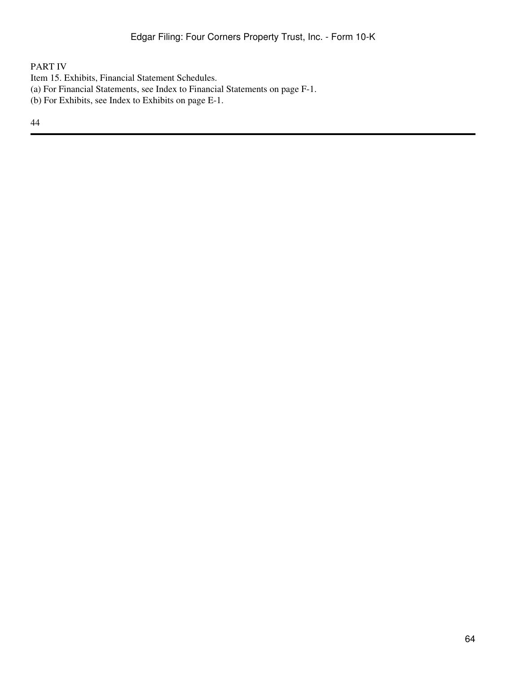# PART IV

- Item 15. Exhibits, Financial Statement Schedules.
- (a) For Financial Statements, see Index to Financial Statements on page F-1.
- (b) For Exhibits, see Index to Exhibits on page E-1.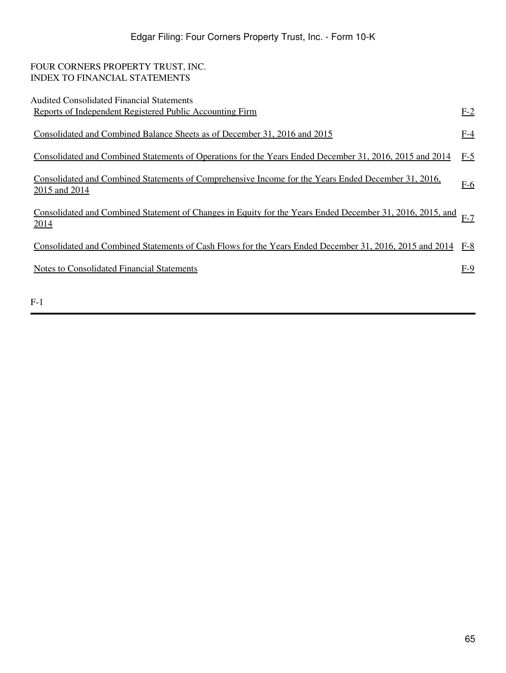| FOUR CORNERS PROPERTY TRUST, INC.                                                                             |       |
|---------------------------------------------------------------------------------------------------------------|-------|
| <b>INDEX TO FINANCIAL STATEMENTS</b>                                                                          |       |
|                                                                                                               |       |
| <b>Audited Consolidated Financial Statements</b>                                                              |       |
| Reports of Independent Registered Public Accounting Firm                                                      | $E-2$ |
|                                                                                                               |       |
| Consolidated and Combined Balance Sheets as of December 31, 2016 and 2015                                     | $F-4$ |
|                                                                                                               |       |
| Consolidated and Combined Statements of Operations for the Years Ended December 31, 2016, 2015 and 2014       | $F-5$ |
|                                                                                                               |       |
| Consolidated and Combined Statements of Comprehensive Income for the Years Ended December 31, 2016,           |       |
|                                                                                                               | $F-6$ |
| 2015 and 2014                                                                                                 |       |
|                                                                                                               |       |
| Consolidated and Combined Statement of Changes in Equity for the Years Ended December 31, 2016, 2015, and F-7 |       |
| 2014                                                                                                          |       |
|                                                                                                               |       |
| Consolidated and Combined Statements of Cash Flows for the Years Ended December 31, 2016, 2015 and 2014       | $F-8$ |
|                                                                                                               |       |
| <b>Notes to Consolidated Financial Statements</b>                                                             | $F-9$ |
|                                                                                                               |       |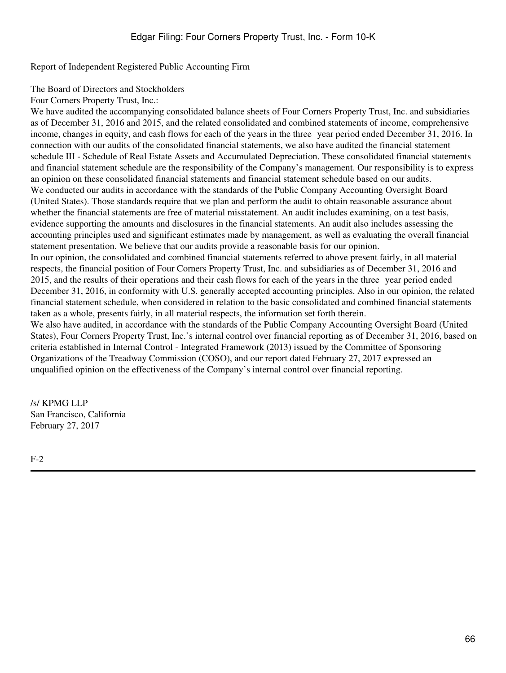<span id="page-65-0"></span>Report of Independent Registered Public Accounting Firm

The Board of Directors and Stockholders

Four Corners Property Trust, Inc.:

We have audited the accompanying consolidated balance sheets of Four Corners Property Trust, Inc. and subsidiaries as of December 31, 2016 and 2015, and the related consolidated and combined statements of income, comprehensive income, changes in equity, and cash flows for each of the years in the three vear period ended December 31, 2016. In connection with our audits of the consolidated financial statements, we also have audited the financial statement schedule III - Schedule of Real Estate Assets and Accumulated Depreciation. These consolidated financial statements and financial statement schedule are the responsibility of the Company's management. Our responsibility is to express an opinion on these consolidated financial statements and financial statement schedule based on our audits. We conducted our audits in accordance with the standards of the Public Company Accounting Oversight Board (United States). Those standards require that we plan and perform the audit to obtain reasonable assurance about whether the financial statements are free of material misstatement. An audit includes examining, on a test basis, evidence supporting the amounts and disclosures in the financial statements. An audit also includes assessing the accounting principles used and significant estimates made by management, as well as evaluating the overall financial statement presentation. We believe that our audits provide a reasonable basis for our opinion.

In our opinion, the consolidated and combined financial statements referred to above present fairly, in all material respects, the financial position of Four Corners Property Trust, Inc. and subsidiaries as of December 31, 2016 and 2015, and the results of their operations and their cash flows for each of the years in the three‑year period ended December 31, 2016, in conformity with U.S. generally accepted accounting principles. Also in our opinion, the related financial statement schedule, when considered in relation to the basic consolidated and combined financial statements taken as a whole, presents fairly, in all material respects, the information set forth therein.

We also have audited, in accordance with the standards of the Public Company Accounting Oversight Board (United States), Four Corners Property Trust, Inc.'s internal control over financial reporting as of December 31, 2016, based on criteria established in Internal Control - Integrated Framework (2013) issued by the Committee of Sponsoring Organizations of the Treadway Commission (COSO), and our report dated February 27, 2017 expressed an unqualified opinion on the effectiveness of the Company's internal control over financial reporting.

/s/ KPMG LLP San Francisco, California February 27, 2017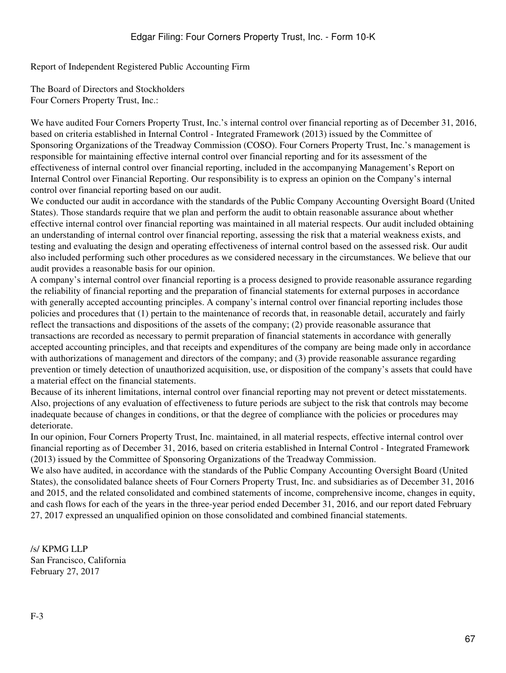Report of Independent Registered Public Accounting Firm

The Board of Directors and Stockholders Four Corners Property Trust, Inc.:

We have audited Four Corners Property Trust, Inc.'s internal control over financial reporting as of December 31, 2016, based on criteria established in Internal Control - Integrated Framework (2013) issued by the Committee of Sponsoring Organizations of the Treadway Commission (COSO). Four Corners Property Trust, Inc.'s management is responsible for maintaining effective internal control over financial reporting and for its assessment of the effectiveness of internal control over financial reporting, included in the accompanying Management's Report on Internal Control over Financial Reporting. Our responsibility is to express an opinion on the Company's internal control over financial reporting based on our audit.

We conducted our audit in accordance with the standards of the Public Company Accounting Oversight Board (United States). Those standards require that we plan and perform the audit to obtain reasonable assurance about whether effective internal control over financial reporting was maintained in all material respects. Our audit included obtaining an understanding of internal control over financial reporting, assessing the risk that a material weakness exists, and testing and evaluating the design and operating effectiveness of internal control based on the assessed risk. Our audit also included performing such other procedures as we considered necessary in the circumstances. We believe that our audit provides a reasonable basis for our opinion.

A company's internal control over financial reporting is a process designed to provide reasonable assurance regarding the reliability of financial reporting and the preparation of financial statements for external purposes in accordance with generally accepted accounting principles. A company's internal control over financial reporting includes those policies and procedures that (1) pertain to the maintenance of records that, in reasonable detail, accurately and fairly reflect the transactions and dispositions of the assets of the company; (2) provide reasonable assurance that transactions are recorded as necessary to permit preparation of financial statements in accordance with generally accepted accounting principles, and that receipts and expenditures of the company are being made only in accordance with authorizations of management and directors of the company; and (3) provide reasonable assurance regarding prevention or timely detection of unauthorized acquisition, use, or disposition of the company's assets that could have a material effect on the financial statements.

Because of its inherent limitations, internal control over financial reporting may not prevent or detect misstatements. Also, projections of any evaluation of effectiveness to future periods are subject to the risk that controls may become inadequate because of changes in conditions, or that the degree of compliance with the policies or procedures may deteriorate.

In our opinion, Four Corners Property Trust, Inc. maintained, in all material respects, effective internal control over financial reporting as of December 31, 2016, based on criteria established in Internal Control - Integrated Framework (2013) issued by the Committee of Sponsoring Organizations of the Treadway Commission.

We also have audited, in accordance with the standards of the Public Company Accounting Oversight Board (United States), the consolidated balance sheets of Four Corners Property Trust, Inc. and subsidiaries as of December 31, 2016 and 2015, and the related consolidated and combined statements of income, comprehensive income, changes in equity, and cash flows for each of the years in the three-year period ended December 31, 2016, and our report dated February 27, 2017 expressed an unqualified opinion on those consolidated and combined financial statements.

/s/ KPMG LLP San Francisco, California February 27, 2017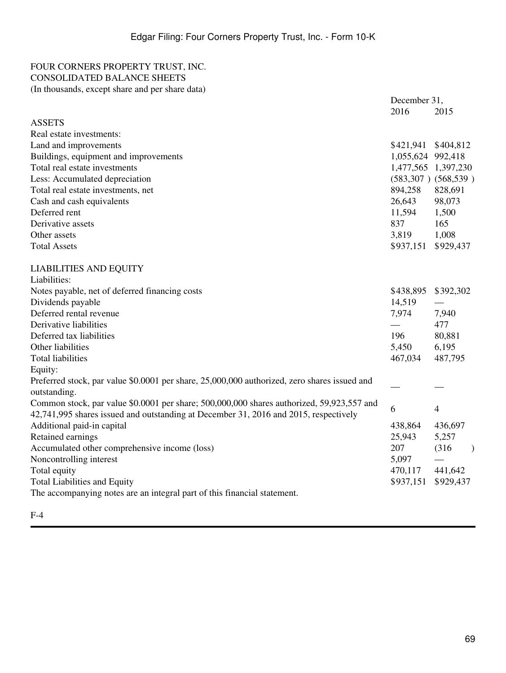### <span id="page-68-0"></span>FOUR CORNERS PROPERTY TRUST, INC. CONSOLIDATED BALANCE SHEETS (In thousands, except share and per share data)

|                                                                                              | December 31,        |                         |
|----------------------------------------------------------------------------------------------|---------------------|-------------------------|
|                                                                                              | 2016                | 2015                    |
| <b>ASSETS</b>                                                                                |                     |                         |
| Real estate investments:                                                                     |                     |                         |
| Land and improvements                                                                        | \$421,941 \$404,812 |                         |
| Buildings, equipment and improvements                                                        | 1,055,624 992,418   |                         |
| Total real estate investments                                                                |                     | 1,477,565 1,397,230     |
| Less: Accumulated depreciation                                                               |                     | $(583,307)$ $(568,539)$ |
| Total real estate investments, net                                                           | 894,258             | 828,691                 |
| Cash and cash equivalents                                                                    | 26,643              | 98,073                  |
| Deferred rent                                                                                | 11,594              | 1,500                   |
| Derivative assets                                                                            | 837                 | 165                     |
| Other assets                                                                                 | 3,819               | 1,008                   |
| <b>Total Assets</b>                                                                          | \$937,151 \$929,437 |                         |
| <b>LIABILITIES AND EQUITY</b>                                                                |                     |                         |
| Liabilities:                                                                                 |                     |                         |
| Notes payable, net of deferred financing costs                                               | \$438,895           | \$392,302               |
| Dividends payable                                                                            | 14,519              |                         |
| Deferred rental revenue                                                                      | 7,974               | 7,940                   |
| Derivative liabilities                                                                       |                     | 477                     |
| Deferred tax liabilities                                                                     | 196                 | 80,881                  |
| Other liabilities                                                                            | 5,450               | 6,195                   |
| <b>Total liabilities</b>                                                                     | 467,034             | 487,795                 |
| Equity:                                                                                      |                     |                         |
| Preferred stock, par value \$0.0001 per share, 25,000,000 authorized, zero shares issued and |                     |                         |
| outstanding.                                                                                 |                     |                         |
| Common stock, par value \$0.0001 per share; 500,000,000 shares authorized, 59,923,557 and    | 6                   | $\overline{4}$          |
| 42,741,995 shares issued and outstanding at December 31, 2016 and 2015, respectively         |                     |                         |
| Additional paid-in capital                                                                   | 438,864             | 436,697                 |
| Retained earnings                                                                            | 25,943              | 5,257                   |
| Accumulated other comprehensive income (loss)                                                | 207                 | (316)<br>$\mathcal{E}$  |
| Noncontrolling interest                                                                      | 5,097               |                         |
| Total equity                                                                                 | 470,117             | 441,642                 |
| <b>Total Liabilities and Equity</b>                                                          | \$937,151           | \$929,437               |
| The accompanying notes are an integral part of this financial statement.                     |                     |                         |
|                                                                                              |                     |                         |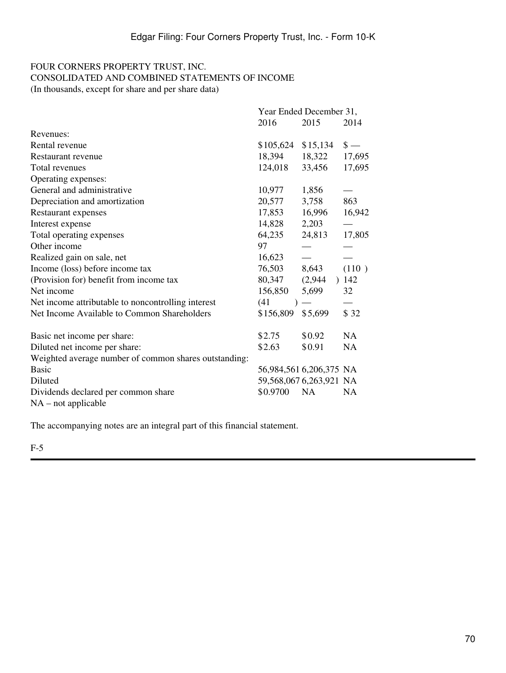## <span id="page-69-0"></span>FOUR CORNERS PROPERTY TRUST, INC. CONSOLIDATED AND COMBINED STATEMENTS OF INCOME (In thousands, except for share and per share data)

|                                                       | Year Ended December 31, |                          |               |  |  |
|-------------------------------------------------------|-------------------------|--------------------------|---------------|--|--|
|                                                       | 2016                    | 2015                     | 2014          |  |  |
| Revenues:                                             |                         |                          |               |  |  |
| Rental revenue                                        | \$105,624               | \$15,134                 | $\frac{1}{2}$ |  |  |
| Restaurant revenue                                    | 18,394                  | 18,322                   | 17,695        |  |  |
| Total revenues                                        | 124,018                 | 33,456                   | 17,695        |  |  |
| Operating expenses:                                   |                         |                          |               |  |  |
| General and administrative                            | 10,977                  | 1,856                    |               |  |  |
| Depreciation and amortization                         | 20,577                  | 3,758                    | 863           |  |  |
| Restaurant expenses                                   | 17,853                  | 16,996                   | 16,942        |  |  |
| Interest expense                                      | 14,828                  | 2,203                    |               |  |  |
| Total operating expenses                              | 64,235                  | 24,813                   | 17,805        |  |  |
| Other income                                          | 97                      |                          |               |  |  |
| Realized gain on sale, net                            | 16,623                  |                          |               |  |  |
| Income (loss) before income tax                       | 76,503                  | 8,643                    | (110)         |  |  |
| (Provision for) benefit from income tax               | 80,347                  | (2,944)                  | 142           |  |  |
| Net income                                            | 156,850                 | 5,699                    | 32            |  |  |
| Net income attributable to noncontrolling interest    | (41)                    | $\overline{\phantom{m}}$ |               |  |  |
| Net Income Available to Common Shareholders           | \$156,809               | \$5,699                  | \$32          |  |  |
| Basic net income per share:                           | \$2.75                  | \$0.92                   | NA            |  |  |
| Diluted net income per share:                         | \$2.63                  | \$0.91                   | <b>NA</b>     |  |  |
| Weighted average number of common shares outstanding: |                         |                          |               |  |  |
| <b>Basic</b>                                          | 56,984,561 6,206,375 NA |                          |               |  |  |
| Diluted                                               | 59,568,067 6,263,921 NA |                          |               |  |  |
| Dividends declared per common share                   | \$0.9700                | <b>NA</b>                | <b>NA</b>     |  |  |
| $NA$ – not applicable                                 |                         |                          |               |  |  |

The accompanying notes are an integral part of this financial statement.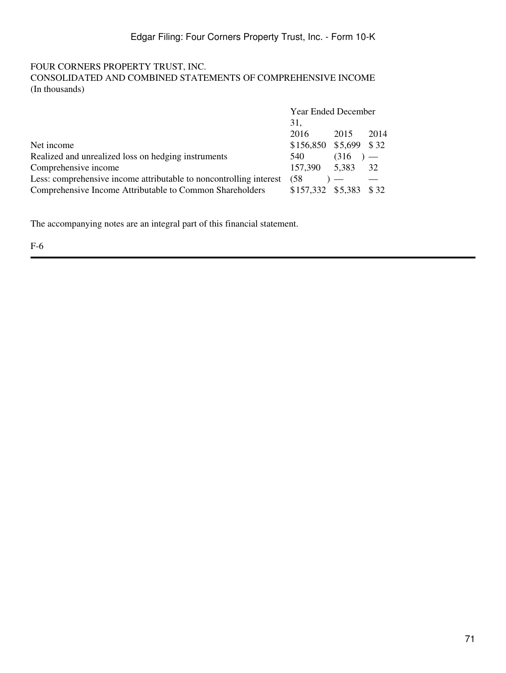### <span id="page-70-0"></span>FOUR CORNERS PROPERTY TRUST, INC. CONSOLIDATED AND COMBINED STATEMENTS OF COMPREHENSIVE INCOME (In thousands)

|                                                                    | Year Ended December    |       |       |  |
|--------------------------------------------------------------------|------------------------|-------|-------|--|
|                                                                    | 31,                    |       |       |  |
|                                                                    | 2016                   | 2015  | 2014  |  |
| Net income                                                         | \$156,850 \$5,699 \$32 |       |       |  |
| Realized and unrealized loss on hedging instruments                | 540                    | (316) | $)$ — |  |
| Comprehensive income                                               | 157,390 5,383 32       |       |       |  |
| Less: comprehensive income attributable to noncontrolling interest | (58)                   |       |       |  |
| Comprehensive Income Attributable to Common Shareholders           | \$157,332 \$5,383      |       | \$ 32 |  |

The accompanying notes are an integral part of this financial statement.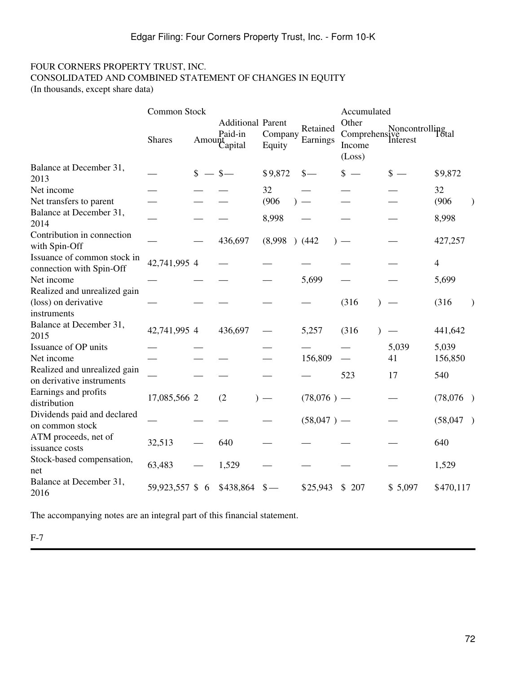### <span id="page-71-0"></span>FOUR CORNERS PROPERTY TRUST, INC. CONSOLIDATED AND COMBINED STATEMENT OF CHANGES IN EQUITY (In thousands, except share data)

|                                                                     | Common Stock    |              |                                               |                   |                      | Accumulated               |                                                 |                        |  |
|---------------------------------------------------------------------|-----------------|--------------|-----------------------------------------------|-------------------|----------------------|---------------------------|-------------------------------------------------|------------------------|--|
|                                                                     | <b>Shares</b>   |              | <b>Additional Parent</b><br>Paid-in<br>Amount | Company<br>Equity | Retained<br>Earnings | Other<br>Income<br>(Loss) | Comprehensive<br>Comprehensive<br>Interest<br>L |                        |  |
| Balance at December 31,<br>2013                                     |                 | $\mathbb{S}$ | $-$ \$                                        | \$9,872           | $\frac{\ }{s-}$      | $s -$                     | $\frac{1}{2}$                                   | \$9,872                |  |
| Net income                                                          |                 |              |                                               | 32                |                      |                           |                                                 | 32                     |  |
| Net transfers to parent                                             |                 |              |                                               | (906)             |                      |                           |                                                 | (906)<br>$\mathcal{E}$ |  |
| Balance at December 31,<br>2014                                     |                 |              |                                               | 8,998             |                      |                           |                                                 | 8,998                  |  |
| Contribution in connection<br>with Spin-Off                         |                 |              | 436,697                                       | $(8,998)$ $(442)$ |                      |                           |                                                 | 427,257                |  |
| Issuance of common stock in<br>connection with Spin-Off             | 42,741,995 4    |              |                                               |                   |                      |                           |                                                 | $\overline{4}$         |  |
| Net income                                                          |                 |              |                                               |                   | 5,699                |                           |                                                 | 5,699                  |  |
| Realized and unrealized gain<br>(loss) on derivative<br>instruments |                 |              |                                               |                   |                      | (316)                     |                                                 | (316)<br>$\lambda$     |  |
| Balance at December 31,<br>2015                                     | 42,741,995 4    |              | 436,697                                       |                   | 5,257                | (316)                     |                                                 | 441,642                |  |
| Issuance of OP units                                                |                 |              |                                               |                   |                      |                           | 5,039                                           | 5,039                  |  |
| Net income                                                          |                 |              |                                               |                   | 156,809              |                           | 41                                              | 156,850                |  |
| Realized and unrealized gain<br>on derivative instruments           |                 |              |                                               |                   |                      | 523                       | 17                                              | 540                    |  |
| Earnings and profits<br>distribution                                | 17,085,566 2    |              | (2)                                           | $)$ —             | $(78,076)$ —         |                           |                                                 | (78,076)               |  |
| Dividends paid and declared<br>on common stock                      |                 |              |                                               |                   | $(58,047)$ —         |                           |                                                 | (58,047)               |  |
| ATM proceeds, net of<br>issuance costs                              | 32,513          |              | 640                                           |                   |                      |                           |                                                 | 640                    |  |
| Stock-based compensation,<br>net                                    | 63,483          |              | 1,529                                         |                   |                      |                           |                                                 | 1,529                  |  |
| Balance at December 31,<br>2016                                     | 59,923,557 \$ 6 |              | \$438,864                                     | $\frac{1}{2}$     | \$25,943             | \$207                     | \$5,097                                         | \$470,117              |  |

The accompanying notes are an integral part of this financial statement.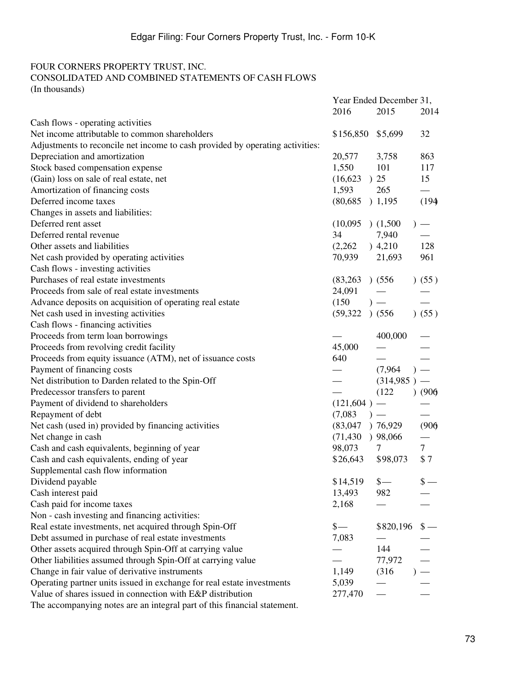# FOUR CORNERS PROPERTY TRUST, INC.

# CONSOLIDATED AND COMBINED STATEMENTS OF CASH FLOWS

(In thousands)

|                                                                               |                 | Year Ended December 31, |                                   |  |
|-------------------------------------------------------------------------------|-----------------|-------------------------|-----------------------------------|--|
|                                                                               | 2016            | 2015                    | 2014                              |  |
| Cash flows - operating activities                                             |                 |                         |                                   |  |
| Net income attributable to common shareholders                                | \$156,850       | \$5,699                 | 32                                |  |
| Adjustments to reconcile net income to cash provided by operating activities: |                 |                         |                                   |  |
| Depreciation and amortization                                                 | 20,577          | 3,758                   | 863                               |  |
| Stock based compensation expense                                              | 1,550           | 101                     | 117                               |  |
| (Gain) loss on sale of real estate, net                                       | (16,623)        | $\binom{25}{}$          | 15                                |  |
| Amortization of financing costs                                               | 1,593           | 265                     |                                   |  |
| Deferred income taxes                                                         | (80, 685)       | ) 1,195                 | (194)                             |  |
| Changes in assets and liabilities:                                            |                 |                         |                                   |  |
| Deferred rent asset                                                           | (10,095)        | (1,500)                 |                                   |  |
| Deferred rental revenue                                                       | 34              | 7,940                   |                                   |  |
| Other assets and liabilities                                                  | (2,262)         | ) 4,210                 | 128                               |  |
| Net cash provided by operating activities                                     | 70,939          | 21,693                  | 961                               |  |
| Cash flows - investing activities                                             |                 |                         |                                   |  |
| Purchases of real estate investments                                          | (83,263)        | (556)                   | (55)                              |  |
| Proceeds from sale of real estate investments                                 | 24,091          |                         |                                   |  |
| Advance deposits on acquisition of operating real estate                      | (150)           | $)$ —                   |                                   |  |
| Net cash used in investing activities                                         | (59, 322)       | (556)                   | (55)                              |  |
| Cash flows - financing activities                                             |                 |                         |                                   |  |
| Proceeds from term loan borrowings                                            |                 | 400,000                 |                                   |  |
| Proceeds from revolving credit facility                                       | 45,000          |                         |                                   |  |
| Proceeds from equity issuance (ATM), net of issuance costs                    | 640             |                         |                                   |  |
| Payment of financing costs                                                    |                 | (7,964)                 |                                   |  |
| Net distribution to Darden related to the Spin-Off                            |                 | (314,985)               |                                   |  |
| Predecessor transfers to parent                                               |                 | (122)                   | (906)                             |  |
| Payment of dividend to shareholders                                           | $(121,604)$ —   |                         |                                   |  |
| Repayment of debt                                                             | (7,083)         | $)$ —                   |                                   |  |
| Net cash (used in) provided by financing activities                           | (83,047)        | )76,929                 | (906)                             |  |
| Net change in cash                                                            | (71, 430)       | ) 98,066                |                                   |  |
| Cash and cash equivalents, beginning of year                                  | 98,073          | 7                       | $\tau$                            |  |
| Cash and cash equivalents, ending of year                                     | \$26,643        | \$98,073                | \$7                               |  |
| Supplemental cash flow information                                            |                 |                         |                                   |  |
| Dividend payable                                                              | \$14,519        | $\frac{1}{2}$           | $\frac{\mathsf{s}}{\mathsf{S}}$ — |  |
| Cash interest paid                                                            | 13,493          | 982                     |                                   |  |
| Cash paid for income taxes                                                    | 2,168           |                         |                                   |  |
| Non - cash investing and financing activities:                                |                 |                         |                                   |  |
| Real estate investments, net acquired through Spin-Off                        | $\frac{\ }{s-}$ | \$820,196               | $\frac{1}{2}$                     |  |
| Debt assumed in purchase of real estate investments                           | 7,083           |                         |                                   |  |
| Other assets acquired through Spin-Off at carrying value                      |                 | 144                     |                                   |  |
| Other liabilities assumed through Spin-Off at carrying value                  |                 | 77,972                  |                                   |  |
| Change in fair value of derivative instruments                                | 1,149           | (316)                   | $\frac{1}{1}$                     |  |
| Operating partner units issued in exchange for real estate investments        | 5,039           |                         |                                   |  |
| Value of shares issued in connection with E&P distribution                    | 277,470         |                         |                                   |  |
| The accompanying notes are an integral part of this financial statement.      |                 |                         |                                   |  |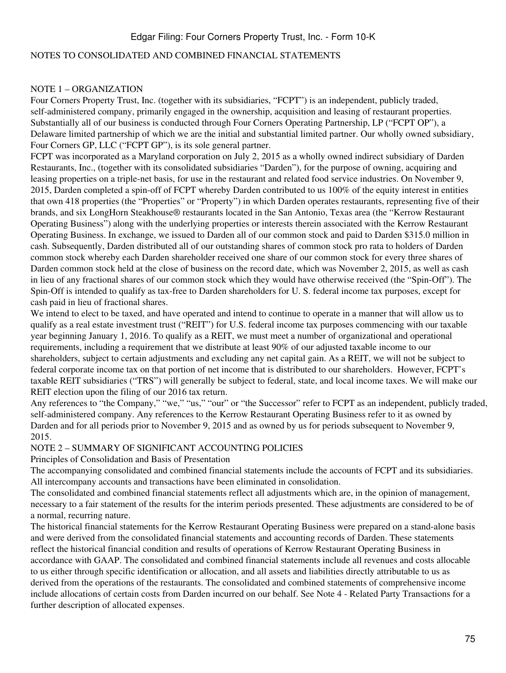#### NOTES TO CONSOLIDATED AND COMBINED FINANCIAL STATEMENTS

#### NOTE 1 – ORGANIZATION

Four Corners Property Trust, Inc. (together with its subsidiaries, "FCPT") is an independent, publicly traded, self-administered company, primarily engaged in the ownership, acquisition and leasing of restaurant properties. Substantially all of our business is conducted through Four Corners Operating Partnership, LP ("FCPT OP"), a Delaware limited partnership of which we are the initial and substantial limited partner. Our wholly owned subsidiary, Four Corners GP, LLC ("FCPT GP"), is its sole general partner.

FCPT was incorporated as a Maryland corporation on July 2, 2015 as a wholly owned indirect subsidiary of Darden Restaurants, Inc., (together with its consolidated subsidiaries "Darden"), for the purpose of owning, acquiring and leasing properties on a triple-net basis, for use in the restaurant and related food service industries. On November 9, 2015, Darden completed a spin-off of FCPT whereby Darden contributed to us 100% of the equity interest in entities that own 418 properties (the "Properties" or "Property") in which Darden operates restaurants, representing five of their brands, and six LongHorn Steakhouse® restaurants located in the San Antonio, Texas area (the "Kerrow Restaurant Operating Business") along with the underlying properties or interests therein associated with the Kerrow Restaurant Operating Business. In exchange, we issued to Darden all of our common stock and paid to Darden \$315.0 million in cash. Subsequently, Darden distributed all of our outstanding shares of common stock pro rata to holders of Darden common stock whereby each Darden shareholder received one share of our common stock for every three shares of Darden common stock held at the close of business on the record date, which was November 2, 2015, as well as cash in lieu of any fractional shares of our common stock which they would have otherwise received (the "Spin-Off"). The Spin-Off is intended to qualify as tax-free to Darden shareholders for U. S. federal income tax purposes, except for cash paid in lieu of fractional shares.

We intend to elect to be taxed, and have operated and intend to continue to operate in a manner that will allow us to qualify as a real estate investment trust ("REIT") for U.S. federal income tax purposes commencing with our taxable year beginning January 1, 2016. To qualify as a REIT, we must meet a number of organizational and operational requirements, including a requirement that we distribute at least 90% of our adjusted taxable income to our shareholders, subject to certain adjustments and excluding any net capital gain. As a REIT, we will not be subject to federal corporate income tax on that portion of net income that is distributed to our shareholders. However, FCPT's taxable REIT subsidiaries ("TRS") will generally be subject to federal, state, and local income taxes. We will make our REIT election upon the filing of our 2016 tax return.

Any references to "the Company," "we," "us," "our" or "the Successor" refer to FCPT as an independent, publicly traded, self-administered company. Any references to the Kerrow Restaurant Operating Business refer to it as owned by Darden and for all periods prior to November 9, 2015 and as owned by us for periods subsequent to November 9, 2015.

#### NOTE 2 – SUMMARY OF SIGNIFICANT ACCOUNTING POLICIES

#### Principles of Consolidation and Basis of Presentation

The accompanying consolidated and combined financial statements include the accounts of FCPT and its subsidiaries. All intercompany accounts and transactions have been eliminated in consolidation.

The consolidated and combined financial statements reflect all adjustments which are, in the opinion of management, necessary to a fair statement of the results for the interim periods presented. These adjustments are considered to be of a normal, recurring nature.

The historical financial statements for the Kerrow Restaurant Operating Business were prepared on a stand-alone basis and were derived from the consolidated financial statements and accounting records of Darden. These statements reflect the historical financial condition and results of operations of Kerrow Restaurant Operating Business in accordance with GAAP. The consolidated and combined financial statements include all revenues and costs allocable to us either through specific identification or allocation, and all assets and liabilities directly attributable to us as derived from the operations of the restaurants. The consolidated and combined statements of comprehensive income include allocations of certain costs from Darden incurred on our behalf. See Note 4 - Related Party Transactions for a further description of allocated expenses.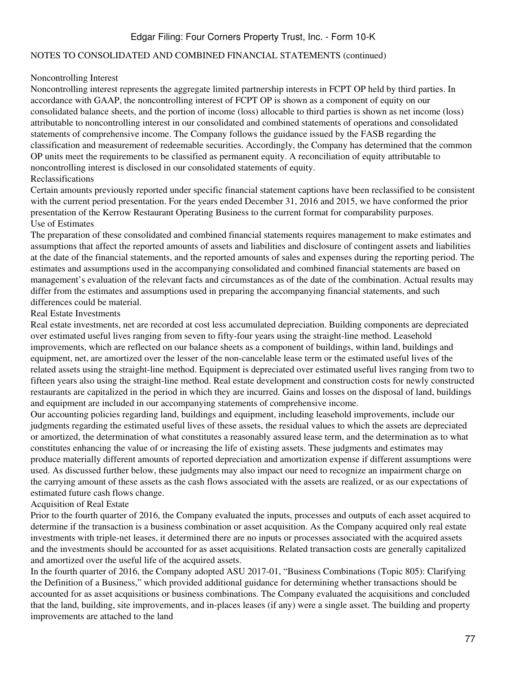#### NOTES TO CONSOLIDATED AND COMBINED FINANCIAL STATEMENTS (continued)

#### Noncontrolling Interest

Noncontrolling interest represents the aggregate limited partnership interests in FCPT OP held by third parties. In accordance with GAAP, the noncontrolling interest of FCPT OP is shown as a component of equity on our consolidated balance sheets, and the portion of income (loss) allocable to third parties is shown as net income (loss) attributable to noncontrolling interest in our consolidated and combined statements of operations and consolidated statements of comprehensive income. The Company follows the guidance issued by the FASB regarding the classification and measurement of redeemable securities. Accordingly, the Company has determined that the common OP units meet the requirements to be classified as permanent equity. A reconciliation of equity attributable to noncontrolling interest is disclosed in our consolidated statements of equity. Reclassifications

#### Certain amounts previously reported under specific financial statement captions have been reclassified to be consistent with the current period presentation. For the years ended December 31, 2016 and 2015, we have conformed the prior presentation of the Kerrow Restaurant Operating Business to the current format for comparability purposes. Use of Estimates

The preparation of these consolidated and combined financial statements requires management to make estimates and assumptions that affect the reported amounts of assets and liabilities and disclosure of contingent assets and liabilities at the date of the financial statements, and the reported amounts of sales and expenses during the reporting period. The estimates and assumptions used in the accompanying consolidated and combined financial statements are based on management's evaluation of the relevant facts and circumstances as of the date of the combination. Actual results may differ from the estimates and assumptions used in preparing the accompanying financial statements, and such differences could be material.

#### Real Estate Investments

Real estate investments, net are recorded at cost less accumulated depreciation. Building components are depreciated over estimated useful lives ranging from seven to fifty-four years using the straight-line method. Leasehold improvements, which are reflected on our balance sheets as a component of buildings, within land, buildings and equipment, net, are amortized over the lesser of the non-cancelable lease term or the estimated useful lives of the related assets using the straight-line method. Equipment is depreciated over estimated useful lives ranging from two to fifteen years also using the straight-line method. Real estate development and construction costs for newly constructed restaurants are capitalized in the period in which they are incurred. Gains and losses on the disposal of land, buildings and equipment are included in our accompanying statements of comprehensive income.

Our accounting policies regarding land, buildings and equipment, including leasehold improvements, include our judgments regarding the estimated useful lives of these assets, the residual values to which the assets are depreciated or amortized, the determination of what constitutes a reasonably assured lease term, and the determination as to what constitutes enhancing the value of or increasing the life of existing assets. These judgments and estimates may produce materially different amounts of reported depreciation and amortization expense if different assumptions were used. As discussed further below, these judgments may also impact our need to recognize an impairment charge on the carrying amount of these assets as the cash flows associated with the assets are realized, or as our expectations of estimated future cash flows change.

#### Acquisition of Real Estate

Prior to the fourth quarter of 2016, the Company evaluated the inputs, processes and outputs of each asset acquired to determine if the transaction is a business combination or asset acquisition. As the Company acquired only real estate investments with triple-net leases, it determined there are no inputs or processes associated with the acquired assets and the investments should be accounted for as asset acquisitions. Related transaction costs are generally capitalized and amortized over the useful life of the acquired assets.

In the fourth quarter of 2016, the Company adopted ASU 2017-01, "Business Combinations (Topic 805): Clarifying the Definition of a Business," which provided additional guidance for determining whether transactions should be accounted for as asset acquisitions or business combinations. The Company evaluated the acquisitions and concluded that the land, building, site improvements, and in-places leases (if any) were a single asset. The building and property improvements are attached to the land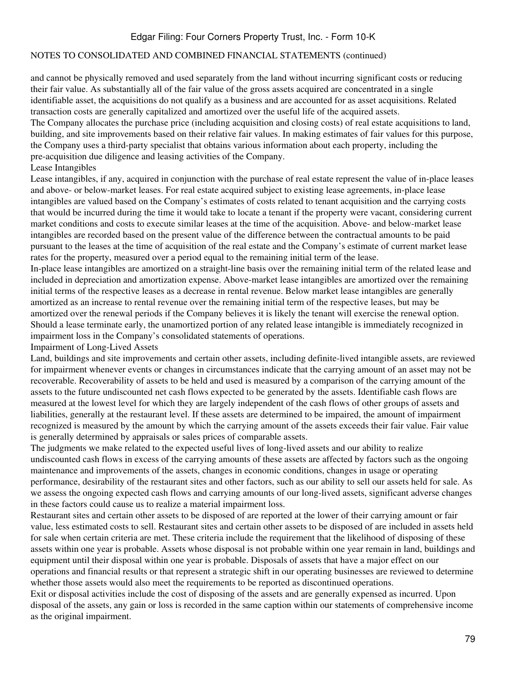#### NOTES TO CONSOLIDATED AND COMBINED FINANCIAL STATEMENTS (continued)

and cannot be physically removed and used separately from the land without incurring significant costs or reducing their fair value. As substantially all of the fair value of the gross assets acquired are concentrated in a single identifiable asset, the acquisitions do not qualify as a business and are accounted for as asset acquisitions. Related transaction costs are generally capitalized and amortized over the useful life of the acquired assets.

The Company allocates the purchase price (including acquisition and closing costs) of real estate acquisitions to land, building, and site improvements based on their relative fair values. In making estimates of fair values for this purpose, the Company uses a third-party specialist that obtains various information about each property, including the pre-acquisition due diligence and leasing activities of the Company.

### Lease Intangibles

Lease intangibles, if any, acquired in conjunction with the purchase of real estate represent the value of in-place leases and above- or below-market leases. For real estate acquired subject to existing lease agreements, in-place lease intangibles are valued based on the Company's estimates of costs related to tenant acquisition and the carrying costs that would be incurred during the time it would take to locate a tenant if the property were vacant, considering current market conditions and costs to execute similar leases at the time of the acquisition. Above- and below-market lease intangibles are recorded based on the present value of the difference between the contractual amounts to be paid pursuant to the leases at the time of acquisition of the real estate and the Company's estimate of current market lease rates for the property, measured over a period equal to the remaining initial term of the lease.

In-place lease intangibles are amortized on a straight-line basis over the remaining initial term of the related lease and included in depreciation and amortization expense. Above-market lease intangibles are amortized over the remaining initial terms of the respective leases as a decrease in rental revenue. Below market lease intangibles are generally amortized as an increase to rental revenue over the remaining initial term of the respective leases, but may be amortized over the renewal periods if the Company believes it is likely the tenant will exercise the renewal option. Should a lease terminate early, the unamortized portion of any related lease intangible is immediately recognized in impairment loss in the Company's consolidated statements of operations.

#### Impairment of Long-Lived Assets

Land, buildings and site improvements and certain other assets, including definite-lived intangible assets, are reviewed for impairment whenever events or changes in circumstances indicate that the carrying amount of an asset may not be recoverable. Recoverability of assets to be held and used is measured by a comparison of the carrying amount of the assets to the future undiscounted net cash flows expected to be generated by the assets. Identifiable cash flows are measured at the lowest level for which they are largely independent of the cash flows of other groups of assets and liabilities, generally at the restaurant level. If these assets are determined to be impaired, the amount of impairment recognized is measured by the amount by which the carrying amount of the assets exceeds their fair value. Fair value is generally determined by appraisals or sales prices of comparable assets.

The judgments we make related to the expected useful lives of long-lived assets and our ability to realize undiscounted cash flows in excess of the carrying amounts of these assets are affected by factors such as the ongoing maintenance and improvements of the assets, changes in economic conditions, changes in usage or operating performance, desirability of the restaurant sites and other factors, such as our ability to sell our assets held for sale. As we assess the ongoing expected cash flows and carrying amounts of our long-lived assets, significant adverse changes in these factors could cause us to realize a material impairment loss.

Restaurant sites and certain other assets to be disposed of are reported at the lower of their carrying amount or fair value, less estimated costs to sell. Restaurant sites and certain other assets to be disposed of are included in assets held for sale when certain criteria are met. These criteria include the requirement that the likelihood of disposing of these assets within one year is probable. Assets whose disposal is not probable within one year remain in land, buildings and equipment until their disposal within one year is probable. Disposals of assets that have a major effect on our operations and financial results or that represent a strategic shift in our operating businesses are reviewed to determine whether those assets would also meet the requirements to be reported as discontinued operations.

Exit or disposal activities include the cost of disposing of the assets and are generally expensed as incurred. Upon disposal of the assets, any gain or loss is recorded in the same caption within our statements of comprehensive income as the original impairment.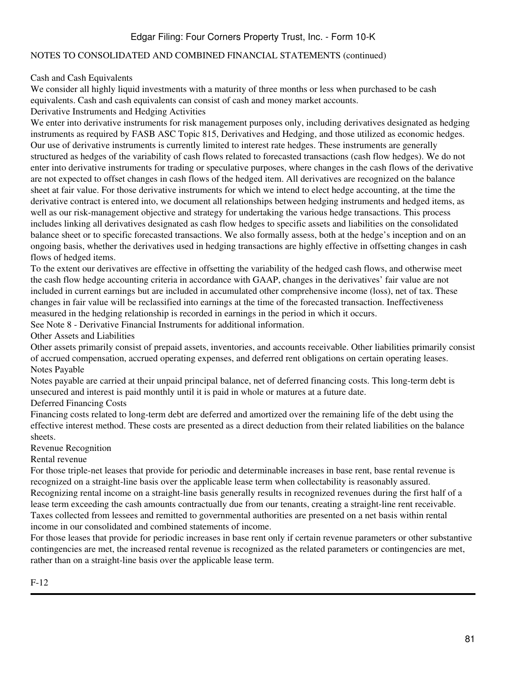#### NOTES TO CONSOLIDATED AND COMBINED FINANCIAL STATEMENTS (continued)

Cash and Cash Equivalents

We consider all highly liquid investments with a maturity of three months or less when purchased to be cash equivalents. Cash and cash equivalents can consist of cash and money market accounts.

Derivative Instruments and Hedging Activities

We enter into derivative instruments for risk management purposes only, including derivatives designated as hedging instruments as required by FASB ASC Topic 815, Derivatives and Hedging, and those utilized as economic hedges. Our use of derivative instruments is currently limited to interest rate hedges. These instruments are generally structured as hedges of the variability of cash flows related to forecasted transactions (cash flow hedges). We do not enter into derivative instruments for trading or speculative purposes, where changes in the cash flows of the derivative are not expected to offset changes in cash flows of the hedged item. All derivatives are recognized on the balance sheet at fair value. For those derivative instruments for which we intend to elect hedge accounting, at the time the derivative contract is entered into, we document all relationships between hedging instruments and hedged items, as well as our risk-management objective and strategy for undertaking the various hedge transactions. This process includes linking all derivatives designated as cash flow hedges to specific assets and liabilities on the consolidated balance sheet or to specific forecasted transactions. We also formally assess, both at the hedge's inception and on an ongoing basis, whether the derivatives used in hedging transactions are highly effective in offsetting changes in cash flows of hedged items.

To the extent our derivatives are effective in offsetting the variability of the hedged cash flows, and otherwise meet the cash flow hedge accounting criteria in accordance with GAAP, changes in the derivatives' fair value are not included in current earnings but are included in accumulated other comprehensive income (loss), net of tax. These changes in fair value will be reclassified into earnings at the time of the forecasted transaction. Ineffectiveness measured in the hedging relationship is recorded in earnings in the period in which it occurs.

See Note 8 - Derivative Financial Instruments for additional information.

Other Assets and Liabilities

Other assets primarily consist of prepaid assets, inventories, and accounts receivable. Other liabilities primarily consist of accrued compensation, accrued operating expenses, and deferred rent obligations on certain operating leases. Notes Payable

Notes payable are carried at their unpaid principal balance, net of deferred financing costs. This long-term debt is unsecured and interest is paid monthly until it is paid in whole or matures at a future date.

Deferred Financing Costs

Financing costs related to long-term debt are deferred and amortized over the remaining life of the debt using the effective interest method. These costs are presented as a direct deduction from their related liabilities on the balance sheets.

Revenue Recognition

#### Rental revenue

For those triple-net leases that provide for periodic and determinable increases in base rent, base rental revenue is recognized on a straight-line basis over the applicable lease term when collectability is reasonably assured. Recognizing rental income on a straight-line basis generally results in recognized revenues during the first half of a lease term exceeding the cash amounts contractually due from our tenants, creating a straight-line rent receivable. Taxes collected from lessees and remitted to governmental authorities are presented on a net basis within rental income in our consolidated and combined statements of income.

For those leases that provide for periodic increases in base rent only if certain revenue parameters or other substantive contingencies are met, the increased rental revenue is recognized as the related parameters or contingencies are met, rather than on a straight-line basis over the applicable lease term.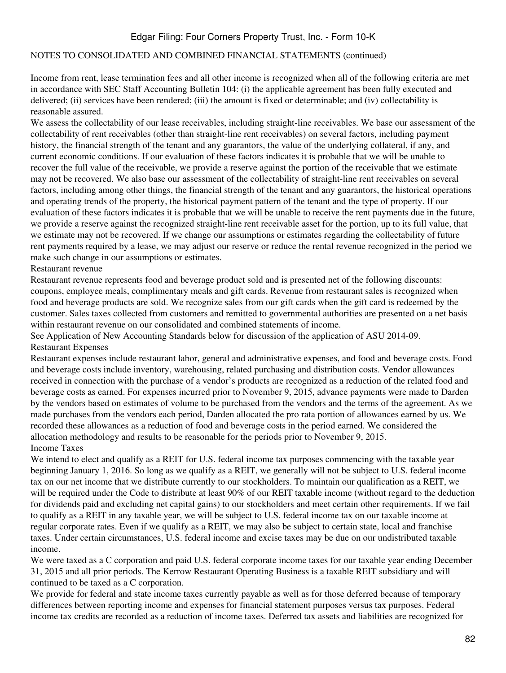#### NOTES TO CONSOLIDATED AND COMBINED FINANCIAL STATEMENTS (continued)

Income from rent, lease termination fees and all other income is recognized when all of the following criteria are met in accordance with SEC Staff Accounting Bulletin 104: (i) the applicable agreement has been fully executed and delivered; (ii) services have been rendered; (iii) the amount is fixed or determinable; and (iv) collectability is reasonable assured.

We assess the collectability of our lease receivables, including straight-line receivables. We base our assessment of the collectability of rent receivables (other than straight-line rent receivables) on several factors, including payment history, the financial strength of the tenant and any guarantors, the value of the underlying collateral, if any, and current economic conditions. If our evaluation of these factors indicates it is probable that we will be unable to recover the full value of the receivable, we provide a reserve against the portion of the receivable that we estimate may not be recovered. We also base our assessment of the collectability of straight-line rent receivables on several factors, including among other things, the financial strength of the tenant and any guarantors, the historical operations and operating trends of the property, the historical payment pattern of the tenant and the type of property. If our evaluation of these factors indicates it is probable that we will be unable to receive the rent payments due in the future, we provide a reserve against the recognized straight-line rent receivable asset for the portion, up to its full value, that we estimate may not be recovered. If we change our assumptions or estimates regarding the collectability of future rent payments required by a lease, we may adjust our reserve or reduce the rental revenue recognized in the period we make such change in our assumptions or estimates.

#### Restaurant revenue

Restaurant revenue represents food and beverage product sold and is presented net of the following discounts: coupons, employee meals, complimentary meals and gift cards. Revenue from restaurant sales is recognized when food and beverage products are sold. We recognize sales from our gift cards when the gift card is redeemed by the customer. Sales taxes collected from customers and remitted to governmental authorities are presented on a net basis within restaurant revenue on our consolidated and combined statements of income.

See Application of New Accounting Standards below for discussion of the application of ASU 2014-09. Restaurant Expenses

Restaurant expenses include restaurant labor, general and administrative expenses, and food and beverage costs. Food and beverage costs include inventory, warehousing, related purchasing and distribution costs. Vendor allowances received in connection with the purchase of a vendor's products are recognized as a reduction of the related food and beverage costs as earned. For expenses incurred prior to November 9, 2015, advance payments were made to Darden by the vendors based on estimates of volume to be purchased from the vendors and the terms of the agreement. As we made purchases from the vendors each period, Darden allocated the pro rata portion of allowances earned by us. We recorded these allowances as a reduction of food and beverage costs in the period earned. We considered the allocation methodology and results to be reasonable for the periods prior to November 9, 2015. Income Taxes

We intend to elect and qualify as a REIT for U.S. federal income tax purposes commencing with the taxable year beginning January 1, 2016. So long as we qualify as a REIT, we generally will not be subject to U.S. federal income tax on our net income that we distribute currently to our stockholders. To maintain our qualification as a REIT, we will be required under the Code to distribute at least 90% of our REIT taxable income (without regard to the deduction for dividends paid and excluding net capital gains) to our stockholders and meet certain other requirements. If we fail to qualify as a REIT in any taxable year, we will be subject to U.S. federal income tax on our taxable income at regular corporate rates. Even if we qualify as a REIT, we may also be subject to certain state, local and franchise taxes. Under certain circumstances, U.S. federal income and excise taxes may be due on our undistributed taxable income.

We were taxed as a C corporation and paid U.S. federal corporate income taxes for our taxable year ending December 31, 2015 and all prior periods. The Kerrow Restaurant Operating Business is a taxable REIT subsidiary and will continued to be taxed as a C corporation.

We provide for federal and state income taxes currently payable as well as for those deferred because of temporary differences between reporting income and expenses for financial statement purposes versus tax purposes. Federal income tax credits are recorded as a reduction of income taxes. Deferred tax assets and liabilities are recognized for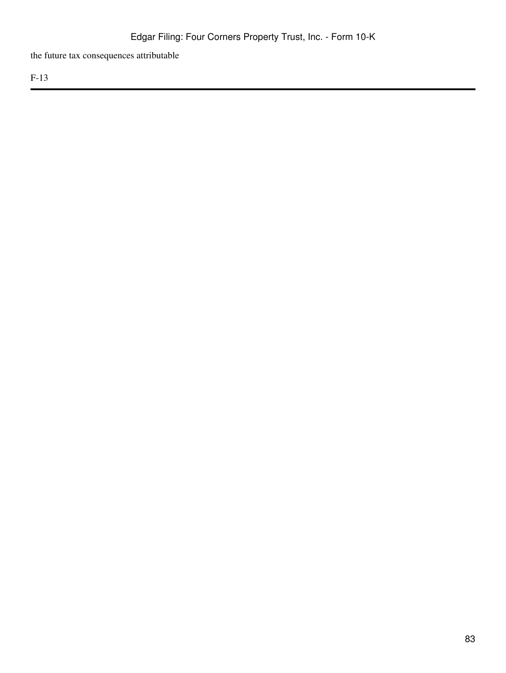the future tax consequences attributable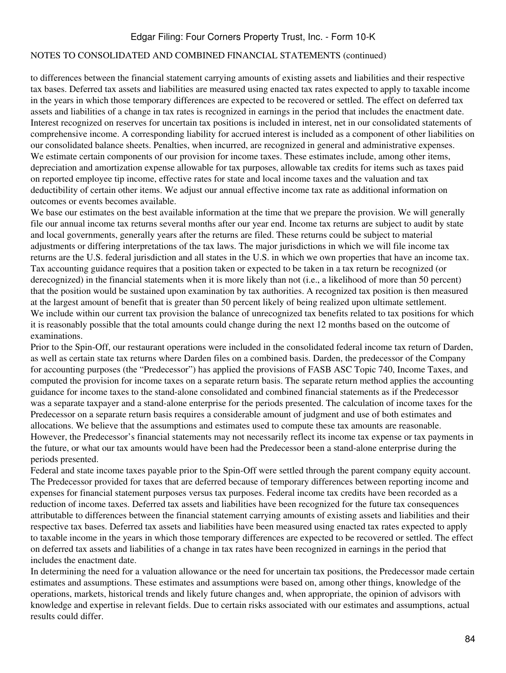#### NOTES TO CONSOLIDATED AND COMBINED FINANCIAL STATEMENTS (continued)

to differences between the financial statement carrying amounts of existing assets and liabilities and their respective tax bases. Deferred tax assets and liabilities are measured using enacted tax rates expected to apply to taxable income in the years in which those temporary differences are expected to be recovered or settled. The effect on deferred tax assets and liabilities of a change in tax rates is recognized in earnings in the period that includes the enactment date. Interest recognized on reserves for uncertain tax positions is included in interest, net in our consolidated statements of comprehensive income. A corresponding liability for accrued interest is included as a component of other liabilities on our consolidated balance sheets. Penalties, when incurred, are recognized in general and administrative expenses. We estimate certain components of our provision for income taxes. These estimates include, among other items, depreciation and amortization expense allowable for tax purposes, allowable tax credits for items such as taxes paid on reported employee tip income, effective rates for state and local income taxes and the valuation and tax deductibility of certain other items. We adjust our annual effective income tax rate as additional information on outcomes or events becomes available.

We base our estimates on the best available information at the time that we prepare the provision. We will generally file our annual income tax returns several months after our year end. Income tax returns are subject to audit by state and local governments, generally years after the returns are filed. These returns could be subject to material adjustments or differing interpretations of the tax laws. The major jurisdictions in which we will file income tax returns are the U.S. federal jurisdiction and all states in the U.S. in which we own properties that have an income tax. Tax accounting guidance requires that a position taken or expected to be taken in a tax return be recognized (or derecognized) in the financial statements when it is more likely than not (i.e., a likelihood of more than 50 percent) that the position would be sustained upon examination by tax authorities. A recognized tax position is then measured at the largest amount of benefit that is greater than 50 percent likely of being realized upon ultimate settlement. We include within our current tax provision the balance of unrecognized tax benefits related to tax positions for which it is reasonably possible that the total amounts could change during the next 12 months based on the outcome of examinations.

Prior to the Spin-Off, our restaurant operations were included in the consolidated federal income tax return of Darden, as well as certain state tax returns where Darden files on a combined basis. Darden, the predecessor of the Company for accounting purposes (the "Predecessor") has applied the provisions of FASB ASC Topic 740, Income Taxes, and computed the provision for income taxes on a separate return basis. The separate return method applies the accounting guidance for income taxes to the stand-alone consolidated and combined financial statements as if the Predecessor was a separate taxpayer and a stand-alone enterprise for the periods presented. The calculation of income taxes for the Predecessor on a separate return basis requires a considerable amount of judgment and use of both estimates and allocations. We believe that the assumptions and estimates used to compute these tax amounts are reasonable. However, the Predecessor's financial statements may not necessarily reflect its income tax expense or tax payments in the future, or what our tax amounts would have been had the Predecessor been a stand-alone enterprise during the periods presented.

Federal and state income taxes payable prior to the Spin-Off were settled through the parent company equity account. The Predecessor provided for taxes that are deferred because of temporary differences between reporting income and expenses for financial statement purposes versus tax purposes. Federal income tax credits have been recorded as a reduction of income taxes. Deferred tax assets and liabilities have been recognized for the future tax consequences attributable to differences between the financial statement carrying amounts of existing assets and liabilities and their respective tax bases. Deferred tax assets and liabilities have been measured using enacted tax rates expected to apply to taxable income in the years in which those temporary differences are expected to be recovered or settled. The effect on deferred tax assets and liabilities of a change in tax rates have been recognized in earnings in the period that includes the enactment date.

In determining the need for a valuation allowance or the need for uncertain tax positions, the Predecessor made certain estimates and assumptions. These estimates and assumptions were based on, among other things, knowledge of the operations, markets, historical trends and likely future changes and, when appropriate, the opinion of advisors with knowledge and expertise in relevant fields. Due to certain risks associated with our estimates and assumptions, actual results could differ.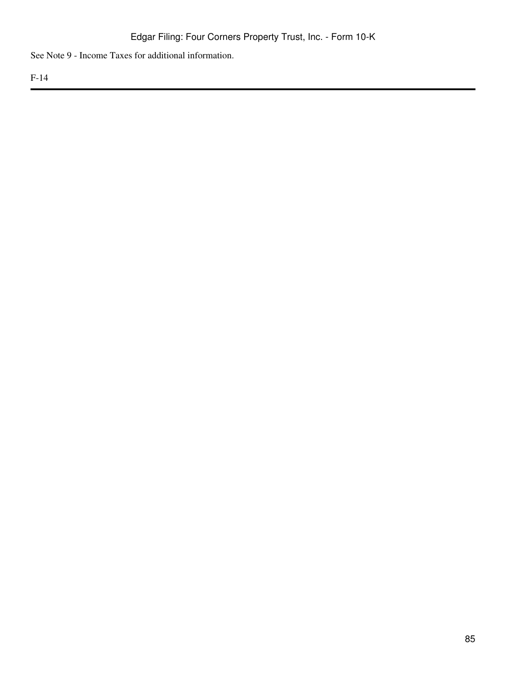See Note 9 - Income Taxes for additional information.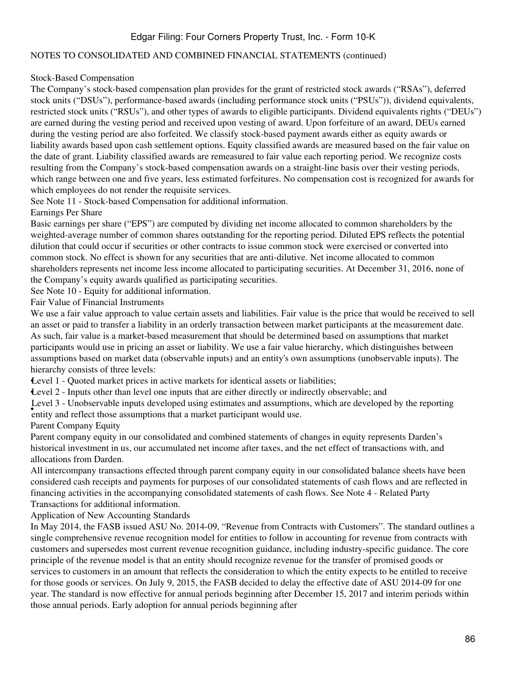#### NOTES TO CONSOLIDATED AND COMBINED FINANCIAL STATEMENTS (continued)

#### Stock-Based Compensation

The Company's stock-based compensation plan provides for the grant of restricted stock awards ("RSAs"), deferred stock units ("DSUs"), performance-based awards (including performance stock units ("PSUs")), dividend equivalents, restricted stock units ("RSUs"), and other types of awards to eligible participants. Dividend equivalents rights ("DEUs") are earned during the vesting period and received upon vesting of award. Upon forfeiture of an award, DEUs earned during the vesting period are also forfeited. We classify stock-based payment awards either as equity awards or liability awards based upon cash settlement options. Equity classified awards are measured based on the fair value on the date of grant. Liability classified awards are remeasured to fair value each reporting period. We recognize costs resulting from the Company's stock-based compensation awards on a straight-line basis over their vesting periods, which range between one and five years, less estimated forfeitures. No compensation cost is recognized for awards for which employees do not render the requisite services.

See Note 11 - Stock-based Compensation for additional information.

Earnings Per Share

Basic earnings per share ("EPS") are computed by dividing net income allocated to common shareholders by the weighted-average number of common shares outstanding for the reporting period. Diluted EPS reflects the potential dilution that could occur if securities or other contracts to issue common stock were exercised or converted into common stock. No effect is shown for any securities that are anti-dilutive. Net income allocated to common shareholders represents net income less income allocated to participating securities. At December 31, 2016, none of the Company's equity awards qualified as participating securities.

See Note 10 - Equity for additional information.

Fair Value of Financial Instruments

We use a fair value approach to value certain assets and liabilities. Fair value is the price that would be received to sell an asset or paid to transfer a liability in an orderly transaction between market participants at the measurement date. As such, fair value is a market-based measurement that should be determined based on assumptions that market participants would use in pricing an asset or liability. We use a fair value hierarchy, which distinguishes between assumptions based on market data (observable inputs) and an entity's own assumptions (unobservable inputs). The hierarchy consists of three levels:

•Level 1 - Quoted market prices in active markets for identical assets or liabilities;

•Level 2 - Inputs other than level one inputs that are either directly or indirectly observable; and

**EVET 5** CROSSET VACK IN DEVELOPED ASING CONTRACT AND RESIDENCE PARTICIPANT WOULD USE. Level 3 - Unobservable inputs developed using estimates and assumptions, which are developed by the reporting

Parent Company Equity

Parent company equity in our consolidated and combined statements of changes in equity represents Darden's historical investment in us, our accumulated net income after taxes, and the net effect of transactions with, and allocations from Darden.

All intercompany transactions effected through parent company equity in our consolidated balance sheets have been considered cash receipts and payments for purposes of our consolidated statements of cash flows and are reflected in financing activities in the accompanying consolidated statements of cash flows. See Note 4 - Related Party Transactions for additional information.

Application of New Accounting Standards

In May 2014, the FASB issued ASU No. 2014-09, "Revenue from Contracts with Customers". The standard outlines a single comprehensive revenue recognition model for entities to follow in accounting for revenue from contracts with customers and supersedes most current revenue recognition guidance, including industry-specific guidance. The core principle of the revenue model is that an entity should recognize revenue for the transfer of promised goods or services to customers in an amount that reflects the consideration to which the entity expects to be entitled to receive for those goods or services. On July 9, 2015, the FASB decided to delay the effective date of ASU 2014-09 for one year. The standard is now effective for annual periods beginning after December 15, 2017 and interim periods within those annual periods. Early adoption for annual periods beginning after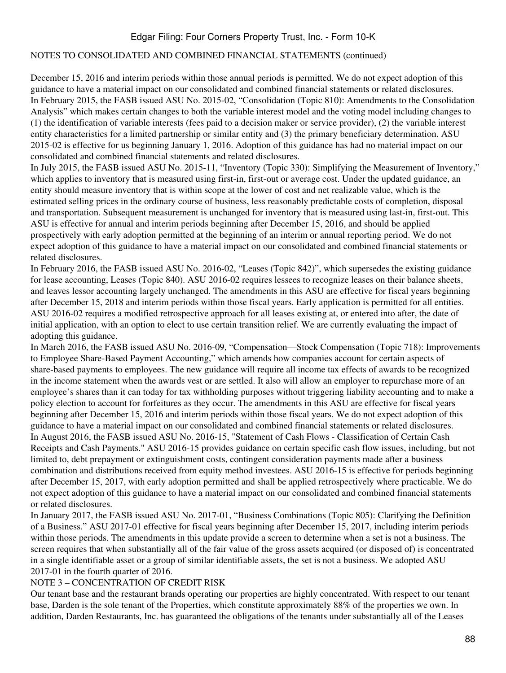#### NOTES TO CONSOLIDATED AND COMBINED FINANCIAL STATEMENTS (continued)

December 15, 2016 and interim periods within those annual periods is permitted. We do not expect adoption of this guidance to have a material impact on our consolidated and combined financial statements or related disclosures. In February 2015, the FASB issued ASU No. 2015-02, "Consolidation (Topic 810): Amendments to the Consolidation Analysis" which makes certain changes to both the variable interest model and the voting model including changes to (1) the identification of variable interests (fees paid to a decision maker or service provider), (2) the variable interest entity characteristics for a limited partnership or similar entity and (3) the primary beneficiary determination. ASU 2015-02 is effective for us beginning January 1, 2016. Adoption of this guidance has had no material impact on our consolidated and combined financial statements and related disclosures.

In July 2015, the FASB issued ASU No. 2015-11, "Inventory (Topic 330): Simplifying the Measurement of Inventory," which applies to inventory that is measured using first-in, first-out or average cost. Under the updated guidance, an entity should measure inventory that is within scope at the lower of cost and net realizable value, which is the estimated selling prices in the ordinary course of business, less reasonably predictable costs of completion, disposal and transportation. Subsequent measurement is unchanged for inventory that is measured using last-in, first-out. This ASU is effective for annual and interim periods beginning after December 15, 2016, and should be applied prospectively with early adoption permitted at the beginning of an interim or annual reporting period. We do not expect adoption of this guidance to have a material impact on our consolidated and combined financial statements or related disclosures.

In February 2016, the FASB issued ASU No. 2016-02, "Leases (Topic 842)", which supersedes the existing guidance for lease accounting, Leases (Topic 840). ASU 2016-02 requires lessees to recognize leases on their balance sheets, and leaves lessor accounting largely unchanged. The amendments in this ASU are effective for fiscal years beginning after December 15, 2018 and interim periods within those fiscal years. Early application is permitted for all entities. ASU 2016-02 requires a modified retrospective approach for all leases existing at, or entered into after, the date of initial application, with an option to elect to use certain transition relief. We are currently evaluating the impact of adopting this guidance.

In March 2016, the FASB issued ASU No. 2016-09, "Compensation—Stock Compensation (Topic 718): Improvements to Employee Share-Based Payment Accounting," which amends how companies account for certain aspects of share-based payments to employees. The new guidance will require all income tax effects of awards to be recognized in the income statement when the awards vest or are settled. It also will allow an employer to repurchase more of an employee's shares than it can today for tax withholding purposes without triggering liability accounting and to make a policy election to account for forfeitures as they occur. The amendments in this ASU are effective for fiscal years beginning after December 15, 2016 and interim periods within those fiscal years. We do not expect adoption of this guidance to have a material impact on our consolidated and combined financial statements or related disclosures. In August 2016, the FASB issued ASU No. 2016-15, "Statement of Cash Flows - Classification of Certain Cash Receipts and Cash Payments." ASU 2016-15 provides guidance on certain specific cash flow issues, including, but not limited to, debt prepayment or extinguishment costs, contingent consideration payments made after a business combination and distributions received from equity method investees. ASU 2016-15 is effective for periods beginning after December 15, 2017, with early adoption permitted and shall be applied retrospectively where practicable. We do not expect adoption of this guidance to have a material impact on our consolidated and combined financial statements or related disclosures.

In January 2017, the FASB issued ASU No. 2017-01, "Business Combinations (Topic 805): Clarifying the Definition of a Business." ASU 2017-01 effective for fiscal years beginning after December 15, 2017, including interim periods within those periods. The amendments in this update provide a screen to determine when a set is not a business. The screen requires that when substantially all of the fair value of the gross assets acquired (or disposed of) is concentrated in a single identifiable asset or a group of similar identifiable assets, the set is not a business. We adopted ASU 2017-01 in the fourth quarter of 2016.

#### NOTE 3 – CONCENTRATION OF CREDIT RISK

Our tenant base and the restaurant brands operating our properties are highly concentrated. With respect to our tenant base, Darden is the sole tenant of the Properties, which constitute approximately 88% of the properties we own. In addition, Darden Restaurants, Inc. has guaranteed the obligations of the tenants under substantially all of the Leases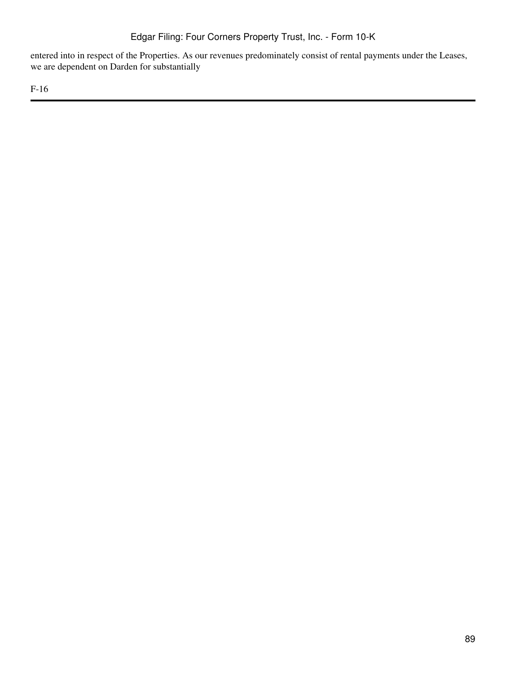entered into in respect of the Properties. As our revenues predominately consist of rental payments under the Leases, we are dependent on Darden for substantially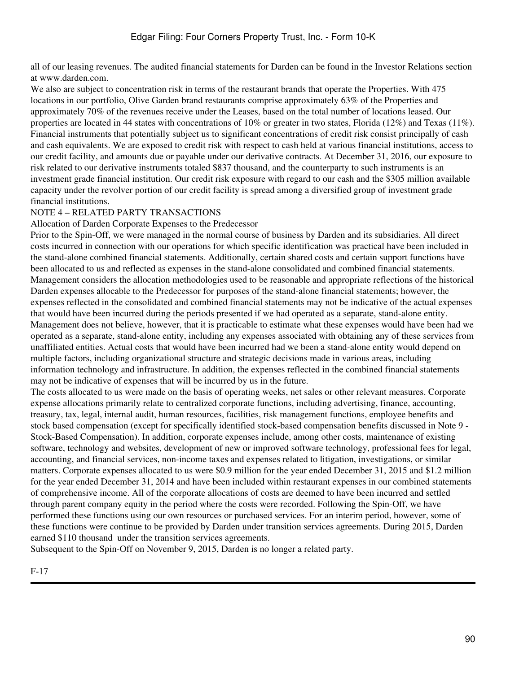all of our leasing revenues. The audited financial statements for Darden can be found in the Investor Relations section at www.darden.com.

We also are subject to concentration risk in terms of the restaurant brands that operate the Properties. With 475 locations in our portfolio, Olive Garden brand restaurants comprise approximately 63% of the Properties and approximately 70% of the revenues receive under the Leases, based on the total number of locations leased. Our properties are located in 44 states with concentrations of 10% or greater in two states, Florida (12%) and Texas (11%). Financial instruments that potentially subject us to significant concentrations of credit risk consist principally of cash and cash equivalents. We are exposed to credit risk with respect to cash held at various financial institutions, access to our credit facility, and amounts due or payable under our derivative contracts. At December 31, 2016, our exposure to risk related to our derivative instruments totaled \$837 thousand, and the counterparty to such instruments is an investment grade financial institution. Our credit risk exposure with regard to our cash and the \$305 million available capacity under the revolver portion of our credit facility is spread among a diversified group of investment grade financial institutions.

### NOTE 4 – RELATED PARTY TRANSACTIONS

Allocation of Darden Corporate Expenses to the Predecessor

Prior to the Spin-Off, we were managed in the normal course of business by Darden and its subsidiaries. All direct costs incurred in connection with our operations for which specific identification was practical have been included in the stand-alone combined financial statements. Additionally, certain shared costs and certain support functions have been allocated to us and reflected as expenses in the stand-alone consolidated and combined financial statements. Management considers the allocation methodologies used to be reasonable and appropriate reflections of the historical Darden expenses allocable to the Predecessor for purposes of the stand-alone financial statements; however, the expenses reflected in the consolidated and combined financial statements may not be indicative of the actual expenses that would have been incurred during the periods presented if we had operated as a separate, stand-alone entity. Management does not believe, however, that it is practicable to estimate what these expenses would have been had we operated as a separate, stand-alone entity, including any expenses associated with obtaining any of these services from unaffiliated entities. Actual costs that would have been incurred had we been a stand-alone entity would depend on multiple factors, including organizational structure and strategic decisions made in various areas, including information technology and infrastructure. In addition, the expenses reflected in the combined financial statements may not be indicative of expenses that will be incurred by us in the future.

The costs allocated to us were made on the basis of operating weeks, net sales or other relevant measures. Corporate expense allocations primarily relate to centralized corporate functions, including advertising, finance, accounting, treasury, tax, legal, internal audit, human resources, facilities, risk management functions, employee benefits and stock based compensation (except for specifically identified stock-based compensation benefits discussed in Note 9 - Stock-Based Compensation). In addition, corporate expenses include, among other costs, maintenance of existing software, technology and websites, development of new or improved software technology, professional fees for legal, accounting, and financial services, non-income taxes and expenses related to litigation, investigations, or similar matters. Corporate expenses allocated to us were \$0.9 million for the year ended December 31, 2015 and \$1.2 million for the year ended December 31, 2014 and have been included within restaurant expenses in our combined statements of comprehensive income. All of the corporate allocations of costs are deemed to have been incurred and settled through parent company equity in the period where the costs were recorded. Following the Spin-Off, we have performed these functions using our own resources or purchased services. For an interim period, however, some of these functions were continue to be provided by Darden under transition services agreements. During 2015, Darden earned \$110 thousand under the transition services agreements.

Subsequent to the Spin-Off on November 9, 2015, Darden is no longer a related party.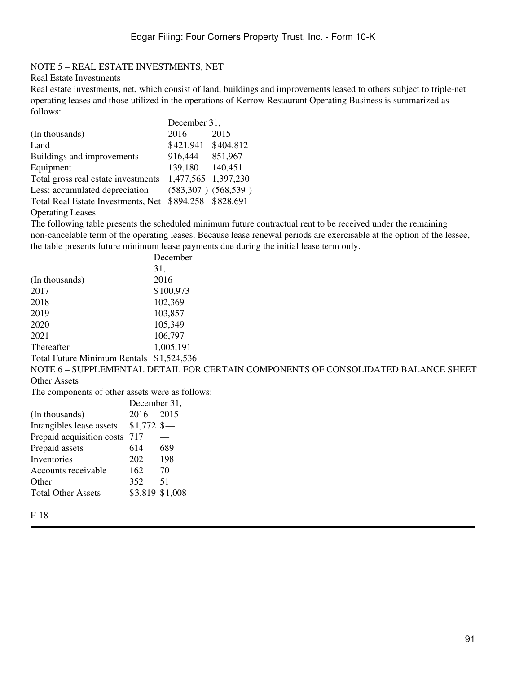### NOTE 5 – REAL ESTATE INVESTMENTS, NET

#### Real Estate Investments

Real estate investments, net, which consist of land, buildings and improvements leased to others subject to triple-net operating leases and those utilized in the operations of Kerrow Restaurant Operating Business is summarized as follows: December 31,

|                                     | December 31,        |                         |  |  |
|-------------------------------------|---------------------|-------------------------|--|--|
| (In thousands)                      | 2016                | 2015                    |  |  |
| Land                                | \$421,941           | \$404,812               |  |  |
| Buildings and improvements          | 916,444             | 851,967                 |  |  |
| Equipment                           | 139,180             | 140,451                 |  |  |
| Total gross real estate investments | 1,477,565 1,397,230 |                         |  |  |
| Less: accumulated depreciation      |                     | $(583,307)$ $(568,539)$ |  |  |
| Total Real Estate Investments, Net  | \$894,258 \$828,691 |                         |  |  |
|                                     |                     |                         |  |  |

Operating Leases

The following table presents the scheduled minimum future contractual rent to be received under the remaining non-cancelable term of the operating leases. Because lease renewal periods are exercisable at the option of the lessee, the table presents future minimum lease payments due during the initial lease term only.

|                                                 |              | December                                                                          |
|-------------------------------------------------|--------------|-----------------------------------------------------------------------------------|
|                                                 |              | 31,                                                                               |
| (In thousands)                                  |              | 2016                                                                              |
| 2017                                            |              | \$100,973                                                                         |
| 2018                                            |              | 102,369                                                                           |
| 2019                                            |              | 103,857                                                                           |
| 2020                                            |              | 105,349                                                                           |
| 2021                                            |              | 106,797                                                                           |
| Thereafter                                      |              | 1,005,191                                                                         |
| Total Future Minimum Rentals \$1,524,536        |              |                                                                                   |
|                                                 |              | NOTE 6 – SUPPLEMENTAL DETAIL FOR CERTAIN COMPONENTS OF CONSOLIDATED BALANCE SHEET |
| Other Assets                                    |              |                                                                                   |
| The components of other assets were as follows: |              |                                                                                   |
|                                                 | December 31, |                                                                                   |
| (In thousands)                                  | 2016         | 2015                                                                              |
| Intangibles lease assets $$1,772$ \$-           |              |                                                                                   |
| Prepaid acquisition costs 717                   |              |                                                                                   |
| Prepaid assets                                  | 614          | 689                                                                               |
|                                                 |              |                                                                                   |

| Inventories               | 202             | 198 |
|---------------------------|-----------------|-----|
| Accounts receivable       | 162             | 70  |
| Other                     | 352.            | -51 |
| <b>Total Other Assets</b> | \$3,819 \$1,008 |     |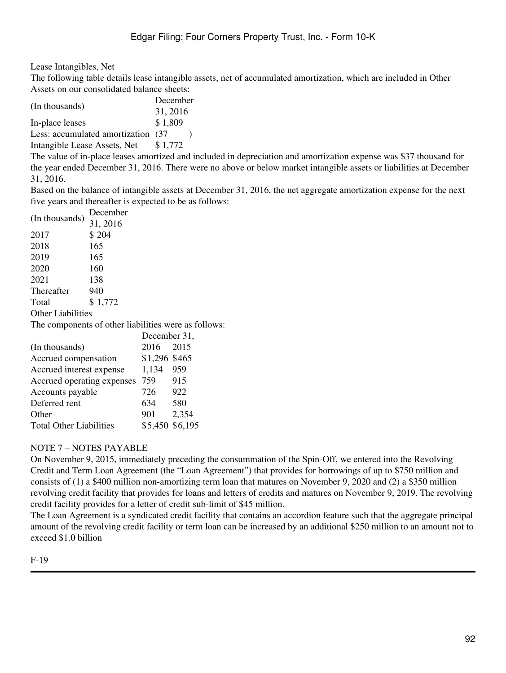Lease Intangibles, Net

The following table details lease intangible assets, net of accumulated amortization, which are included in Other Assets on our consolidated balance sheets:

|                                     | December |  |
|-------------------------------------|----------|--|
| (In thousands)                      | 31, 2016 |  |
| In-place leases                     | \$1,809  |  |
| Less: accumulated amortization (37) |          |  |
|                                     |          |  |

Intangible Lease Assets, Net  $$1,772$ 

The value of in-place leases amortized and included in depreciation and amortization expense was \$37 thousand for the year ended December 31, 2016. There were no above or below market intangible assets or liabilities at December 31, 2016.

Based on the balance of intangible assets at December 31, 2016, the net aggregate amortization expense for the next five years and thereafter is expected to be as follows:

| (In thousands)           | December |
|--------------------------|----------|
|                          | 31, 2016 |
| 2017                     | \$204    |
| 2018                     | 165      |
| 2019                     | 165      |
| 2020                     | 160      |
| 2021                     | 138      |
| Thereafter               | 940      |
| Total                    | \$1,772  |
| <b>Other Liabilities</b> |          |
|                          |          |

The components of other liabilities were as follows:

| December 31,    |       |  |
|-----------------|-------|--|
| 2016            | 2015  |  |
| \$1,296 \$465   |       |  |
| 1,134           | 959   |  |
| 759             | 915   |  |
| 726             | 922   |  |
| 634             | 580   |  |
| 901             | 2,354 |  |
| \$5,450 \$6,195 |       |  |
|                 |       |  |

### NOTE 7 – NOTES PAYABLE

On November 9, 2015, immediately preceding the consummation of the Spin-Off, we entered into the Revolving Credit and Term Loan Agreement (the "Loan Agreement") that provides for borrowings of up to \$750 million and consists of (1) a \$400 million non-amortizing term loan that matures on November 9, 2020 and (2) a \$350 million revolving credit facility that provides for loans and letters of credits and matures on November 9, 2019. The revolving credit facility provides for a letter of credit sub-limit of \$45 million.

The Loan Agreement is a syndicated credit facility that contains an accordion feature such that the aggregate principal amount of the revolving credit facility or term loan can be increased by an additional \$250 million to an amount not to exceed \$1.0 billion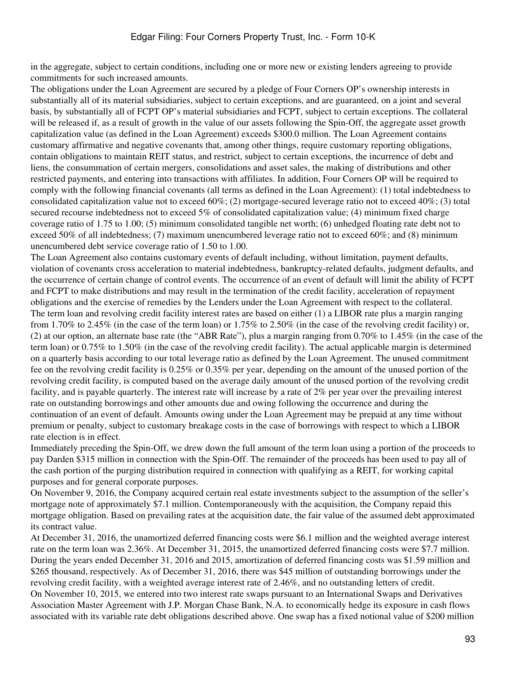in the aggregate, subject to certain conditions, including one or more new or existing lenders agreeing to provide commitments for such increased amounts.

The obligations under the Loan Agreement are secured by a pledge of Four Corners OP's ownership interests in substantially all of its material subsidiaries, subject to certain exceptions, and are guaranteed, on a joint and several basis, by substantially all of FCPT OP's material subsidiaries and FCPT, subject to certain exceptions. The collateral will be released if, as a result of growth in the value of our assets following the Spin-Off, the aggregate asset growth capitalization value (as defined in the Loan Agreement) exceeds \$300.0 million. The Loan Agreement contains customary affirmative and negative covenants that, among other things, require customary reporting obligations, contain obligations to maintain REIT status, and restrict, subject to certain exceptions, the incurrence of debt and liens, the consummation of certain mergers, consolidations and asset sales, the making of distributions and other restricted payments, and entering into transactions with affiliates. In addition, Four Corners OP will be required to comply with the following financial covenants (all terms as defined in the Loan Agreement): (1) total indebtedness to consolidated capitalization value not to exceed 60%; (2) mortgage-secured leverage ratio not to exceed 40%; (3) total secured recourse indebtedness not to exceed 5% of consolidated capitalization value; (4) minimum fixed charge coverage ratio of 1.75 to 1.00; (5) minimum consolidated tangible net worth; (6) unhedged floating rate debt not to exceed 50% of all indebtedness; (7) maximum unencumbered leverage ratio not to exceed 60%; and (8) minimum unencumbered debt service coverage ratio of 1.50 to 1.00.

The Loan Agreement also contains customary events of default including, without limitation, payment defaults, violation of covenants cross acceleration to material indebtedness, bankruptcy-related defaults, judgment defaults, and the occurrence of certain change of control events. The occurrence of an event of default will limit the ability of FCPT and FCPT to make distributions and may result in the termination of the credit facility, acceleration of repayment obligations and the exercise of remedies by the Lenders under the Loan Agreement with respect to the collateral. The term loan and revolving credit facility interest rates are based on either (1) a LIBOR rate plus a margin ranging from 1.70% to 2.45% (in the case of the term loan) or 1.75% to 2.50% (in the case of the revolving credit facility) or, (2) at our option, an alternate base rate (the "ABR Rate"), plus a margin ranging from 0.70% to 1.45% (in the case of the term loan) or 0.75% to 1.50% (in the case of the revolving credit facility). The actual applicable margin is determined on a quarterly basis according to our total leverage ratio as defined by the Loan Agreement. The unused commitment fee on the revolving credit facility is 0.25% or 0.35% per year, depending on the amount of the unused portion of the revolving credit facility, is computed based on the average daily amount of the unused portion of the revolving credit facility, and is payable quarterly. The interest rate will increase by a rate of 2% per year over the prevailing interest rate on outstanding borrowings and other amounts due and owing following the occurrence and during the continuation of an event of default. Amounts owing under the Loan Agreement may be prepaid at any time without premium or penalty, subject to customary breakage costs in the case of borrowings with respect to which a LIBOR rate election is in effect.

Immediately preceding the Spin-Off, we drew down the full amount of the term loan using a portion of the proceeds to pay Darden \$315 million in connection with the Spin-Off. The remainder of the proceeds has been used to pay all of the cash portion of the purging distribution required in connection with qualifying as a REIT, for working capital purposes and for general corporate purposes.

On November 9, 2016, the Company acquired certain real estate investments subject to the assumption of the seller's mortgage note of approximately \$7.1 million. Contemporaneously with the acquisition, the Company repaid this mortgage obligation. Based on prevailing rates at the acquisition date, the fair value of the assumed debt approximated its contract value.

At December 31, 2016, the unamortized deferred financing costs were \$6.1 million and the weighted average interest rate on the term loan was 2.36%. At December 31, 2015, the unamortized deferred financing costs were \$7.7 million. During the years ended December 31, 2016 and 2015, amortization of deferred financing costs was \$1.59 million and \$265 thousand, respectively. As of December 31, 2016, there was \$45 million of outstanding borrowings under the revolving credit facility, with a weighted average interest rate of 2.46%, and no outstanding letters of credit. On November 10, 2015, we entered into two interest rate swaps pursuant to an International Swaps and Derivatives Association Master Agreement with J.P. Morgan Chase Bank, N.A. to economically hedge its exposure in cash flows associated with its variable rate debt obligations described above. One swap has a fixed notional value of \$200 million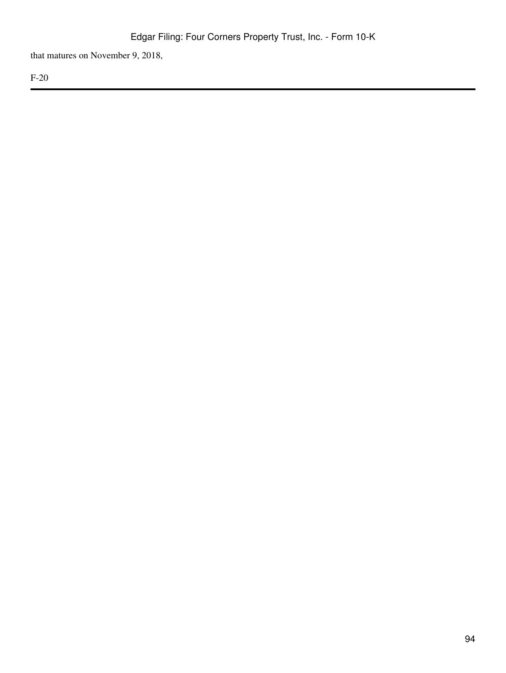that matures on November 9, 2018,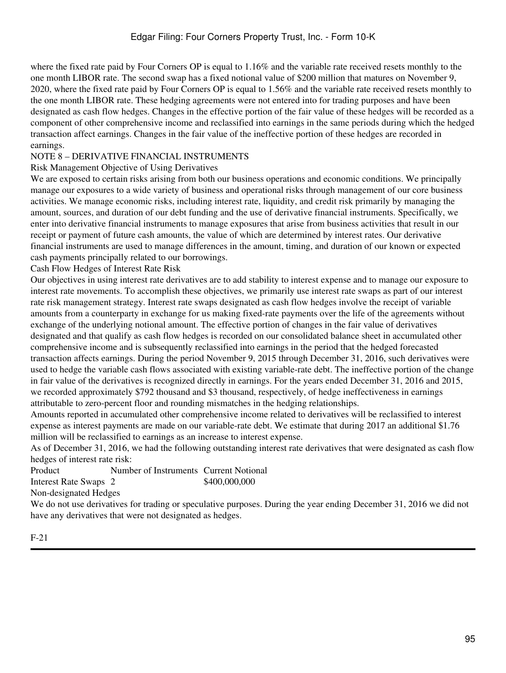where the fixed rate paid by Four Corners OP is equal to 1.16% and the variable rate received resets monthly to the one month LIBOR rate. The second swap has a fixed notional value of \$200 million that matures on November 9, 2020, where the fixed rate paid by Four Corners OP is equal to 1.56% and the variable rate received resets monthly to the one month LIBOR rate. These hedging agreements were not entered into for trading purposes and have been designated as cash flow hedges. Changes in the effective portion of the fair value of these hedges will be recorded as a component of other comprehensive income and reclassified into earnings in the same periods during which the hedged transaction affect earnings. Changes in the fair value of the ineffective portion of these hedges are recorded in earnings.

### NOTE 8 – DERIVATIVE FINANCIAL INSTRUMENTS

#### Risk Management Objective of Using Derivatives

We are exposed to certain risks arising from both our business operations and economic conditions. We principally manage our exposures to a wide variety of business and operational risks through management of our core business activities. We manage economic risks, including interest rate, liquidity, and credit risk primarily by managing the amount, sources, and duration of our debt funding and the use of derivative financial instruments. Specifically, we enter into derivative financial instruments to manage exposures that arise from business activities that result in our receipt or payment of future cash amounts, the value of which are determined by interest rates. Our derivative financial instruments are used to manage differences in the amount, timing, and duration of our known or expected cash payments principally related to our borrowings.

Cash Flow Hedges of Interest Rate Risk

Our objectives in using interest rate derivatives are to add stability to interest expense and to manage our exposure to interest rate movements. To accomplish these objectives, we primarily use interest rate swaps as part of our interest rate risk management strategy. Interest rate swaps designated as cash flow hedges involve the receipt of variable amounts from a counterparty in exchange for us making fixed-rate payments over the life of the agreements without exchange of the underlying notional amount. The effective portion of changes in the fair value of derivatives designated and that qualify as cash flow hedges is recorded on our consolidated balance sheet in accumulated other comprehensive income and is subsequently reclassified into earnings in the period that the hedged forecasted transaction affects earnings. During the period November 9, 2015 through December 31, 2016, such derivatives were used to hedge the variable cash flows associated with existing variable-rate debt. The ineffective portion of the change in fair value of the derivatives is recognized directly in earnings. For the years ended December 31, 2016 and 2015, we recorded approximately \$792 thousand and \$3 thousand, respectively, of hedge ineffectiveness in earnings attributable to zero-percent floor and rounding mismatches in the hedging relationships.

Amounts reported in accumulated other comprehensive income related to derivatives will be reclassified to interest expense as interest payments are made on our variable-rate debt. We estimate that during 2017 an additional \$1.76 million will be reclassified to earnings as an increase to interest expense.

As of December 31, 2016, we had the following outstanding interest rate derivatives that were designated as cash flow hedges of interest rate risk:

Product Number of Instruments Current Notional **Interest Rate Swaps** 2 \$400,000,000 Non-designated Hedges

We do not use derivatives for trading or speculative purposes. During the year ending December 31, 2016 we did not have any derivatives that were not designated as hedges.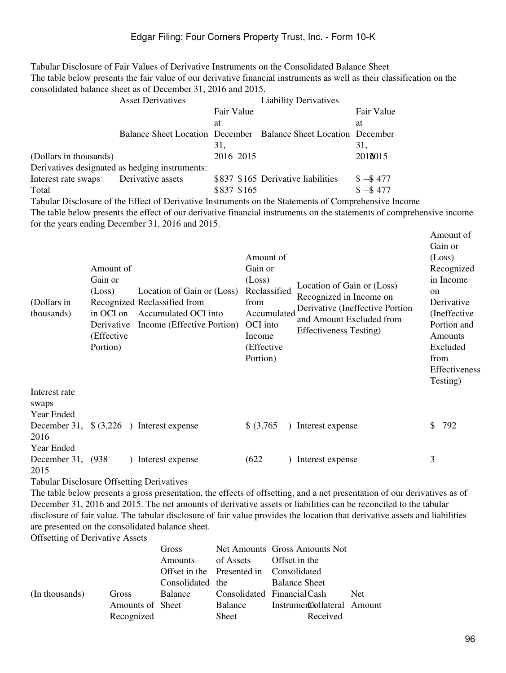Tabular Disclosure of Fair Values of Derivative Instruments on the Consolidated Balance Sheet The table below presents the fair value of our derivative financial instruments as well as their classification on the consolidated balance sheet as of December 31, 2016 and 2015.

|                        | <b>Asset Derivatives</b>                       |             | <b>Liability Derivatives</b>                                           |            |
|------------------------|------------------------------------------------|-------------|------------------------------------------------------------------------|------------|
|                        |                                                | Fair Value  |                                                                        | Fair Value |
|                        |                                                | at          |                                                                        | at         |
|                        |                                                |             | <b>Balance Sheet Location December Balance Sheet Location December</b> |            |
|                        |                                                | 31,         |                                                                        | 31.        |
| (Dollars in thousands) |                                                | 2016 2015   |                                                                        | 2018015    |
|                        | Derivatives designated as hedging instruments: |             |                                                                        |            |
| Interest rate swaps    | Derivative assets                              |             | \$837 \$165 Derivative liabilities                                     | $$ - $477$ |
| Total                  |                                                | \$837 \$165 |                                                                        | $$ - $477$ |

Tabular Disclosure of the Effect of Derivative Instruments on the Statements of Comprehensive Income The table below presents the effect of our derivative financial instruments on the statements of comprehensive income for the years ending December 31, 2016 and 2015.

| (Dollars in<br>thousands)                | Amount of<br>Gain or<br>(Loss)<br>in OCI on<br>Derivative<br>(Effective)<br>Portion) | Location of Gain or (Loss)<br>Recognized Reclassified from<br>Accumulated OCI into<br>Income (Effective Portion) | Amount of<br>Gain or<br>(Loss)<br>Reclassified<br>from<br>Accumulated<br>OCI into<br>Income<br>(Effective<br>Portion) | Location of Gain or (Loss)<br>Recognized in Income on<br>Derivative (Ineffective Portion<br>and Amount Excluded from<br>Effectiveness Testing) | Amount of<br>Gain or<br>(Loss)<br>Recognized<br>in Income<br>$\alpha$<br>Derivative<br>(Ineffective)<br>Portion and<br>Amounts<br>Excluded<br>from<br>Effectiveness<br>Testing) |
|------------------------------------------|--------------------------------------------------------------------------------------|------------------------------------------------------------------------------------------------------------------|-----------------------------------------------------------------------------------------------------------------------|------------------------------------------------------------------------------------------------------------------------------------------------|---------------------------------------------------------------------------------------------------------------------------------------------------------------------------------|
| Interest rate<br>swaps<br>Year Ended     |                                                                                      |                                                                                                                  |                                                                                                                       |                                                                                                                                                |                                                                                                                                                                                 |
| December 31,<br>2016                     |                                                                                      | $\{(3,226)$ Interest expense                                                                                     | $$$ (3,765)                                                                                                           | Interest expense                                                                                                                               | 792<br>\$.                                                                                                                                                                      |
| Year Ended<br>December 31, (938)<br>2015 |                                                                                      | ) Interest expense                                                                                               | (622)                                                                                                                 | Interest expense                                                                                                                               | 3                                                                                                                                                                               |

Tabular Disclosure Offsetting Derivatives

The table below presents a gross presentation, the effects of offsetting, and a net presentation of our derivatives as of December 31, 2016 and 2015. The net amounts of derivative assets or liabilities can be reconciled to the tabular disclosure of fair value. The tabular disclosure of fair value provides the location that derivative assets and liabilities are presented on the consolidated balance sheet.

Offsetting of Derivative Assets

|                |                  | Gross            |                                         | Net Amounts Gross Amounts Not |      |
|----------------|------------------|------------------|-----------------------------------------|-------------------------------|------|
|                |                  | <b>Amounts</b>   | of Assets                               | Offset in the                 |      |
|                |                  |                  | Offset in the Presented in Consolidated |                               |      |
|                |                  | Consolidated the |                                         | <b>Balance Sheet</b>          |      |
| (In thousands) | Gross            | Balance          |                                         | Consolidated Financial Cash   | Net. |
|                | Amounts of Sheet |                  | Balance                                 | Instruments blateral Amount   |      |
|                | Recognized       |                  | Sheet                                   | Received                      |      |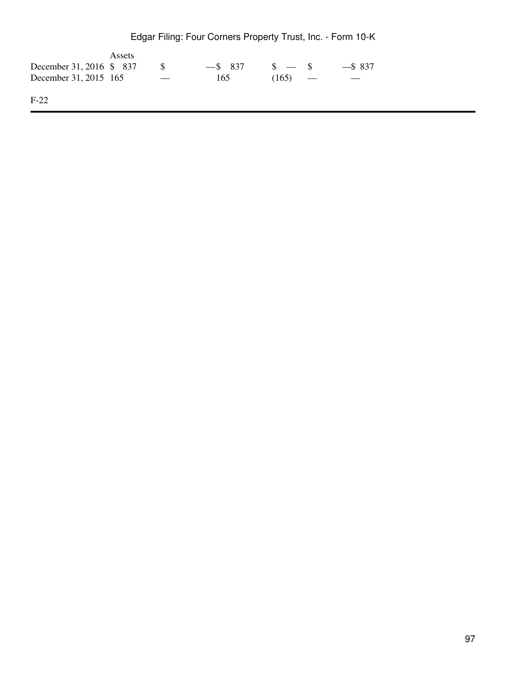|  | Edgar Filing: Four Corners Property Trust, Inc. - Form 10-K |  |  |  |
|--|-------------------------------------------------------------|--|--|--|
|--|-------------------------------------------------------------|--|--|--|

|                          | Assets |            |       |         |            |
|--------------------------|--------|------------|-------|---------|------------|
| December 31, 2016 \$ 837 |        | $-$ \$ 837 |       | $s = s$ | $-$ \$ 837 |
| December 31, 2015 165    |        | 165        | (165) |         |            |
| $F-22$                   |        |            |       |         |            |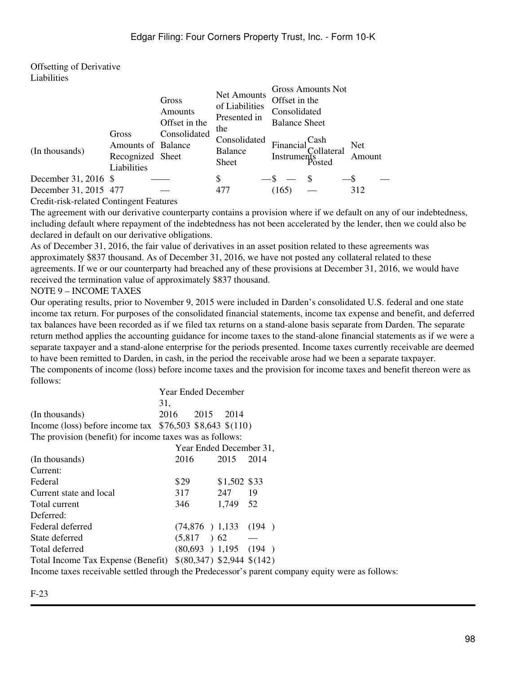Offsetting of Derivative **Liabilities** 

| (In thousands)        | Gross<br>Amounts of Balance<br>Recognized Sheet<br>Liabilities | Gross<br>Amounts<br>Offset in the<br>Consolidated | Net Amounts<br>of Liabilities<br>Presented in<br>the<br>Consolidated<br><b>Balance</b><br>Sheet | Offset in the<br>Consolidated<br><b>Balance Sheet</b><br>Financial<br>Instruments<br>Posted | Gross Amounts Not<br>Cash<br>Collateral | <b>Net</b><br>Amount |
|-----------------------|----------------------------------------------------------------|---------------------------------------------------|-------------------------------------------------------------------------------------------------|---------------------------------------------------------------------------------------------|-----------------------------------------|----------------------|
| December 31, 2016 \$  |                                                                |                                                   | S                                                                                               | $-$ s $-$                                                                                   |                                         |                      |
| December 31, 2015 477 |                                                                |                                                   | 477                                                                                             | (165)                                                                                       |                                         | 312                  |

Credit-risk-related Contingent Features

The agreement with our derivative counterparty contains a provision where if we default on any of our indebtedness, including default where repayment of the indebtedness has not been accelerated by the lender, then we could also be declared in default on our derivative obligations.

As of December 31, 2016, the fair value of derivatives in an asset position related to these agreements was approximately \$837 thousand. As of December 31, 2016, we have not posted any collateral related to these agreements. If we or our counterparty had breached any of these provisions at December 31, 2016, we would have received the termination value of approximately \$837 thousand.

#### NOTE 9 – INCOME TAXES

Our operating results, prior to November 9, 2015 were included in Darden's consolidated U.S. federal and one state income tax return. For purposes of the consolidated financial statements, income tax expense and benefit, and deferred tax balances have been recorded as if we filed tax returns on a stand-alone basis separate from Darden. The separate return method applies the accounting guidance for income taxes to the stand-alone financial statements as if we were a separate taxpayer and a stand-alone enterprise for the periods presented. Income taxes currently receivable are deemed to have been remitted to Darden, in cash, in the period the receivable arose had we been a separate taxpayer. The components of income (loss) before income taxes and the provision for income taxes and benefit thereon were as follows:

|                                                           | Year Ended December |                             |              |       |  |
|-----------------------------------------------------------|---------------------|-----------------------------|--------------|-------|--|
|                                                           | 31,                 |                             |              |       |  |
| (In thousands)                                            | 2016                | 2015 2014                   |              |       |  |
| Income (loss) before income tax $$76,503$ \$8,643 \$(110) |                     |                             |              |       |  |
| The provision (benefit) for income taxes was as follows:  |                     |                             |              |       |  |
|                                                           |                     | Year Ended December 31,     |              |       |  |
| (In thousands)                                            | 2016                |                             | 2015         | 2014  |  |
| Current:                                                  |                     |                             |              |       |  |
| Federal                                                   | \$29                |                             | \$1,502 \$33 |       |  |
| Current state and local                                   | 317                 |                             | 247          | 19    |  |
| Total current                                             | 346                 |                             | 1,749 52     |       |  |
| Deferred:                                                 |                     |                             |              |       |  |
| Federal deferred                                          |                     | $(74,876)$ 1,133            |              | (194) |  |
| State deferred                                            |                     | $(5,817)$ 62                |              |       |  |
| Total deferred                                            |                     | $(80,693)$ 1,195 $(194)$    |              |       |  |
| Total Income Tax Expense (Benefit)                        |                     | $$(80,347)$ \$2,944 \$(142) |              |       |  |

Income taxes receivable settled through the Predecessor's parent company equity were as follows: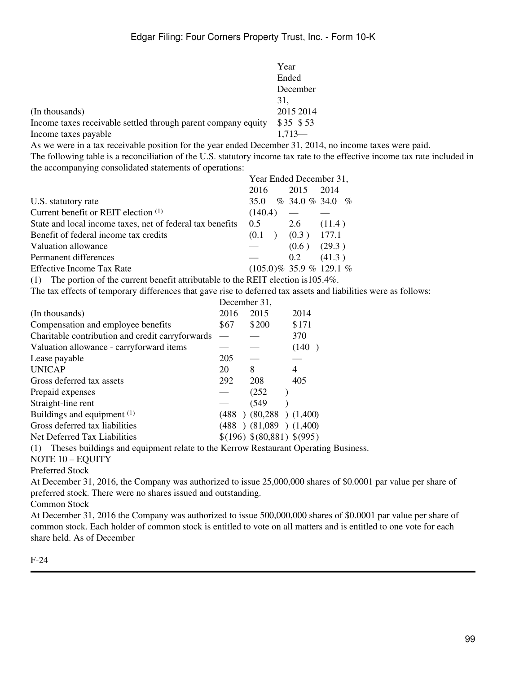|                                                               | Year      |
|---------------------------------------------------------------|-----------|
|                                                               | Ended     |
|                                                               | December  |
|                                                               | 31.       |
| (In thousands)                                                | 2015 2014 |
| Income taxes receivable settled through parent company equity | \$35 \$53 |
| Income taxes payable                                          | $1.713-$  |

As we were in a tax receivable position for the year ended December 31, 2014, no income taxes were paid. The following table is a reconciliation of the U.S. statutory income tax rate to the effective income tax rate included in the accompanying consolidated statements of operations:

|                                                                                                                                                                                                                                                                                                                                                            | Year Ended December 31,    |       |                          |
|------------------------------------------------------------------------------------------------------------------------------------------------------------------------------------------------------------------------------------------------------------------------------------------------------------------------------------------------------------|----------------------------|-------|--------------------------|
|                                                                                                                                                                                                                                                                                                                                                            | 2016                       | 2015  | 2014                     |
| U.S. statutory rate                                                                                                                                                                                                                                                                                                                                        | 35.0                       |       | $\%$ 34.0 $\%$ 34.0 $\%$ |
| Current benefit or REIT election $(1)$                                                                                                                                                                                                                                                                                                                     | (140.4)                    |       |                          |
| State and local income taxes, net of federal tax benefits                                                                                                                                                                                                                                                                                                  | 0.5                        | 2.6   | (11.4)                   |
| Benefit of federal income tax credits                                                                                                                                                                                                                                                                                                                      | (0.1)                      | (0.3) | 177.1                    |
| Valuation allowance                                                                                                                                                                                                                                                                                                                                        |                            | (0.6) | (29.3)                   |
| Permanent differences                                                                                                                                                                                                                                                                                                                                      |                            | 0.2   | (41.3)                   |
| Effective Income Tax Rate                                                                                                                                                                                                                                                                                                                                  | $(105.0)\%$ 35.9 % 129.1 % |       |                          |
| $\alpha$ . The state of property to the state of $\alpha$<br>$\sim$ 1 $\sim$ 1 $\sim$ 1 $\sim$ 1 $\sim$ 1 $\sim$ 1 $\sim$ 1 $\sim$ 1 $\sim$ 1 $\sim$ 1 $\sim$ 1 $\sim$ 1 $\sim$ 1 $\sim$ 1 $\sim$ 1 $\sim$ 1 $\sim$ 1 $\sim$ 1 $\sim$ 1 $\sim$ 1 $\sim$ 1 $\sim$ 1 $\sim$ 1 $\sim$ 1 $\sim$ 1 $\sim$ 1 $\sim$ 1 $\sim$ 1 $\sim$ 1 $\sim$ 1 $\sim$ 1 $\sim$ |                            |       |                          |

(1) The portion of the current benefit attributable to the REIT election is105.4%.

The tax effects of temporary differences that gave rise to deferred tax assets and liabilities were as follows:

|                                                  |                          | December 31,                 |       |  |  |
|--------------------------------------------------|--------------------------|------------------------------|-------|--|--|
| (In thousands)                                   | 2016                     | 2015                         | 2014  |  |  |
| Compensation and employee benefits               | \$67                     | \$200                        | \$171 |  |  |
| Charitable contribution and credit carryforwards | $\overline{\phantom{0}}$ |                              | 370   |  |  |
| Valuation allowance - carryforward items         |                          |                              | (140) |  |  |
| Lease payable                                    | 205                      |                              |       |  |  |
| <b>UNICAP</b>                                    | 20                       | 8                            | 4     |  |  |
| Gross deferred tax assets                        | 292                      | 208                          | 405   |  |  |
| Prepaid expenses                                 |                          | (252)                        |       |  |  |
| Straight-line rent                               |                          | (549)                        |       |  |  |
| Buildings and equipment (1)                      |                          | $(488)$ $(80,288)$ $(1,400)$ |       |  |  |
| Gross deferred tax liabilities                   |                          | $(488)$ $(81,089)$ $(1,400)$ |       |  |  |
| Net Deferred Tax Liabilities                     |                          | \$(196) \$(80,881) \$(995)   |       |  |  |
|                                                  |                          |                              |       |  |  |

(1) Theses buildings and equipment relate to the Kerrow Restaurant Operating Business.

NOTE 10 – EQUITY

Preferred Stock

At December 31, 2016, the Company was authorized to issue 25,000,000 shares of \$0.0001 par value per share of preferred stock. There were no shares issued and outstanding.

Common Stock

At December 31, 2016 the Company was authorized to issue 500,000,000 shares of \$0.0001 par value per share of common stock. Each holder of common stock is entitled to vote on all matters and is entitled to one vote for each share held. As of December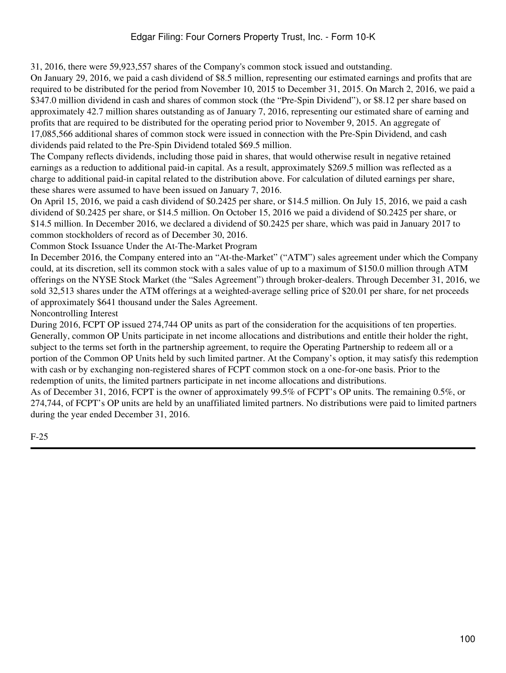31, 2016, there were 59,923,557 shares of the Company's common stock issued and outstanding.

On January 29, 2016, we paid a cash dividend of \$8.5 million, representing our estimated earnings and profits that are required to be distributed for the period from November 10, 2015 to December 31, 2015. On March 2, 2016, we paid a \$347.0 million dividend in cash and shares of common stock (the "Pre-Spin Dividend"), or \$8.12 per share based on approximately 42.7 million shares outstanding as of January 7, 2016, representing our estimated share of earning and profits that are required to be distributed for the operating period prior to November 9, 2015. An aggregate of 17,085,566 additional shares of common stock were issued in connection with the Pre-Spin Dividend, and cash dividends paid related to the Pre-Spin Dividend totaled \$69.5 million.

The Company reflects dividends, including those paid in shares, that would otherwise result in negative retained earnings as a reduction to additional paid-in capital. As a result, approximately \$269.5 million was reflected as a charge to additional paid-in capital related to the distribution above. For calculation of diluted earnings per share, these shares were assumed to have been issued on January 7, 2016.

On April 15, 2016, we paid a cash dividend of \$0.2425 per share, or \$14.5 million. On July 15, 2016, we paid a cash dividend of \$0.2425 per share, or \$14.5 million. On October 15, 2016 we paid a dividend of \$0.2425 per share, or \$14.5 million. In December 2016, we declared a dividend of \$0.2425 per share, which was paid in January 2017 to common stockholders of record as of December 30, 2016.

Common Stock Issuance Under the At-The-Market Program

In December 2016, the Company entered into an "At-the-Market" ("ATM") sales agreement under which the Company could, at its discretion, sell its common stock with a sales value of up to a maximum of \$150.0 million through ATM offerings on the NYSE Stock Market (the "Sales Agreement") through broker-dealers. Through December 31, 2016, we sold 32,513 shares under the ATM offerings at a weighted-average selling price of \$20.01 per share, for net proceeds of approximately \$641 thousand under the Sales Agreement.

Noncontrolling Interest

During 2016, FCPT OP issued 274,744 OP units as part of the consideration for the acquisitions of ten properties. Generally, common OP Units participate in net income allocations and distributions and entitle their holder the right, subject to the terms set forth in the partnership agreement, to require the Operating Partnership to redeem all or a portion of the Common OP Units held by such limited partner. At the Company's option, it may satisfy this redemption with cash or by exchanging non-registered shares of FCPT common stock on a one-for-one basis. Prior to the redemption of units, the limited partners participate in net income allocations and distributions.

As of December 31, 2016, FCPT is the owner of approximately 99.5% of FCPT's OP units. The remaining 0.5%, or 274,744, of FCPT's OP units are held by an unaffiliated limited partners. No distributions were paid to limited partners during the year ended December 31, 2016.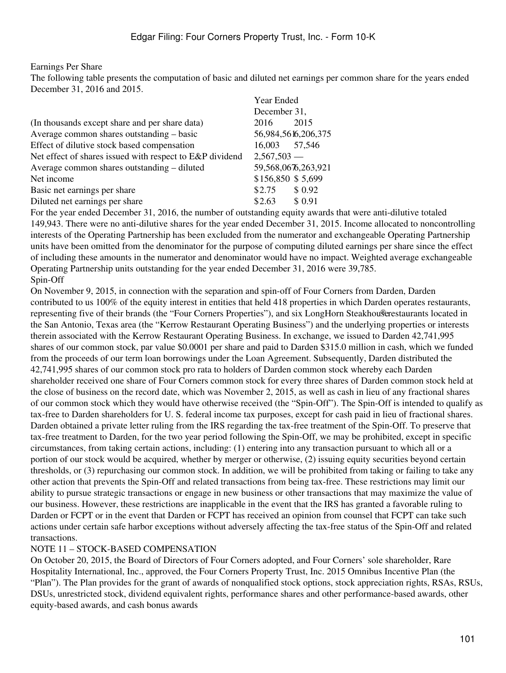#### Earnings Per Share

The following table presents the computation of basic and diluted net earnings per common share for the years ended December 31, 2016 and 2015.

|                                                          | Year Ended        |                     |  |  |
|----------------------------------------------------------|-------------------|---------------------|--|--|
|                                                          | December 31,      |                     |  |  |
| (In thousands except share and per share data)           | 2016              | 2015                |  |  |
| Average common shares outstanding – basic                |                   | 56,984,5616,206,375 |  |  |
| Effect of dilutive stock based compensation              | 16,003 57,546     |                     |  |  |
| Net effect of shares issued with respect to E&P dividend | $2,567,503$ —     |                     |  |  |
| Average common shares outstanding – diluted              |                   | 59,568,0676,263,921 |  |  |
| Net income                                               | \$156,850 \$5,699 |                     |  |  |
| Basic net earnings per share                             | \$2.75            | \$0.92              |  |  |
| Diluted net earnings per share                           | \$2.63            | \$ 0.91             |  |  |

For the year ended December 31, 2016, the number of outstanding equity awards that were anti-dilutive totaled 149,943. There were no anti-dilutive shares for the year ended December 31, 2015. Income allocated to noncontrolling interests of the Operating Partnership has been excluded from the numerator and exchangeable Operating Partnership units have been omitted from the denominator for the purpose of computing diluted earnings per share since the effect of including these amounts in the numerator and denominator would have no impact. Weighted average exchangeable Operating Partnership units outstanding for the year ended December 31, 2016 were 39,785. Spin-Off

On November 9, 2015, in connection with the separation and spin-off of Four Corners from Darden, Darden contributed to us 100% of the equity interest in entities that held 418 properties in which Darden operates restaurants, representing five of their brands (the "Four Corners Properties"), and six LongHorn Steakhouse restaurants located in the San Antonio, Texas area (the "Kerrow Restaurant Operating Business") and the underlying properties or interests therein associated with the Kerrow Restaurant Operating Business. In exchange, we issued to Darden 42,741,995 shares of our common stock, par value \$0.0001 per share and paid to Darden \$315.0 million in cash, which we funded from the proceeds of our term loan borrowings under the Loan Agreement. Subsequently, Darden distributed the 42,741,995 shares of our common stock pro rata to holders of Darden common stock whereby each Darden shareholder received one share of Four Corners common stock for every three shares of Darden common stock held at the close of business on the record date, which was November 2, 2015, as well as cash in lieu of any fractional shares of our common stock which they would have otherwise received (the "Spin-Off"). The Spin-Off is intended to qualify as tax-free to Darden shareholders for U. S. federal income tax purposes, except for cash paid in lieu of fractional shares. Darden obtained a private letter ruling from the IRS regarding the tax-free treatment of the Spin-Off. To preserve that tax-free treatment to Darden, for the two year period following the Spin-Off, we may be prohibited, except in specific circumstances, from taking certain actions, including: (1) entering into any transaction pursuant to which all or a portion of our stock would be acquired, whether by merger or otherwise, (2) issuing equity securities beyond certain thresholds, or (3) repurchasing our common stock. In addition, we will be prohibited from taking or failing to take any other action that prevents the Spin-Off and related transactions from being tax-free. These restrictions may limit our ability to pursue strategic transactions or engage in new business or other transactions that may maximize the value of our business. However, these restrictions are inapplicable in the event that the IRS has granted a favorable ruling to Darden or FCPT or in the event that Darden or FCPT has received an opinion from counsel that FCPT can take such actions under certain safe harbor exceptions without adversely affecting the tax-free status of the Spin-Off and related transactions.

### NOTE 11 – STOCK-BASED COMPENSATION

On October 20, 2015, the Board of Directors of Four Corners adopted, and Four Corners' sole shareholder, Rare Hospitality International, Inc., approved, the Four Corners Property Trust, Inc. 2015 Omnibus Incentive Plan (the "Plan"). The Plan provides for the grant of awards of nonqualified stock options, stock appreciation rights, RSAs, RSUs, DSUs, unrestricted stock, dividend equivalent rights, performance shares and other performance-based awards, other equity-based awards, and cash bonus awards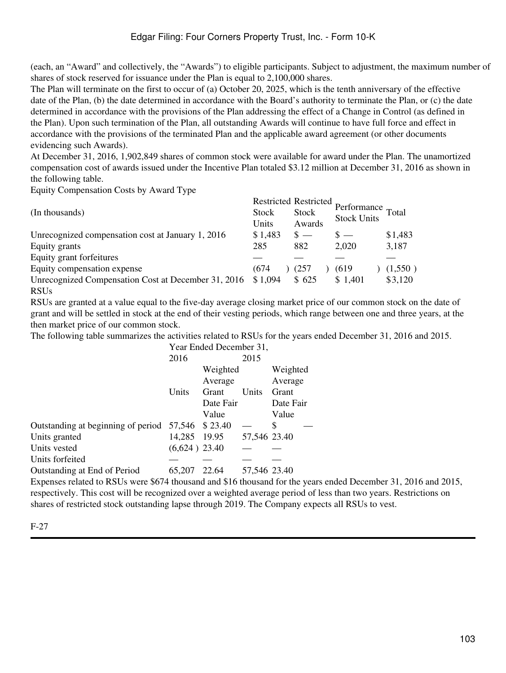(each, an "Award" and collectively, the "Awards") to eligible participants. Subject to adjustment, the maximum number of shares of stock reserved for issuance under the Plan is equal to 2,100,000 shares.

The Plan will terminate on the first to occur of (a) October 20, 2025, which is the tenth anniversary of the effective date of the Plan, (b) the date determined in accordance with the Board's authority to terminate the Plan, or (c) the date determined in accordance with the provisions of the Plan addressing the effect of a Change in Control (as defined in the Plan). Upon such termination of the Plan, all outstanding Awards will continue to have full force and effect in accordance with the provisions of the terminated Plan and the applicable award agreement (or other documents evidencing such Awards).

At December 31, 2016, 1,902,849 shares of common stock were available for award under the Plan. The unamortized compensation cost of awards issued under the Incentive Plan totaled \$3.12 million at December 31, 2016 as shown in the following table.

Equity Compensation Costs by Award Type

|                                                     |              | <b>Restricted Restricted</b> |                                         |         |
|-----------------------------------------------------|--------------|------------------------------|-----------------------------------------|---------|
| (In thousands)                                      | <b>Stock</b> | <b>Stock</b>                 | Performance Total<br><b>Stock Units</b> |         |
|                                                     | Units        | Awards                       |                                         |         |
| Unrecognized compensation cost at January 1, 2016   | \$1,483      | $\mathbb{S}$ —               | $s =$                                   | \$1,483 |
| Equity grants                                       | 285          | 882                          | 2,020                                   | 3,187   |
| Equity grant forfeitures                            |              |                              |                                         |         |
| Equity compensation expense                         | (674         | (257)                        | (619)                                   | (1,550) |
| Unrecognized Compensation Cost at December 31, 2016 | \$1,094      | \$625                        | \$1,401                                 | \$3,120 |
| <b>RSUs</b>                                         |              |                              |                                         |         |

RSUs are granted at a value equal to the five-day average closing market price of our common stock on the date of grant and will be settled in stock at the end of their vesting periods, which range between one and three years, at the then market price of our common stock.

The following table summarizes the activities related to RSUs for the years ended December 31, 2016 and 2015.

|                                    | Year Ended December 31, |           |              |           |  |  |
|------------------------------------|-------------------------|-----------|--------------|-----------|--|--|
|                                    | 2016                    |           |              |           |  |  |
|                                    |                         | Weighted  |              |           |  |  |
|                                    |                         | Average   |              | Average   |  |  |
|                                    | Units                   | Grant     | Units        | Grant     |  |  |
|                                    |                         | Date Fair |              | Date Fair |  |  |
|                                    |                         | Value     |              | Value     |  |  |
| Outstanding at beginning of period | 57,546                  | \$23.40   |              | \$        |  |  |
| Units granted                      | 14,285                  | 19.95     | 57,546 23.40 |           |  |  |
| Units vested                       | $(6,624)$ 23.40         |           |              |           |  |  |
| Units forfeited                    |                         |           |              |           |  |  |
| Outstanding at End of Period       | 65,207                  | 22.64     | 57,546 23.40 |           |  |  |
|                                    |                         |           |              |           |  |  |

Expenses related to RSUs were \$674 thousand and \$16 thousand for the years ended December 31, 2016 and 2015, respectively. This cost will be recognized over a weighted average period of less than two years. Restrictions on shares of restricted stock outstanding lapse through 2019. The Company expects all RSUs to vest.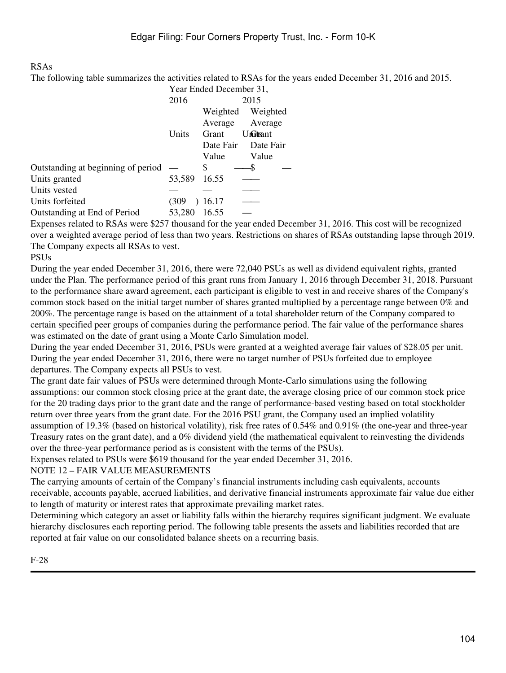#### RSAs

The following table summarizes the activities related to RSAs for the years ended December 31, 2016 and 2015.

|                                    | Year Ended December 31, |           |           |  |  |
|------------------------------------|-------------------------|-----------|-----------|--|--|
|                                    | 2016                    | 2015      |           |  |  |
|                                    |                         | Weighted  | Weighted  |  |  |
|                                    |                         | Average   | Average   |  |  |
|                                    | Units                   | Grant     | UnGitsant |  |  |
|                                    |                         | Date Fair | Date Fair |  |  |
|                                    |                         | Value     | Value     |  |  |
| Outstanding at beginning of period |                         | S         |           |  |  |
| Units granted                      | 53,589                  | 16.55     |           |  |  |
| Units vested                       |                         |           |           |  |  |
| Units forfeited                    | (309                    | 16.17     |           |  |  |
| Outstanding at End of Period       | 53,280                  | 16.55     |           |  |  |
|                                    |                         |           |           |  |  |

Expenses related to RSAs were \$257 thousand for the year ended December 31, 2016. This cost will be recognized over a weighted average period of less than two years. Restrictions on shares of RSAs outstanding lapse through 2019. The Company expects all RSAs to vest.

### PSUs

During the year ended December 31, 2016, there were 72,040 PSUs as well as dividend equivalent rights, granted under the Plan. The performance period of this grant runs from January 1, 2016 through December 31, 2018. Pursuant to the performance share award agreement, each participant is eligible to vest in and receive shares of the Company's common stock based on the initial target number of shares granted multiplied by a percentage range between 0% and 200%. The percentage range is based on the attainment of a total shareholder return of the Company compared to certain specified peer groups of companies during the performance period. The fair value of the performance shares was estimated on the date of grant using a Monte Carlo Simulation model.

During the year ended December 31, 2016, PSUs were granted at a weighted average fair values of \$28.05 per unit. During the year ended December 31, 2016, there were no target number of PSUs forfeited due to employee departures. The Company expects all PSUs to vest.

The grant date fair values of PSUs were determined through Monte-Carlo simulations using the following assumptions: our common stock closing price at the grant date, the average closing price of our common stock price for the 20 trading days prior to the grant date and the range of performance-based vesting based on total stockholder return over three years from the grant date. For the 2016 PSU grant, the Company used an implied volatility assumption of 19.3% (based on historical volatility), risk free rates of 0.54% and 0.91% (the one-year and three-year Treasury rates on the grant date), and a 0% dividend yield (the mathematical equivalent to reinvesting the dividends over the three-year performance period as is consistent with the terms of the PSUs).

Expenses related to PSUs were \$619 thousand for the year ended December 31, 2016.

### NOTE 12 – FAIR VALUE MEASUREMENTS

The carrying amounts of certain of the Company's financial instruments including cash equivalents, accounts receivable, accounts payable, accrued liabilities, and derivative financial instruments approximate fair value due either to length of maturity or interest rates that approximate prevailing market rates.

Determining which category an asset or liability falls within the hierarchy requires significant judgment. We evaluate hierarchy disclosures each reporting period. The following table presents the assets and liabilities recorded that are reported at fair value on our consolidated balance sheets on a recurring basis.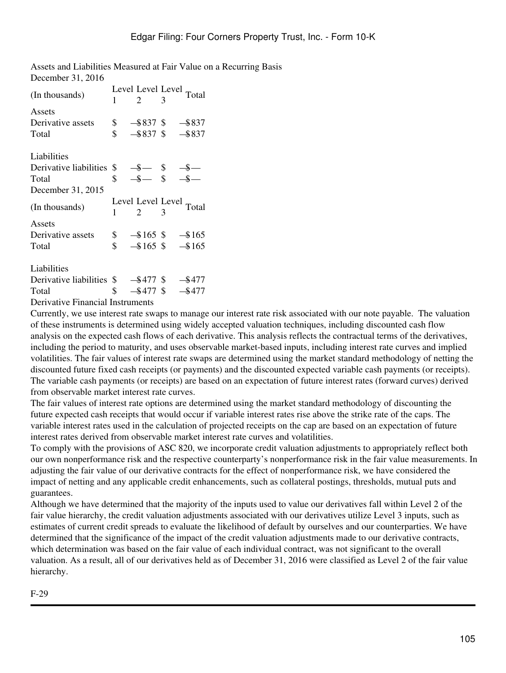Assets and Liabilities Measured at Fair Value on a Recurring Basis December 31, 2016

| (In thousands)                                        |    |              | Level Level Level Total |
|-------------------------------------------------------|----|--------------|-------------------------|
|                                                       | 1  | 2            |                         |
| Assets                                                |    |              |                         |
| Derivative assets                                     |    |              | $$-$ \$837 \$ - \$837   |
| Total                                                 | \$ | $-$ \$837 \$ | $-$ \$837               |
| Liabilities                                           |    |              |                         |
| Derivative liabilities                                |    |              |                         |
| Total                                                 |    |              |                         |
| December 31, 2015                                     |    |              |                         |
|                                                       |    |              |                         |
|                                                       |    |              |                         |
| (In thousands)                                        |    | 2            | Level Level Level Total |
| Assets                                                |    |              |                         |
| Derivative assets                                     |    |              | $$ - $165$ \$ $- $165$  |
| Total                                                 | \$ | $-$ \$165 \$ | $-165$                  |
| Liabilities                                           |    |              |                         |
| Derivative liabilities $\frac{1}{2}$ -\$477 \$ -\$477 |    |              |                         |
| Total                                                 | \$ | $-$ \$477 \$ | $-$ \$477               |

Currently, we use interest rate swaps to manage our interest rate risk associated with our note payable. The valuation of these instruments is determined using widely accepted valuation techniques, including discounted cash flow analysis on the expected cash flows of each derivative. This analysis reflects the contractual terms of the derivatives, including the period to maturity, and uses observable market-based inputs, including interest rate curves and implied volatilities. The fair values of interest rate swaps are determined using the market standard methodology of netting the discounted future fixed cash receipts (or payments) and the discounted expected variable cash payments (or receipts). The variable cash payments (or receipts) are based on an expectation of future interest rates (forward curves) derived from observable market interest rate curves.

The fair values of interest rate options are determined using the market standard methodology of discounting the future expected cash receipts that would occur if variable interest rates rise above the strike rate of the caps. The variable interest rates used in the calculation of projected receipts on the cap are based on an expectation of future interest rates derived from observable market interest rate curves and volatilities.

To comply with the provisions of ASC 820, we incorporate credit valuation adjustments to appropriately reflect both our own nonperformance risk and the respective counterparty's nonperformance risk in the fair value measurements. In adjusting the fair value of our derivative contracts for the effect of nonperformance risk, we have considered the impact of netting and any applicable credit enhancements, such as collateral postings, thresholds, mutual puts and guarantees.

Although we have determined that the majority of the inputs used to value our derivatives fall within Level 2 of the fair value hierarchy, the credit valuation adjustments associated with our derivatives utilize Level 3 inputs, such as estimates of current credit spreads to evaluate the likelihood of default by ourselves and our counterparties. We have determined that the significance of the impact of the credit valuation adjustments made to our derivative contracts, which determination was based on the fair value of each individual contract, was not significant to the overall valuation. As a result, all of our derivatives held as of December 31, 2016 were classified as Level 2 of the fair value hierarchy.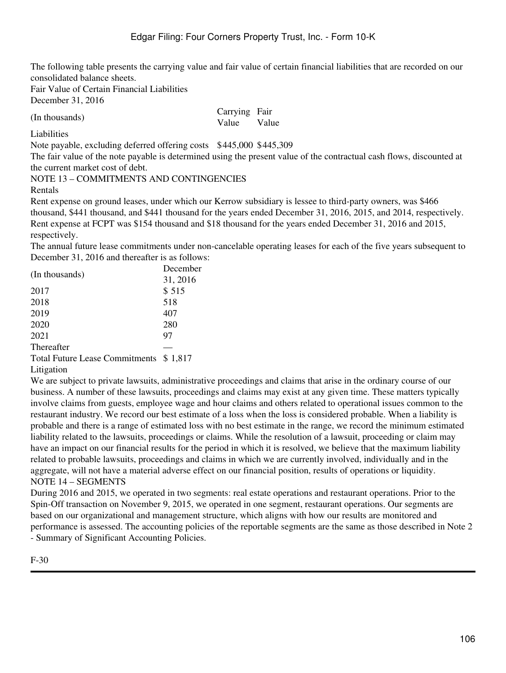The following table presents the carrying value and fair value of certain financial liabilities that are recorded on our consolidated balance sheets.

Fair Value of Certain Financial Liabilities December 31, 2016

(In thousands) Value Carrying Fair Value

Liabilities

Note payable, excluding deferred offering costs \$445,000 \$445,309

The fair value of the note payable is determined using the present value of the contractual cash flows, discounted at the current market cost of debt.

NOTE 13 – COMMITMENTS AND CONTINGENCIES

Rentals

Rent expense on ground leases, under which our Kerrow subsidiary is lessee to third-party owners, was \$466 thousand, \$441 thousand, and \$441 thousand for the years ended December 31, 2016, 2015, and 2014, respectively. Rent expense at FCPT was \$154 thousand and \$18 thousand for the years ended December 31, 2016 and 2015, respectively.

The annual future lease commitments under non-cancelable operating leases for each of the five years subsequent to December 31, 2016 and thereafter is as follows:

| (In thousands)    | December |
|-------------------|----------|
|                   | 31, 2016 |
| 2017              | \$515    |
| 2018              | 518      |
| 2019              | 407      |
| 2020              | 280      |
| 2021              | 97       |
| <b>Thereafter</b> |          |
|                   |          |

Total Future Lease Commitments \$ 1,817

Litigation

We are subject to private lawsuits, administrative proceedings and claims that arise in the ordinary course of our business. A number of these lawsuits, proceedings and claims may exist at any given time. These matters typically involve claims from guests, employee wage and hour claims and others related to operational issues common to the restaurant industry. We record our best estimate of a loss when the loss is considered probable. When a liability is probable and there is a range of estimated loss with no best estimate in the range, we record the minimum estimated liability related to the lawsuits, proceedings or claims. While the resolution of a lawsuit, proceeding or claim may have an impact on our financial results for the period in which it is resolved, we believe that the maximum liability related to probable lawsuits, proceedings and claims in which we are currently involved, individually and in the aggregate, will not have a material adverse effect on our financial position, results of operations or liquidity. NOTE 14 – SEGMENTS

During 2016 and 2015, we operated in two segments: real estate operations and restaurant operations. Prior to the Spin-Off transaction on November 9, 2015, we operated in one segment, restaurant operations. Our segments are based on our organizational and management structure, which aligns with how our results are monitored and performance is assessed. The accounting policies of the reportable segments are the same as those described in Note 2 - Summary of Significant Accounting Policies.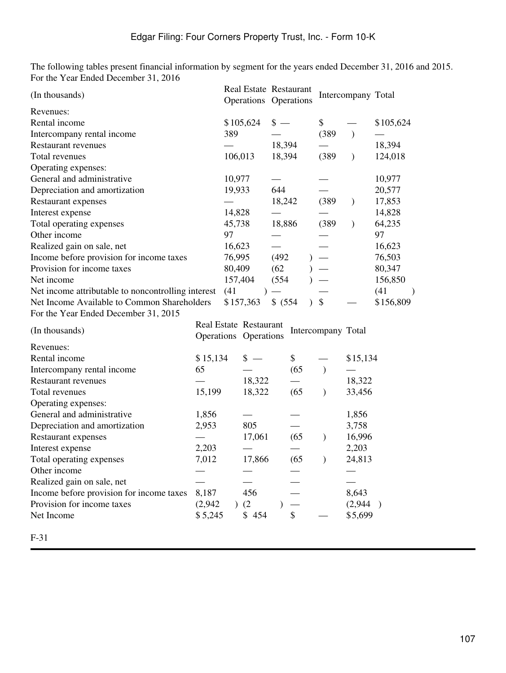The following tables present financial information by segment for the years ended December 31, 2016 and 2015. For the Year Ended December 31, 2016

| (In thousands)                                     |          |         | Real Estate Restaurant<br>Operations Operations |          |      |                    | Intercompany Total |           |
|----------------------------------------------------|----------|---------|-------------------------------------------------|----------|------|--------------------|--------------------|-----------|
| Revenues:                                          |          |         |                                                 |          |      |                    |                    |           |
| Rental income                                      |          |         | \$105,624                                       | $s -$    |      | \$                 |                    | \$105,624 |
| Intercompany rental income                         |          | 389     |                                                 |          |      | (389)              | $\mathcal{E}$      |           |
| <b>Restaurant revenues</b>                         |          |         |                                                 | 18,394   |      |                    |                    | 18,394    |
| Total revenues                                     |          | 106,013 |                                                 | 18,394   |      | (389)              | $\mathcal{E}$      | 124,018   |
| Operating expenses:                                |          |         |                                                 |          |      |                    |                    |           |
| General and administrative                         |          | 10,977  |                                                 |          |      |                    |                    | 10,977    |
| Depreciation and amortization                      |          | 19,933  |                                                 | 644      |      |                    |                    | 20,577    |
| Restaurant expenses                                |          |         |                                                 | 18,242   |      | (389)              | $\mathcal{E}$      | 17,853    |
| Interest expense                                   |          | 14,828  |                                                 |          |      |                    |                    | 14,828    |
| Total operating expenses                           |          | 45,738  |                                                 | 18,886   |      | (389)              | $\mathcal{E}$      | 64,235    |
| Other income                                       |          | 97      |                                                 |          |      |                    |                    | 97        |
| Realized gain on sale, net                         |          | 16,623  |                                                 |          |      |                    |                    | 16,623    |
| Income before provision for income taxes           |          | 76,995  |                                                 | (492)    |      |                    |                    | 76,503    |
| Provision for income taxes                         |          | 80,409  |                                                 | (62)     |      |                    |                    | 80,347    |
| Net income                                         |          | 157,404 |                                                 | (554)    |      |                    |                    | 156,850   |
| Net income attributable to noncontrolling interest |          | (41)    |                                                 |          |      |                    |                    | (41)      |
| Net Income Available to Common Shareholders        |          |         | \$157,363                                       | \$ (554) |      | $\frac{1}{2}$      |                    | \$156,809 |
| For the Year Ended December 31, 2015               |          |         |                                                 |          |      |                    |                    |           |
| (In thousands)                                     |          |         | Real Estate Restaurant                          |          |      | Intercompany Total |                    |           |
|                                                    |          |         | Operations Operations                           |          |      |                    |                    |           |
| Revenues:                                          |          |         |                                                 |          |      |                    |                    |           |
| Rental income                                      | \$15,134 |         | $s -$                                           |          | \$   |                    | \$15,134           |           |
| Intercompany rental income                         | 65       |         |                                                 |          | (65) | $\mathcal{E}$      |                    |           |
| <b>Restaurant revenues</b>                         |          |         | 18,322                                          |          |      |                    | 18,322             |           |
| Total revenues                                     | 15,199   |         | 18,322                                          |          | (65) | $\mathcal{E}$      | 33,456             |           |
| Operating expenses:                                |          |         |                                                 |          |      |                    |                    |           |
| General and administrative                         | 1,856    |         |                                                 |          |      |                    | 1,856              |           |
| Depreciation and amortization                      | 2,953    |         | 805                                             |          |      |                    | 3,758              |           |
| Restaurant expenses                                |          |         | 17,061                                          |          | (65) | $\lambda$          | 16,996             |           |
| Interest expense                                   | 2,203    |         |                                                 |          |      |                    | 2,203              |           |
| Total operating expenses                           | 7,012    |         | 17,866                                          |          | (65) | $\mathcal{E}$      | 24,813             |           |
| Other income                                       |          |         |                                                 |          |      |                    |                    |           |
| Realized gain on sale, net                         |          |         |                                                 |          |      |                    |                    |           |
| Income before provision for income taxes           | 8,187    |         | 456                                             |          |      |                    | 8,643              |           |
| Provision for income taxes                         | (2,942)  |         | (2)                                             |          |      |                    | (2,944)            |           |
| Net Income                                         | \$5,245  |         | \$454                                           |          | \$   |                    | \$5,699            |           |
|                                                    |          |         |                                                 |          |      |                    |                    |           |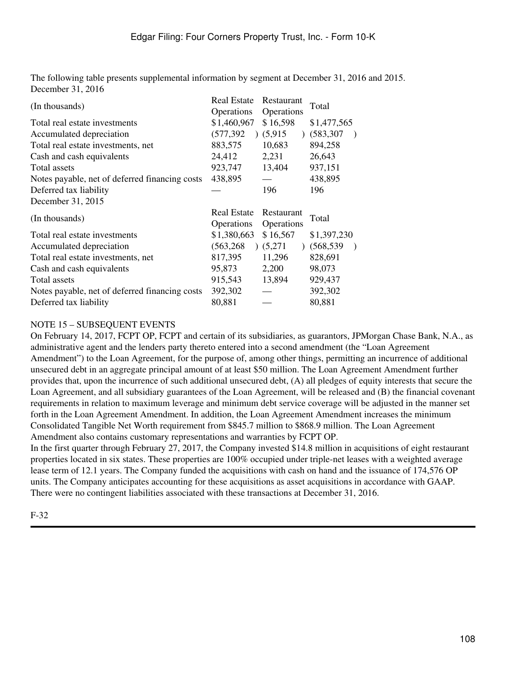The following table presents supplemental information by segment at December 31, 2016 and 2015. December 31, 2016

| (In thousands)                                 | <b>Real Estate</b> | Restaurant | Total                   |
|------------------------------------------------|--------------------|------------|-------------------------|
|                                                | Operations         | Operations |                         |
| Total real estate investments                  | \$1,460,967        | \$16,598   | \$1,477,565             |
| Accumulated depreciation                       | (577, 392)         | (5,915)    | (583, 307)<br>$\lambda$ |
| Total real estate investments, net             | 883,575            | 10,683     | 894,258                 |
| Cash and cash equivalents                      | 24,412             | 2,231      | 26,643                  |
| Total assets                                   | 923,747            | 13,404     | 937,151                 |
| Notes payable, net of deferred financing costs | 438,895            |            | 438,895                 |
| Deferred tax liability                         |                    | 196        | 196                     |
| December 31, 2015                              |                    |            |                         |
| (In thousands)                                 | <b>Real Estate</b> | Restaurant |                         |
|                                                |                    |            |                         |
|                                                | Operations         | Operations | Total                   |
| Total real estate investments                  | \$1,380,663        | \$16,567   | \$1,397,230             |
| Accumulated depreciation                       | (563, 268)         | (5,271)    | (568, 539)<br>$\lambda$ |
| Total real estate investments, net             | 817,395            | 11,296     | 828,691                 |
| Cash and cash equivalents                      | 95,873             | 2,200      | 98,073                  |
| Total assets                                   | 915,543            | 13,894     | 929,437                 |
| Notes payable, net of deferred financing costs | 392,302            |            | 392,302                 |

### NOTE 15 – SUBSEQUENT EVENTS

On February 14, 2017, FCPT OP, FCPT and certain of its subsidiaries, as guarantors, JPMorgan Chase Bank, N.A., as administrative agent and the lenders party thereto entered into a second amendment (the "Loan Agreement Amendment") to the Loan Agreement, for the purpose of, among other things, permitting an incurrence of additional unsecured debt in an aggregate principal amount of at least \$50 million. The Loan Agreement Amendment further provides that, upon the incurrence of such additional unsecured debt, (A) all pledges of equity interests that secure the Loan Agreement, and all subsidiary guarantees of the Loan Agreement, will be released and (B) the financial covenant requirements in relation to maximum leverage and minimum debt service coverage will be adjusted in the manner set forth in the Loan Agreement Amendment. In addition, the Loan Agreement Amendment increases the minimum Consolidated Tangible Net Worth requirement from \$845.7 million to \$868.9 million. The Loan Agreement Amendment also contains customary representations and warranties by FCPT OP.

In the first quarter through February 27, 2017, the Company invested \$14.8 million in acquisitions of eight restaurant properties located in six states. These properties are 100% occupied under triple-net leases with a weighted average lease term of 12.1 years. The Company funded the acquisitions with cash on hand and the issuance of 174,576 OP units. The Company anticipates accounting for these acquisitions as asset acquisitions in accordance with GAAP. There were no contingent liabilities associated with these transactions at December 31, 2016.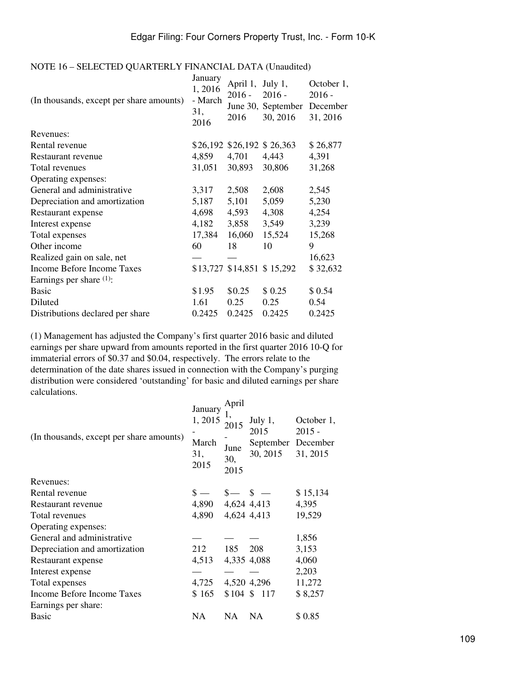#### NOTE 16 – SELECTED QUARTERLY FINANCIAL DATA (Unaudited)

| (In thousands, except per share amounts) | January<br>1,2016<br>- March<br>31,<br>2016 | April 1,<br>$2016 -$<br>2016 | July $1$ ,<br>$2016 -$<br>June 30, September December<br>30, 2016 | October 1,<br>$2016 -$<br>31, 2016 |
|------------------------------------------|---------------------------------------------|------------------------------|-------------------------------------------------------------------|------------------------------------|
| Revenues:                                |                                             |                              |                                                                   |                                    |
| Rental revenue                           |                                             |                              | \$26,192 \$26,192 \$26,363                                        | \$26,877                           |
| Restaurant revenue                       | 4,859                                       | 4,701                        | 4,443                                                             | 4,391                              |
| Total revenues                           | 31,051                                      | 30,893                       | 30,806                                                            | 31,268                             |
| Operating expenses:                      |                                             |                              |                                                                   |                                    |
| General and administrative               | 3,317                                       | 2,508                        | 2,608                                                             | 2,545                              |
| Depreciation and amortization            | 5,187                                       | 5,101                        | 5,059                                                             | 5,230                              |
| Restaurant expense                       | 4,698                                       | 4,593                        | 4,308                                                             | 4,254                              |
| Interest expense                         | 4,182                                       | 3,858                        | 3,549                                                             | 3,239                              |
| Total expenses                           | 17,384                                      | 16,060                       | 15,524                                                            | 15,268                             |
| Other income                             | 60                                          | 18                           | 10                                                                | 9                                  |
| Realized gain on sale, net               |                                             |                              |                                                                   | 16,623                             |
| Income Before Income Taxes               |                                             |                              | \$13,727 \$14,851 \$15,292                                        | \$32,632                           |
| Earnings per share $(1)$ :               |                                             |                              |                                                                   |                                    |
| <b>Basic</b>                             | \$1.95                                      | \$0.25                       | \$0.25                                                            | \$0.54                             |
| Diluted                                  | 1.61                                        | 0.25                         | 0.25                                                              | 0.54                               |
| Distributions declared per share         | 0.2425                                      | 0.2425                       | 0.2425                                                            | 0.2425                             |

(1) Management has adjusted the Company's first quarter 2016 basic and diluted earnings per share upward from amounts reported in the first quarter 2016 10-Q for immaterial errors of \$0.37 and \$0.04, respectively. The errors relate to the determination of the date shares issued in connection with the Company's purging distribution were considered 'outstanding' for basic and diluted earnings per share calculations.  $A = 11$ 

| January<br>1,2015<br>March<br>31,<br>2015 | April<br>2015<br>June<br>30,<br>2015 | July $1,$<br>2015<br>September December<br>30, 2015 | October 1,<br>$2015 -$<br>31, 2015                                                            |
|-------------------------------------------|--------------------------------------|-----------------------------------------------------|-----------------------------------------------------------------------------------------------|
|                                           |                                      |                                                     |                                                                                               |
| $\mathbf{s}$ —                            |                                      |                                                     | \$15,134                                                                                      |
|                                           |                                      |                                                     | 4,395                                                                                         |
| 4,890                                     |                                      |                                                     | 19,529                                                                                        |
|                                           |                                      |                                                     |                                                                                               |
|                                           |                                      |                                                     | 1,856                                                                                         |
| 212                                       | 185                                  | 208                                                 | 3,153                                                                                         |
| 4,513                                     |                                      |                                                     | 4,060                                                                                         |
|                                           |                                      |                                                     | 2,203                                                                                         |
|                                           |                                      |                                                     | 11,272                                                                                        |
| \$165                                     |                                      |                                                     | \$8,257                                                                                       |
|                                           |                                      |                                                     |                                                                                               |
| NA                                        | NA                                   | <b>NA</b>                                           | \$0.85                                                                                        |
|                                           |                                      | 4,725                                               | $s-$ s $-$<br>4,890 4,624 4,413<br>4,624 4,413<br>4,335 4,088<br>4,520 4,296<br>$$104$ \$ 117 |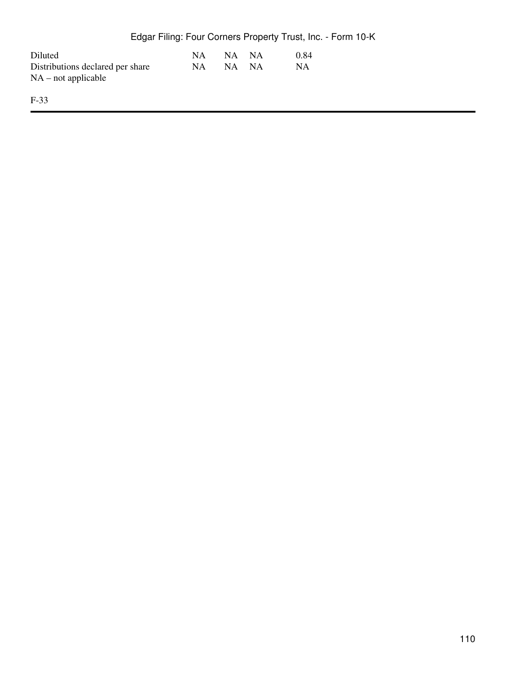|                                                           |    |       |     | Edgar Filing: Four Corners Property Trust, Inc. - Form 10-K |
|-----------------------------------------------------------|----|-------|-----|-------------------------------------------------------------|
| Diluted                                                   | NΑ | NA NA |     | 0.84                                                        |
| Distributions declared per share<br>$NA$ – not applicable | NA | NA.   | NA. | NA                                                          |
| $F-33$                                                    |    |       |     |                                                             |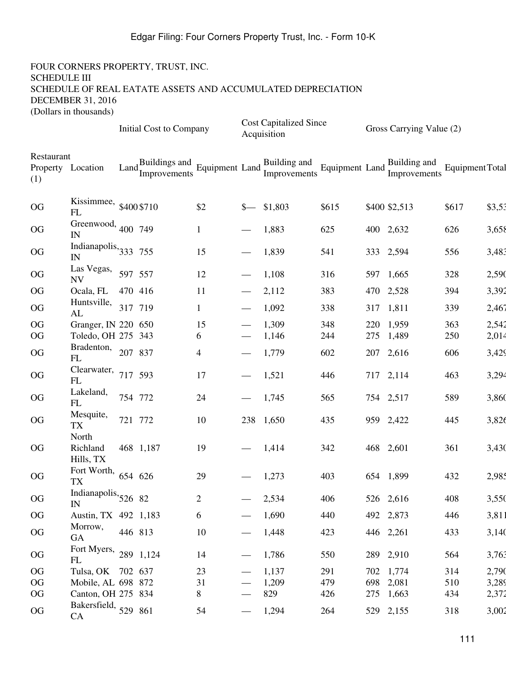|                                        |                                 |                   | <b>Initial Cost to Company</b>                  |                |                                 | <b>Cost Capitalized Since</b><br>Acquisition                                 |       |     | Gross Carrying Value (2)     |                 |        |
|----------------------------------------|---------------------------------|-------------------|-------------------------------------------------|----------------|---------------------------------|------------------------------------------------------------------------------|-------|-----|------------------------------|-----------------|--------|
| Restaurant<br>Property Location<br>(1) |                                 | Land <sub>r</sub> | Buildings and<br>Improvements Equipment Land In |                |                                 | $\frac{1}{1}$ - $\frac{1}{2}$ and $\frac{1}{1}$ Equipment Land $\frac{1}{1}$ |       |     | Building and<br>Improvements | Equipment Total |        |
| OG                                     | Kissimmee, \$400 \$710<br>FL    |                   |                                                 | \$2            | $S-$                            | \$1,803                                                                      | \$615 |     | \$400 \$2,513                | \$617           | \$3,53 |
| OG                                     | Greenwood, 400 749<br>IN        |                   |                                                 | $\mathbf{1}$   |                                 | 1,883                                                                        | 625   |     | 400 2,632                    | 626             | 3,658  |
| OG                                     | Indianapolis, $333$ 755<br>IN   |                   |                                                 | 15             |                                 | 1,839                                                                        | 541   |     | 333 2,594                    | 556             | 3,483  |
| OG                                     | Las Vegas,<br><b>NV</b>         | 597 557           |                                                 | 12             |                                 | 1,108                                                                        | 316   |     | 597 1,665                    | 328             | 2,590  |
| <b>OG</b>                              | Ocala, FL                       | 470 416           |                                                 | 11             |                                 | 2,112                                                                        | 383   |     | 470 2,528                    | 394             | 3,392  |
| OG                                     | Huntsville,<br>AL               | 317 719           |                                                 | 1              |                                 | 1,092                                                                        | 338   |     | 317 1,811                    | 339             | 2,467  |
| OG                                     | Granger, IN 220 650             |                   |                                                 | 15             |                                 | 1,309                                                                        | 348   |     | 220 1,959                    | 363             | 2,542  |
| OG                                     | Toledo, OH 275 343              |                   |                                                 | 6              |                                 | 1,146                                                                        | 244   | 275 | 1,489                        | 250             | 2,014  |
| OG                                     | Bradenton, 207 837<br>FL        |                   |                                                 | $\overline{4}$ |                                 | 1,779                                                                        | 602   |     | 207 2,616                    | 606             | 3,429  |
| OG                                     | Clearwater, $717, 593$<br>FL    |                   |                                                 | 17             |                                 | 1,521                                                                        | 446   |     | 717 2,114                    | 463             | 3,294  |
| OG                                     | Lakeland,<br>FL                 | 754 772           |                                                 | 24             |                                 | 1,745                                                                        | 565   |     | 754 2,517                    | 589             | 3,860  |
| OG                                     | Mesquite,<br><b>TX</b><br>North | 721 772           |                                                 | 10             | 238                             | 1,650                                                                        | 435   |     | 959 2,422                    | 445             | 3,826  |
| OG                                     | Richland<br>Hills, TX           |                   | 468 1,187                                       | 19             |                                 | 1,414                                                                        | 342   |     | 468 2,601                    | 361             | 3,430  |
| OG                                     | Fort Worth,<br><b>TX</b>        | 654 626           |                                                 | 29             |                                 | 1,273                                                                        | 403   |     | 654 1,899                    | 432             | 2,985  |
| OG                                     | Indianapolis, $52682$<br>IN     |                   |                                                 | $\overline{c}$ |                                 | 2,534                                                                        | 406   |     | 526 2,616                    | 408             | 3,550  |
| OG                                     | Austin, TX 492 1,183            |                   |                                                 | 6              |                                 | 1,690                                                                        | 440   |     | 492 2,873                    | 446             | 3,811  |
| OG                                     | Morrow,<br><b>GA</b>            | 446 813           |                                                 | 10             |                                 | 1,448                                                                        | 423   |     | 446 2,261                    | 433             | 3,140  |
| OG                                     | Fort Myers, 289 1,124<br>FL     |                   |                                                 | 14             | $\hspace{0.1mm}-\hspace{0.1mm}$ | 1,786                                                                        | 550   |     | 289 2,910                    | 564             | 3,763  |
| OG                                     | Tulsa, OK 702 637               |                   |                                                 | 23             |                                 | 1,137                                                                        | 291   |     | 702 1,774                    | 314             | 2,790  |
| <b>OG</b>                              | Mobile, AL 698 872              |                   |                                                 | 31             |                                 | 1,209                                                                        | 479   |     | 698 2,081                    | 510             | 3,289  |
| OG                                     | Canton, OH 275 834              |                   |                                                 | 8              | $\qquad \qquad$                 | 829                                                                          | 426   |     | 275 1,663                    | 434             | 2,372  |
| OG                                     | Bakersfield, $529$ 861<br>CA    |                   |                                                 | 54             |                                 | 1,294                                                                        | 264   |     | 529 2,155                    | 318             | 3,002  |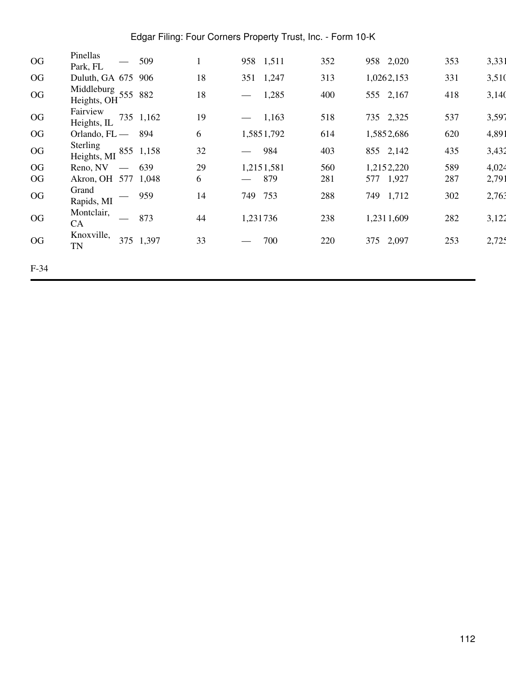| OG     | Pinellas<br>Park, FL                                   | 509       |    | 958 1,511                  | 352 | 958 2,020    | 353 | 3,331 |
|--------|--------------------------------------------------------|-----------|----|----------------------------|-----|--------------|-----|-------|
| OG     | Duluth, GA 675 906                                     |           | 18 | 1,247<br>351               | 313 | 1,0262,153   | 331 | 3,510 |
| OG     | Middleburg 555 882<br>Heights, OH                      |           | 18 | 1,285<br>$\hspace{0.05cm}$ | 400 | 555 2,167    | 418 | 3,140 |
| OG     | Fairview<br>Heights, IL                                | 735 1,162 | 19 | 1,163<br>$\hspace{0.05cm}$ | 518 | 735 2,325    | 537 | 3,597 |
| OG     | Orlando, $FL$ —                                        | 894       | 6  | 1,5851,792                 | 614 | 1,5852,686   | 620 | 4,891 |
| OG     | <b>Sterling</b><br>Heights, MI                         | 855 1,158 | 32 | 984<br>$\hspace{0.05cm}$   | 403 | 855 2,142    | 435 | 3,432 |
| OG     | Reno, NV<br>$\overline{\phantom{m}}$                   | 639       | 29 | 1,2151,581                 | 560 | 1,2152,220   | 589 | 4,024 |
| OG     | Akron, OH 577 1,048                                    |           | 6  | 879<br>$\hspace{0.05cm}$   | 281 | 1,927<br>577 | 287 | 2,791 |
| OG     | Grand<br>$\hspace{0.1mm}-\hspace{0.1mm}$<br>Rapids, MI | 959       | 14 | 753<br>749                 | 288 | 1,712<br>749 | 302 | 2,763 |
| OG     | Montclair,<br>CA                                       | 873       | 44 | 1,231736                   | 238 | 1,2311,609   | 282 | 3,122 |
| OG     | Knoxville,<br>375<br><b>TN</b>                         | 1,397     | 33 | 700                        | 220 | 2,097<br>375 | 253 | 2,725 |
| $F-34$ |                                                        |           |    |                            |     |              |     |       |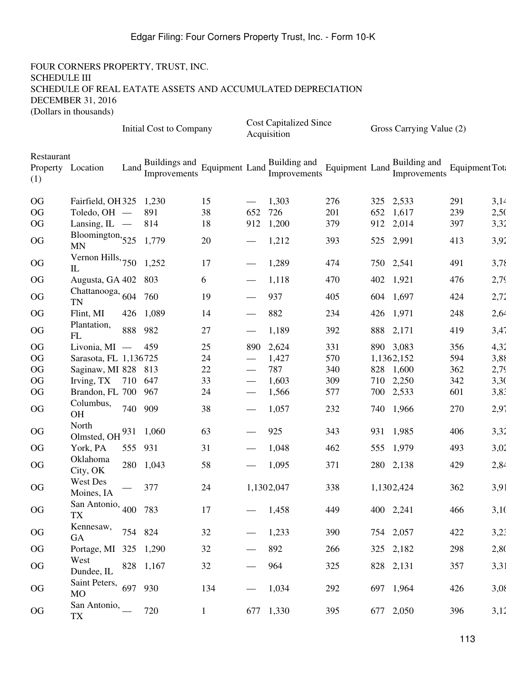|                                        |                                           |         | Initial Cost to Company       |                              |     | <b>Cost Capitalized Since</b><br>Acquisition |                              |     | Gross Carrying Value (2)     |                |      |
|----------------------------------------|-------------------------------------------|---------|-------------------------------|------------------------------|-----|----------------------------------------------|------------------------------|-----|------------------------------|----------------|------|
| Restaurant<br>Property Location<br>(1) |                                           | Land    | Buildings and<br>Improvements | Equipment Land $\frac{E}{I}$ |     | Building and<br>Improvements                 | Equipment Land $\frac{1}{L}$ |     | Building and<br>Improvements | Equipment Tot: |      |
| <b>OG</b>                              | Fairfield, OH 325 1,230                   |         |                               | 15                           |     | 1,303                                        | 276                          |     | 325 2,533                    | 291            | 3,14 |
| <b>OG</b>                              | Toledo, OH —                              |         | 891                           | 38                           | 652 | 726                                          | 201                          | 652 | 1,617                        | 239            | 2,50 |
| <b>OG</b>                              | Lansing, $IL$ —                           |         | 814                           | 18                           | 912 | 1,200                                        | 379                          |     | 912 2,014                    | 397            | 3,32 |
| OG                                     | Bloomington, $525$<br><b>MN</b>           |         | 1,779                         | 20                           |     | 1,212                                        | 393                          |     | 525 2,991                    | 413            | 3,92 |
| <b>OG</b>                              | Vernon Hills, $750$ 1,252<br>$\mathbf{I}$ |         |                               | 17                           |     | 1,289                                        | 474                          |     | 750 2,541                    | 491            | 3,78 |
| <b>OG</b>                              | Augusta, GA 402 803                       |         |                               | 6                            |     | 1,118                                        | 470                          |     | 402 1,921                    | 476            | 2,79 |
| OG                                     | Chattanooga, $604$ 760<br><b>TN</b>       |         |                               | 19                           |     | 937                                          | 405                          |     | 604 1,697                    | 424            | 2,72 |
| <b>OG</b>                              | Flint, MI                                 | 426     | 1,089                         | 14                           |     | 882                                          | 234                          |     | 426 1,971                    | 248            | 2,64 |
| OG                                     | Plantation,<br>FL                         | 888     | 982                           | $27\,$                       |     | 1,189                                        | 392                          |     | 888 2,171                    | 419            | 3,47 |
| <b>OG</b>                              | Livonia, $MI$ —                           |         | 459                           | 25                           | 890 | 2,624                                        | 331                          |     | 890 3,083                    | 356            | 4,32 |
| <b>OG</b>                              | Sarasota, FL 1,136725                     |         |                               | 24                           |     | 1,427                                        | 570                          |     | 1,1362,152                   | 594            | 3,88 |
| <b>OG</b>                              | Saginaw, MI 828 813                       |         |                               | 22                           |     | 787                                          | 340                          |     | 828 1,600                    | 362            | 2,79 |
| <b>OG</b>                              | Irving, TX 710 647                        |         |                               | 33                           |     | 1,603                                        | 309                          |     | 710 2,250                    | 342            | 3,30 |
| <b>OG</b>                              | Brandon, FL 700 967                       |         |                               | 24                           |     | 1,566                                        | 577                          |     | 700 2,533                    | 601            | 3,83 |
| OG                                     | Columbus,<br>OH                           | 740 909 |                               | 38                           |     | 1,057                                        | 232                          |     | 740 1,966                    | 270            | 2,97 |
| <b>OG</b>                              | North<br>Olmsted, OH                      |         | 931 1,060                     | 63                           |     | 925                                          | 343                          |     | 931 1,985                    | 406            | 3,32 |
| <b>OG</b>                              | York, PA                                  | 555     | 931                           | 31                           |     | 1,048                                        | 462                          |     | 555 1,979                    | 493            | 3,02 |
| <b>OG</b>                              | Oklahoma<br>City, OK                      |         | 280 1,043                     | 58                           |     | 1,095                                        | 371                          |     | 280 2,138                    | 429            | 2,84 |
| <b>OG</b>                              | West Des<br>Moines, IA                    |         | 377                           | 24                           |     | 1,1302,047                                   | 338                          |     | 1,1302,424                   | 362            | 3,91 |
| OG                                     | San Antonio, $400$ 783<br>TX              |         |                               | 17                           |     | 1,458                                        | 449                          |     | 400 2,241                    | 466            | 3,10 |
| OG                                     | Kennesaw,<br>GA                           | 754 824 |                               | 32                           |     | 1,233                                        | 390                          |     | 754 2,057                    | 422            | 3,23 |
| OG                                     | Portage, MI 325 1,290                     |         |                               | 32                           |     | 892                                          | 266                          |     | 325 2,182                    | 298            | 2,80 |
| OG                                     | West<br>Dundee, IL                        |         | 828 1,167                     | 32                           |     | 964                                          | 325                          |     | 828 2,131                    | 357            | 3,31 |
| OG                                     | Saint Peters, 697 930<br><b>MO</b>        |         |                               | 134                          |     | 1,034                                        | 292                          |     | 697 1,964                    | 426            | 3,08 |
| OG                                     | San Antonio,<br><b>TX</b>                 |         | 720                           | $\mathbf{1}$                 |     | 677 1,330                                    | 395                          |     | 677 2,050                    | 396            | 3,12 |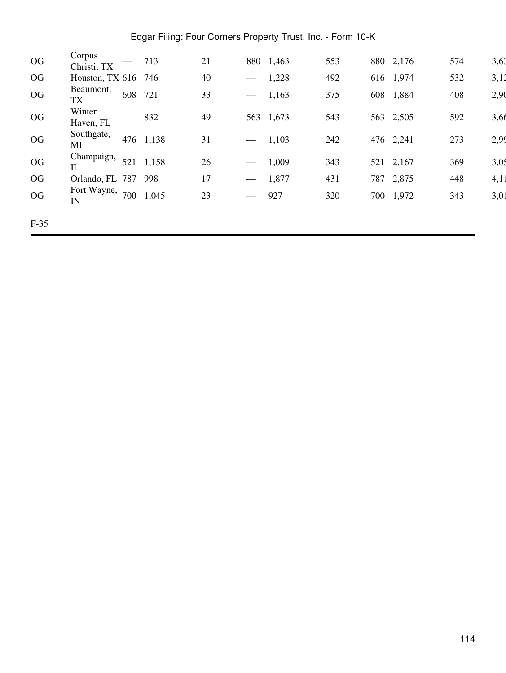| OG     | Corpus                      |     | 713       | 21 |                          | 880 1,463 | 553 | 880 2,176 | 574 | 3,63 |
|--------|-----------------------------|-----|-----------|----|--------------------------|-----------|-----|-----------|-----|------|
|        | Christi, TX                 |     |           |    |                          |           |     |           |     |      |
| OG     | Houston, TX 616 746         |     |           | 40 |                          | 1,228     | 492 | 616 1,974 | 532 | 3,12 |
| OG     | Beaumont,<br><b>TX</b>      | 608 | 721       | 33 | $\hspace{0.05cm}$        | 1,163     | 375 | 608 1,884 | 408 | 2,90 |
| OG     | Winter<br>Haven, FL         |     | 832       | 49 |                          | 563 1,673 | 543 | 563 2,505 | 592 | 3,66 |
| OG     | Southgate,<br>MI            |     | 476 1,138 | 31 | $\hspace{0.05cm}$        | 1,103     | 242 | 476 2,241 | 273 | 2,99 |
| OG     | Champaign,<br>$\mathbbm{L}$ | 521 | 1,158     | 26 | $\overline{\phantom{m}}$ | 1,009     | 343 | 521 2,167 | 369 | 3,05 |
| OG     | Orlando, FL 787             |     | 998       | 17 | $\overline{\phantom{m}}$ | 1,877     | 431 | 787 2,875 | 448 | 4,11 |
| OG     | Fort Wayne,<br>IN           | 700 | 1,045     | 23 | $\hspace{0.05cm}$        | 927       | 320 | 700 1,972 | 343 | 3,01 |
| $F-35$ |                             |     |           |    |                          |           |     |           |     |      |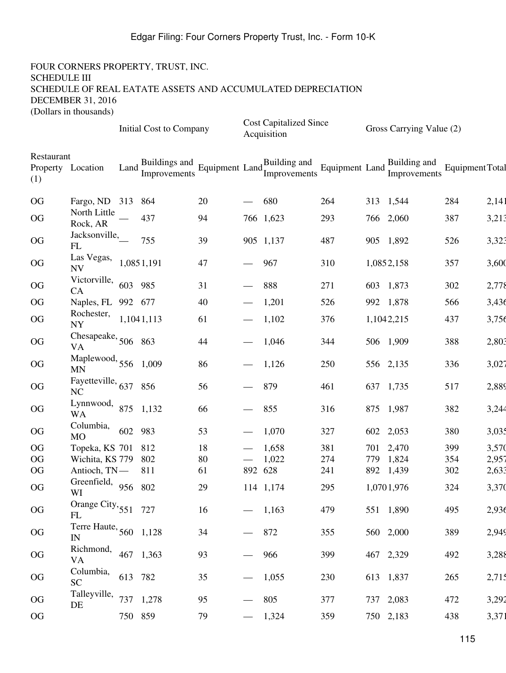|                                        |                                       |                     | Initial Cost to Company       |          |                                 | <b>Cost Capitalized Since</b><br>Acquisition |            | Gross Carrying Value (2)           |                 |                |
|----------------------------------------|---------------------------------------|---------------------|-------------------------------|----------|---------------------------------|----------------------------------------------|------------|------------------------------------|-----------------|----------------|
| Restaurant<br>Property Location<br>(1) |                                       | Land $\overline{I}$ | Buildings and<br>Improvements |          |                                 | Building and<br>Equipment Land Europenents   |            | Equipment Land Europe Improvements | Equipment Total |                |
| OG                                     | Fargo, ND 313 864                     |                     |                               | 20       |                                 | 680                                          | 264        | 313 1,544                          | 284             | 2,141          |
| OG                                     | North Little<br>Rock, AR              |                     | 437                           | 94       |                                 | 766 1,623                                    | 293        | 766 2,060                          | 387             | 3,213          |
| OG                                     | Jacksonville,<br>FL                   |                     | 755                           | 39       |                                 | 905 1,137                                    | 487        | 905 1,892                          | 526             | 3,323          |
| OG                                     | Las Vegas,<br><b>NV</b>               |                     | 1,0851,191                    | 47       | $\overbrace{\phantom{13333}}$   | 967                                          | 310        | 1,0852,158                         | 357             | 3,600          |
| OG                                     | Victorville,<br>CA                    | 603                 | 985                           | 31       |                                 | 888                                          | 271        | 603 1,873                          | 302             | 2,778          |
| OG                                     | Naples, FL 992 677                    |                     |                               | 40       |                                 | 1,201                                        | 526        | 992 1,878                          | 566             | 3,436          |
| OG                                     | Rochester, 1,1041,113<br><b>NY</b>    |                     |                               | 61       |                                 | 1,102                                        | 376        | 1,1042,215                         | 437             | 3,756          |
| OG                                     | Chesapeake, $506$ 863<br><b>VA</b>    |                     |                               | 44       |                                 | 1,046                                        | 344        | 506 1,909                          | 388             | 2,803          |
| OG                                     | Maplewood, 556 1,009<br><b>MN</b>     |                     |                               | 86       |                                 | 1,126                                        | 250        | 556 2,135                          | 336             | 3,027          |
| OG                                     | Fayetteville, $637$ 856<br>NC         |                     |                               | 56       |                                 | 879                                          | 461        | 637 1,735                          | 517             | 2,889          |
| OG                                     | Lynnwood,<br><b>WA</b>                |                     | 875 1,132                     | 66       |                                 | 855                                          | 316        | 875 1,987                          | 382             | 3,244          |
| OG                                     | Columbia,<br><b>MO</b>                | 602 983             |                               | 53       |                                 | 1,070                                        | 327        | 602 2,053                          | 380             | 3,035          |
| OG                                     | Topeka, KS 701 812                    |                     |                               | 18       |                                 | 1,658                                        | 381        | 701 2,470                          | 399             | 3,570          |
| OG<br><b>OG</b>                        | Wichita, KS 779                       |                     | 802<br>811                    | 80<br>61 | 892 628                         | 1,022                                        | 274        | 779 1,824<br>892 1,439             | 354<br>302      | 2,957<br>2,633 |
| OG                                     | Antioch, TN-<br>Greenfield, 956<br>WI |                     | 802                           | 29       |                                 | 114 1,174                                    | 241<br>295 | 1,0701,976                         | 324             | 3,370          |
| OG                                     | Orange City, 551 727<br>FL            |                     |                               | 16       |                                 | 1,163                                        | 479        | 551 1,890                          | 495             | 2,936          |
| OG                                     | Terre Haute, $560$ 1,128<br>IN        |                     |                               | 34       | $\hspace{0.1mm}-\hspace{0.1mm}$ | 872                                          | 355        | 560 2,000                          | 389             | 2,949          |
| OG                                     | Richmond, 467 1,363<br>VA             |                     |                               | 93       |                                 | 966                                          | 399        | 467 2,329                          | 492             | 3,288          |
| OG                                     | Columbia,<br><b>SC</b>                | 613 782             |                               | 35       |                                 | 1,055                                        | 230        | 613 1,837                          | 265             | 2,715          |
| OG                                     | Talleyville,<br>DE                    |                     | 737 1,278                     | 95       |                                 | 805                                          | 377        | 737 2,083                          | 472             | 3,292          |
| OG                                     |                                       | 750 859             |                               | 79       |                                 | 1,324                                        | 359        | 750 2,183                          | 438             | 3,371          |
|                                        |                                       |                     |                               |          |                                 |                                              |            |                                    |                 |                |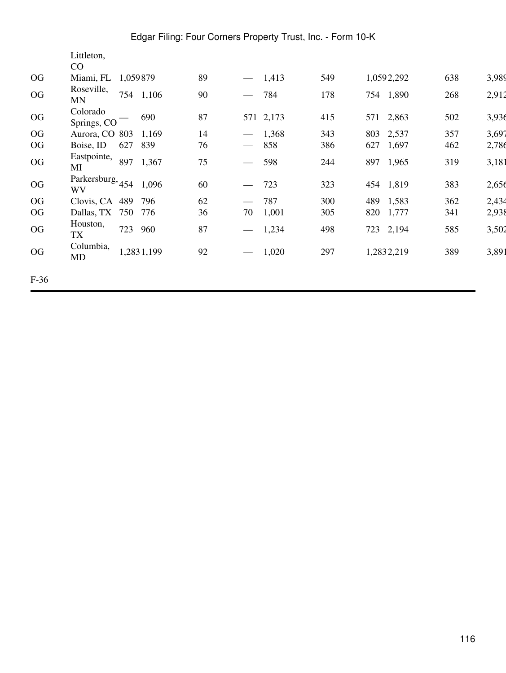|        | Littleton,                               |          |            |    |                                 |       |     |            |       |     |       |
|--------|------------------------------------------|----------|------------|----|---------------------------------|-------|-----|------------|-------|-----|-------|
|        | CO                                       |          |            |    |                                 |       |     |            |       |     |       |
| OG     | Miami, FL                                | 1,059879 |            | 89 | $\hspace{0.05cm}$               | 1,413 | 549 | 1,0592,292 |       | 638 | 3,989 |
| OG     | Roseville,<br><b>MN</b>                  |          | 754 1,106  | 90 | $\overline{\phantom{m}}$        | 784   | 178 | 754 1,890  |       | 268 | 2,912 |
| OG     | Colorado<br>Springs, CO                  |          | 690        | 87 | 571                             | 2,173 | 415 | 571 2,863  |       | 502 | 3,936 |
| OG     | Aurora, CO 803                           |          | 1,169      | 14 | $\hspace{0.05cm}$               | 1,368 | 343 | 803        | 2,537 | 357 | 3,697 |
| OG     | Boise, ID                                | 627      | 839        | 76 | $\overline{\phantom{m}}$        | 858   | 386 | 627        | 1,697 | 462 | 2,786 |
| OG     | Eastpointe,<br>MI                        | 897      | 1,367      | 75 | $\overline{\phantom{m}}$        | 598   | 244 | 897        | 1,965 | 319 | 3,181 |
| OG     | Parkersburg, <sub>454</sub><br><b>WV</b> |          | 1,096      | 60 |                                 | 723   | 323 | 454 1,819  |       | 383 | 2,656 |
| OG     | Clovis, CA 489                           |          | 796        | 62 |                                 | 787   | 300 | 489        | 1,583 | 362 | 2,434 |
| OG     | Dallas, TX 750                           |          | 776        | 36 | 70                              | 1,001 | 305 | 820        | 1,777 | 341 | 2,938 |
| OG     | Houston,<br>TX                           | 723      | 960        | 87 | $\hspace{0.05cm}$               | 1,234 | 498 | 723 2,194  |       | 585 | 3,502 |
| OG     | Columbia,<br>MD                          |          | 1,2831,199 | 92 | $\hspace{0.1mm}-\hspace{0.1mm}$ | 1,020 | 297 | 1,2832,219 |       | 389 | 3,891 |
| $F-36$ |                                          |          |            |    |                                 |       |     |            |       |     |       |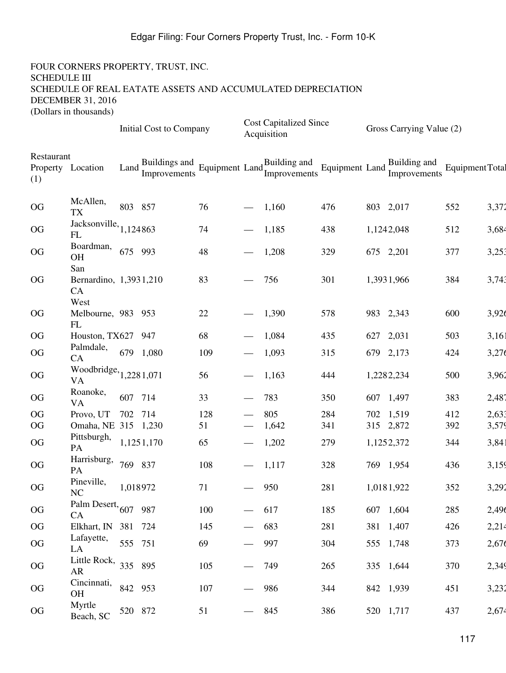|                                        |                                      |                     | <b>Initial Cost to Company</b> |                           |                                 | <b>Cost Capitalized Since</b><br>Acquisition |                              |     | Gross Carrying Value (2)     |                 |       |
|----------------------------------------|--------------------------------------|---------------------|--------------------------------|---------------------------|---------------------------------|----------------------------------------------|------------------------------|-----|------------------------------|-----------------|-------|
| Restaurant<br>Property Location<br>(1) |                                      | Land $\overline{a}$ | Buildings and<br>Improvements  | Equipment Land $_{L}^{B}$ |                                 | Building and<br>Improvements                 | Equipment Land $\frac{D}{L}$ |     | Building and<br>Improvements | Equipment Total |       |
| OG                                     | McAllen,<br><b>TX</b>                | 803 857             |                                | 76                        |                                 | 1,160                                        | 476                          |     | 803 2,017                    | 552             | 3,372 |
| OG                                     | Jacksonville, $1,124863$<br>FL       |                     |                                | 74                        |                                 | 1,185                                        | 438                          |     | 1,1242,048                   | 512             | 3,684 |
| OG                                     | Boardman,<br>OH<br>San               | 675 993             |                                | 48                        |                                 | 1,208                                        | 329                          |     | 675 2,201                    | 377             | 3,253 |
| OG                                     | Bernardino, 1,3931,210<br>CA<br>West |                     |                                | 83                        |                                 | 756                                          | 301                          |     | 1,3931,966                   | 384             | 3,743 |
| <b>OG</b>                              | Melbourne, 983 953<br>FL             |                     |                                | 22                        | $\overbrace{\hspace{15em}}$     | 1,390                                        | 578                          |     | 983 2,343                    | 600             | 3,926 |
| OG                                     | Houston, TX627 947                   |                     |                                | 68                        |                                 | 1,084                                        | 435                          | 627 | 2,031                        | 503             | 3,161 |
| OG                                     | Palmdale,<br>CA                      |                     | 679 1,080                      | 109                       |                                 | 1,093                                        | 315                          |     | 679 2,173                    | 424             | 3,276 |
| OG                                     | Woodbridge, $_{1,2281,071}$<br>VA    |                     |                                | 56                        | $\overbrace{\phantom{13333}}$   | 1,163                                        | 444                          |     | 1,2282,234                   | 500             | 3,962 |
| OG                                     | Roanoke,<br>VA                       | 607 714             |                                | 33                        |                                 | 783                                          | 350                          |     | 607 1,497                    | 383             | 2,487 |
| <b>OG</b>                              | Provo, UT                            | 702 714             |                                | 128                       |                                 | 805                                          | 284                          |     | 702 1,519                    | 412             | 2,633 |
| <b>OG</b>                              | Omaha, NE 315 1,230                  |                     |                                | 51                        |                                 | 1,642                                        | 341                          |     | 315 2,872                    | 392             | 3,579 |
| OG                                     | Pittsburgh,<br>PA                    |                     | 1,1251,170                     | 65                        |                                 | 1,202                                        | 279                          |     | 1,1252,372                   | 344             | 3,841 |
| OG                                     | Harrisburg,<br>PA                    | 769 837             |                                | 108                       |                                 | 1,117                                        | 328                          |     | 769 1,954                    | 436             | 3,159 |
| OG                                     | Pineville,<br>NC                     | 1,018972            |                                | 71                        |                                 | 950                                          | 281                          |     | 1,0181,922                   | 352             | 3,292 |
| OG                                     | Palm Desert, $607$ 987<br>CA         |                     |                                | 100                       |                                 | 617                                          | 185                          |     | 607 1,604                    | 285             | 2,496 |
| OG                                     | Elkhart, IN 381 724                  |                     |                                | 145                       |                                 | 683                                          | 281                          |     | 381 1,407                    | 426             | 2,214 |
| <b>OG</b>                              | Lafayette,<br>LA                     | 555 751             |                                | 69                        | $\qquad \qquad$                 | 997                                          | 304                          |     | 555 1,748                    | 373             | 2,676 |
| OG                                     | Little Rock, $335$ 895<br>AR         |                     |                                | 105                       |                                 | 749                                          | 265                          |     | 335 1,644                    | 370             | 2,349 |
| OG                                     | Cincinnati,<br>OH                    | 842 953             |                                | 107                       | $\overbrace{\phantom{13333}}$   | 986                                          | 344                          |     | 842 1,939                    | 451             | 3,232 |
| OG                                     | Myrtle<br>Beach, SC                  | 520 872             |                                | 51                        | $\overbrace{\hspace{40pt}}^{ }$ | 845                                          | 386                          |     | 520 1,717                    | 437             | 2,674 |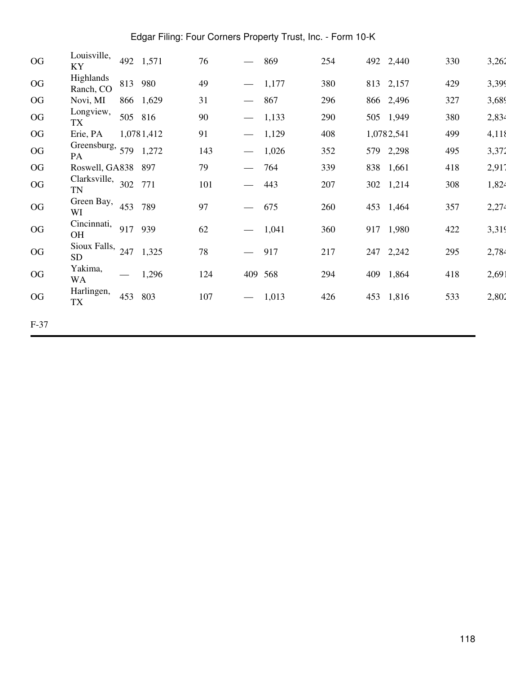| OG       | Louisville,<br>KY                    |     | 492 1,571  | 76  |                                  | 869   | 254 |     | 492 2,440  | 330 | 3,262 |
|----------|--------------------------------------|-----|------------|-----|----------------------------------|-------|-----|-----|------------|-----|-------|
| $\rm OG$ | Highlands<br>Ranch, CO               |     | 813 980    | 49  | $\overbrace{\phantom{aaaaa}}^{}$ | 1,177 | 380 |     | 813 2,157  | 429 | 3,399 |
| OG       | Novi, MI                             |     | 866 1,629  | 31  | $\overline{\phantom{m}}$         | 867   | 296 |     | 866 2,496  | 327 | 3,689 |
| $\rm OG$ | Longview,<br>TX                      |     | 505 816    | 90  | $\overbrace{\phantom{aaaaa}}$    | 1,133 | 290 |     | 505 1,949  | 380 | 2,834 |
| OG       | Erie, PA                             |     | 1,0781,412 | 91  | $\overline{\phantom{0}}$         | 1,129 | 408 |     | 1,0782,541 | 499 | 4,118 |
| OG       | Greensburg, $579$ 1,272<br><b>PA</b> |     |            | 143 | $\hspace{0.05cm}$                | 1,026 | 352 |     | 579 2,298  | 495 | 3,372 |
| OG       | Roswell, GA838 897                   |     |            | 79  | $\overbrace{\phantom{aaaaa}}$    | 764   | 339 |     | 838 1,661  | 418 | 2,917 |
| OG       | Clarksville,<br>TN                   | 302 | 771        | 101 |                                  | 443   | 207 |     | 302 1,214  | 308 | 1,824 |
| OG       | Green Bay,<br>WI                     | 453 | 789        | 97  | $\hspace{0.05cm}$                | 675   | 260 | 453 | 1,464      | 357 | 2,274 |
| OG       | Cincinnati,<br><b>OH</b>             | 917 | 939        | 62  | $\overline{\phantom{0}}$         | 1,041 | 360 |     | 917 1,980  | 422 | 3,319 |
| OG       | Sioux Falls, $247$<br><b>SD</b>      |     | 1,325      | 78  | $\hspace{0.05cm}$                | 917   | 217 |     | 247 2,242  | 295 | 2,784 |
| OG       | Yakima,<br>WA                        |     | 1,296      | 124 | 409 568                          |       | 294 | 409 | 1,864      | 418 | 2,691 |
| OG       | Harlingen,<br>TX                     | 453 | 803        | 107 | $\overline{\phantom{m}}$         | 1,013 | 426 |     | 453 1,816  | 533 | 2,802 |
| $F-37$   |                                      |     |            |     |                                  |       |     |     |            |     |       |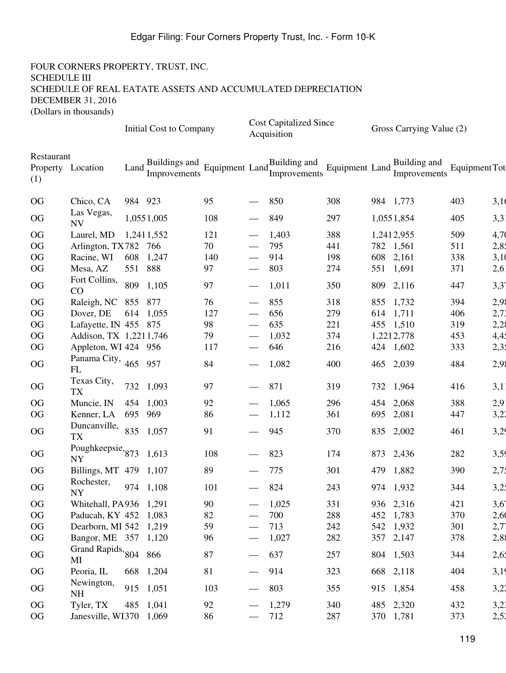|                   |                                |         | <b>Initial Cost to Company</b> |     |                                 | <b>Cost Capitalized Since</b><br>Acquisition |                |     | Gross Carrying Value (2)     |               |                  |
|-------------------|--------------------------------|---------|--------------------------------|-----|---------------------------------|----------------------------------------------|----------------|-----|------------------------------|---------------|------------------|
| Restaurant<br>(1) | Property Location              | Land    | Buildings and<br>Improvements  |     |                                 | Equipment Land Europements                   | Equipment Land |     | Building and<br>Improvements | Equipment Tot |                  |
| <b>OG</b>         | Chico, CA                      | 984 923 |                                | 95  |                                 | 850                                          | 308            |     | 984 1,773                    | 403           | 3,10             |
| OG                | Las Vegas,<br><b>NV</b>        |         | 1,0551,005                     | 108 |                                 | 849                                          | 297            |     | 1,0551,854                   | 405           | 3,31             |
| OG                | Laurel, MD                     |         | 1,2411,552                     | 121 |                                 | 1,403                                        | 388            |     | 1,2412,955                   | 509           | 4,70             |
| OG                | Arlington, TX782 766           |         |                                | 70  |                                 | 795                                          | 441            |     | 782 1,561                    | 511           | 2,8.             |
| <b>OG</b>         | Racine, WI                     |         | 608 1,247                      | 140 |                                 | 914                                          | 198            | 608 | 2,161                        | 338           | 3,10             |
| <b>OG</b>         | Mesa, AZ                       | 551 888 |                                | 97  |                                 | 803                                          | 274            |     | 551 1,691                    | 371           | 2,61             |
| OG                | Fort Collins,<br>CO            | 809     | 1,105                          | 97  |                                 | 1,011                                        | 350            |     | 809 2,116                    | 447           | 3,3 <sup>2</sup> |
| OG                | Raleigh, NC 855 877            |         |                                | 76  |                                 | 855                                          | 318            |     | 855 1,732                    | 394           | 2,98             |
| OG                | Dover, DE                      |         | 614 1,055                      | 127 |                                 | 656                                          | 279            |     | 614 1,711                    | 406           | 2,73             |
| OG                | Lafayette, IN 455 875          |         |                                | 98  |                                 | 635                                          | 221            |     | 455 1,510                    | 319           | 2,28             |
| OG                | Addison, TX 1,2211,746         |         |                                | 79  |                                 | 1,032                                        | 374            |     | 1,2212,778                   | 453           | 4,41             |
| OG                | Appleton, WI 424 956           |         |                                | 117 |                                 | 646                                          | 216            |     | 424 1,602                    | 333           | 2,35             |
| OG                | Panama City, $465$<br>FL       |         | 957                            | 84  |                                 | 1,082                                        | 400            |     | 465 2,039                    | 484           | 2,98             |
| OG                | Texas City,<br><b>TX</b>       | 732     | 1,093                          | 97  |                                 | 871                                          | 319            |     | 732 1,964                    | 416           | 3,1              |
| OG                | Muncie, IN                     | 454     | 1,003                          | 92  |                                 | 1,065                                        | 296            | 454 | 2,068                        | 388           | 2,91             |
| OG                | Kenner, LA                     | 695 969 |                                | 86  |                                 | 1,112                                        | 361            | 695 | 2,081                        | 447           | 3,22             |
| OG                | Duncanville,<br><b>TX</b>      | 835     | 1,057                          | 91  |                                 | 945                                          | 370            |     | 835 2,002                    | 461           | 3,29             |
| OG                | Poughkeepsie, 873<br><b>NY</b> |         | 1,613                          | 108 |                                 | 823                                          | 174            | 873 | 2,436                        | 282           | 3,59             |
| <b>OG</b>         | Billings, MT 479 1,107         |         |                                | 89  |                                 | 775                                          | 301            | 479 | 1,882                        | 390           | 2,71             |
| OG                | Rochester,<br>NY               |         | 974 1,108                      | 101 |                                 | 824                                          | 243            |     | 974 1,932                    | 344           | 3,25             |
| OG                | Whitehall, PA936 1,291         |         |                                | 90  |                                 | 1,025                                        | 331            |     | 936 2,316                    | 421           | 3,61             |
| OG                | Paducah, KY 452 1,083          |         |                                | 82  |                                 | 700                                          | 288            |     | 452 1,783                    | 370           | 2,60             |
| OG                | Dearborn, MI 542 1,219         |         |                                | 59  |                                 | 713                                          | 242            |     | 542 1,932                    | 301           | $2,7^{\circ}$    |
| OG                | Bangor, ME 357 1,120           |         |                                | 96  |                                 | 1,027                                        | 282            |     | 357 2,147                    | 378           | 2,88             |
| OG                | Grand Rapids, 804 866<br>MI    |         |                                | 87  |                                 | 637                                          | 257            |     | 804 1,503                    | 344           | 2,65             |
| OG                | Peoria, IL                     |         | 668 1,204                      | 81  | $\hspace{0.1mm}-\hspace{0.1mm}$ | 914                                          | 323            |     | 668 2,118                    | 404           | 3,19             |
| OG                | Newington,<br><b>NH</b>        |         | 915 1,051                      | 103 | $\overline{\phantom{m}}$        | 803                                          | 355            |     | 915 1,854                    | 458           | 3,22             |
| OG                | Tyler, TX                      |         | 485 1,041                      | 92  |                                 | 1,279                                        | 340            |     | 485 2,320                    | 432           | 3,21             |
| OG                | Janesville, WI370 1,069        |         |                                | 86  |                                 | 712                                          | 287            |     | 370 1,781                    | 373           | 2,52             |
|                   |                                |         |                                |     |                                 |                                              |                |     |                              |               |                  |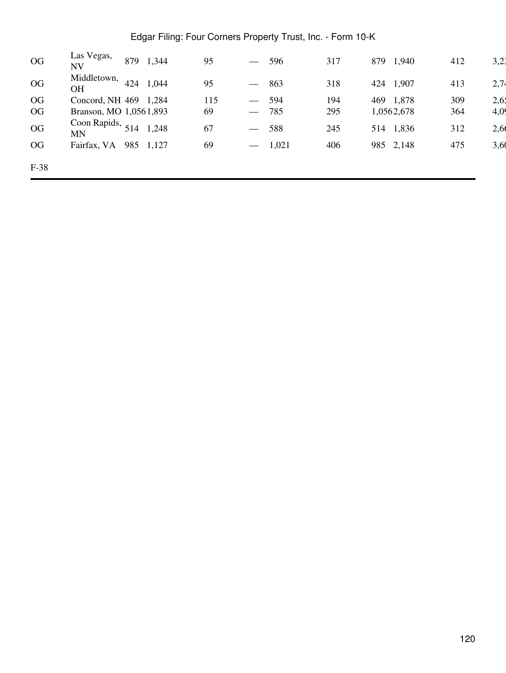| OG     | Las Vegas,<br><b>NV</b>         | 879 | 1,344 | 95  | $\overline{\phantom{m}}$ | 596   | 317 | 879 | ,940       | 412 | 3,21 |
|--------|---------------------------------|-----|-------|-----|--------------------------|-------|-----|-----|------------|-----|------|
| OG     | Middletown,<br><b>OH</b>        | 424 | 1,044 | 95  | $\hspace{0.05cm}$        | 863   | 318 | 424 | 1,907      | 413 | 2,74 |
| OG     | Concord, NH 469                 |     | 1,284 | 115 | $\overline{\phantom{0}}$ | 594   | 194 |     | 469 1,878  | 309 | 2,65 |
| OG     | Branson, MO 1,0561,893          |     |       | 69  | $\hspace{0.05cm}$        | 785   | 295 |     | 1,0562,678 | 364 | 4,09 |
| OG     | Coon Rapids, $514$<br><b>MN</b> |     | 1,248 | 67  | $\hspace{0.05cm}$        | 588   | 245 | 514 | 1,836      | 312 | 2,66 |
| OG     | Fairfax, VA                     | 985 | 1,127 | 69  | $\overline{\phantom{m}}$ | 1,021 | 406 |     | 985 2,148  | 475 | 3,60 |
| $F-38$ |                                 |     |       |     |                          |       |     |     |            |     |      |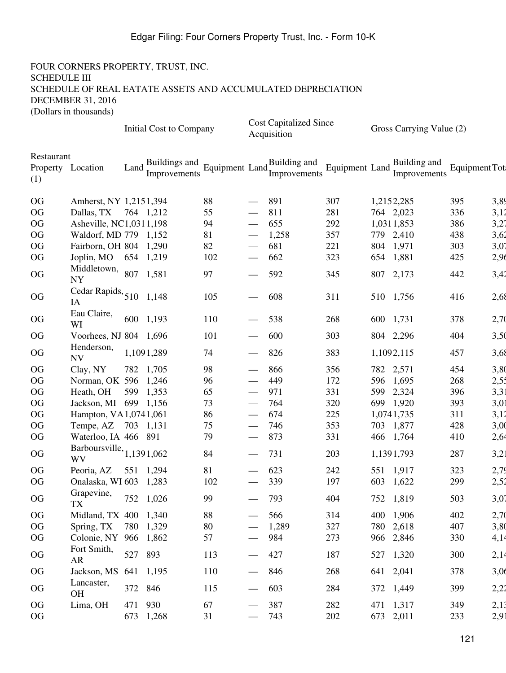|                                        |                                   |         | Initial Cost to Company       |                             |                                 | <b>Cost Capitalized Since</b><br>Acquisition |                |     | Gross Carrying Value (2)     |               |      |
|----------------------------------------|-----------------------------------|---------|-------------------------------|-----------------------------|---------------------------------|----------------------------------------------|----------------|-----|------------------------------|---------------|------|
| Restaurant<br>Property Location<br>(1) |                                   | Land    | Buildings and<br>Improvements | Equipment Land <sub>r</sub> |                                 | Building and<br>Improvements                 | Equipment Land |     | Building and<br>Improvements | Equipment Tot |      |
| OG                                     | Amherst, NY 1,2151,394            |         |                               | 88                          |                                 | 891                                          | 307            |     | 1,2152,285                   | 395           | 3,89 |
| OG                                     | Dallas, TX 764 1,212              |         |                               | 55                          |                                 | 811                                          | 281            |     | 764 2,023                    | 336           | 3,12 |
| OG                                     | Asheville, NC1,0311,198           |         |                               | 94                          |                                 | 655                                          | 292            |     | 1,0311,853                   | 386           | 3,27 |
| OG                                     | Waldorf, MD 779 1,152             |         |                               | 81                          |                                 | 1,258                                        | 357            |     | 779 2,410                    | 438           | 3,62 |
| OG                                     | Fairborn, OH 804 1,290            |         |                               | 82                          |                                 | 681                                          | 221            |     | 804 1,971                    | 303           | 3,07 |
| OG                                     | Joplin, MO 654 1,219              |         |                               | 102                         |                                 | 662                                          | 323            |     | 654 1,881                    | 425           | 2,96 |
| OG                                     | Middletown, 807<br><b>NY</b>      |         | 1,581                         | 97                          |                                 | 592                                          | 345            |     | 807 2,173                    | 442           | 3,42 |
| OG                                     | Cedar Rapids, $510$ 1,148<br>IA   |         |                               | 105                         |                                 | 608                                          | 311            |     | 510 1,756                    | 416           | 2,68 |
| OG                                     | Eau Claire,<br>WI                 |         | 600 1,193                     | 110                         |                                 | 538                                          | 268            |     | 600 1,731                    | 378           | 2,70 |
| OG                                     | Voorhees, NJ 804 1,696            |         |                               | 101                         |                                 | 600                                          | 303            |     | 804 2,296                    | 404           | 3,50 |
| OG                                     | Henderson,<br><b>NV</b>           |         | 1,1091,289                    | 74                          |                                 | 826                                          | 383            |     | 1,1092,115                   | 457           | 3,68 |
| OG                                     | Clay, NY                          |         | 782 1,705                     | 98                          |                                 | 866                                          | 356            |     | 782 2,571                    | 454           | 3,80 |
| OG                                     | Norman, OK 596 1,246              |         |                               | 96                          |                                 | 449                                          | 172            |     | 596 1,695                    | 268           | 2,51 |
| OG                                     | Heath, OH                         |         | 599 1,353                     | 65                          |                                 | 971                                          | 331            | 599 | 2,324                        | 396           | 3,31 |
| OG                                     | Jackson, MI 699 1,156             |         |                               | 73                          |                                 | 764                                          | 320            |     | 699 1,920                    | 393           | 3,01 |
| OG                                     | Hampton, VA1,0741,061             |         |                               | 86                          |                                 | 674                                          | 225            |     | 1,0741,735                   | 311           | 3,12 |
| OG                                     | Tempe, AZ 703 1,131               |         |                               | 75                          |                                 | 746                                          | 353            |     | 703 1,877                    | 428           | 3,00 |
| OG                                     | Waterloo, IA 466 891              |         |                               | 79                          |                                 | 873                                          | 331            |     | 466 1,764                    | 410           | 2,64 |
| OG                                     | Barboursville, $1,1391,062$<br>WV |         |                               | 84                          |                                 | 731                                          | 203            |     | 1,1391,793                   | 287           | 3,21 |
| OG                                     | Peoria, AZ                        |         | 551 1,294                     | 81                          |                                 | 623                                          | 242            |     | 551 1,917                    | 323           | 2,79 |
| <b>OG</b>                              | Onalaska, WI 603 1,283            |         |                               | 102                         |                                 | 339                                          | 197            |     | 603 1,622                    | 299           | 2,52 |
| $\rm OG$                               | Grapevine,<br>TX                  |         | 752 1,026                     | 99                          |                                 | 793                                          | 404            |     | 752 1,819                    | 503           | 3,07 |
| OG                                     | Midland, TX 400 1,340             |         |                               | 88                          |                                 | 566                                          | 314            |     | 400 1,906                    | 402           | 2,70 |
| OG                                     | Spring, TX                        |         | 780 1,329                     | 80                          |                                 | 1,289                                        | 327            |     | 780 2,618                    | 407           | 3,80 |
| OG                                     | Colonie, NY 966 1,862             |         |                               | 57                          |                                 | 984                                          | 273            |     | 966 2,846                    | 330           | 4,14 |
| OG                                     | Fort Smith,<br>AR                 | 527     | 893                           | 113                         |                                 | 427                                          | 187            |     | 527 1,320                    | 300           | 2,14 |
| OG                                     | Jackson, MS 641 1,195             |         |                               | 110                         | $\hspace{0.1mm}-\hspace{0.1mm}$ | 846                                          | 268            |     | 641 2,041                    | 378           | 3,06 |
| OG                                     | Lancaster,<br><b>OH</b>           | 372 846 |                               | 115                         |                                 | 603                                          | 284            |     | 372 1,449                    | 399           | 2,22 |
| OG                                     | Lima, OH                          | 471     | 930                           | 67                          |                                 | 387                                          | 282            |     | 471 1,317                    | 349           | 2,13 |
| OG                                     |                                   |         | 673 1,268                     | 31                          |                                 | 743                                          | 202            |     | 673 2,011                    | 233           | 2,91 |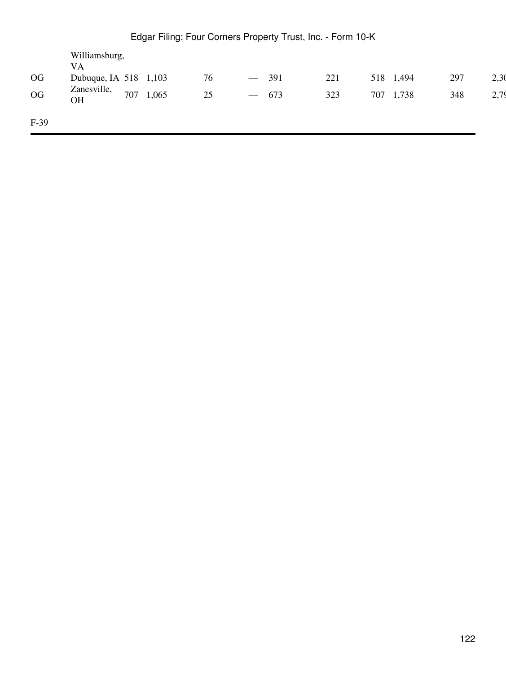| $\overline{\text{OG}}$<br><b>OG</b> | Williamsburg,<br><b>VA</b><br>Dubuque, IA 518 1,103<br>Zanesville,<br>OH | 707 | 1,065 | 76<br>25 | $\overline{\phantom{m}}$<br>$\overline{\phantom{m}}$ | 391<br>673 | 221<br>323 |  | 518 1,494<br>707 1,738 | 297<br>348 | 2,30<br>2,79 |
|-------------------------------------|--------------------------------------------------------------------------|-----|-------|----------|------------------------------------------------------|------------|------------|--|------------------------|------------|--------------|
| $F-39$                              |                                                                          |     |       |          |                                                      |            |            |  |                        |            |              |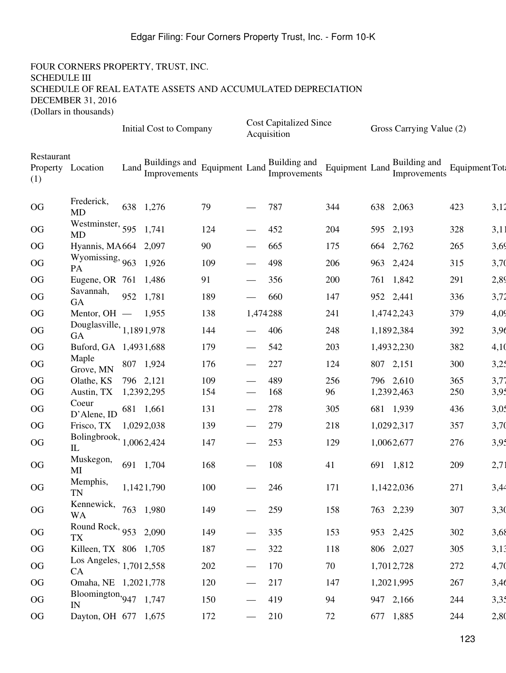|                   |                                           |            | Initial Cost to Company |     |                                               | <b>Cost Capitalized Since</b><br>Acquisition |                              | Gross Carrying Value (2)     |                |      |
|-------------------|-------------------------------------------|------------|-------------------------|-----|-----------------------------------------------|----------------------------------------------|------------------------------|------------------------------|----------------|------|
| Restaurant<br>(1) | Property Location                         | Land       |                         |     |                                               | Buildings and Equipment Land Dunang          | Equipment Land $\frac{1}{L}$ | Building and<br>Improvements | Equipment Tot: |      |
| OG                | Frederick,<br><b>MD</b>                   | 638 1,276  |                         | 79  |                                               | 787                                          | 344                          | 638 2,063                    | 423            | 3,12 |
| OG                | Westminster, $595$ 1,741<br>MD            |            |                         | 124 |                                               | 452                                          | 204                          | 595 2,193                    | 328            | 3,11 |
| OG                | Hyannis, MA664 2,097                      |            |                         | 90  |                                               | 665                                          | 175                          | 664 2,762                    | 265            | 3,69 |
| OG                | Wyomissing, $963$ 1,926<br>PA             |            |                         | 109 |                                               | 498                                          | 206                          | 963 2,424                    | 315            | 3,70 |
| OG                | Eugene, OR 761 1,486                      |            |                         | 91  |                                               | 356                                          | 200                          | 761 1,842                    | 291            | 2,89 |
| OG                | Savannah,<br><b>GA</b>                    | 952 1,781  |                         | 189 |                                               | 660                                          | 147                          | 952 2,441                    | 336            | 3,72 |
| OG                | Mentor, $OH$ - 1,955                      |            |                         | 138 | 1,474288                                      |                                              | 241                          | 1,4742,243                   | 379            | 4,09 |
| OG                | Douglasville, $1,1891,978$<br>GA          |            |                         | 144 |                                               | 406                                          | 248                          | 1,1892,384                   | 392            | 3,96 |
| OG                | Buford, GA 1,4931,688                     |            |                         | 179 |                                               | 542                                          | 203                          | 1,4932,230                   | 382            | 4,10 |
| OG                | Maple<br>Grove, MN                        |            | 807 1,924               | 176 |                                               | 227                                          | 124                          | 807 2,151                    | 300            | 3,25 |
| OG                | Olathe, KS                                | 796 2,121  |                         | 109 |                                               | 489                                          | 256                          | 796 2,610                    | 365            | 3,77 |
| <b>OG</b>         | Austin, TX                                | 1,2392,295 |                         | 154 |                                               | 168                                          | 96                           | 1,2392,463                   | 250            | 3,95 |
| OG                | Coeur<br>D'Alene, ID                      | 681 1,661  |                         | 131 |                                               | 278                                          | 305                          | 681 1,939                    | 436            | 3,05 |
| OG                | Frisco, TX                                | 1,0292,038 |                         | 139 |                                               | 279                                          | 218                          | 1,0292,317                   | 357            | 3,70 |
| OG                | Bolingbrook, $1,0062,424$<br>$\mathbf{L}$ |            |                         | 147 | $\overbrace{\phantom{13333}}$                 | 253                                          | 129                          | 1,0062,677                   | 276            | 3,95 |
| OG                | Muskegon,<br>МI                           | 691 1,704  |                         | 168 |                                               | 108                                          | 41                           | 691 1,812                    | 209            | 2,71 |
| OG                | Memphis,<br><b>TN</b>                     |            | 1,1421,790              | 100 |                                               | 246                                          | 171                          | 1,1422,036                   | 271            | 3,44 |
| OG                | Kennewick, 763 1,980<br>WA                |            |                         | 149 |                                               | 259                                          | 158                          | 763 2,239                    | 307            | 3,30 |
| $\rm OG$          | Round Rock, 953 2,090<br><b>TX</b>        |            |                         | 149 |                                               | 335                                          | 153                          | 953 2,425                    | 302            | 3,68 |
| OG                | Killeen, TX 806 1,705                     |            |                         | 187 | $\hspace{0.05cm}$                             | 322                                          | 118                          | 806 2,027                    | 305            | 3,13 |
| OG                | Los Angeles, 1,7012,558<br>CA             |            |                         | 202 |                                               | 170                                          | 70                           | 1,7012,728                   | 272            | 4,70 |
| OG                | Omaha, NE 1,2021,778                      |            |                         | 120 | $\hspace{0.05cm}$                             | 217                                          | 147                          | 1,2021,995                   | 267            | 3,46 |
| OG                | Bloomington, $947$ 1, 747<br>IN           |            |                         | 150 |                                               | 419                                          | 94                           | 947 2,166                    | 244            | 3,35 |
| OG                | Dayton, OH 677 1,675                      |            |                         | 172 | $\qquad \qquad \overbrace{\qquad \qquad }^{}$ | 210                                          | 72                           | 677 1,885                    | 244            | 2,80 |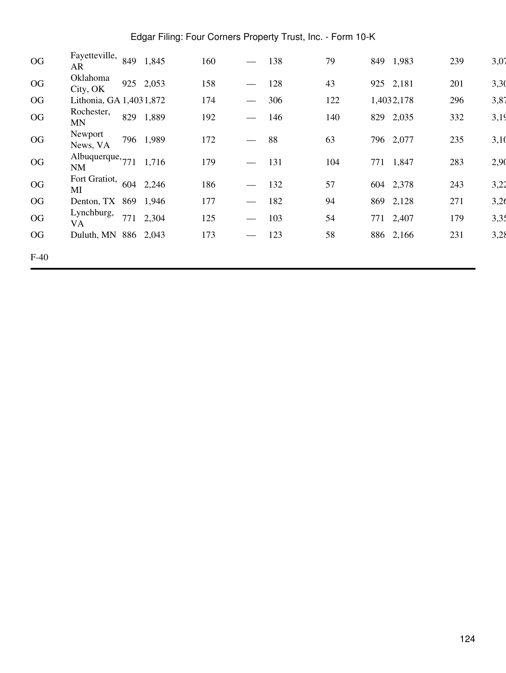| OG     | Fayetteville,<br>AR     | 849 | 1,845     | 160 |                               | 138 | 79  | 849        | 1,983 | 239 | 3,07 |
|--------|-------------------------|-----|-----------|-----|-------------------------------|-----|-----|------------|-------|-----|------|
| OG     | Oklahoma<br>City, OK    |     | 925 2,053 | 158 |                               | 128 | 43  | 925 2,181  |       | 201 | 3,30 |
| OG     | Lithonia, GA 1,4031,872 |     |           | 174 |                               | 306 | 122 | 1,4032,178 |       | 296 | 3,87 |
| OG     | Rochester,<br>MN        | 829 | 1,889     | 192 | $\overbrace{\phantom{aaaaa}}$ | 146 | 140 | 829        | 2,035 | 332 | 3,19 |
| OG     | Newport<br>News, VA     |     | 796 1,989 | 172 |                               | 88  | 63  | 796 2,077  |       | 235 | 3,10 |
| OG     | Albuquerque, 771<br>NM  |     | 1,716     | 179 | $\hspace{0.05cm}$             | 131 | 104 | 771        | 1,847 | 283 | 2,90 |
| OG     | Fort Gratiot,<br>MI     | 604 | 2,246     | 186 | $\hspace{0.05cm}$             | 132 | 57  | 604 2,378  |       | 243 | 3,22 |
| OG     | Denton, TX 869          |     | 1,946     | 177 | $\hspace{0.05cm}$             | 182 | 94  | 869 2,128  |       | 271 | 3,26 |
| OG     | Lynchburg,<br>VA        | 771 | 2,304     | 125 | $\hspace{0.05cm}$             | 103 | 54  | 771        | 2,407 | 179 | 3,35 |
| OG     | Duluth, MN 886 2,043    |     |           | 173 | $\overbrace{\phantom{aaaaa}}$ | 123 | 58  | 886 2,166  |       | 231 | 3,28 |
| $F-40$ |                         |     |           |     |                               |     |     |            |       |     |      |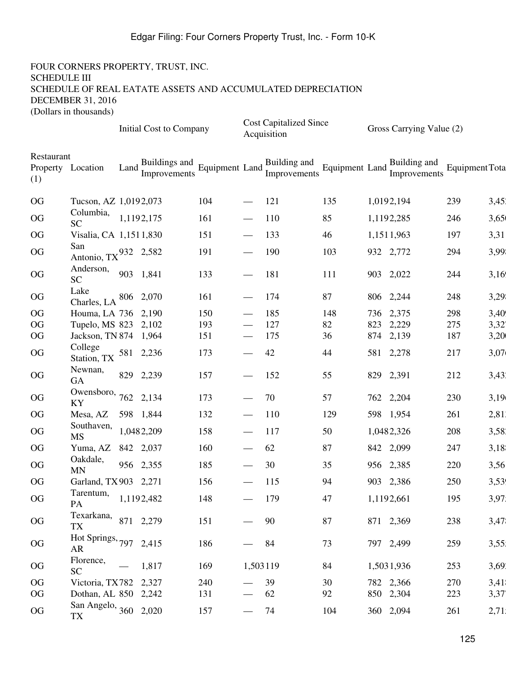|                   |                                    |      | Initial Cost to Company       |     |                                 | <b>Cost Capitalized Since</b><br>Acquisition |                |     | Gross Carrying Value (2)     |                       |       |
|-------------------|------------------------------------|------|-------------------------------|-----|---------------------------------|----------------------------------------------|----------------|-----|------------------------------|-----------------------|-------|
| Restaurant<br>(1) | Property Location                  | Land | Buildings and<br>Improvements |     |                                 | Building and<br>Equipment Land Europements   | Equipment Land |     | Building and<br>Improvements | <b>Equipment Tota</b> |       |
| OG                | Tucson, AZ 1,0192,073              |      |                               | 104 |                                 | 121                                          | 135            |     | 1,0192,194                   | 239                   | 3,451 |
| <b>OG</b>         | Columbia,<br><b>SC</b>             |      | 1,1192,175                    | 161 |                                 | 110                                          | 85             |     | 1,1192,285                   | 246                   | 3,65  |
| <b>OG</b>         | Visalia, CA 1,1511,830             |      |                               | 151 |                                 | 133                                          | 46             |     | 1,1511,963                   | 197                   | 3,31  |
| OG                | San<br>Antonio, $TX^{932}$ 2,582   |      |                               | 191 |                                 | 190                                          | 103            |     | 932 2,772                    | 294                   | 3,99  |
| OG                | Anderson,<br>SC                    |      | 903 1,841                     | 133 |                                 | 181                                          | 111            |     | 903 2,022                    | 244                   | 3,16  |
| <b>OG</b>         | Lake<br>Charles, LA                |      | 806 2,070                     | 161 |                                 | 174                                          | 87             |     | 806 2,244                    | 248                   | 3,29  |
| <b>OG</b>         | Houma, LA 736 2,190                |      |                               | 150 |                                 | 185                                          | 148            |     | 736 2,375                    | 298                   | 3,40  |
| <b>OG</b>         | Tupelo, MS 823                     |      | 2,102                         | 193 |                                 | 127                                          | 82             | 823 | 2,229                        | 275                   | 3,32' |
| <b>OG</b>         | Jackson, TN 874 1,964              |      |                               | 151 |                                 | 175                                          | 36             | 874 | 2,139                        | 187                   | 3,20  |
| <b>OG</b>         | College<br>Station, TX             |      | 581 2,236                     | 173 |                                 | 42                                           | 44             |     | 581 2,278                    | 217                   | 3,07  |
| OG                | Newnan,<br>GA                      |      | 829 2,239                     | 157 |                                 | 152                                          | 55             |     | 829 2,391                    | 212                   | 3,431 |
| OG                | Owensboro, $762$ 2,134<br>KY       |      |                               | 173 |                                 | 70                                           | 57             |     | 762 2,204                    | 230                   | 3,19  |
| <b>OG</b>         | Mesa, AZ                           |      | 598 1,844                     | 132 |                                 | 110                                          | 129            |     | 598 1,954                    | 261                   | 2,81  |
| OG                | Southaven,<br><b>MS</b>            |      | 1,0482,209                    | 158 |                                 | 117                                          | 50             |     | 1,0482,326                   | 208                   | 3,581 |
| <b>OG</b>         | Yuma, AZ                           |      | 842 2,037                     | 160 |                                 | 62                                           | 87             |     | 842 2,099                    | 247                   | 3,18  |
| <b>OG</b>         | Oakdale,<br><b>MN</b>              |      | 956 2,355                     | 185 |                                 | 30                                           | 35             |     | 956 2,385                    | 220                   | 3,56  |
| <b>OG</b>         | Garland, TX 903 2,271              |      |                               | 156 |                                 | 115                                          | 94             |     | 903 2,386                    | 250                   | 3,53  |
| $\rm OG$          | Tarentum,<br>PA                    |      | 1,1192,482                    | 148 |                                 | 179                                          | 47             |     | 1,1192,661                   | 195                   | 3,97  |
| OG                | Texarkana, 871 2,279<br><b>TX</b>  |      |                               | 151 | $\overline{\phantom{0}}$        | 90                                           | 87             |     | 871 2,369                    | 238                   | 3,47  |
| OG                | Hot Springs, 797 2,415<br>AR       |      |                               | 186 | $\overline{\phantom{0}}$        | 84                                           | 73             |     | 797 2,499                    | 259                   | 3,55! |
| $\rm OG$          | Florence,<br>SC                    |      | 1,817                         | 169 | 1,503119                        |                                              | 84             |     | 1,5031,936                   | 253                   | 3,691 |
| OG                | Victoria, TX782 2,327              |      |                               | 240 | $\overline{\phantom{0}}$        | 39                                           | 30             |     | 782 2,366                    | 270                   | 3,41  |
| OG                | Dothan, AL 850 2,242               |      |                               | 131 | $\hspace{0.1mm}-\hspace{0.1mm}$ | 62                                           | 92             |     | 850 2,304                    | 223                   | 3,37  |
| OG                | San Angelo, 360 2,020<br><b>TX</b> |      |                               | 157 |                                 | 74                                           | 104            |     | 360 2,094                    | 261                   | 2,71! |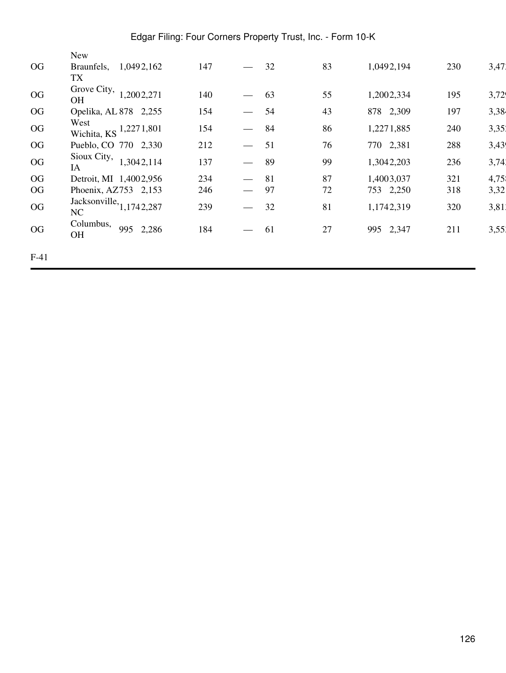|        | New                                        |     |                                                 |    |            |     |       |
|--------|--------------------------------------------|-----|-------------------------------------------------|----|------------|-----|-------|
| OG     | Braunfels,<br>1,0492,162<br><b>TX</b>      | 147 | 32                                              | 83 | 1,0492,194 | 230 | 3,47  |
| OG     | Grove City,<br>1,2002,271<br><b>OH</b>     | 140 | 63                                              | 55 | 1,2002,334 | 195 | 3,72  |
| OG     | Opelika, AL 878 2,255                      | 154 | 54                                              | 43 | 878 2,309  | 197 | 3,38  |
| OG     | West<br>Wichita, KS <sup>1,227</sup> 1,801 | 154 | 84<br>$\overbrace{\phantom{aaaaa}}$             | 86 | 1,2271,885 | 240 | 3,351 |
| OG     | Pueblo, CO 770 2,330                       | 212 | 51                                              | 76 | 770 2,381  | 288 | 3,43  |
| OG     | Sioux City,<br>1,3042,114<br>IA            | 137 | 89                                              | 99 | 1,3042,203 | 236 | 3,74  |
| OG     | Detroit, MI 1,4002,956                     | 234 | 81<br>$\overline{\phantom{0}}$                  | 87 | 1,4003,037 | 321 | 4,75  |
| OG     | Phoenix, AZ753 2,153                       | 246 | 97<br>$\overline{\phantom{m}}$                  | 72 | 753 2,250  | 318 | 3,32  |
| OG     | Jacksonville, $1,1742,287$<br>NC           | 239 | 32<br>$\qquad \qquad \overline{\qquad \qquad }$ | 81 | 1,1742,319 | 320 | 3,81  |
| OG     | Columbus,<br>995<br>2,286<br><b>OH</b>     | 184 | 61<br>$\hspace{0.05cm}$                         | 27 | 995 2,347  | 211 | 3,551 |
| $F-41$ |                                            |     |                                                 |    |            |     |       |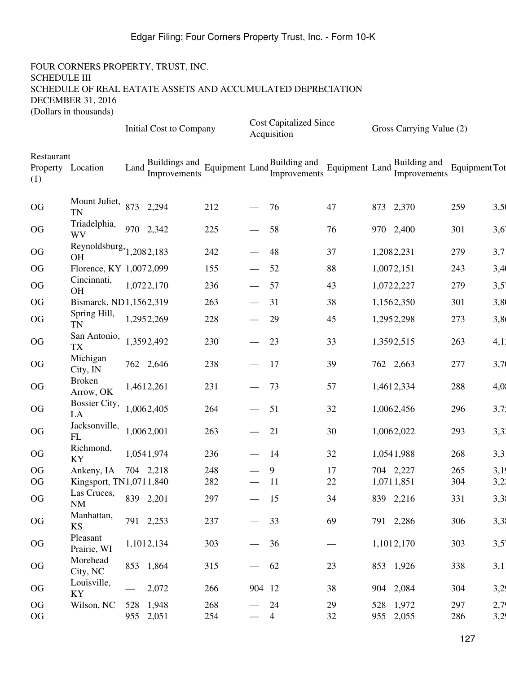| Restaurant<br>Buildings and<br>Improvements Equipment Land<br>Improvements<br>Building and<br>Equipment Land $\frac{1}{L}$<br>Equipment Tot<br>Land Improvements<br>Property Location<br>Improvements<br>(1)<br>Mount Juliet, 873 2,294<br>212<br>3,50<br>OG<br>47<br>873 2,370<br>259<br>76<br><b>TN</b><br>Triadelphia,<br>970 2,342<br>3,6'<br>OG<br>225<br>58<br>76<br>970 2,400<br>301<br>WV<br>Reynoldsburg, $1,2082,183$<br>3,7<br>OG<br>242<br>48<br>37<br>1,2082,231<br>279<br><b>OH</b><br>3,40<br>OG<br>88<br>1,0072,151<br>Florence, KY 1,0072,099<br>155<br>52<br>243<br>Cincinnati,<br>3,5'<br>57<br>43<br>1,0722,227<br><b>OG</b><br>1,0722,170<br>236<br>279<br><b>OH</b><br>3,80<br>OG<br>Bismarck, ND1,1562,319<br>263<br>31<br>38<br>1,1562,350<br>301 |
|---------------------------------------------------------------------------------------------------------------------------------------------------------------------------------------------------------------------------------------------------------------------------------------------------------------------------------------------------------------------------------------------------------------------------------------------------------------------------------------------------------------------------------------------------------------------------------------------------------------------------------------------------------------------------------------------------------------------------------------------------------------------------|
|                                                                                                                                                                                                                                                                                                                                                                                                                                                                                                                                                                                                                                                                                                                                                                           |
|                                                                                                                                                                                                                                                                                                                                                                                                                                                                                                                                                                                                                                                                                                                                                                           |
|                                                                                                                                                                                                                                                                                                                                                                                                                                                                                                                                                                                                                                                                                                                                                                           |
|                                                                                                                                                                                                                                                                                                                                                                                                                                                                                                                                                                                                                                                                                                                                                                           |
|                                                                                                                                                                                                                                                                                                                                                                                                                                                                                                                                                                                                                                                                                                                                                                           |
|                                                                                                                                                                                                                                                                                                                                                                                                                                                                                                                                                                                                                                                                                                                                                                           |
|                                                                                                                                                                                                                                                                                                                                                                                                                                                                                                                                                                                                                                                                                                                                                                           |
| Spring Hill,<br>1,2952,269<br>3,8<br>OG<br>228<br>29<br>45<br>273<br>1,2952,298<br><b>TN</b>                                                                                                                                                                                                                                                                                                                                                                                                                                                                                                                                                                                                                                                                              |
| San Antonio,<br>1,3592,492<br>4,11<br>OG<br>230<br>23<br>33<br>263<br>1,3592,515<br><b>TX</b>                                                                                                                                                                                                                                                                                                                                                                                                                                                                                                                                                                                                                                                                             |
| Michigan<br>3,70<br>OG<br>762 2,646<br>238<br>39<br>-17<br>762 2,663<br>277<br>City, IN                                                                                                                                                                                                                                                                                                                                                                                                                                                                                                                                                                                                                                                                                   |
| <b>Broken</b><br>231<br>57<br>4,0<br>OG<br>1,4612,261<br>73<br>1,4612,334<br>288<br>Arrow, OK                                                                                                                                                                                                                                                                                                                                                                                                                                                                                                                                                                                                                                                                             |
| <b>Bossier City,</b><br>3,7;<br>OG<br>1,0062,405<br>51<br>32<br>264<br>1,0062,456<br>296<br>LA                                                                                                                                                                                                                                                                                                                                                                                                                                                                                                                                                                                                                                                                            |
| Jacksonville,<br>3,31<br>1,0062,001<br>OG<br>263<br>21<br>30<br>293<br>1,0062,022<br>FL                                                                                                                                                                                                                                                                                                                                                                                                                                                                                                                                                                                                                                                                                   |
| Richmond,<br>3,3<br>OG<br>1,0541,974<br>32<br>236<br>14<br>1,0541,988<br>268<br>KY                                                                                                                                                                                                                                                                                                                                                                                                                                                                                                                                                                                                                                                                                        |
| 3,19<br>OG<br>248<br>Ankeny, IA<br>704 2,218<br>9<br>17<br>704 2,227<br>265                                                                                                                                                                                                                                                                                                                                                                                                                                                                                                                                                                                                                                                                                               |
| 3,21<br>282<br><sup>11</sup><br>22<br>304<br><b>OG</b><br>Kingsport, TN1,0711,840<br>1,0711,851                                                                                                                                                                                                                                                                                                                                                                                                                                                                                                                                                                                                                                                                           |
| Las Cruces, $839$ 2,201<br>3,3<br>OG<br>297<br>839 2,216<br>331<br>15<br>34<br>NM                                                                                                                                                                                                                                                                                                                                                                                                                                                                                                                                                                                                                                                                                         |
| Manhattan,<br>791 2,253<br>3,3<br>237<br>69<br>791 2,286<br>OG<br>33<br>306<br>$\overbrace{\phantom{aaaaa}}$<br><b>KS</b>                                                                                                                                                                                                                                                                                                                                                                                                                                                                                                                                                                                                                                                 |
| Pleasant<br>3,5'<br>1,1012,134<br>303<br>OG<br>36<br>1,1012,170<br>303<br>$\hspace{0.1mm}-\hspace{0.1mm}$<br>Prairie, WI                                                                                                                                                                                                                                                                                                                                                                                                                                                                                                                                                                                                                                                  |
| Morehead<br>315<br>3,1<br>OG<br>853 1,864<br>62<br>23<br>853 1,926<br>338<br>City, NC                                                                                                                                                                                                                                                                                                                                                                                                                                                                                                                                                                                                                                                                                     |
| Louisville,<br>3,29<br>OG<br>2,072<br>38<br>904 2,084<br>266<br>904 12<br>304<br>KY                                                                                                                                                                                                                                                                                                                                                                                                                                                                                                                                                                                                                                                                                       |
| 2,79<br>OG<br>528 1,948<br>268<br>24<br>29<br>528 1,972<br>297<br>Wilson, NC<br>955 2,051<br>3,29<br>32<br>955 2,055<br>OG<br>254<br>$\overline{4}$<br>286                                                                                                                                                                                                                                                                                                                                                                                                                                                                                                                                                                                                                |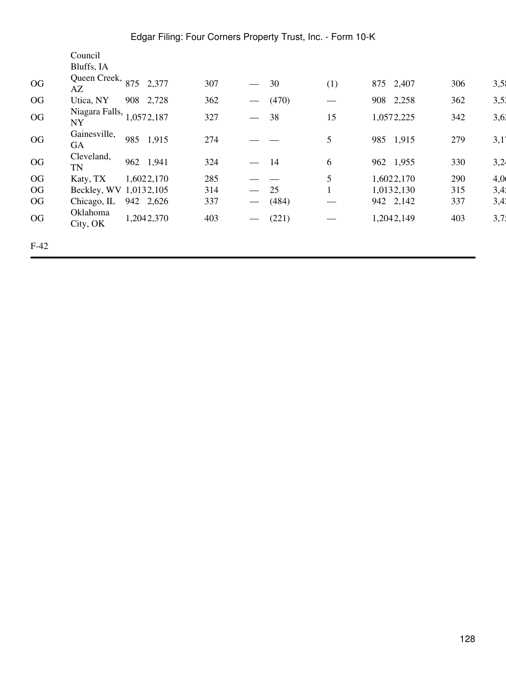|        | Council                     |     |            |     |                   |       |                   |              |     |      |
|--------|-----------------------------|-----|------------|-----|-------------------|-------|-------------------|--------------|-----|------|
|        | Bluffs, IA                  |     |            |     |                   |       |                   |              |     |      |
| OG     | Queen Creek, 875<br>AZ      |     | 2,377      | 307 |                   | 30    | (1)               | 875 2,407    | 306 | 3,55 |
| OG     | Utica, NY                   | 908 | 2,728      | 362 |                   | (470) | $\hspace{0.05cm}$ | 2,258<br>908 | 362 | 3,51 |
| OG     | Niagara Falls,<br><b>NY</b> |     | 1,0572,187 | 327 |                   | 38    | 15                | 1,0572,225   | 342 | 3,61 |
| OG     | Gainesville,<br>GA          | 985 | 1,915      | 274 |                   |       | 5                 | 985<br>1,915 | 279 | 3,1' |
| OG     | Cleveland,<br>TN            |     | 962 1,941  | 324 | $\qquad \qquad$   | 14    | 6                 | 962 1,955    | 330 | 3,24 |
| OG     | Katy, TX                    |     | 1,6022,170 | 285 |                   |       | 5                 | 1,6022,170   | 290 | 4,0  |
| OG     | Beckley, WV                 |     | 1,0132,105 | 314 |                   | 25    |                   | 1,0132,130   | 315 | 3,41 |
| OG     | Chicago, IL                 |     | 942 2,626  | 337 |                   | (484) |                   | 942 2,142    | 337 | 3,41 |
| OG     | Oklahoma<br>City, OK        |     | 1,2042,370 | 403 | $\hspace{0.05cm}$ | (221) |                   | 1,2042,149   | 403 | 3,7. |
| $F-42$ |                             |     |            |     |                   |       |                   |              |     |      |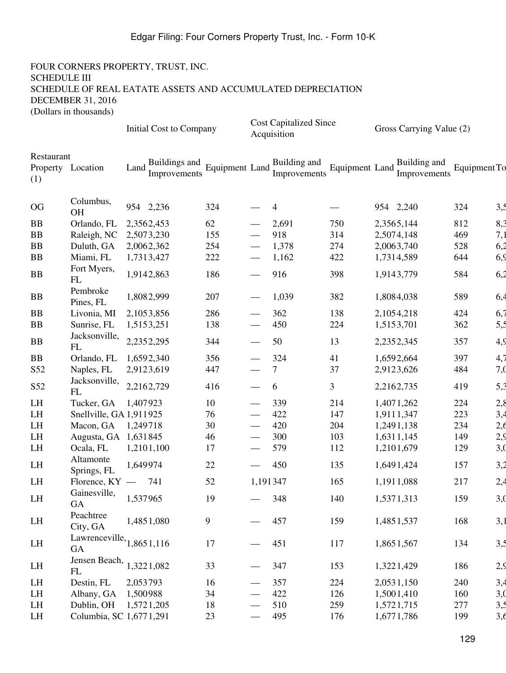|                                        |                                   |            | Initial Cost to Company       |                              |                             | <b>Cost Capitalized Since</b><br>Acquisition |                       | Gross Carrying Value (2)     |              |                 |
|----------------------------------------|-----------------------------------|------------|-------------------------------|------------------------------|-----------------------------|----------------------------------------------|-----------------------|------------------------------|--------------|-----------------|
| Restaurant<br>Property Location<br>(1) |                                   | Land       | Buildings and<br>Improvements | Equipment Land $\frac{1}{I}$ |                             | Building and<br>Improvements                 | <b>Equipment Land</b> | Building and<br>Improvements | Equipment To |                 |
| OG                                     | Columbus,<br><b>OH</b>            |            | 954 2,236                     | 324                          |                             | 4                                            |                       | 954 2,240                    | 324          | 3,5             |
| <b>BB</b>                              | Orlando, FL                       | 2,3562,453 |                               | 62                           |                             | 2,691                                        | 750                   | 2,3565,144                   | 812          | 8,3             |
| BB                                     | Raleigh, NC                       |            | 2,5073,230                    | 155                          |                             | 918                                          | 314                   | 2,5074,148                   | 469          | 7,1             |
| <b>BB</b>                              | Duluth, GA                        | 2,0062,362 |                               | 254                          |                             | 1,378                                        | 274                   | 2,0063,740                   | 528          | 6,2             |
| <b>BB</b>                              | Miami, FL                         |            | 1,7313,427                    | 222                          |                             | 1,162                                        | 422                   | 1,7314,589                   | 644          | 6,9             |
| <b>BB</b>                              | Fort Myers,<br>FL                 |            | 1,9142,863                    | 186                          |                             | 916                                          | 398                   | 1,9143,779                   | 584          | 6,2             |
| BB                                     | Pembroke<br>Pines, FL             |            | 1,8082,999                    | 207                          | $\overbrace{\hspace{15em}}$ | 1,039                                        | 382                   | 1,8084,038                   | 589          | 6,4             |
| <b>BB</b>                              | Livonia, MI                       | 2,1053,856 |                               | 286                          |                             | 362                                          | 138                   | 2,1054,218                   | 424          | 6,7             |
| <b>BB</b>                              | Sunrise, FL                       | 1,5153,251 |                               | 138                          |                             | 450                                          | 224                   | 1,5153,701                   | 362          | 5,5             |
| BB                                     | Jacksonville,<br>FL               | 2,2352,295 |                               | 344                          |                             | 50                                           | 13                    | 2,2352,345                   | 357          | 4,9             |
| <b>BB</b>                              | Orlando, FL                       |            | 1,6592,340                    | 356                          |                             | 324                                          | 41                    | 1,6592,664                   | 397          | 4,7             |
| S <sub>52</sub>                        | Naples, FL                        |            | 2,9123,619                    | 447                          |                             | $\tau$                                       | 37                    | 2,9123,626                   | 484          | 7, <sub>0</sub> |
| S52                                    | Jacksonville,<br>FL               | 2,2162,729 |                               | 416                          |                             | 6                                            | 3                     | 2,2162,735                   | 419          | 5,3             |
| LH                                     | Tucker, GA                        | 1,407923   |                               | 10                           |                             | 339                                          | 214                   | 1,4071,262                   | 224          | 2,8             |
| LH                                     | Snellville, GA 1,911925           |            |                               | 76                           |                             | 422                                          | 147                   | 1,9111,347                   | 223          | 3,4             |
| LH                                     | Macon, GA                         | 1,249718   |                               | 30                           |                             | 420                                          | 204                   | 1,2491,138                   | 234          | 2,6             |
| LH                                     | Augusta, GA 1,631845              |            |                               | 46                           |                             | 300                                          | 103                   | 1,6311,145                   | 149          | 2,9             |
| LH                                     | Ocala, FL                         |            | 1,2101,100                    | 17                           |                             | 579                                          | 112                   | 1,2101,679                   | 129          | 3,0             |
| LH                                     | Altamonte<br>Springs, FL          | 1,649974   |                               | 22                           |                             | 450                                          | 135                   | 1,6491,424                   | 157          | 3,2             |
| LH                                     | Florence, $KY -$                  |            | 741                           | 52                           | 1,191347                    |                                              | 165                   | 1,1911,088                   | 217          | 2,4             |
| LH                                     | Gainesville,<br>GA                | 1,537965   |                               | 19                           |                             | 348                                          | 140                   | 1,5371,313                   | 159          | 3,0             |
| LH                                     | Peachtree<br>City, GA             |            | 1,4851,080                    | $\overline{9}$               |                             | 457                                          | 159                   | 1,4851,537                   | 168          | 3,1             |
| LH                                     | Lawrenceville, $1,8651,116$<br>GA |            |                               | 17                           |                             | 451                                          | 117                   | 1,8651,567                   | 134          | 3,5             |
| LH                                     | Jensen Beach,<br>FL               |            | 1,3221,082                    | 33                           |                             | 347                                          | 153                   | 1,3221,429                   | 186          | 2,9             |
| LH                                     | Destin, FL                        | 2,053793   |                               | 16                           |                             | 357                                          | 224                   | 2,0531,150                   | 240          | 3,4             |
| LH                                     | Albany, GA                        | 1,500988   |                               | 34                           |                             | 422                                          | 126                   | 1,5001,410                   | 160          | 3,0             |
| LH                                     | Dublin, OH                        | 1,5721,205 |                               | 18                           |                             | 510                                          | 259                   | 1,5721,715                   | 277          | 3,5             |
| LH                                     | Columbia, SC 1,6771,291           |            |                               | 23                           |                             | 495                                          | 176                   | 1,6771,786                   | 199          | 3,6             |
|                                        |                                   |            |                               |                              |                             |                                              |                       |                              |              |                 |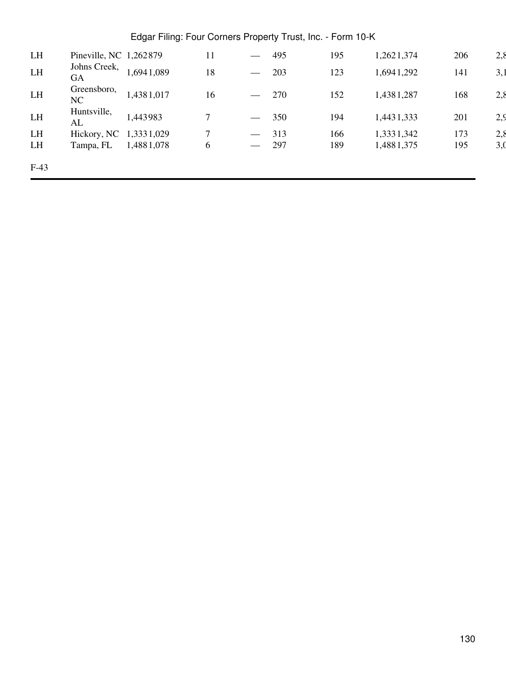| LH     | Pineville, NC 1,262879 |            | 11 | $\overline{\phantom{m}}$          | 495 | 195 | 1,2621,374 | 206 | 2,8 |
|--------|------------------------|------------|----|-----------------------------------|-----|-----|------------|-----|-----|
| LH     | Johns Creek,<br>GA     | 1,6941,089 | 18 | $\overbrace{\phantom{aaaaa}}^{x}$ | 203 | 123 | 1,6941,292 | 141 | 3,1 |
| LH     | Greensboro,<br>NC      | 1,4381,017 | 16 | $\overbrace{\phantom{12322111}}$  | 270 | 152 | 1,4381,287 | 168 | 2,8 |
| LH     | Huntsville,<br>AL      | 1,443983   |    |                                   | 350 | 194 | 1,4431,333 | 201 | 2,9 |
| LH     | Hickory, NC 1,3331,029 |            |    | $\overbrace{\phantom{12322111}}$  | 313 | 166 | 1,3331,342 | 173 | 2,8 |
| LH     | Tampa, FL              | 1,4881,078 | 6  |                                   | 297 | 189 | 1,4881,375 | 195 | 3,0 |
| $F-43$ |                        |            |    |                                   |     |     |            |     |     |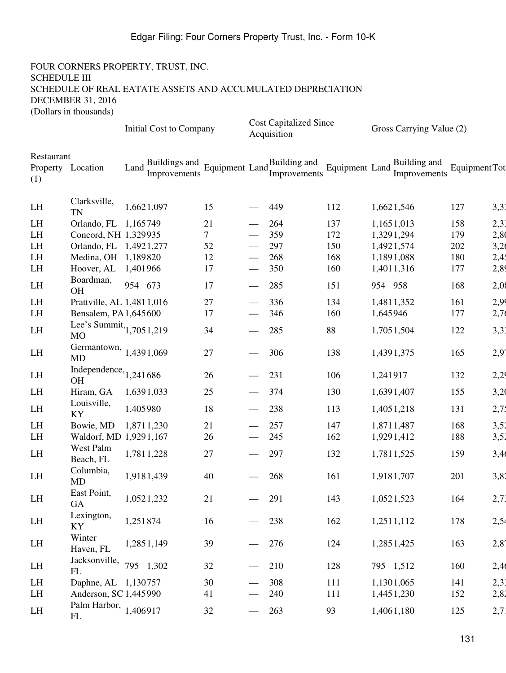#### FOUR CORNERS PROPERTY, TRUST, INC. SCHEDULE III SCHEDULE OF REAL EATATE ASSETS AND ACCUMULATED DEPRECIATION DECEMBER 31, 2016 (Dollars in thousands)

Initial Cost to Company Cost Capitalized Since

|                   |                                         |                                       |                             |                          | Acquisition                  |                       | $\sim$                       |               |      |
|-------------------|-----------------------------------------|---------------------------------------|-----------------------------|--------------------------|------------------------------|-----------------------|------------------------------|---------------|------|
| Restaurant<br>(1) | Property Location                       | Buildings and<br>Land<br>Improvements | Equipment Land <sub>L</sub> |                          | Building and<br>Improvements | <b>Equipment Land</b> | Building and<br>Improvements | Equipment Tot |      |
| LH                | Clarksville,<br><b>TN</b>               | 1,6621,097                            | 15                          |                          | 449                          | 112                   | 1,6621,546                   | 127           | 3,31 |
| LH                | Orlando, FL 1,165749                    |                                       | 21                          |                          | 264                          | 137                   | 1,1651,013                   | 158           | 2,31 |
| LH                | Concord, NH 1,329935                    |                                       | 7                           |                          | 359                          | 172                   | 1,3291,294                   | 179           | 2,80 |
| LH                | Orlando, FL 1,4921,277                  |                                       | 52                          |                          | 297                          | 150                   | 1,4921,574                   | 202           | 3,26 |
| LH                | Medina, OH 1,189820                     |                                       | 12                          |                          | 268                          | 168                   | 1,1891,088                   | 180           | 2,45 |
| LH                | Hoover, AL                              | 1,401966                              | 17                          |                          | 350                          | 160                   | 1,4011,316                   | 177           | 2,89 |
| LH                | Boardman,<br><b>OH</b>                  | 954 673                               | 17                          |                          | 285                          | 151                   | 954 958                      | 168           | 2,08 |
| LH                | Prattville, AL 1,4811,016               |                                       | 27                          |                          | 336                          | 134                   | 1,4811,352                   | 161           | 2,99 |
| LH                | Bensalem, PA 1,645 600                  |                                       | 17                          |                          | 346                          | 160                   | 1,645946                     | 177           | 2,76 |
| LH                | Lee's Summit, $1,7051,219$<br><b>MO</b> |                                       | 34                          |                          | 285                          | 88                    | 1,7051,504                   | 122           | 3,31 |
| LH                | Germantown, 1,4391,069<br><b>MD</b>     |                                       | 27                          |                          | 306                          | 138                   | 1,4391,375                   | 165           | 2,97 |
| LH                | Independence, $1,241686$<br><b>OH</b>   |                                       | 26                          |                          | 231                          | 106                   | 1,241917                     | 132           | 2,29 |
| LH                | Hiram, GA                               | 1,6391,033                            | 25                          |                          | 374                          | 130                   | 1,6391,407                   | 155           | 3,20 |
| LH                | Louisville,<br>KY                       | 1,405980                              | 18                          |                          | 238                          | 113                   | 1,4051,218                   | 131           | 2,75 |
| LH                | Bowie, MD                               | 1,8711,230                            | 21                          |                          | 257                          | 147                   | 1,8711,487                   | 168           | 3,52 |
| LH                | Waldorf, MD 1,9291,167                  |                                       | 26                          |                          | 245                          | 162                   | 1,9291,412                   | 188           | 3,52 |
| LH                | West Palm<br>Beach, FL                  | 1,7811,228                            | 27                          |                          | 297                          | 132                   | 1,7811,525                   | 159           | 3,40 |
| LH                | Columbia,<br><b>MD</b>                  | 1,9181,439                            | 40                          |                          | 268                          | 161                   | 1,9181,707                   | 201           | 3,82 |
| LH                | East Point,<br>GA                       | 1,0521,232                            | 21                          |                          | 291                          | 143                   | 1,0521,523                   | 164           | 2,73 |
| LH                | Lexington,<br>KY                        | 1,251874                              | 16                          |                          | 238                          | 162                   | 1,2511,112                   | 178           | 2,54 |
| LH                | Winter<br>Haven, FL                     | 1,2851,149                            | 39                          |                          | 276                          | 124                   | 1,2851,425                   | 163           | 2,87 |
| LH                | Jacksonville, $795$ 1,302<br>FL         |                                       | 32                          | $\overline{\phantom{0}}$ | 210                          | 128                   | 795 1,512                    | 160           | 2,46 |
| LH                | Daphne, AL 1,130757                     |                                       | 30                          |                          | 308                          | 111                   | 1,1301,065                   | 141           | 2,33 |
| LH                | Anderson, SC 1,445990                   |                                       | 41                          |                          | 240                          | 111                   | 1,4451,230                   | 152           | 2,82 |
| LH                | Palm Harbor, $1,406917$<br>FL           |                                       | 32                          |                          | 263                          | 93                    | 1,4061,180                   | 125           | 2,7  |

Gross Carrying Value (2)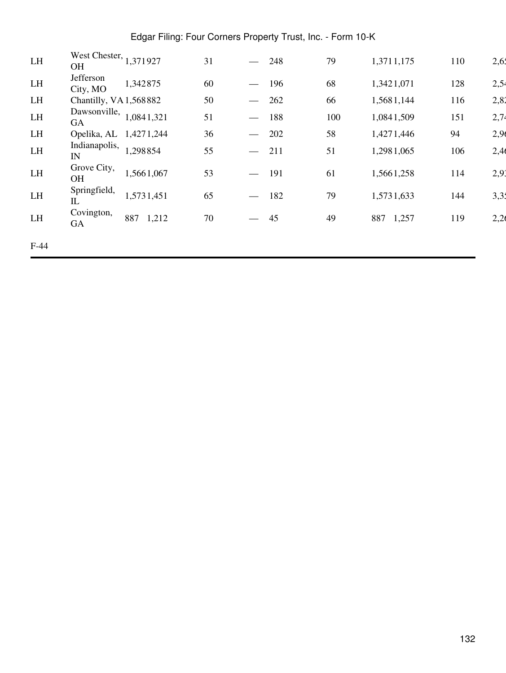| LH     | West Chester, 1,371927<br><b>OH</b> |              | 31 |                               | 248 | 79  | 1,3711,175   | 110 | 2,65 |
|--------|-------------------------------------|--------------|----|-------------------------------|-----|-----|--------------|-----|------|
| LH     | Jefferson<br>City, MO               | 1,342875     | 60 | $\overbrace{\phantom{aaaaa}}$ | 196 | 68  | 1,3421,071   | 128 | 2,54 |
| LH     | Chantilly, VA 1,568882              |              | 50 | $\overbrace{\phantom{aaaaa}}$ | 262 | 66  | 1,5681,144   | 116 | 2,82 |
| LH     | Dawsonville,<br><b>GA</b>           | 1,0841,321   | 51 |                               | 188 | 100 | 1,0841,509   | 151 | 2,74 |
| LH     | Opelika, AL                         | 1,4271,244   | 36 |                               | 202 | 58  | 1,4271,446   | 94  | 2,96 |
| LH     | Indianapolis,<br>IN                 | 1,298854     | 55 |                               | 211 | 51  | 1,2981,065   | 106 | 2,40 |
| LH     | Grove City,<br><b>OH</b>            | 1,5661,067   | 53 |                               | 191 | 61  | 1,5661,258   | 114 | 2,91 |
| LH     | Springfield,<br>$_{\rm IL}$         | 1,5731,451   | 65 | $\frac{1}{2}$                 | 182 | 79  | 1,5731,633   | 144 | 3,31 |
| LH     | Covington,<br>GA                    | 887<br>1,212 | 70 |                               | 45  | 49  | 1,257<br>887 | 119 | 2,26 |
| $F-44$ |                                     |              |    |                               |     |     |              |     |      |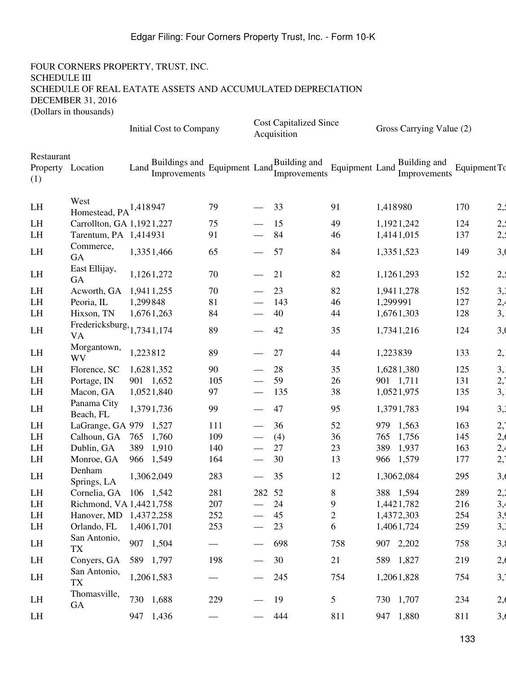|                   |                                         | Initial Cost to Company |                               |                             |                               | <b>Cost Capitalized Since</b><br>Acquisition |                | Gross Carrying Value (2)     |     |              |  |
|-------------------|-----------------------------------------|-------------------------|-------------------------------|-----------------------------|-------------------------------|----------------------------------------------|----------------|------------------------------|-----|--------------|--|
| Restaurant<br>(1) | Property Location                       | Land                    | Buildings and<br>Improvements | Equipment Land <sub>r</sub> |                               | Building and<br>Improvements                 | Equipment Land | Building and<br>Improvements |     | Equipment To |  |
| LH                | West<br>Homestead, $PA^{1,418947}$      |                         |                               | 79                          |                               | 33                                           | 91             | 1,418980                     |     | 2,1<br>170   |  |
| LH                | Carrollton, GA 1,1921,227               |                         |                               | 75                          |                               | 15                                           | 49             | 1,1921,242                   |     | 2,1<br>124   |  |
| LH                | Tarentum, PA 1,414931                   |                         |                               | 91                          |                               | 84                                           | 46             | 1,4141,015                   |     | 2,1<br>137   |  |
| LH                | Commerce,<br><b>GA</b>                  |                         | 1,3351,466                    | 65                          |                               | 57                                           | 84             | 1,3351,523                   |     | 3,0<br>149   |  |
| LH                | East Ellijay,<br>GA                     |                         | 1,1261,272                    | 70                          |                               | 21                                           | 82             | 1,1261,293                   |     | 2,1<br>152   |  |
| LH                | Acworth, GA                             | 1,9411,255              |                               | 70                          |                               | 23                                           | 82             | 1,9411,278                   |     | 3,3<br>152   |  |
| LH                | Peoria, IL                              | 1,299848                |                               | 81                          |                               | 143                                          | 46             | 1,299991                     |     | 2,4<br>127   |  |
| LH                | Hixson, TN                              |                         | 1,6761,263                    | 84                          |                               | 40                                           | 44             | 1,6761,303                   |     | 3,<br>128    |  |
| LH                | Fredericksburg, 1,7341,174<br><b>VA</b> |                         |                               | 89                          |                               | 42                                           | 35             | 1,7341,216                   |     | 3,0<br>124   |  |
| LH                | Morgantown,<br><b>WV</b>                | 1,223812                |                               | 89                          |                               | 27                                           | 44             | 1,223839                     |     | 133<br>2,    |  |
| LH                | Florence, SC                            |                         | 1,6281,352                    | 90                          |                               | 28                                           | 35             | 1,6281,380                   |     | 3,<br>125    |  |
| LH                | Portage, IN                             |                         | 901 1,652                     | 105                         |                               | 59                                           | 26             | 901 1,711                    |     | 2,7<br>131   |  |
| LH                | Macon, GA                               |                         | 1,0521,840                    | 97                          |                               | 135                                          | 38             | 1,0521,975                   |     | 3,<br>135    |  |
| LH                | Panama City<br>Beach, FL                |                         | 1,3791,736                    | 99                          |                               | 47                                           | 95             | 1,3791,783                   |     | 3,3<br>194   |  |
| LH                | LaGrange, GA 979                        |                         | 1,527                         | 111                         |                               | 36                                           | 52             | 979<br>1,563                 |     | 2,7<br>163   |  |
| LH                | Calhoun, GA                             | 765                     | 1,760                         | 109                         |                               | (4)                                          | 36             | 765<br>1,756                 |     | 2,6<br>145   |  |
| LH                | Dublin, GA                              | 389                     | 1,910                         | 140                         |                               | 27                                           | 23             | 1,937<br>389                 |     | 2,4<br>163   |  |
| LH                | Monroe, GA                              | 966 1,549               |                               | 164                         |                               | 30                                           | 13             | 1,579<br>966                 |     | 2,1<br>177   |  |
| LH                | Denham<br>Springs, LA                   |                         | 1,3062,049                    | 283                         | $\overbrace{\phantom{13333}}$ | 35                                           | 12             | 1,3062,084                   | 295 | 3,6          |  |
| LH                | Cornelia, GA                            | 106 1,542               |                               | 281                         | 282 52                        |                                              | 8              | 388 1,594                    |     | 2,2<br>289   |  |
| LH                | Richmond, VA 1,4421,758                 |                         |                               | 207                         |                               | 24                                           | 9              | 1,4421,782                   |     | 3,4<br>216   |  |
| LH                | Hanover, MD 1,4372,258                  |                         |                               | 252                         |                               | 45                                           | $\overline{c}$ | 1,4372,303                   |     | 3,9<br>254   |  |
| LH                | Orlando, FL                             | 1,4061,701              |                               | 253                         |                               | 23                                           | 6              | 1,4061,724                   |     | 3,3<br>259   |  |
| LH                | San Antonio,<br><b>TX</b>               |                         | 907 1,504                     |                             |                               | 698                                          | 758            | 907 2,202                    |     | 3,8<br>758   |  |
| LH                | Conyers, GA                             |                         | 589 1,797                     | 198                         |                               | 30                                           | 21             | 589 1,827                    |     | 2,6<br>219   |  |
| LH                | San Antonio,<br><b>TX</b>               |                         | 1,2061,583                    |                             |                               | 245                                          | 754            | 1,2061,828                   |     | 3,1<br>754   |  |
| LH                | Thomasville,                            |                         | 730 1,688                     | 229                         |                               | 19                                           | 5              | 730 1,707                    |     | 2,6<br>234   |  |
|                   | <b>GA</b>                               |                         |                               |                             |                               |                                              |                |                              |     |              |  |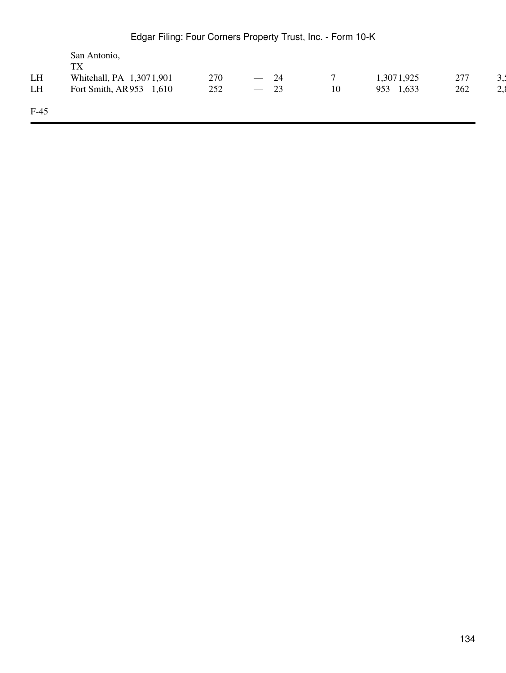|        | San Antonio,<br><b>TX</b>  |     |                                       |    |              |     |     |
|--------|----------------------------|-----|---------------------------------------|----|--------------|-----|-----|
| LH     | Whitehall, PA 1,3071,901   | 270 | 24<br>$\overline{\phantom{m}}$        |    | 1,3071,925   | 277 | ۰,۰ |
| LH     | Fort Smith, AR953<br>1,610 | 252 | 23<br>$\hspace{0.1mm}-\hspace{0.1mm}$ | 10 | 1,633<br>953 | 262 | 2,8 |
| $F-45$ |                            |     |                                       |    |              |     |     |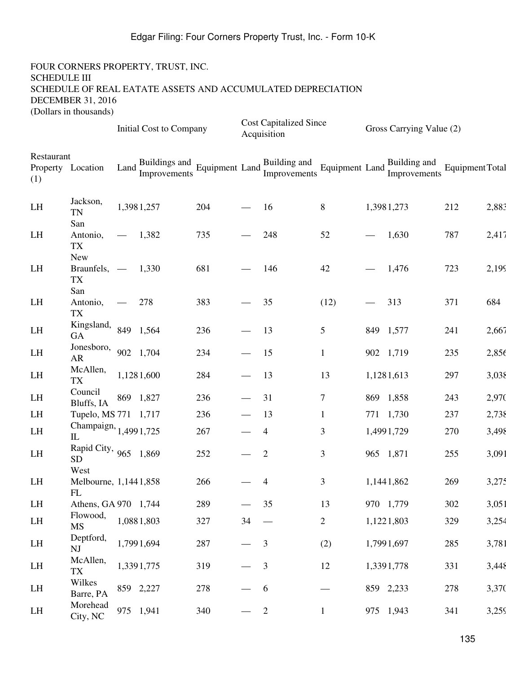|                   |                                            |                    | <b>Initial Cost to Company</b>                               |     |                                  | <b>Cost Capitalized Since</b><br>Acquisition |                          | Gross Carrying Value (2)                                   |                 |       |
|-------------------|--------------------------------------------|--------------------|--------------------------------------------------------------|-----|----------------------------------|----------------------------------------------|--------------------------|------------------------------------------------------------|-----------------|-------|
| Restaurant<br>(1) | Property Location                          | Land $\frac{1}{x}$ | Buildings and<br>Improvements Equipment Land<br>Improvements |     |                                  |                                              |                          | Equipment Land $\frac{\text{puncup}}{\text{Improvements}}$ | Equipment Total |       |
| LH                | Jackson,<br><b>TN</b><br>San               |                    | 1,3981,257                                                   | 204 |                                  | 16                                           | 8                        | 1,3981,273                                                 | 212             | 2,883 |
| LH                | Antonio,<br><b>TX</b>                      |                    | 1,382                                                        | 735 |                                  | 248                                          | 52                       | 1,630                                                      | 787             | 2,417 |
| LH                | <b>New</b><br>Braunfels, —<br>TX           |                    | 1,330                                                        | 681 |                                  | 146                                          | 42                       | 1,476                                                      | 723             | 2,199 |
| LH                | San<br>Antonio,<br>TX                      |                    | 278                                                          | 383 |                                  | 35                                           | (12)                     | 313                                                        | 371             | 684   |
| LH                | Kingsland,<br>GA                           |                    | 849 1,564                                                    | 236 |                                  | 13                                           | 5                        | 849 1,577                                                  | 241             | 2,667 |
| LH                | Jonesboro,<br>AR                           |                    | 902 1,704                                                    | 234 |                                  | 15                                           | $\mathbf{1}$             | 902 1,719                                                  | 235             | 2,856 |
| LH                | McAllen,<br><b>TX</b>                      |                    | 1,1281,600                                                   | 284 | $\overbrace{\phantom{aaaaa}}$    | 13                                           | 13                       | 1,1281,613                                                 | 297             | 3,038 |
| LH                | Council<br>Bluffs, IA                      |                    | 869 1,827                                                    | 236 |                                  | 31                                           | $\overline{7}$           | 869 1,858                                                  | 243             | 2,970 |
| LH                | Tupelo, MS 771 1,717                       |                    |                                                              | 236 |                                  | 13                                           | $\mathbf{1}$             | 771 1,730                                                  | 237             | 2,738 |
| LH                | Champaign, 1,4991,725<br>$\mathbb{L}$      |                    |                                                              | 267 |                                  | 4                                            | 3                        | 1,4991,729                                                 | 270             | 3,498 |
| LH                | Rapid City, 965 1,869<br><b>SD</b><br>West |                    |                                                              | 252 |                                  | $\overline{2}$                               | 3                        | 965 1,871                                                  | 255             | 3,091 |
| LH                | Melbourne, 1,1441,858<br>FL                |                    |                                                              | 266 |                                  | 4                                            | 3                        | 1,1441,862                                                 | 269             | 3,275 |
| LH                | Athens, GA 970 1,744                       |                    |                                                              | 289 |                                  | 35                                           | 13                       | 970 1,779                                                  | 302             | 3,051 |
| LH                | Flowood,<br><b>MS</b>                      |                    | 1,0881,803                                                   | 327 | 34                               | $\overline{\phantom{m}}$                     | $\overline{2}$           | 1,1221,803                                                 | 329             | 3,254 |
| LH                | Deptford,<br>NJ                            |                    | 1,7991,694                                                   | 287 | $\overline{\phantom{0}}$         | 3                                            | (2)                      | 1,7991,697                                                 | 285             | 3,781 |
| LH                | McAllen,<br>TX                             |                    | 1,3391,775                                                   | 319 | $\overbrace{\phantom{aaaaa}}^{}$ | 3                                            | 12                       | 1,3391,778                                                 | 331             | 3,448 |
| LH                | Wilkes<br>Barre, PA                        |                    | 859 2,227                                                    | 278 |                                  | 6                                            | $\overline{\phantom{0}}$ | 859 2,233                                                  | 278             | 3,370 |
| LH                | Morehead<br>City, NC                       |                    | 975 1,941                                                    | 340 |                                  | $\overline{2}$                               | $\mathbf{1}$             | 975 1,943                                                  | 341             | 3,259 |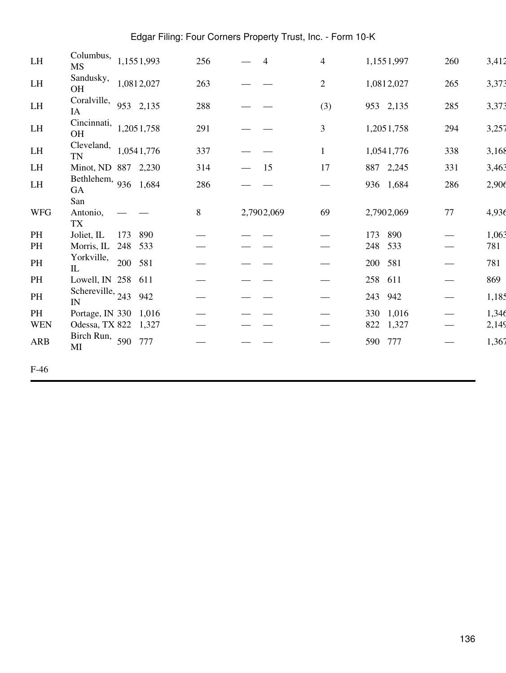| LH         | Columbus,<br>MS                                |         | 1,1551,993 | 256 | $\overline{\mathcal{L}}$ | 4                             | 1,1551,997   | 260                           | 3,412 |
|------------|------------------------------------------------|---------|------------|-----|--------------------------|-------------------------------|--------------|-------------------------------|-------|
| LH         | Sandusky,<br><b>OH</b>                         |         | 1,0812,027 | 263 |                          | $\overline{2}$                | 1,0812,027   | 265                           | 3,373 |
| LH         | Coralville, $953$ 2,135<br>IA                  |         |            | 288 |                          | (3)                           | 953 2,135    | 285                           | 3,373 |
| LH         | Cincinnati,<br>OH                              |         | 1,2051,758 | 291 |                          | $\overline{3}$                | 1,2051,758   | 294                           | 3,257 |
| LH         | Cleveland,<br><b>TN</b>                        |         | 1,0541,776 | 337 |                          |                               | 1,0541,776   | 338                           | 3,168 |
| LH         | Minot, ND 887 2,230                            |         |            | 314 | 15                       | 17                            | 887 2,245    | 331                           | 3,463 |
| LH         | Bethlehem, 936 1,684<br>GA                     |         |            | 286 |                          |                               | 936 1,684    | 286                           | 2,906 |
|            | San                                            |         |            |     |                          |                               |              |                               |       |
| <b>WFG</b> | Antonio,<br><b>TX</b>                          |         |            | 8   | 2,7902,069               | 69                            | 2,7902,069   | 77                            | 4,936 |
| PH         | Joliet, IL                                     | 173     | 890        |     |                          |                               | 173<br>890   |                               | 1,063 |
| PH         | Morris, IL 248 533                             |         |            |     |                          |                               | 248<br>533   | $\hspace{0.05cm}$             | 781   |
| PH         | Yorkville,<br>IL                               | 200 581 |            |     |                          |                               | 200<br>581   | $\overbrace{\phantom{13333}}$ | 781   |
| PH         | Lowell, IN 258 611                             |         |            |     |                          | $\overbrace{\phantom{13333}}$ | 258 611      | $\overbrace{\phantom{aaaaa}}$ | 869   |
| PH         | Schereville, $243$<br>$\ensuremath{\text{IN}}$ |         | 942        |     |                          | $\overbrace{\phantom{13333}}$ | 942<br>243   | $\overbrace{\phantom{13333}}$ | 1,185 |
| PH         | Portage, IN 330 1,016                          |         |            |     |                          |                               | 330 1,016    | $\qquad \qquad$               | 1,346 |
| <b>WEN</b> | Odessa, TX 822 1,327                           |         |            |     |                          |                               | 822<br>1,327 | $\overbrace{\phantom{13333}}$ | 2,149 |
| ARB        | Birch Run, 590 777<br>MI                       |         |            |     |                          |                               | 590 777      |                               | 1,367 |
|            |                                                |         |            |     |                          |                               |              |                               |       |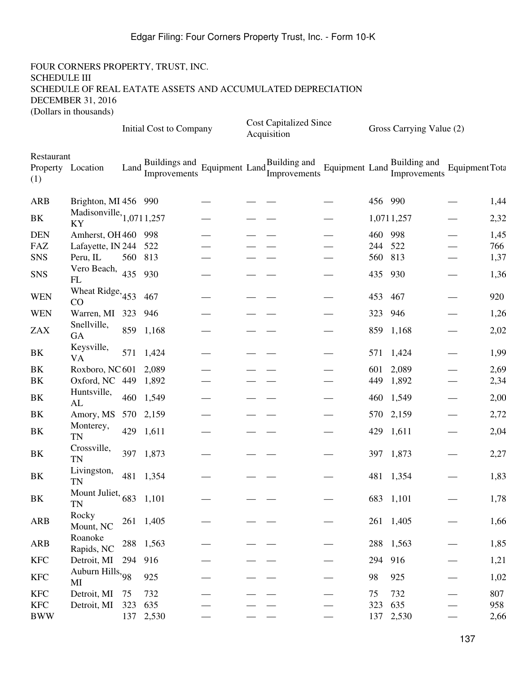|                                        |                                  | <b>Initial Cost to Company</b> |                               |                                         |  | <b>Cost Capitalized Since</b><br>Acquisition |  |         | Gross Carrying Value (2)     |                             |      |  |
|----------------------------------------|----------------------------------|--------------------------------|-------------------------------|-----------------------------------------|--|----------------------------------------------|--|---------|------------------------------|-----------------------------|------|--|
| Restaurant<br>Property Location<br>(1) |                                  | Land:                          | Buildings and<br>Improvements | Equipment Land $_{\text{L}}^{\text{D}}$ |  | Building and<br>Improvements                 |  |         | Equipment Land Englancements | Equipment Tota              |      |  |
| <b>ARB</b>                             | Brighton, MI 456 990             |                                |                               |                                         |  |                                              |  | 456 990 |                              |                             | 1,44 |  |
| BK                                     | Madisonville, $1,0711,257$<br>KY |                                |                               |                                         |  |                                              |  |         | 1,0711,257                   |                             | 2,32 |  |
| <b>DEN</b>                             | Amherst, OH 460 998              |                                |                               |                                         |  |                                              |  | 460 998 |                              |                             | 1,45 |  |
| FAZ                                    | Lafayette, IN 244 522            |                                |                               |                                         |  |                                              |  | 244 522 |                              |                             | 766  |  |
| <b>SNS</b>                             | Peru, IL                         | 560 813                        |                               |                                         |  |                                              |  | 560 813 |                              | $\overbrace{\hspace{15em}}$ | 1,37 |  |
| <b>SNS</b>                             | Vero Beach, 435<br>FL            |                                | 930                           |                                         |  |                                              |  | 435 930 |                              | $\overbrace{\hspace{15em}}$ | 1,36 |  |
| <b>WEN</b>                             | Wheat Ridge, $453$ 467<br>CO     |                                |                               |                                         |  |                                              |  | 453 467 |                              |                             | 920  |  |
| <b>WEN</b>                             | Warren, MI 323 946               |                                |                               |                                         |  |                                              |  | 323     | 946                          |                             | 1,26 |  |
| <b>ZAX</b>                             | Snellville,<br><b>GA</b>         |                                | 859 1,168                     |                                         |  |                                              |  |         | 859 1,168                    |                             | 2,02 |  |
| BK                                     | Keysville,<br><b>VA</b>          |                                | 571 1,424                     |                                         |  |                                              |  |         | 571 1,424                    |                             | 1,99 |  |
| BK                                     | Roxboro, NC 601 2,089            |                                |                               |                                         |  |                                              |  |         | 601 2,089                    |                             | 2,69 |  |
| BK                                     | Oxford, NC 449 1,892             |                                |                               |                                         |  |                                              |  | 449     | 1,892                        | $\overbrace{\hspace{15em}}$ | 2,34 |  |
| BK                                     | Huntsville,<br>AL                |                                | 460 1,549                     |                                         |  |                                              |  |         | 460 1,549                    | $\overline{\phantom{0}}$    | 2,00 |  |
| BK                                     | Amory, MS 570 2,159              |                                |                               |                                         |  |                                              |  |         | 570 2,159                    | $\overbrace{\hspace{15em}}$ | 2,72 |  |
| BK                                     | Monterey,<br><b>TN</b>           | 429                            | 1,611                         |                                         |  |                                              |  | 429     | 1,611                        |                             | 2,04 |  |
| BK                                     | Crossville,<br>TN                |                                | 397 1,873                     |                                         |  |                                              |  |         | 397 1,873                    |                             | 2,27 |  |
| BK                                     | Livingston,<br><b>TN</b>         |                                | 481 1,354                     |                                         |  |                                              |  |         | 481 1,354                    |                             | 1,83 |  |
| $\rm BK$                               | Mount Juliet, $683$ 1,101<br>TN  |                                |                               |                                         |  |                                              |  |         | 683 1,101                    |                             | 1,78 |  |
| <b>ARB</b>                             | Rocky<br>Mount, NC               |                                | 261 1,405                     |                                         |  |                                              |  |         | 261 1,405                    |                             | 1,66 |  |
| ARB                                    | Roanoke<br>Rapids, NC            |                                | 288 1,563                     |                                         |  |                                              |  |         | 288 1,563                    |                             | 1,85 |  |
| <b>KFC</b>                             | Detroit, MI                      | 294 916                        |                               |                                         |  |                                              |  | 294 916 |                              |                             | 1,21 |  |
| <b>KFC</b>                             | Auburn Hills, 98<br>MI           |                                | 925                           |                                         |  |                                              |  | 98      | 925                          |                             | 1,02 |  |
| <b>KFC</b>                             | Detroit, MI                      | 75                             | 732                           |                                         |  |                                              |  | 75      | 732                          |                             | 807  |  |
| <b>KFC</b>                             | Detroit, MI                      | 323                            | 635                           |                                         |  |                                              |  | 323     | 635                          |                             | 958  |  |
| <b>BWW</b>                             |                                  |                                | 137 2,530                     |                                         |  |                                              |  |         | 137 2,530                    |                             | 2,66 |  |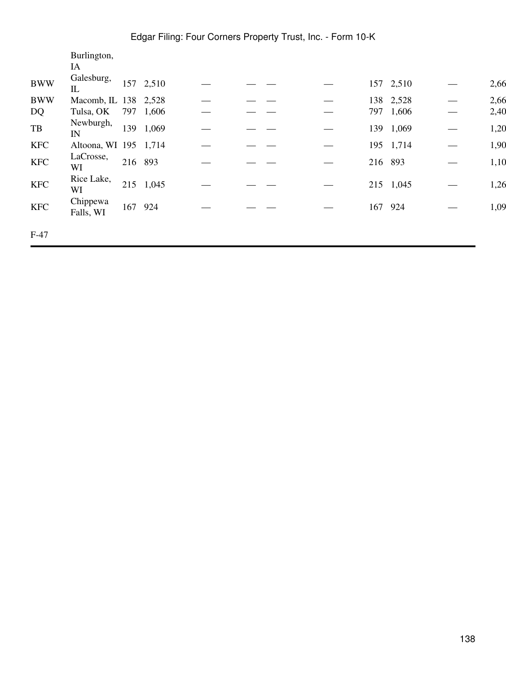|                                                  | Burlington,           |         |           |  |  |         |           |      |
|--------------------------------------------------|-----------------------|---------|-----------|--|--|---------|-----------|------|
|                                                  | IA                    |         |           |  |  |         |           |      |
| <b>BWW</b>                                       | Galesburg,<br>IL      |         | 157 2,510 |  |  |         | 157 2,510 | 2,66 |
| <b>BWW</b>                                       | Macomb, IL 138        |         | 2,528     |  |  | 138     | 2,528     | 2,66 |
| DQ                                               | Tulsa, OK             | 797     | 1,606     |  |  |         | 797 1,606 | 2,40 |
| $\ensuremath{\mathsf{T}}\ensuremath{\mathsf{B}}$ | Newburgh,<br>IN       | 139     | 1,069     |  |  | 139     | 1,069     | 1,20 |
| <b>KFC</b>                                       | Altoona, WI 195 1,714 |         |           |  |  |         | 195 1,714 | 1,90 |
| <b>KFC</b>                                       | LaCrosse,<br>WI       | 216 893 |           |  |  | 216 893 |           | 1,10 |
| <b>KFC</b>                                       | Rice Lake,<br>WI      |         | 215 1,045 |  |  |         | 215 1,045 | 1,26 |
| <b>KFC</b>                                       | Chippewa<br>Falls, WI | 167 924 |           |  |  | 167     | 924       | 1,09 |
| $F-47$                                           |                       |         |           |  |  |         |           |      |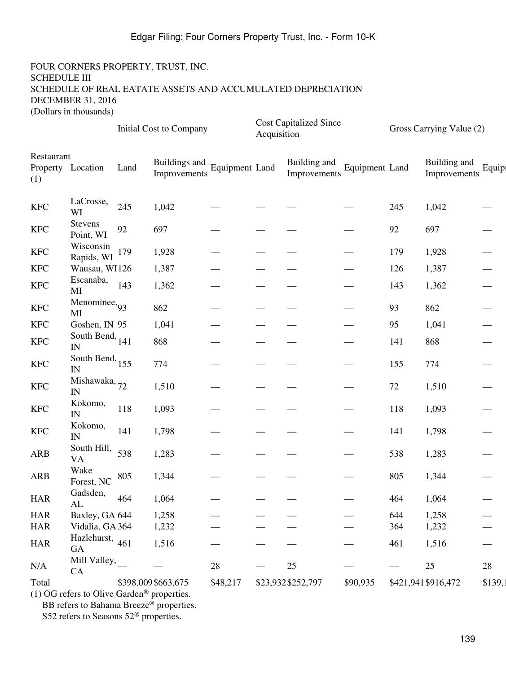#### FOUR CORNERS PROPERTY, TRUST, INC. SCHEDULE III SCHEDULE OF REAL EATATE ASSETS AND ACCUMULATED DEPRECIATION DECEMBER 31, 2016 (Dollars in thousands)

|                           |                                             |      | <b>Initial Cost to Company</b>        |          | Acquisition | <b>Cost Capitalized Since</b> |                | Gross Carrying Value (2) |                              |                             |  |
|---------------------------|---------------------------------------------|------|---------------------------------------|----------|-------------|-------------------------------|----------------|--------------------------|------------------------------|-----------------------------|--|
| Restaurant<br>(1)         | Property Location                           | Land | <b>Equipment Land</b><br>Improvements |          |             | Building and<br>Improvements  | Equipment Land |                          | Building and<br>Improvements | Equipi                      |  |
| $\ensuremath{\text{KFC}}$ | LaCrosse,<br>WI                             | 245  | 1,042                                 |          |             |                               |                | 245                      | 1,042                        |                             |  |
| $\ensuremath{\text{KFC}}$ | Stevens<br>Point, WI                        | 92   | 697                                   |          |             |                               |                | $92\,$                   | 697                          |                             |  |
| <b>KFC</b>                | Wisconsin<br>Rapids, WI                     | 179  | 1,928                                 |          |             |                               |                | 179                      | 1,928                        |                             |  |
| <b>KFC</b>                | Wausau, WI126                               |      | 1,387                                 |          |             |                               |                | 126                      | 1,387                        |                             |  |
| <b>KFC</b>                | Escanaba,<br>MI                             | 143  | 1,362                                 |          |             |                               |                | 143                      | 1,362                        |                             |  |
| <b>KFC</b>                | Menominee, $93$<br>MI                       |      | 862                                   |          |             |                               |                | 93                       | 862                          |                             |  |
| <b>KFC</b>                | Goshen, IN 95                               |      | 1,041                                 |          |             |                               |                | 95                       | 1,041                        |                             |  |
| $\ensuremath{\text{KFC}}$ | South Bend, $_{141}$<br>$\overline{\rm IN}$ |      | 868                                   |          |             |                               |                | 141                      | 868                          |                             |  |
| $\ensuremath{\text{KFC}}$ | South Bend, $155$<br>IN                     |      | 774                                   |          |             |                               |                | 155                      | 774                          |                             |  |
| $\ensuremath{\text{KFC}}$ | Mishawaka, 72<br>$\ensuremath{\text{IN}}$   |      | 1,510                                 |          |             |                               |                | $72\,$                   | 1,510                        |                             |  |
| $\ensuremath{\text{KFC}}$ | Kokomo,<br>$I\!N$                           | 118  | 1,093                                 |          |             |                               |                | 118                      | 1,093                        |                             |  |
| <b>KFC</b>                | Kokomo,<br>$\ensuremath{\text{IN}}$         | 141  | 1,798                                 |          |             |                               |                | 141                      | 1,798                        |                             |  |
| ARB                       | South Hill,<br><b>VA</b>                    | 538  | 1,283                                 |          |             |                               |                | 538                      | 1,283                        |                             |  |
| <b>ARB</b>                | Wake<br>Forest, NC                          | 805  | 1,344                                 |          |             |                               |                | 805                      | 1,344                        |                             |  |
| $_{\rm HAR}$              | Gadsden,<br>$\mathrm{AL}$                   | 464  | 1,064                                 |          |             |                               |                | 464                      | 1,064                        |                             |  |
| <b>HAR</b>                | Baxley, GA 644                              |      | 1,258                                 |          |             |                               |                | 644                      | 1,258                        |                             |  |
| <b>HAR</b>                | Vidalia, GA 364                             |      | 1,232                                 |          |             |                               |                | 364                      | 1,232                        |                             |  |
| <b>HAR</b>                | Hazlehurst, 461<br>GA                       |      | 1,516                                 |          |             |                               |                | 461                      | 1,516                        | $\overbrace{\hspace{15em}}$ |  |
| N/A                       | Mill Valley,<br>CA                          |      |                                       | $28\,$   |             | $25\,$                        |                |                          | $25\,$                       | $28\,$                      |  |
| Total                     |                                             |      | \$398,009\$663,675                    | \$48,217 |             | \$23,932\$252,797             | \$90,935       |                          | \$421,941 \$916,472          | \$139,                      |  |

(1) OG refers to Olive Garden® properties.

BB refers to Bahama Breeze<sup>®</sup> properties.

S52 refers to Seasons 52® properties.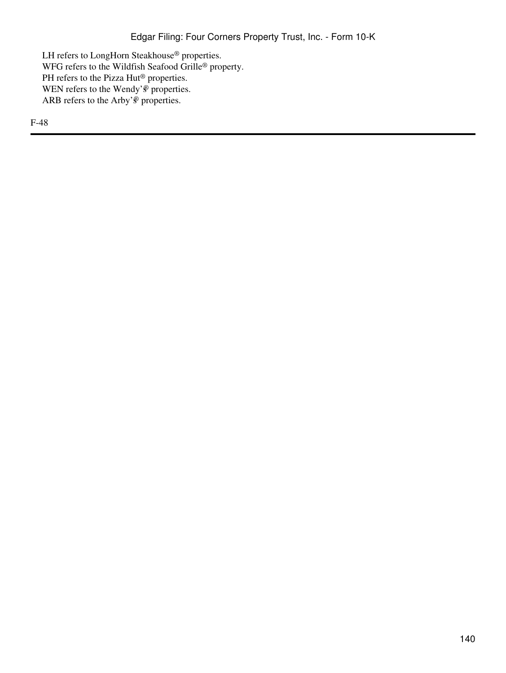LH refers to LongHorn Steakhouse® properties. WFG refers to the Wildfish Seafood Grille® property.  $\ensuremath{\mathsf{PH}}\xspace$  refers to the Pizza  $\ensuremath{\mathsf{Hut}}\xspace^{\circledast}$  <br>properties. WEN refers to the Wendy' $\overline{\mathcal{P}}$  properties. ARB refers to the Arby' $\stackrel{\circ}{\mathbb{P}}$  properties.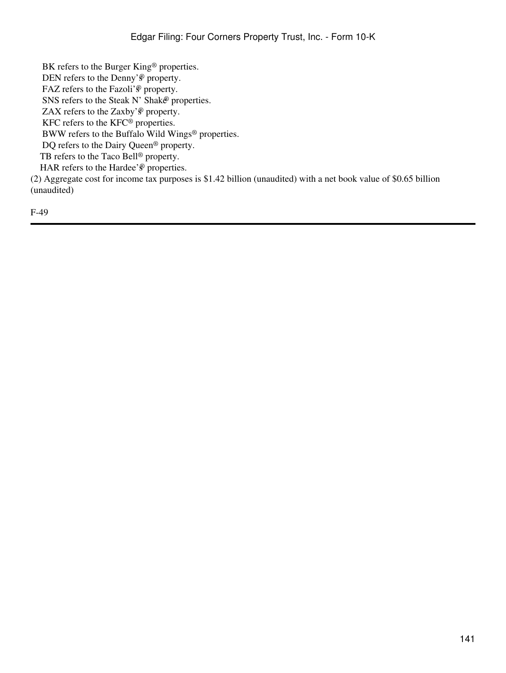BK refers to the Burger King® properties.

DEN refers to the Denny's<sup>®</sup> property.

FAZ refers to the Fazoli'<sup>®</sup> property.

SNS refers to the Steak N' Shak $\mathcal{E}$  properties.

ZAX refers to the Zaxby' $\mathscr P$  property.

KFC refers to the KFC® properties.

BWW refers to the Buffalo Wild Wings® properties.

DQ refers to the Dairy Queen<sup>®</sup> property.

TB refers to the Taco Bell<sup>®</sup> property.

HAR refers to the Hardee' $\mathcal{P}$  properties.

(2) Aggregate cost for income tax purposes is \$1.42 billion (unaudited) with a net book value of \$0.65 billion (unaudited)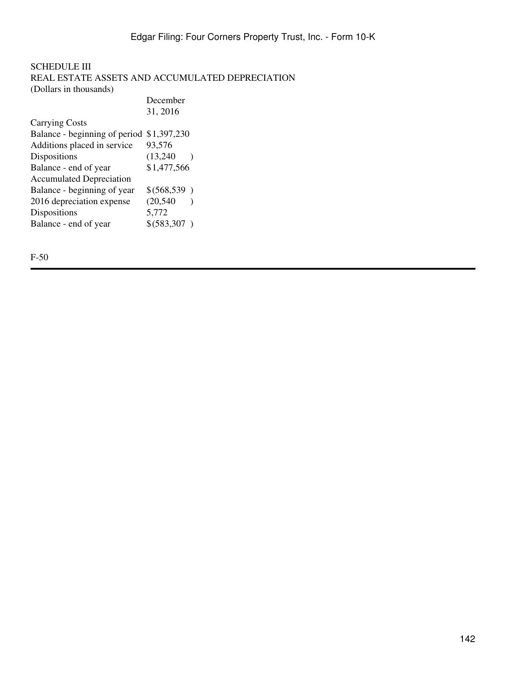### SCHEDULE III REAL ESTATE ASSETS AND ACCUMULATED DEPRECIATION (Dollars in thousands)

|                                           | December      |
|-------------------------------------------|---------------|
|                                           | 31, 2016      |
| <b>Carrying Costs</b>                     |               |
| Balance - beginning of period \$1,397,230 |               |
| Additions placed in service               | 93,576        |
| Dispositions                              | (13,240)      |
| Balance - end of year                     | \$1,477,566   |
| <b>Accumulated Depreciation</b>           |               |
| Balance - beginning of year               | \$ (568, 539) |
| 2016 depreciation expense                 | (20, 540)     |
| Dispositions                              | 5,772         |
| Balance - end of year                     | \$ (583, 307) |
|                                           |               |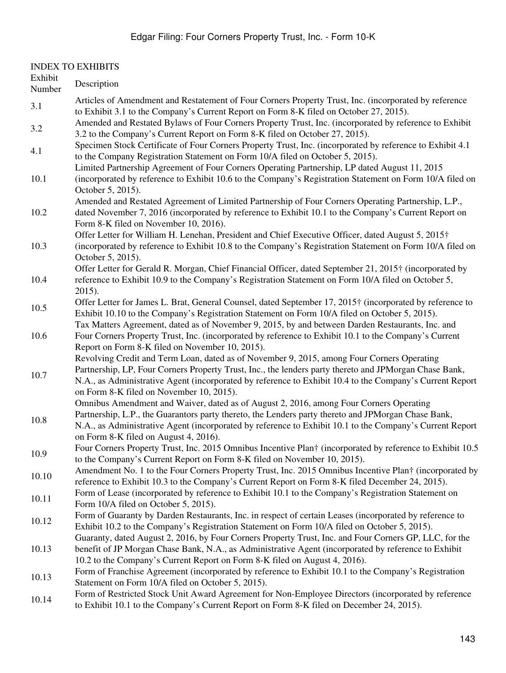#### INDEX TO EXHIBITS Exhibit Number Description 3.1 Articles of Amendment and Restatement of Four Corners Property Trust, Inc. (incorporated by reference to Exhibit 3.1 to the Company's Current Report on Form 8-K filed on October 27, 2015). 3.2 Amended and Restated Bylaws of Four Corners Property Trust, Inc. (incorporated by reference to Exhibit 3.2 to the Company's Current Report on Form 8-K filed on October 27, 2015). 4.1 Specimen Stock Certificate of Four Corners Property Trust, Inc. (incorporated by reference to Exhibit 4.1 to the Company Registration Statement on Form 10/A filed on October 5, 2015). 10.1 Limited Partnership Agreement of Four Corners Operating Partnership, LP dated August 11, 2015 (incorporated by reference to Exhibit 10.6 to the Company's Registration Statement on Form 10/A filed on October 5, 2015). 10.2 Amended and Restated Agreement of Limited Partnership of Four Corners Operating Partnership, L.P., dated November 7, 2016 (incorporated by reference to Exhibit 10.1 to the Company's Current Report on Form 8-K filed on November 10, 2016). 10.3 Offer Letter for William H. Lenehan, President and Chief Executive Officer, dated August 5, 2015† (incorporated by reference to Exhibit 10.8 to the Company's Registration Statement on Form 10/A filed on October 5, 2015). 10.4 Offer Letter for Gerald R. Morgan, Chief Financial Officer, dated September 21, 2015† (incorporated by reference to Exhibit 10.9 to the Company's Registration Statement on Form 10/A filed on October 5, 2015). 10.5 Offer Letter for James L. Brat, General Counsel, dated September 17, 2015† (incorporated by reference to Exhibit 10.10 to the Company's Registration Statement on Form 10/A filed on October 5, 2015). 10.6 Tax Matters Agreement, dated as of November 9, 2015, by and between Darden Restaurants, Inc. and Four Corners Property Trust, Inc. (incorporated by reference to Exhibit 10.1 to the Company's Current Report on Form 8-K filed on November 10, 2015). 10.7 Revolving Credit and Term Loan, dated as of November 9, 2015, among Four Corners Operating Partnership, LP, Four Corners Property Trust, Inc., the lenders party thereto and JPMorgan Chase Bank, N.A., as Administrative Agent (incorporated by reference to Exhibit 10.4 to the Company's Current Report on Form 8-K filed on November 10, 2015). 10.8 Omnibus Amendment and Waiver, dated as of August 2, 2016, among Four Corners Operating Partnership, L.P., the Guarantors party thereto, the Lenders party thereto and JPMorgan Chase Bank, N.A., as Administrative Agent (incorporated by reference to Exhibit 10.1 to the Company's Current Report on Form 8-K filed on August 4, 2016). 10.9 Four Corners Property Trust, Inc. 2015 Omnibus Incentive Plan† (incorporated by reference to Exhibit 10.5 to the Company's Current Report on Form 8-K filed on November 10, 2015). 10.10 Amendment No. 1 to the Four Corners Property Trust, Inc. 2015 Omnibus Incentive Plan† (incorporated by reference to Exhibit 10.3 to the Company's Current Report on Form 8-K filed December 24, 2015). 10.11 Form of Lease (incorporated by reference to Exhibit 10.1 to the Company's Registration Statement on Form 10/A filed on October 5, 2015). Form of Guaranty by Darden Restaurants, Inc. in respect of certain Leases (incorporated by reference to Exhibit 10.2 to the Company's Registration Statement on Form 10/A filed on October 5, 2015). 10.13 Guaranty, dated August 2, 2016, by Four Corners Property Trust, Inc. and Four Corners GP, LLC, for the benefit of JP Morgan Chase Bank, N.A., as Administrative Agent (incorporated by reference to Exhibit 10.2 to the Company's Current Report on Form 8-K filed on August 4, 2016). Form of Franchise Agreement (incorporated by reference to Exhibit 10.1 to the Company's Registration Statement on Form 10/A filed on October 5, 2015). 10.14 Form of Restricted Stock Unit Award Agreement for Non-Employee Directors (incorporated by reference to Exhibit 10.1 to the Company's Current Report on Form 8-K filed on December 24, 2015).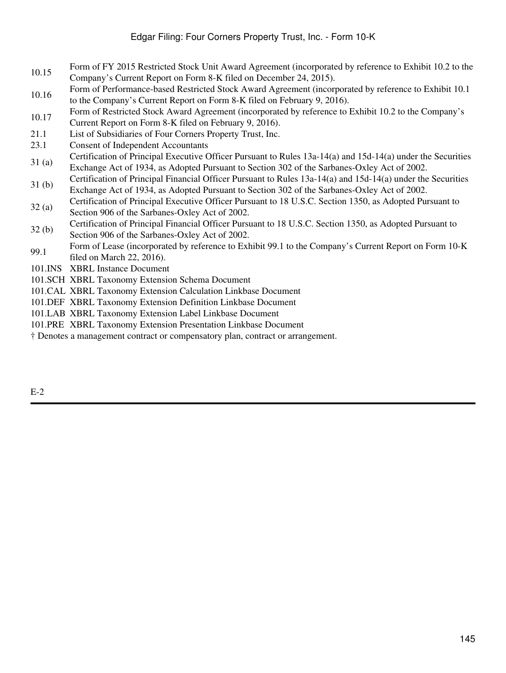- Form of FY 2015 Restricted Stock Unit Award Agreement (incorporated by reference to Exhibit 10.2 to the Company's Current Report on Form 8-K filed on December 24, 2015).
- 10.16 Form of Performance-based Restricted Stock Award Agreement (incorporated by reference to Exhibit 10.1 to the Company's Current Report on Form 8-K filed on February 9, 2016).
- Form of Restricted Stock Award Agreement (incorporated by reference to Exhibit 10.2 to the Company's
- Current Report on Form 8-K filed on February 9, 2016).
- 21.1 List of Subsidiaries of Four Corners Property Trust, Inc.
- 23.1 Consent of Independent Accountants
- 31 (a) Certification of Principal Executive Officer Pursuant to Rules 13a-14(a) and 15d-14(a) under the Securities Exchange Act of 1934, as Adopted Pursuant to Section 302 of the Sarbanes-Oxley Act of 2002.
- 31 (b) Certification of Principal Financial Officer Pursuant to Rules 13a-14(a) and 15d-14(a) under the Securities Exchange Act of 1934, as Adopted Pursuant to Section 302 of the Sarbanes-Oxley Act of 2002.
- 32 (a) Certification of Principal Executive Officer Pursuant to 18 U.S.C. Section 1350, as Adopted Pursuant to Section 906 of the Sarbanes-Oxley Act of 2002.
- 32 (b) Certification of Principal Financial Officer Pursuant to 18 U.S.C. Section 1350, as Adopted Pursuant to Section 906 of the Sarbanes-Oxley Act of 2002.
- 99.1 Form of Lease (incorporated by reference to Exhibit 99.1 to the Company's Current Report on Form 10-K filed on March 22, 2016).
- 101.INS XBRL Instance Document
- 101.SCH XBRL Taxonomy Extension Schema Document
- 101.CAL XBRL Taxonomy Extension Calculation Linkbase Document
- 101.DEF XBRL Taxonomy Extension Definition Linkbase Document
- 101.LAB XBRL Taxonomy Extension Label Linkbase Document
- 101.PRE XBRL Taxonomy Extension Presentation Linkbase Document
- † Denotes a management contract or compensatory plan, contract or arrangement.